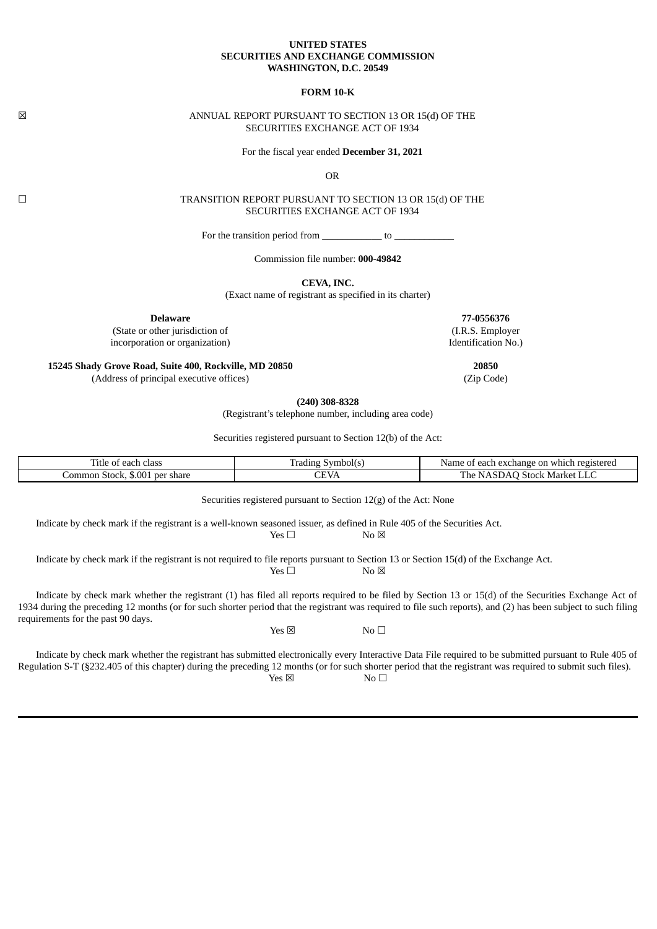# **UNITED STATES SECURITIES AND EXCHANGE COMMISSION WASHINGTON, D.C. 20549**

#### **FORM 10-K**

# ☒ ANNUAL REPORT PURSUANT TO SECTION 13 OR 15(d) OF THE SECURITIES EXCHANGE ACT OF 1934

For the fiscal year ended **December 31, 2021**

OR

☐ TRANSITION REPORT PURSUANT TO SECTION 13 OR 15(d) OF THE SECURITIES EXCHANGE ACT OF 1934

For the transition period from  $\qquad \qquad$  to  $\qquad \qquad$ 

Commission file number: **000-49842**

**CEVA, INC.**

(Exact name of registrant as specified in its charter)

(State or other jurisdiction of (I.R.S. Employer incorporation or organization) and the set of the set of the set of the set of the set of the set of the set of the set of the set of the set of the set of the set of the set of the set of the set of the set of the set of

**15245 Shady Grove Road, Suite 400, Rockville, MD 20850 20850**

(Address of principal executive offices) (Zip Code)

**(240) 308-8328**

(Registrant's telephone number, including area code)

Securities registered pursuant to Section 12(b) of the Act:

| Title of each class                                                                                                                                                                                                            | Trading Symbol(s) | Name of each exchange on which registered |  |  |  |  |  |  |
|--------------------------------------------------------------------------------------------------------------------------------------------------------------------------------------------------------------------------------|-------------------|-------------------------------------------|--|--|--|--|--|--|
| Common Stock, \$.001 per share                                                                                                                                                                                                 | CEVA              | The NASDAQ Stock Market LLC               |  |  |  |  |  |  |
| Securities registered pursuant to Section $12(g)$ of the Act: None                                                                                                                                                             |                   |                                           |  |  |  |  |  |  |
| Indicate by check mark if the registrant is a well-known seasoned issuer, as defined in Rule 405 of the Securities Act.<br>Yes $\Box$<br>$N_0 \boxtimes$                                                                       |                   |                                           |  |  |  |  |  |  |
| THE THIT IS A REAL TO THE TOP OF THE REAL TO THE TABLE TO A REAL TO THE TABLE TO THE REAL TEST OF THE REAL TEST IS A REAL TO THE REAL TEST OF THE REAL TEST OF THE REAL TEST IS A REAL TO THE REAL TEST OF THE REAL TEST OF TH |                   |                                           |  |  |  |  |  |  |

Indicate by check mark if the registrant is not required to file reports pursuant to Section 13 or Section 15(d) of the Exchange Act. Yes  $\square$  No  $\square$ 

Indicate by check mark whether the registrant (1) has filed all reports required to be filed by Section 13 or 15(d) of the Securities Exchange Act of 1934 during the preceding 12 months (or for such shorter period that the registrant was required to file such reports), and (2) has been subject to such filing requirements for the past 90 days.

 $Yes \boxtimes$  No  $\Box$ 

Indicate by check mark whether the registrant has submitted electronically every Interactive Data File required to be submitted pursuant to Rule 405 of Regulation S-T (§232.405 of this chapter) during the preceding 12 months (or for such shorter period that the registrant was required to submit such files). Yes  $\boxtimes$  No  $\Box$ 

**Delaware 77-0556376**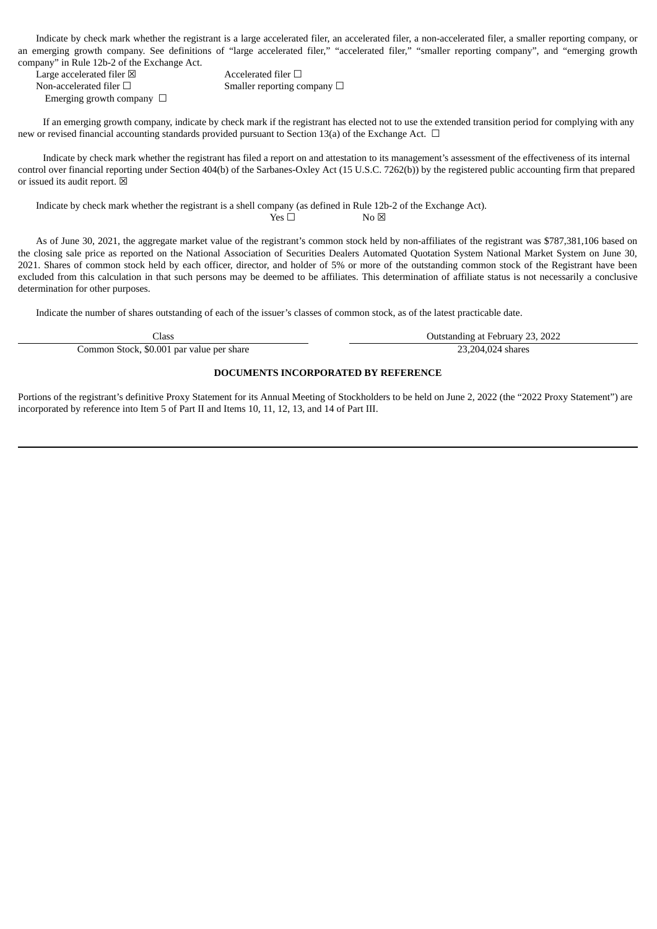Indicate by check mark whether the registrant is a large accelerated filer, an accelerated filer, a non-accelerated filer, a smaller reporting company, or an emerging growth company. See definitions of "large accelerated filer," "accelerated filer," "smaller reporting company", and "emerging growth company" in Rule 12b-2 of the Exchange Act.

Large accelerated filer  $\boxtimes$  Accelerated filer  $\Box$ Non-accelerated filer □ Smaller reporting company □ Emerging growth company  $\Box$ 

If an emerging growth company, indicate by check mark if the registrant has elected not to use the extended transition period for complying with any new or revised financial accounting standards provided pursuant to Section 13(a) of the Exchange Act.  $\Box$ 

Indicate by check mark whether the registrant has filed a report on and attestation to its management's assessment of the effectiveness of its internal control over financial reporting under Section 404(b) of the Sarbanes-Oxley Act (15 U.S.C. 7262(b)) by the registered public accounting firm that prepared or issued its audit report.  $\boxtimes$ 

Indicate by check mark whether the registrant is a shell company (as defined in Rule 12b-2 of the Exchange Act). Yes  $□$  No  $□$ 

As of June 30, 2021, the aggregate market value of the registrant's common stock held by non-affiliates of the registrant was \$787,381,106 based on the closing sale price as reported on the National Association of Securities Dealers Automated Quotation System National Market System on June 30, 2021. Shares of common stock held by each officer, director, and holder of 5% or more of the outstanding common stock of the Registrant have been excluded from this calculation in that such persons may be deemed to be affiliates. This determination of affiliate status is not necessarily a conclusive determination for other purposes.

Indicate the number of shares outstanding of each of the issuer's classes of common stock, as of the latest practicable date.

Common Stock, \$0.001 par value per share 23,204,024 shares

Class Outstanding at February 23, 2022

**DOCUMENTS INCORPORATED BY REFERENCE**

Portions of the registrant's definitive Proxy Statement for its Annual Meeting of Stockholders to be held on June 2, 2022 (the "2022 Proxy Statement") are incorporated by reference into Item 5 of Part II and Items 10, 11, 12, 13, and 14 of Part III.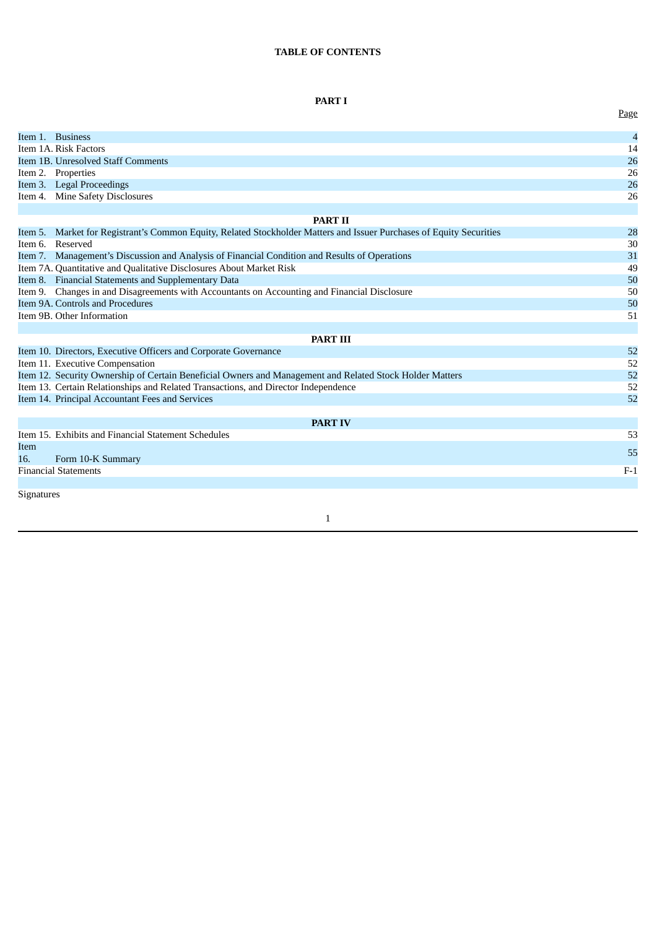# **TABLE OF CONTENTS**

# **PART I**

|                   |                                                                                                                      | Page           |  |
|-------------------|----------------------------------------------------------------------------------------------------------------------|----------------|--|
|                   | Item 1. Business                                                                                                     | $\overline{4}$ |  |
|                   | Item 1A. Risk Factors                                                                                                | 14             |  |
|                   | Item 1B. Unresolved Staff Comments                                                                                   |                |  |
|                   | Item 2. Properties                                                                                                   | 26             |  |
|                   | Item 3. Legal Proceedings                                                                                            | 26             |  |
|                   | Item 4. Mine Safety Disclosures                                                                                      | 26             |  |
|                   |                                                                                                                      |                |  |
|                   | <b>PART II</b>                                                                                                       |                |  |
|                   | Item 5. Market for Registrant's Common Equity, Related Stockholder Matters and Issuer Purchases of Equity Securities | 28             |  |
|                   | Item 6. Reserved                                                                                                     | 30             |  |
|                   | Item 7. Management's Discussion and Analysis of Financial Condition and Results of Operations                        | 31             |  |
|                   | Item 7A. Quantitative and Qualitative Disclosures About Market Risk                                                  | 49             |  |
|                   | Item 8. Financial Statements and Supplementary Data                                                                  | 50             |  |
|                   | Item 9. Changes in and Disagreements with Accountants on Accounting and Financial Disclosure                         | 50             |  |
|                   | Item 9A. Controls and Procedures                                                                                     | 50             |  |
|                   | Item 9B. Other Information                                                                                           | 51             |  |
|                   |                                                                                                                      |                |  |
|                   | <b>PART III</b>                                                                                                      |                |  |
|                   | Item 10. Directors, Executive Officers and Corporate Governance                                                      | 52             |  |
|                   | Item 11. Executive Compensation                                                                                      | 52             |  |
|                   | Item 12. Security Ownership of Certain Beneficial Owners and Management and Related Stock Holder Matters             | 52             |  |
|                   | Item 13. Certain Relationships and Related Transactions, and Director Independence                                   | 52             |  |
|                   | Item 14. Principal Accountant Fees and Services                                                                      | 52             |  |
|                   |                                                                                                                      |                |  |
|                   | <b>PART IV</b>                                                                                                       |                |  |
|                   | Item 15. Exhibits and Financial Statement Schedules                                                                  | 53             |  |
| Item              |                                                                                                                      | 55             |  |
| 16.               | Form 10-K Summary                                                                                                    |                |  |
|                   | <b>Financial Statements</b>                                                                                          | $F-1$          |  |
|                   |                                                                                                                      |                |  |
| <b>Signatures</b> |                                                                                                                      |                |  |

1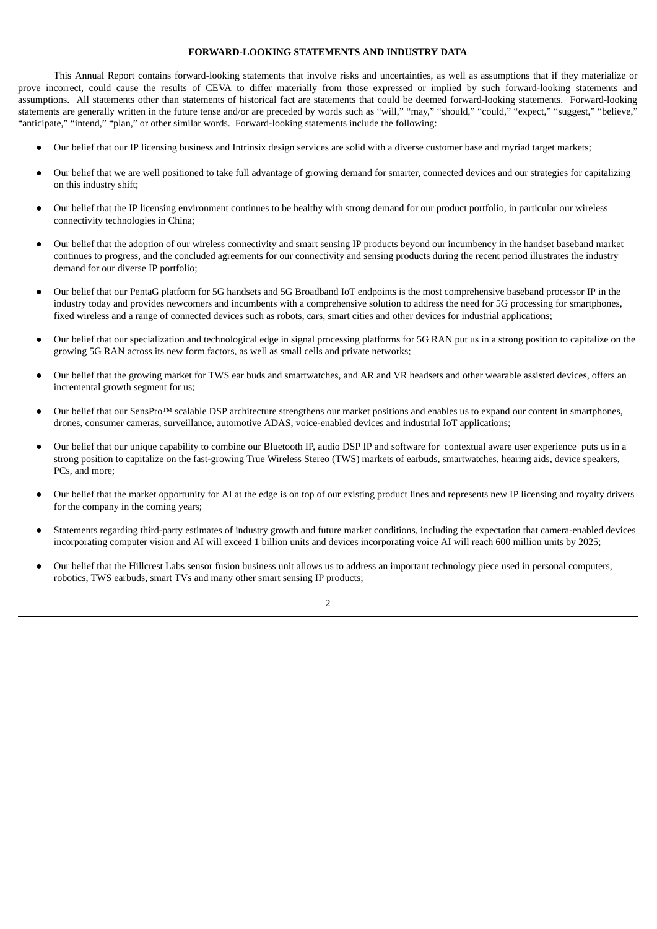### **FORWARD-LOOKING STATEMENTS AND INDUSTRY DATA**

This Annual Report contains forward-looking statements that involve risks and uncertainties, as well as assumptions that if they materialize or prove incorrect, could cause the results of CEVA to differ materially from those expressed or implied by such forward-looking statements and assumptions. All statements other than statements of historical fact are statements that could be deemed forward-looking statements. Forward-looking statements are generally written in the future tense and/or are preceded by words such as "will," "may," "should," "could," "expect," "suggest," "believe, "anticipate," "intend," "plan," or other similar words. Forward-looking statements include the following:

- Our belief that our IP licensing business and Intrinsix design services are solid with a diverse customer base and myriad target markets;
- Our belief that we are well positioned to take full advantage of growing demand for smarter, connected devices and our strategies for capitalizing on this industry shift;
- Our belief that the IP licensing environment continues to be healthy with strong demand for our product portfolio, in particular our wireless connectivity technologies in China;
- Our belief that the adoption of our wireless connectivity and smart sensing IP products beyond our incumbency in the handset baseband market continues to progress, and the concluded agreements for our connectivity and sensing products during the recent period illustrates the industry demand for our diverse IP portfolio;
- Our belief that our PentaG platform for 5G handsets and 5G Broadband IoT endpoints is the most comprehensive baseband processor IP in the industry today and provides newcomers and incumbents with a comprehensive solution to address the need for 5G processing for smartphones, fixed wireless and a range of connected devices such as robots, cars, smart cities and other devices for industrial applications;
- Our belief that our specialization and technological edge in signal processing platforms for 5G RAN put us in a strong position to capitalize on the growing 5G RAN across its new form factors, as well as small cells and private networks;
- Our belief that the growing market for TWS ear buds and smartwatches, and AR and VR headsets and other wearable assisted devices, offers an incremental growth segment for us;
- Our belief that our SensPro™ scalable DSP architecture strengthens our market positions and enables us to expand our content in smartphones, drones, consumer cameras, surveillance, automotive ADAS, voice-enabled devices and industrial IoT applications;
- Our belief that our unique capability to combine our Bluetooth IP, audio DSP IP and software for contextual aware user experience puts us in a strong position to capitalize on the fast-growing True Wireless Stereo (TWS) markets of earbuds, smartwatches, hearing aids, device speakers, PCs, and more;
- Our belief that the market opportunity for AI at the edge is on top of our existing product lines and represents new IP licensing and royalty drivers for the company in the coming years;
- Statements regarding third-party estimates of industry growth and future market conditions, including the expectation that camera-enabled devices incorporating computer vision and AI will exceed 1 billion units and devices incorporating voice AI will reach 600 million units by 2025;
- Our belief that the Hillcrest Labs sensor fusion business unit allows us to address an important technology piece used in personal computers, robotics, TWS earbuds, smart TVs and many other smart sensing IP products;

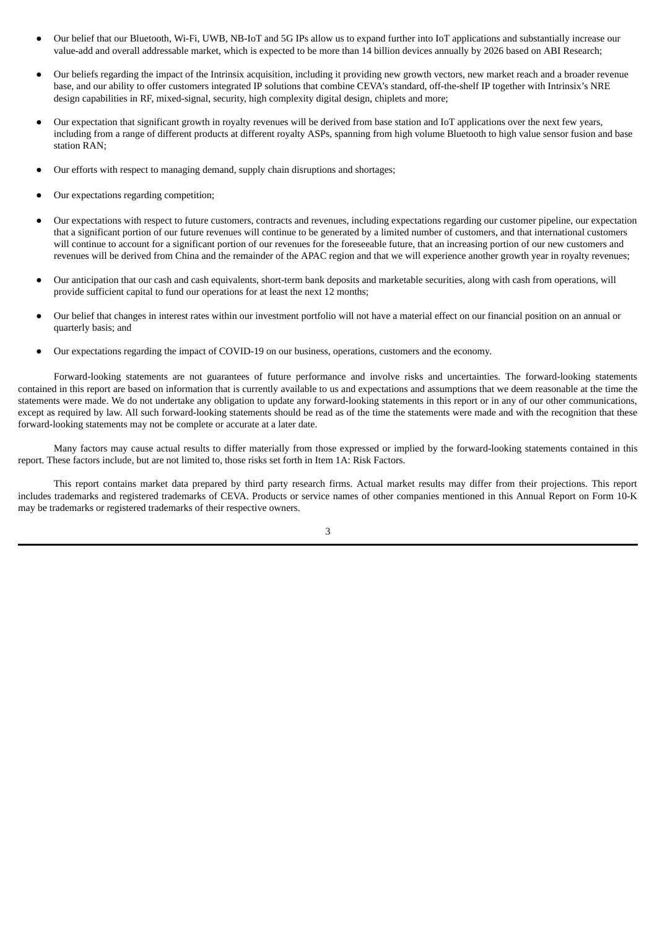- Our belief that our Bluetooth, Wi-Fi, UWB, NB-IoT and 5G IPs allow us to expand further into IoT applications and substantially increase our value-add and overall addressable market, which is expected to be more than 14 billion devices annually by 2026 based on ABI Research;
- Our beliefs regarding the impact of the Intrinsix acquisition, including it providing new growth vectors, new market reach and a broader revenue base, and our ability to offer customers integrated IP solutions that combine CEVA's standard, off-the-shelf IP together with Intrinsix's NRE design capabilities in RF, mixed-signal, security, high complexity digital design, chiplets and more;
- Our expectation that significant growth in royalty revenues will be derived from base station and IoT applications over the next few years, including from a range of different products at different royalty ASPs, spanning from high volume Bluetooth to high value sensor fusion and base station RAN;
- Our efforts with respect to managing demand, supply chain disruptions and shortages;
- Our expectations regarding competition;
- Our expectations with respect to future customers, contracts and revenues, including expectations regarding our customer pipeline, our expectation that a significant portion of our future revenues will continue to be generated by a limited number of customers, and that international customers will continue to account for a significant portion of our revenues for the foreseeable future, that an increasing portion of our new customers and revenues will be derived from China and the remainder of the APAC region and that we will experience another growth year in royalty revenues;
- Our anticipation that our cash and cash equivalents, short-term bank deposits and marketable securities, along with cash from operations, will provide sufficient capital to fund our operations for at least the next 12 months;
- Our belief that changes in interest rates within our investment portfolio will not have a material effect on our financial position on an annual or quarterly basis; and
- Our expectations regarding the impact of COVID-19 on our business, operations, customers and the economy.

Forward-looking statements are not guarantees of future performance and involve risks and uncertainties. The forward-looking statements contained in this report are based on information that is currently available to us and expectations and assumptions that we deem reasonable at the time the statements were made. We do not undertake any obligation to update any forward-looking statements in this report or in any of our other communications, except as required by law. All such forward-looking statements should be read as of the time the statements were made and with the recognition that these forward-looking statements may not be complete or accurate at a later date.

Many factors may cause actual results to differ materially from those expressed or implied by the forward-looking statements contained in this report. These factors include, but are not limited to, those risks set forth in Item 1A: Risk Factors.

This report contains market data prepared by third party research firms. Actual market results may differ from their projections. This report includes trademarks and registered trademarks of CEVA. Products or service names of other companies mentioned in this Annual Report on Form 10-K may be trademarks or registered trademarks of their respective owners.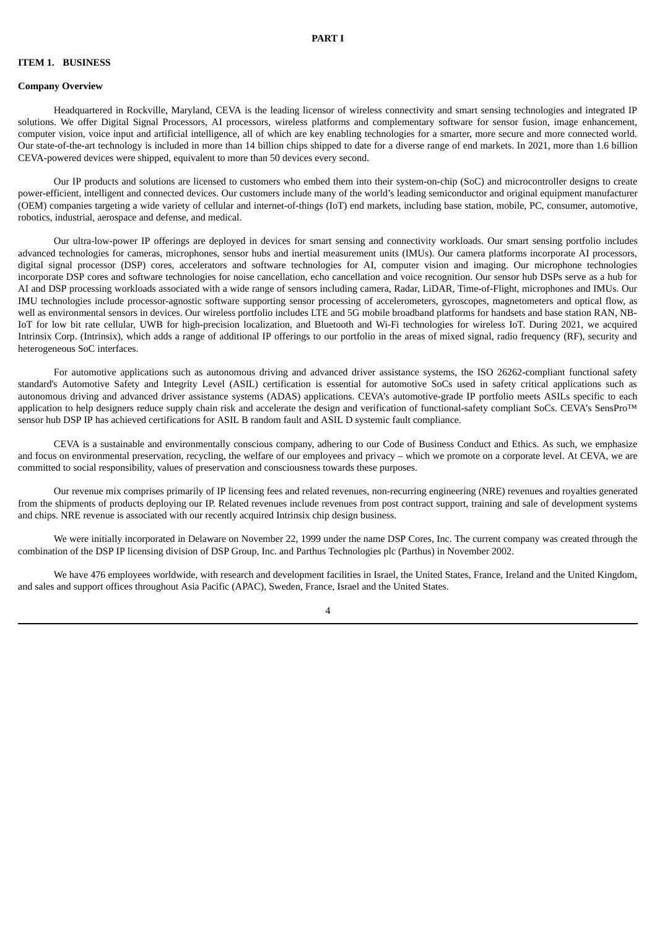### **ITEM 1. BUSINESS**

#### **Company Overview**

Headquartered in Rockville, Maryland, CEVA is the leading licensor of wireless connectivity and smart sensing technologies and integrated IP solutions. We offer Digital Signal Processors, AI processors, wireless platforms and complementary software for sensor fusion, image enhancement, computer vision, voice input and artificial intelligence, all of which are key enabling technologies for a smarter, more secure and more connected world. Our state-of-the-art technology is included in more than 14 billion chips shipped to date for a diverse range of end markets. In 2021, more than 1.6 billion CEVA-powered devices were shipped, equivalent to more than 50 devices every second.

Our IP products and solutions are licensed to customers who embed them into their system-on-chip (SoC) and microcontroller designs to create power-efficient, intelligent and connected devices. Our customers include many of the world's leading semiconductor and original equipment manufacturer (OEM) companies targeting a wide variety of cellular and internet-of-things (IoT) end markets, including base station, mobile, PC, consumer, automotive, robotics, industrial, aerospace and defense, and medical.

Our ultra-low-power IP offerings are deployed in devices for smart sensing and connectivity workloads. Our smart sensing portfolio includes advanced technologies for cameras, microphones, sensor hubs and inertial measurement units (IMUs). Our camera platforms incorporate AI processors, digital signal processor (DSP) cores, accelerators and software technologies for AI, computer vision and imaging. Our microphone technologies incorporate DSP cores and software technologies for noise cancellation, echo cancellation and voice recognition. Our sensor hub DSPs serve as a hub for AI and DSP processing workloads associated with a wide range of sensors including camera, Radar, LiDAR, Time-of-Flight, microphones and IMUs. Our IMU technologies include processor-agnostic software supporting sensor processing of accelerometers, gyroscopes, magnetometers and optical flow, as well as environmental sensors in devices. Our wireless portfolio includes LTE and 5G mobile broadband platforms for handsets and base station RAN, NB-IoT for low bit rate cellular, UWB for high-precision localization, and Bluetooth and Wi-Fi technologies for wireless IoT. During 2021, we acquired Intrinsix Corp. (Intrinsix), which adds a range of additional IP offerings to our portfolio in the areas of mixed signal, radio frequency (RF), security and heterogeneous SoC interfaces.

For automotive applications such as autonomous driving and advanced driver assistance systems, the ISO 26262-compliant functional safety standard's Automotive Safety and Integrity Level (ASIL) certification is essential for automotive SoCs used in safety critical applications such as autonomous driving and advanced driver assistance systems (ADAS) applications. CEVA's automotive-grade IP portfolio meets ASILs specific to each application to help designers reduce supply chain risk and accelerate the design and verification of functional-safety compliant SoCs. CEVA's SensPro™ sensor hub DSP IP has achieved certifications for ASIL B random fault and ASIL D systemic fault compliance.

CEVA is a sustainable and environmentally conscious company, adhering to our Code of Business Conduct and Ethics. As such, we emphasize and focus on environmental preservation, recycling, the welfare of our employees and privacy – which we promote on a corporate level. At CEVA, we are committed to social responsibility, values of preservation and consciousness towards these purposes.

Our revenue mix comprises primarily of IP licensing fees and related revenues, non-recurring engineering (NRE) revenues and royalties generated from the shipments of products deploying our IP. Related revenues include revenues from post contract support, training and sale of development systems and chips. NRE revenue is associated with our recently acquired Intrinsix chip design business.

We were initially incorporated in Delaware on November 22, 1999 under the name DSP Cores, Inc. The current company was created through the combination of the DSP IP licensing division of DSP Group, Inc. and Parthus Technologies plc (Parthus) in November 2002.

We have 476 employees worldwide, with research and development facilities in Israel, the United States, France, Ireland and the United Kingdom, and sales and support offices throughout Asia Pacific (APAC), Sweden, France, Israel and the United States.

4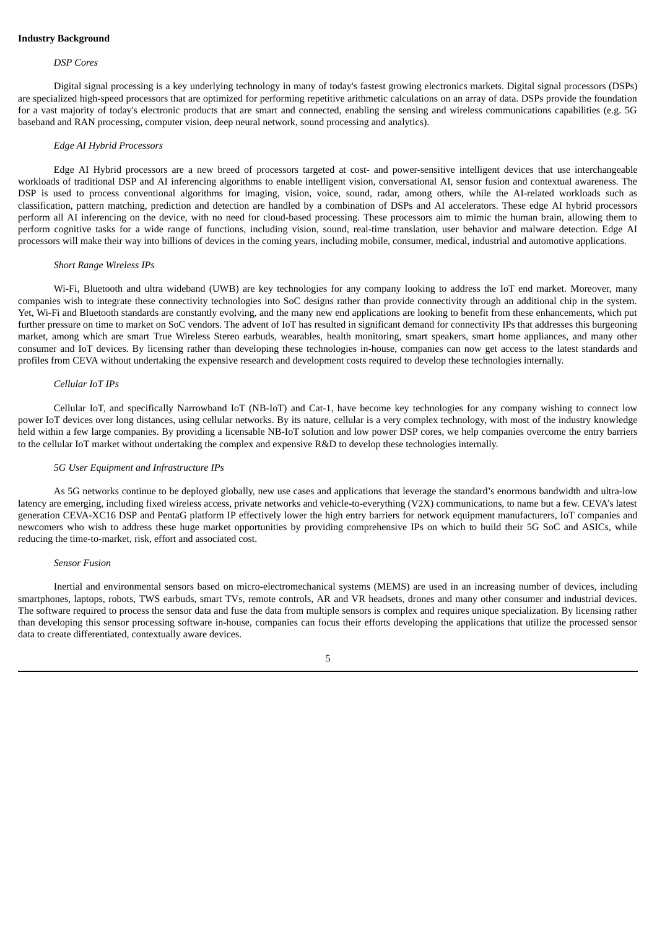#### *DSP Cores*

Digital signal processing is a key underlying technology in many of today's fastest growing electronics markets. Digital signal processors (DSPs) are specialized high-speed processors that are optimized for performing repetitive arithmetic calculations on an array of data. DSPs provide the foundation for a vast majority of today's electronic products that are smart and connected, enabling the sensing and wireless communications capabilities (e.g. 5G baseband and RAN processing, computer vision, deep neural network, sound processing and analytics).

#### *Edge AI Hybrid Processors*

Edge AI Hybrid processors are a new breed of processors targeted at cost- and power-sensitive intelligent devices that use interchangeable workloads of traditional DSP and AI inferencing algorithms to enable intelligent vision, conversational AI, sensor fusion and contextual awareness. The DSP is used to process conventional algorithms for imaging, vision, voice, sound, radar, among others, while the AI-related workloads such as classification, pattern matching, prediction and detection are handled by a combination of DSPs and AI accelerators. These edge AI hybrid processors perform all AI inferencing on the device, with no need for cloud-based processing. These processors aim to mimic the human brain, allowing them to perform cognitive tasks for a wide range of functions, including vision, sound, real-time translation, user behavior and malware detection. Edge AI processors will make their way into billions of devices in the coming years, including mobile, consumer, medical, industrial and automotive applications.

# *Short Range Wireless IPs*

Wi-Fi, Bluetooth and ultra wideband (UWB) are key technologies for any company looking to address the IoT end market. Moreover, many companies wish to integrate these connectivity technologies into SoC designs rather than provide connectivity through an additional chip in the system. Yet, Wi-Fi and Bluetooth standards are constantly evolving, and the many new end applications are looking to benefit from these enhancements, which put further pressure on time to market on SoC vendors. The advent of IoT has resulted in significant demand for connectivity IPs that addresses this burgeoning market, among which are smart True Wireless Stereo earbuds, wearables, health monitoring, smart speakers, smart home appliances, and many other consumer and IoT devices. By licensing rather than developing these technologies in-house, companies can now get access to the latest standards and profiles from CEVA without undertaking the expensive research and development costs required to develop these technologies internally.

### *Cellular IoT IPs*

Cellular IoT, and specifically Narrowband IoT (NB-IoT) and Cat-1, have become key technologies for any company wishing to connect low power IoT devices over long distances, using cellular networks. By its nature, cellular is a very complex technology, with most of the industry knowledge held within a few large companies. By providing a licensable NB-IoT solution and low power DSP cores, we help companies overcome the entry barriers to the cellular IoT market without undertaking the complex and expensive R&D to develop these technologies internally.

### *5G User Equipment and Infrastructure IPs*

As 5G networks continue to be deployed globally, new use cases and applications that leverage the standard's enormous bandwidth and ultra-low latency are emerging, including fixed wireless access, private networks and vehicle-to-everything (V2X) communications, to name but a few. CEVA's latest generation CEVA-XC16 DSP and PentaG platform IP effectively lower the high entry barriers for network equipment manufacturers, IoT companies and newcomers who wish to address these huge market opportunities by providing comprehensive IPs on which to build their 5G SoC and ASICs, while reducing the time-to-market, risk, effort and associated cost.

### *Sensor Fusion*

Inertial and environmental sensors based on micro-electromechanical systems (MEMS) are used in an increasing number of devices, including smartphones, laptops, robots, TWS earbuds, smart TVs, remote controls, AR and VR headsets, drones and many other consumer and industrial devices. The software required to process the sensor data and fuse the data from multiple sensors is complex and requires unique specialization. By licensing rather than developing this sensor processing software in-house, companies can focus their efforts developing the applications that utilize the processed sensor data to create differentiated, contextually aware devices.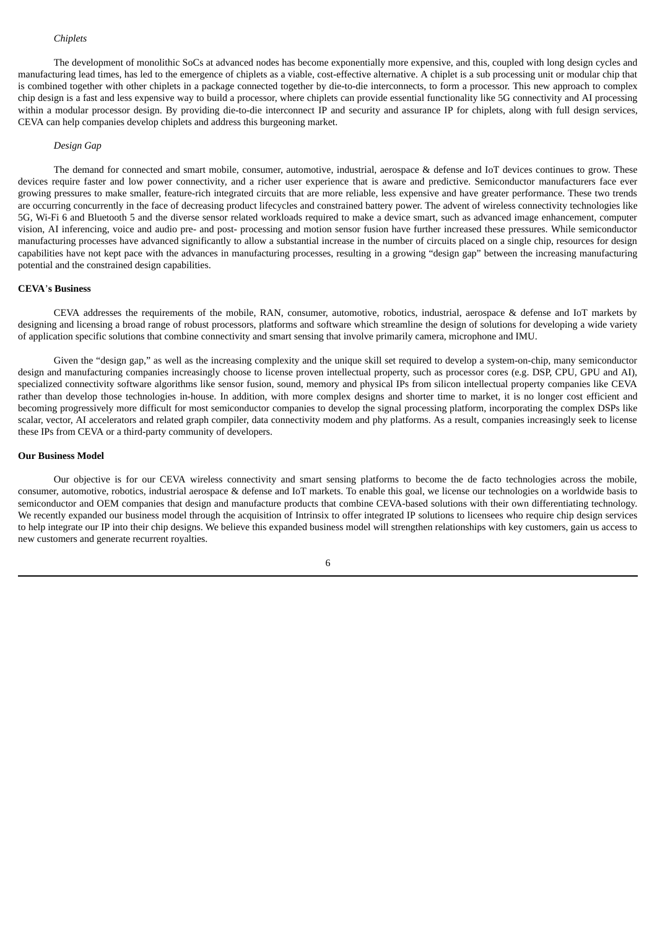#### *Chiplets*

The development of monolithic SoCs at advanced nodes has become exponentially more expensive, and this, coupled with long design cycles and manufacturing lead times, has led to the emergence of chiplets as a viable, cost-effective alternative. A chiplet is a sub processing unit or modular chip that is combined together with other chiplets in a package connected together by die-to-die interconnects, to form a processor. This new approach to complex chip design is a fast and less expensive way to build a processor, where chiplets can provide essential functionality like 5G connectivity and AI processing within a modular processor design. By providing die-to-die interconnect IP and security and assurance IP for chiplets, along with full design services, CEVA can help companies develop chiplets and address this burgeoning market.

### *Design Gap*

The demand for connected and smart mobile, consumer, automotive, industrial, aerospace & defense and IoT devices continues to grow. These devices require faster and low power connectivity, and a richer user experience that is aware and predictive. Semiconductor manufacturers face ever growing pressures to make smaller, feature-rich integrated circuits that are more reliable, less expensive and have greater performance. These two trends are occurring concurrently in the face of decreasing product lifecycles and constrained battery power. The advent of wireless connectivity technologies like 5G, Wi-Fi 6 and Bluetooth 5 and the diverse sensor related workloads required to make a device smart, such as advanced image enhancement, computer vision, AI inferencing, voice and audio pre- and post- processing and motion sensor fusion have further increased these pressures. While semiconductor manufacturing processes have advanced significantly to allow a substantial increase in the number of circuits placed on a single chip, resources for design capabilities have not kept pace with the advances in manufacturing processes, resulting in a growing "design gap" between the increasing manufacturing potential and the constrained design capabilities.

### **CEVA**'**s Business**

CEVA addresses the requirements of the mobile, RAN, consumer, automotive, robotics, industrial, aerospace & defense and IoT markets by designing and licensing a broad range of robust processors, platforms and software which streamline the design of solutions for developing a wide variety of application specific solutions that combine connectivity and smart sensing that involve primarily camera, microphone and IMU.

Given the "design gap," as well as the increasing complexity and the unique skill set required to develop a system-on-chip, many semiconductor design and manufacturing companies increasingly choose to license proven intellectual property, such as processor cores (e.g. DSP, CPU, GPU and AI), specialized connectivity software algorithms like sensor fusion, sound, memory and physical IPs from silicon intellectual property companies like CEVA rather than develop those technologies in-house. In addition, with more complex designs and shorter time to market, it is no longer cost efficient and becoming progressively more difficult for most semiconductor companies to develop the signal processing platform, incorporating the complex DSPs like scalar, vector, AI accelerators and related graph compiler, data connectivity modem and phy platforms. As a result, companies increasingly seek to license these IPs from CEVA or a third-party community of developers.

### **Our Business Model**

Our objective is for our CEVA wireless connectivity and smart sensing platforms to become the de facto technologies across the mobile, consumer, automotive, robotics, industrial aerospace & defense and IoT markets. To enable this goal, we license our technologies on a worldwide basis to semiconductor and OEM companies that design and manufacture products that combine CEVA-based solutions with their own differentiating technology. We recently expanded our business model through the acquisition of Intrinsix to offer integrated IP solutions to licensees who require chip design services to help integrate our IP into their chip designs. We believe this expanded business model will strengthen relationships with key customers, gain us access to new customers and generate recurrent royalties.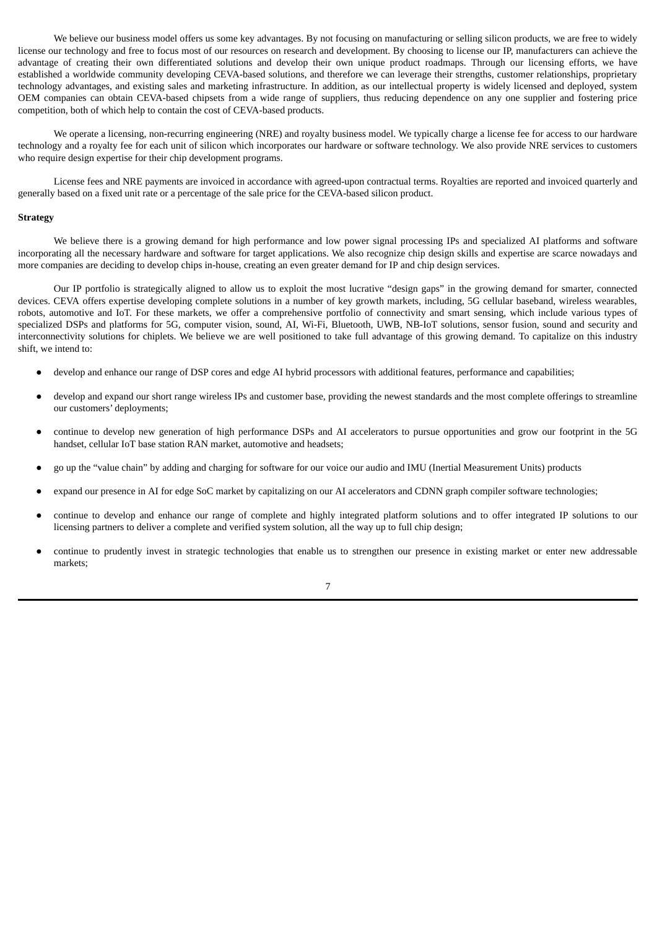We believe our business model offers us some key advantages. By not focusing on manufacturing or selling silicon products, we are free to widely license our technology and free to focus most of our resources on research and development. By choosing to license our IP, manufacturers can achieve the advantage of creating their own differentiated solutions and develop their own unique product roadmaps. Through our licensing efforts, we have established a worldwide community developing CEVA-based solutions, and therefore we can leverage their strengths, customer relationships, proprietary technology advantages, and existing sales and marketing infrastructure. In addition, as our intellectual property is widely licensed and deployed, system OEM companies can obtain CEVA-based chipsets from a wide range of suppliers, thus reducing dependence on any one supplier and fostering price competition, both of which help to contain the cost of CEVA-based products.

We operate a licensing, non-recurring engineering (NRE) and royalty business model. We typically charge a license fee for access to our hardware technology and a royalty fee for each unit of silicon which incorporates our hardware or software technology. We also provide NRE services to customers who require design expertise for their chip development programs.

License fees and NRE payments are invoiced in accordance with agreed-upon contractual terms. Royalties are reported and invoiced quarterly and generally based on a fixed unit rate or a percentage of the sale price for the CEVA-based silicon product.

#### **Strategy**

We believe there is a growing demand for high performance and low power signal processing IPs and specialized AI platforms and software incorporating all the necessary hardware and software for target applications. We also recognize chip design skills and expertise are scarce nowadays and more companies are deciding to develop chips in-house, creating an even greater demand for IP and chip design services.

Our IP portfolio is strategically aligned to allow us to exploit the most lucrative "design gaps" in the growing demand for smarter, connected devices. CEVA offers expertise developing complete solutions in a number of key growth markets, including, 5G cellular baseband, wireless wearables, robots, automotive and IoT. For these markets, we offer a comprehensive portfolio of connectivity and smart sensing, which include various types of specialized DSPs and platforms for 5G, computer vision, sound, AI, Wi-Fi, Bluetooth, UWB, NB-IoT solutions, sensor fusion, sound and security and interconnectivity solutions for chiplets. We believe we are well positioned to take full advantage of this growing demand. To capitalize on this industry shift, we intend to:

- develop and enhance our range of DSP cores and edge AI hybrid processors with additional features, performance and capabilities;
- develop and expand our short range wireless IPs and customer base, providing the newest standards and the most complete offerings to streamline our customers' deployments;
- continue to develop new generation of high performance DSPs and AI accelerators to pursue opportunities and grow our footprint in the 5G handset, cellular IoT base station RAN market, automotive and headsets;
- go up the "value chain" by adding and charging for software for our voice our audio and IMU (Inertial Measurement Units) products
- expand our presence in AI for edge SoC market by capitalizing on our AI accelerators and CDNN graph compiler software technologies;
- continue to develop and enhance our range of complete and highly integrated platform solutions and to offer integrated IP solutions to our licensing partners to deliver a complete and verified system solution, all the way up to full chip design;
- continue to prudently invest in strategic technologies that enable us to strengthen our presence in existing market or enter new addressable markets;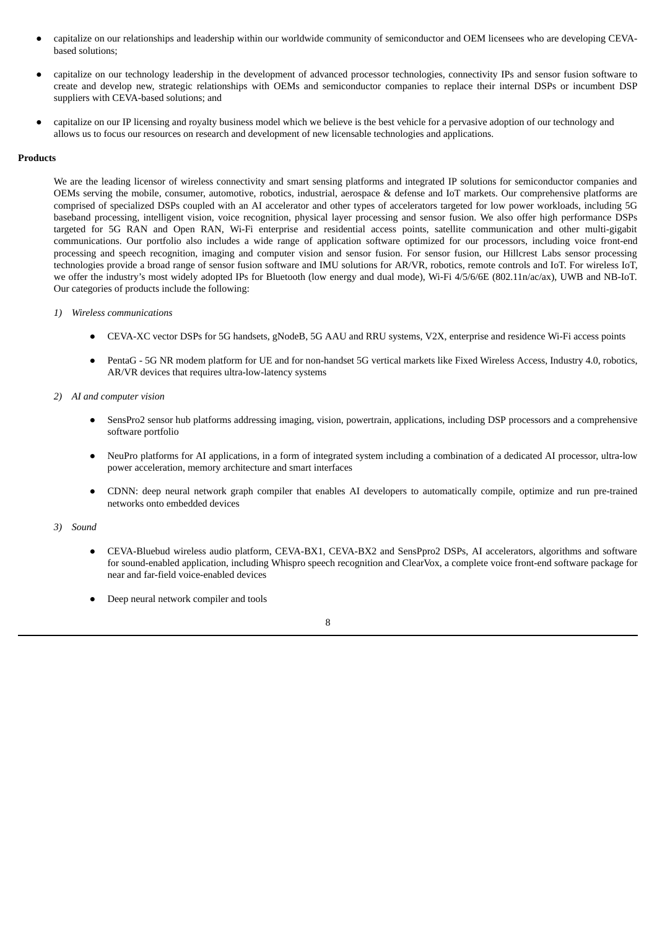- capitalize on our relationships and leadership within our worldwide community of semiconductor and OEM licensees who are developing CEVAbased solutions;
- capitalize on our technology leadership in the development of advanced processor technologies, connectivity IPs and sensor fusion software to create and develop new, strategic relationships with OEMs and semiconductor companies to replace their internal DSPs or incumbent DSP suppliers with CEVA-based solutions; and
- capitalize on our IP licensing and royalty business model which we believe is the best vehicle for a pervasive adoption of our technology and allows us to focus our resources on research and development of new licensable technologies and applications.

# **Products**

We are the leading licensor of wireless connectivity and smart sensing platforms and integrated IP solutions for semiconductor companies and OEMs serving the mobile, consumer, automotive, robotics, industrial, aerospace & defense and IoT markets. Our comprehensive platforms are comprised of specialized DSPs coupled with an AI accelerator and other types of accelerators targeted for low power workloads, including 5G baseband processing, intelligent vision, voice recognition, physical layer processing and sensor fusion. We also offer high performance DSPs targeted for 5G RAN and Open RAN, Wi-Fi enterprise and residential access points, satellite communication and other multi-gigabit communications. Our portfolio also includes a wide range of application software optimized for our processors, including voice front-end processing and speech recognition, imaging and computer vision and sensor fusion. For sensor fusion, our Hillcrest Labs sensor processing technologies provide a broad range of sensor fusion software and IMU solutions for AR/VR, robotics, remote controls and IoT. For wireless IoT, we offer the industry's most widely adopted IPs for Bluetooth (low energy and dual mode), Wi-Fi 4/5/6/6E (802.11n/ac/ax), UWB and NB-IoT. Our categories of products include the following:

- *1) Wireless communications*
	- CEVA-XC vector DSPs for 5G handsets, gNodeB, 5G AAU and RRU systems, V2X, enterprise and residence Wi-Fi access points
	- PentaG 5G NR modem platform for UE and for non-handset 5G vertical markets like Fixed Wireless Access, Industry 4.0, robotics, AR/VR devices that requires ultra-low-latency systems
- *2) AI and computer vision*
	- SensPro2 sensor hub platforms addressing imaging, vision, powertrain, applications, including DSP processors and a comprehensive software portfolio
	- NeuPro platforms for AI applications, in a form of integrated system including a combination of a dedicated AI processor, ultra-low power acceleration, memory architecture and smart interfaces
	- CDNN: deep neural network graph compiler that enables AI developers to automatically compile, optimize and run pre-trained networks onto embedded devices

# *3) Sound*

- CEVA-Bluebud wireless audio platform, CEVA-BX1, CEVA-BX2 and SensPpro2 DSPs, AI accelerators, algorithms and software for sound-enabled application, including Whispro speech recognition and ClearVox, a complete voice front-end software package for near and far-field voice-enabled devices
- Deep neural network compiler and tools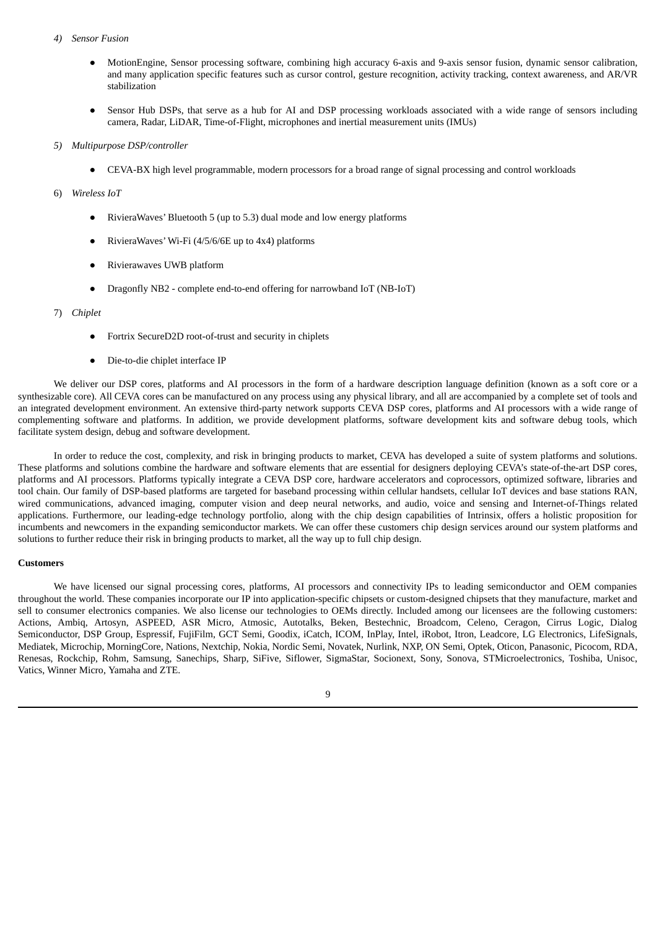### *4) Sensor Fusion*

- MotionEngine, Sensor processing software, combining high accuracy 6-axis and 9-axis sensor fusion, dynamic sensor calibration, and many application specific features such as cursor control, gesture recognition, activity tracking, context awareness, and AR/VR stabilization
- Sensor Hub DSPs, that serve as a hub for AI and DSP processing workloads associated with a wide range of sensors including camera, Radar, LiDAR, Time-of-Flight, microphones and inertial measurement units (IMUs)
- *5) Multipurpose DSP/controller*
	- CEVA-BX high level programmable, modern processors for a broad range of signal processing and control workloads
- 6) *Wireless IoT*
	- RivieraWaves' Bluetooth 5 (up to 5.3) dual mode and low energy platforms
	- RivieraWaves' Wi-Fi (4/5/6/6E up to 4x4) platforms
	- Rivierawaves UWB platform
	- Dragonfly NB2 complete end-to-end offering for narrowband IoT (NB-IoT)

# 7) *Chiplet*

- Fortrix SecureD2D root-of-trust and security in chiplets
- Die-to-die chiplet interface IP

We deliver our DSP cores, platforms and AI processors in the form of a hardware description language definition (known as a soft core or a synthesizable core). All CEVA cores can be manufactured on any process using any physical library, and all are accompanied by a complete set of tools and an integrated development environment. An extensive third-party network supports CEVA DSP cores, platforms and AI processors with a wide range of complementing software and platforms. In addition, we provide development platforms, software development kits and software debug tools, which facilitate system design, debug and software development.

In order to reduce the cost, complexity, and risk in bringing products to market, CEVA has developed a suite of system platforms and solutions. These platforms and solutions combine the hardware and software elements that are essential for designers deploying CEVA's state-of-the-art DSP cores, platforms and AI processors. Platforms typically integrate a CEVA DSP core, hardware accelerators and coprocessors, optimized software, libraries and tool chain. Our family of DSP-based platforms are targeted for baseband processing within cellular handsets, cellular IoT devices and base stations RAN, wired communications, advanced imaging, computer vision and deep neural networks, and audio, voice and sensing and Internet-of-Things related applications. Furthermore, our leading-edge technology portfolio, along with the chip design capabilities of Intrinsix, offers a holistic proposition for incumbents and newcomers in the expanding semiconductor markets. We can offer these customers chip design services around our system platforms and solutions to further reduce their risk in bringing products to market, all the way up to full chip design.

# **Customers**

We have licensed our signal processing cores, platforms, AI processors and connectivity IPs to leading semiconductor and OEM companies throughout the world. These companies incorporate our IP into application-specific chipsets or custom-designed chipsets that they manufacture, market and sell to consumer electronics companies. We also license our technologies to OEMs directly. Included among our licensees are the following customers: Actions, Ambiq, Artosyn, ASPEED, ASR Micro, Atmosic, Autotalks, Beken, Bestechnic, Broadcom, Celeno, Ceragon, Cirrus Logic, Dialog Semiconductor, DSP Group, Espressif, FujiFilm, GCT Semi, Goodix, iCatch, ICOM, InPlay, Intel, iRobot, Itron, Leadcore, LG Electronics, LifeSignals, Mediatek, Microchip, MorningCore, Nations, Nextchip, Nokia, Nordic Semi, Novatek, Nurlink, NXP, ON Semi, Optek, Oticon, Panasonic, Picocom, RDA, Renesas, Rockchip, Rohm, Samsung, Sanechips, Sharp, SiFive, Siflower, SigmaStar, Socionext, Sony, Sonova, STMicroelectronics, Toshiba, Unisoc, Vatics, Winner Micro, Yamaha and ZTE.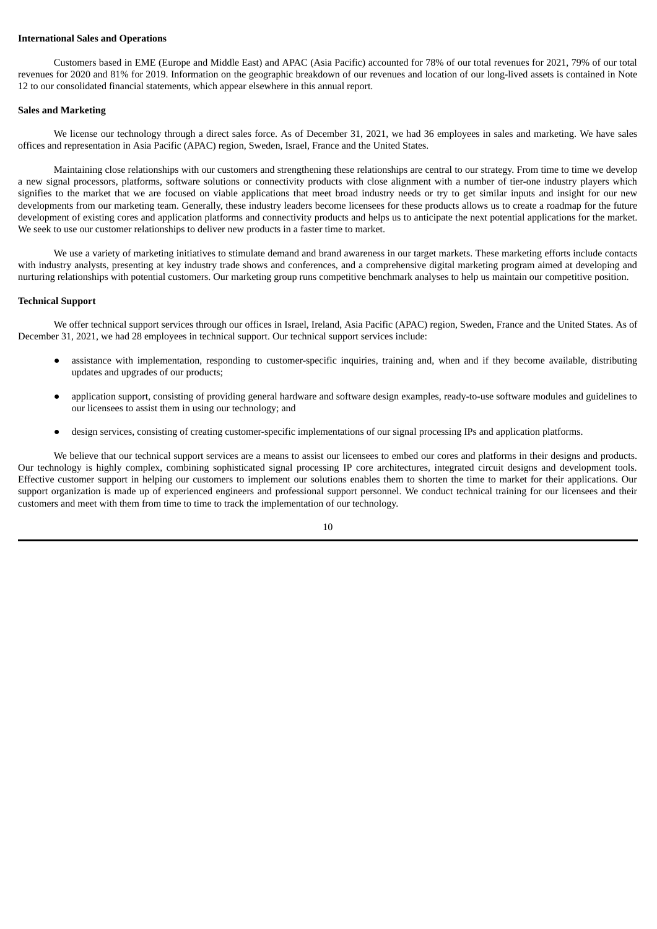### **International Sales and Operations**

Customers based in EME (Europe and Middle East) and APAC (Asia Pacific) accounted for 78% of our total revenues for 2021, 79% of our total revenues for 2020 and 81% for 2019. Information on the geographic breakdown of our revenues and location of our long-lived assets is contained in Note 12 to our consolidated financial statements, which appear elsewhere in this annual report.

### **Sales and Marketing**

We license our technology through a direct sales force. As of December 31, 2021, we had 36 employees in sales and marketing. We have sales offices and representation in Asia Pacific (APAC) region, Sweden, Israel, France and the United States.

Maintaining close relationships with our customers and strengthening these relationships are central to our strategy. From time to time we develop a new signal processors, platforms, software solutions or connectivity products with close alignment with a number of tier-one industry players which signifies to the market that we are focused on viable applications that meet broad industry needs or try to get similar inputs and insight for our new developments from our marketing team. Generally, these industry leaders become licensees for these products allows us to create a roadmap for the future development of existing cores and application platforms and connectivity products and helps us to anticipate the next potential applications for the market. We seek to use our customer relationships to deliver new products in a faster time to market.

We use a variety of marketing initiatives to stimulate demand and brand awareness in our target markets. These marketing efforts include contacts with industry analysts, presenting at key industry trade shows and conferences, and a comprehensive digital marketing program aimed at developing and nurturing relationships with potential customers. Our marketing group runs competitive benchmark analyses to help us maintain our competitive position.

# **Technical Support**

We offer technical support services through our offices in Israel, Ireland, Asia Pacific (APAC) region, Sweden, France and the United States. As of December 31, 2021, we had 28 employees in technical support. Our technical support services include:

- assistance with implementation, responding to customer-specific inquiries, training and, when and if they become available, distributing updates and upgrades of our products;
- application support, consisting of providing general hardware and software design examples, ready-to-use software modules and guidelines to our licensees to assist them in using our technology; and
- design services, consisting of creating customer-specific implementations of our signal processing IPs and application platforms.

We believe that our technical support services are a means to assist our licensees to embed our cores and platforms in their designs and products. Our technology is highly complex, combining sophisticated signal processing IP core architectures, integrated circuit designs and development tools. Effective customer support in helping our customers to implement our solutions enables them to shorten the time to market for their applications. Our support organization is made up of experienced engineers and professional support personnel. We conduct technical training for our licensees and their customers and meet with them from time to time to track the implementation of our technology.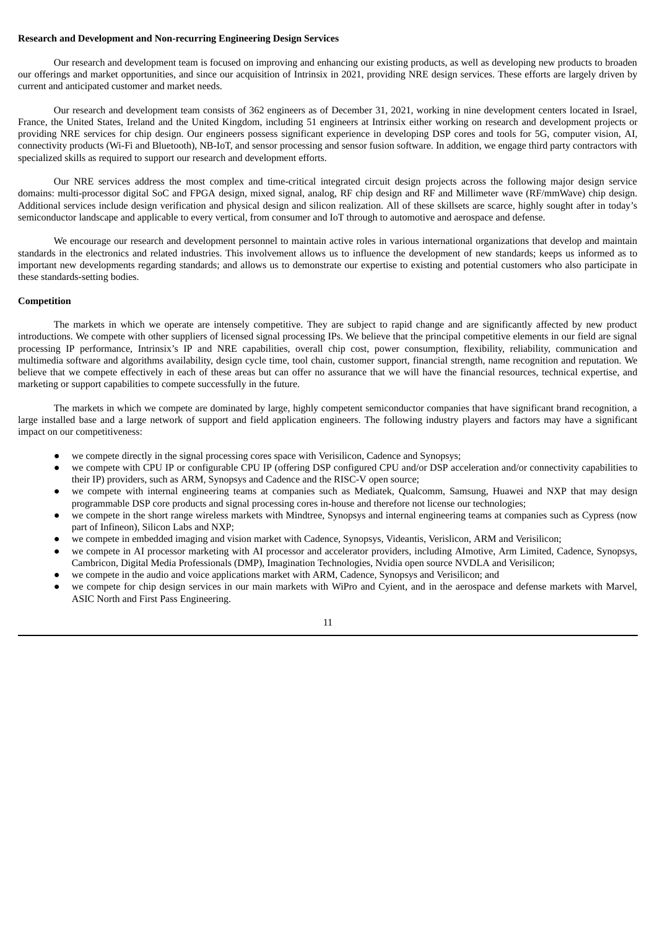### **Research and Development and Non-recurring Engineering Design Services**

Our research and development team is focused on improving and enhancing our existing products, as well as developing new products to broaden our offerings and market opportunities, and since our acquisition of Intrinsix in 2021, providing NRE design services. These efforts are largely driven by current and anticipated customer and market needs.

Our research and development team consists of 362 engineers as of December 31, 2021, working in nine development centers located in Israel, France, the United States, Ireland and the United Kingdom, including 51 engineers at Intrinsix either working on research and development projects or providing NRE services for chip design. Our engineers possess significant experience in developing DSP cores and tools for 5G, computer vision, AI, connectivity products (Wi-Fi and Bluetooth), NB-IoT, and sensor processing and sensor fusion software. In addition, we engage third party contractors with specialized skills as required to support our research and development efforts.

Our NRE services address the most complex and time-critical integrated circuit design projects across the following major design service domains: multi-processor digital SoC and FPGA design, mixed signal, analog, RF chip design and RF and Millimeter wave (RF/mmWave) chip design. Additional services include design verification and physical design and silicon realization. All of these skillsets are scarce, highly sought after in today's semiconductor landscape and applicable to every vertical, from consumer and IoT through to automotive and aerospace and defense.

We encourage our research and development personnel to maintain active roles in various international organizations that develop and maintain standards in the electronics and related industries. This involvement allows us to influence the development of new standards; keeps us informed as to important new developments regarding standards; and allows us to demonstrate our expertise to existing and potential customers who also participate in these standards-setting bodies.

# **Competition**

The markets in which we operate are intensely competitive. They are subject to rapid change and are significantly affected by new product introductions. We compete with other suppliers of licensed signal processing IPs. We believe that the principal competitive elements in our field are signal processing IP performance, Intrinsix's IP and NRE capabilities, overall chip cost, power consumption, flexibility, reliability, communication and multimedia software and algorithms availability, design cycle time, tool chain, customer support, financial strength, name recognition and reputation. We believe that we compete effectively in each of these areas but can offer no assurance that we will have the financial resources, technical expertise, and marketing or support capabilities to compete successfully in the future.

The markets in which we compete are dominated by large, highly competent semiconductor companies that have significant brand recognition, a large installed base and a large network of support and field application engineers. The following industry players and factors may have a significant impact on our competitiveness:

- we compete directly in the signal processing cores space with Verisilicon, Cadence and Synopsys;
- we compete with CPU IP or configurable CPU IP (offering DSP configured CPU and/or DSP acceleration and/or connectivity capabilities to their IP) providers, such as ARM, Synopsys and Cadence and the RISC-V open source;
- we compete with internal engineering teams at companies such as Mediatek, Qualcomm, Samsung, Huawei and NXP that may design programmable DSP core products and signal processing cores in-house and therefore not license our technologies;
- we compete in the short range wireless markets with Mindtree, Synopsys and internal engineering teams at companies such as Cypress (now part of Infineon), Silicon Labs and NXP;
- we compete in embedded imaging and vision market with Cadence, Synopsys, Videantis, Verislicon, ARM and Verisilicon;
- we compete in AI processor marketing with AI processor and accelerator providers, including AImotive, Arm Limited, Cadence, Synopsys, Cambricon, Digital Media Professionals (DMP), Imagination Technologies, Nvidia open source NVDLA and Verisilicon;
- we compete in the audio and voice applications market with ARM, Cadence, Synopsys and Verisilicon; and
- we compete for chip design services in our main markets with WiPro and Cyient, and in the aerospace and defense markets with Marvel, ASIC North and First Pass Engineering.

11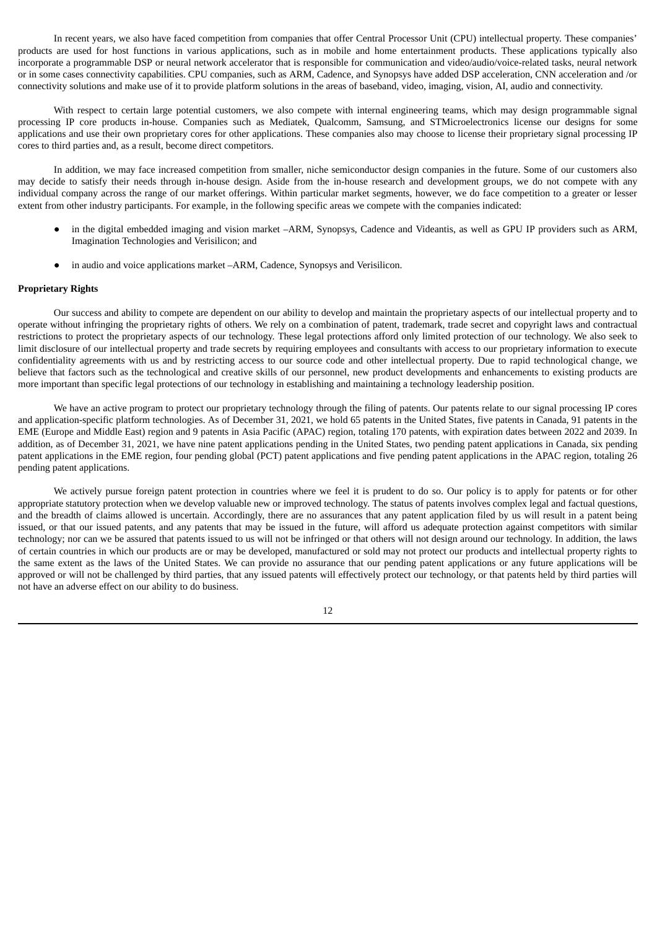In recent years, we also have faced competition from companies that offer Central Processor Unit (CPU) intellectual property. These companies' products are used for host functions in various applications, such as in mobile and home entertainment products. These applications typically also incorporate a programmable DSP or neural network accelerator that is responsible for communication and video/audio/voice-related tasks, neural network or in some cases connectivity capabilities. CPU companies, such as ARM, Cadence, and Synopsys have added DSP acceleration, CNN acceleration and /or connectivity solutions and make use of it to provide platform solutions in the areas of baseband, video, imaging, vision, AI, audio and connectivity.

With respect to certain large potential customers, we also compete with internal engineering teams, which may design programmable signal processing IP core products in-house. Companies such as Mediatek, Qualcomm, Samsung, and STMicroelectronics license our designs for some applications and use their own proprietary cores for other applications. These companies also may choose to license their proprietary signal processing IP cores to third parties and, as a result, become direct competitors.

In addition, we may face increased competition from smaller, niche semiconductor design companies in the future. Some of our customers also may decide to satisfy their needs through in-house design. Aside from the in-house research and development groups, we do not compete with any individual company across the range of our market offerings. Within particular market segments, however, we do face competition to a greater or lesser extent from other industry participants. For example, in the following specific areas we compete with the companies indicated:

- in the digital embedded imaging and vision market –ARM, Synopsys, Cadence and Videantis, as well as GPU IP providers such as ARM, Imagination Technologies and Verisilicon; and
- in audio and voice applications market –ARM, Cadence, Synopsys and Verisilicon.

## **Proprietary Rights**

Our success and ability to compete are dependent on our ability to develop and maintain the proprietary aspects of our intellectual property and to operate without infringing the proprietary rights of others. We rely on a combination of patent, trademark, trade secret and copyright laws and contractual restrictions to protect the proprietary aspects of our technology. These legal protections afford only limited protection of our technology. We also seek to limit disclosure of our intellectual property and trade secrets by requiring employees and consultants with access to our proprietary information to execute confidentiality agreements with us and by restricting access to our source code and other intellectual property. Due to rapid technological change, we believe that factors such as the technological and creative skills of our personnel, new product developments and enhancements to existing products are more important than specific legal protections of our technology in establishing and maintaining a technology leadership position.

We have an active program to protect our proprietary technology through the filing of patents. Our patents relate to our signal processing IP cores and application-specific platform technologies. As of December 31, 2021, we hold 65 patents in the United States, five patents in Canada, 91 patents in the EME (Europe and Middle East) region and 9 patents in Asia Pacific (APAC) region, totaling 170 patents, with expiration dates between 2022 and 2039. In addition, as of December 31, 2021, we have nine patent applications pending in the United States, two pending patent applications in Canada, six pending patent applications in the EME region, four pending global (PCT) patent applications and five pending patent applications in the APAC region, totaling 26 pending patent applications.

We actively pursue foreign patent protection in countries where we feel it is prudent to do so. Our policy is to apply for patents or for other appropriate statutory protection when we develop valuable new or improved technology. The status of patents involves complex legal and factual questions, and the breadth of claims allowed is uncertain. Accordingly, there are no assurances that any patent application filed by us will result in a patent being issued, or that our issued patents, and any patents that may be issued in the future, will afford us adequate protection against competitors with similar technology; nor can we be assured that patents issued to us will not be infringed or that others will not design around our technology. In addition, the laws of certain countries in which our products are or may be developed, manufactured or sold may not protect our products and intellectual property rights to the same extent as the laws of the United States. We can provide no assurance that our pending patent applications or any future applications will be approved or will not be challenged by third parties, that any issued patents will effectively protect our technology, or that patents held by third parties will not have an adverse effect on our ability to do business.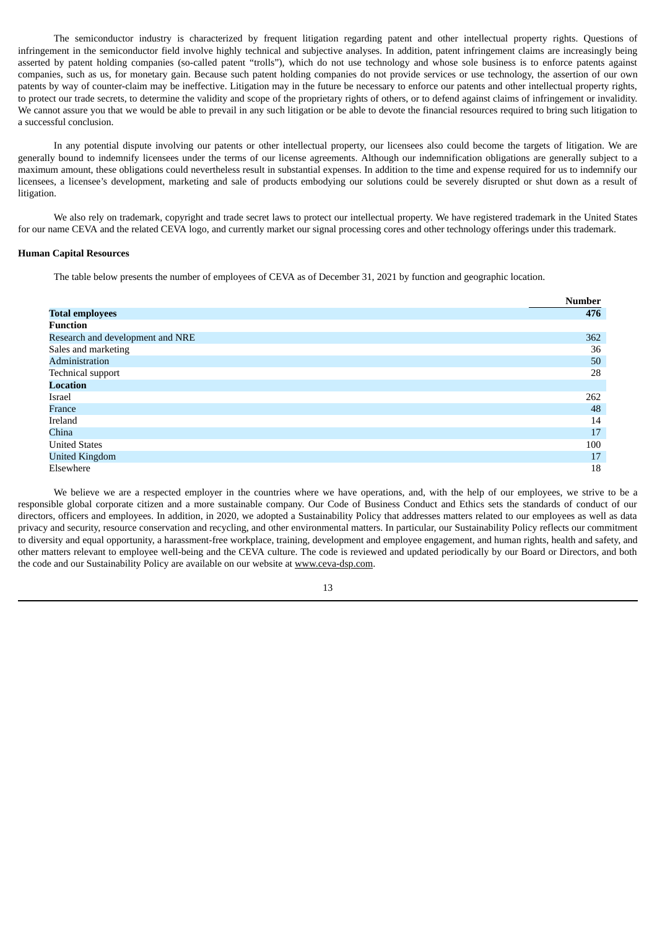The semiconductor industry is characterized by frequent litigation regarding patent and other intellectual property rights. Questions of infringement in the semiconductor field involve highly technical and subjective analyses. In addition, patent infringement claims are increasingly being asserted by patent holding companies (so-called patent "trolls"), which do not use technology and whose sole business is to enforce patents against companies, such as us, for monetary gain. Because such patent holding companies do not provide services or use technology, the assertion of our own patents by way of counter-claim may be ineffective. Litigation may in the future be necessary to enforce our patents and other intellectual property rights, to protect our trade secrets, to determine the validity and scope of the proprietary rights of others, or to defend against claims of infringement or invalidity. We cannot assure you that we would be able to prevail in any such litigation or be able to devote the financial resources required to bring such litigation to a successful conclusion.

In any potential dispute involving our patents or other intellectual property, our licensees also could become the targets of litigation. We are generally bound to indemnify licensees under the terms of our license agreements. Although our indemnification obligations are generally subject to a maximum amount, these obligations could nevertheless result in substantial expenses. In addition to the time and expense required for us to indemnify our licensees, a licensee's development, marketing and sale of products embodying our solutions could be severely disrupted or shut down as a result of litigation.

We also rely on trademark, copyright and trade secret laws to protect our intellectual property. We have registered trademark in the United States for our name CEVA and the related CEVA logo, and currently market our signal processing cores and other technology offerings under this trademark.

#### **Human Capital Resources**

The table below presents the number of employees of CEVA as of December 31, 2021 by function and geographic location.

|                                  | <b>Number</b> |
|----------------------------------|---------------|
| <b>Total employees</b>           | 476           |
| <b>Function</b>                  |               |
| Research and development and NRE | 362           |
| Sales and marketing              | 36            |
| Administration                   | 50            |
| Technical support                | 28            |
| <b>Location</b>                  |               |
| Israel                           | 262           |
| France                           | 48            |
| Ireland                          | 14            |
| China                            | 17            |
| <b>United States</b>             | 100           |
| <b>United Kingdom</b>            | 17            |
| Elsewhere                        | 18            |

We believe we are a respected employer in the countries where we have operations, and, with the help of our employees, we strive to be a responsible global corporate citizen and a more sustainable company. Our Code of Business Conduct and Ethics sets the standards of conduct of our directors, officers and employees. In addition, in 2020, we adopted a Sustainability Policy that addresses matters related to our employees as well as data privacy and security, resource conservation and recycling, and other environmental matters. In particular, our Sustainability Policy reflects our commitment to diversity and equal opportunity, a harassment-free workplace, training, development and employee engagement, and human rights, health and safety, and other matters relevant to employee well-being and the CEVA culture. The code is reviewed and updated periodically by our Board or Directors, and both the code and our Sustainability Policy are available on our website at www.ceva-dsp.com.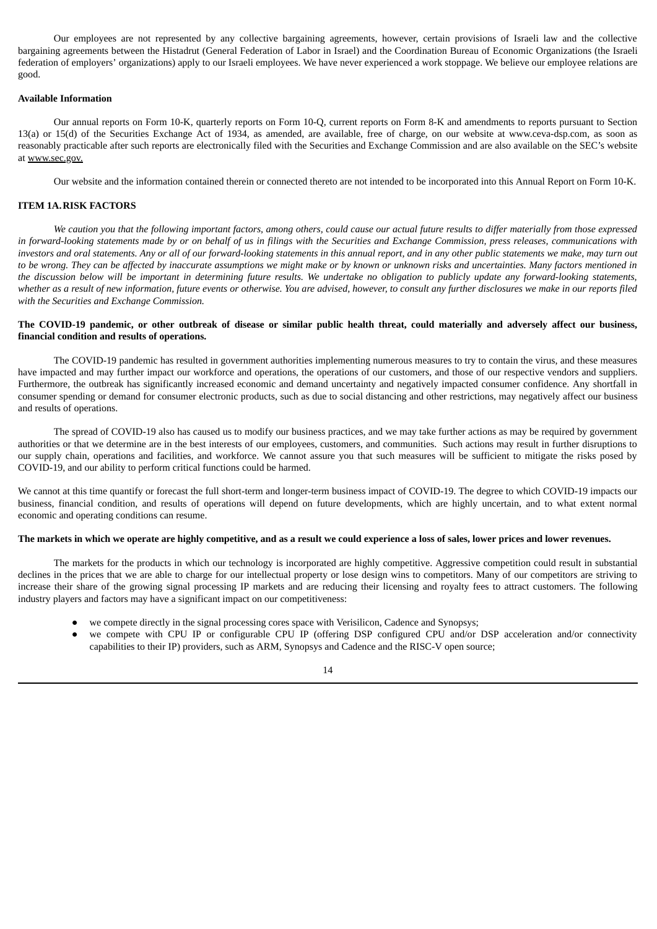Our employees are not represented by any collective bargaining agreements, however, certain provisions of Israeli law and the collective bargaining agreements between the Histadrut (General Federation of Labor in Israel) and the Coordination Bureau of Economic Organizations (the Israeli federation of employers' organizations) apply to our Israeli employees. We have never experienced a work stoppage. We believe our employee relations are good.

### **Available Information**

Our annual reports on Form 10-K, quarterly reports on Form 10-Q, current reports on Form 8-K and amendments to reports pursuant to Section 13(a) or 15(d) of the Securities Exchange Act of 1934, as amended, are available, free of charge, on our website at www.ceva-dsp.com, as soon as reasonably practicable after such reports are electronically filed with the Securities and Exchange Commission and are also available on the SEC's website at www.sec.gov.

Our website and the information contained therein or connected thereto are not intended to be incorporated into this Annual Report on Form 10-K.

### **ITEM 1A.RISK FACTORS**

We caution you that the following important factors, among others, could cause our actual future results to differ materially from those expressed in forward-looking statements made by or on behalf of us in filings with the Securities and Exchange Commission, press releases, communications with investors and oral statements. Any or all of our forward-looking statements in this annual report, and in any other public statements we make, may turn out to be wrong. They can be affected by inaccurate assumptions we might make or by known or unknown risks and uncertainties. Many factors mentioned in the discussion below will be important in determining future results. We undertake no obligation to publicly update any forward-looking statements, whether as a result of new information, future events or otherwise. You are advised, however, to consult any further disclosures we make in our reports filed *with the Securities and Exchange Commission.*

## The COVID-19 pandemic, or other outbreak of disease or similar public health threat, could materially and adversely affect our business, **financial condition and results of operations.**

The COVID-19 pandemic has resulted in government authorities implementing numerous measures to try to contain the virus, and these measures have impacted and may further impact our workforce and operations, the operations of our customers, and those of our respective vendors and suppliers. Furthermore, the outbreak has significantly increased economic and demand uncertainty and negatively impacted consumer confidence. Any shortfall in consumer spending or demand for consumer electronic products, such as due to social distancing and other restrictions, may negatively affect our business and results of operations.

The spread of COVID-19 also has caused us to modify our business practices, and we may take further actions as may be required by government authorities or that we determine are in the best interests of our employees, customers, and communities. Such actions may result in further disruptions to our supply chain, operations and facilities, and workforce. We cannot assure you that such measures will be sufficient to mitigate the risks posed by COVID-19, and our ability to perform critical functions could be harmed.

We cannot at this time quantify or forecast the full short-term and longer-term business impact of COVID-19. The degree to which COVID-19 impacts our business, financial condition, and results of operations will depend on future developments, which are highly uncertain, and to what extent normal economic and operating conditions can resume.

### The markets in which we operate are highly competitive, and as a result we could experience a loss of sales, lower prices and lower revenues.

The markets for the products in which our technology is incorporated are highly competitive. Aggressive competition could result in substantial declines in the prices that we are able to charge for our intellectual property or lose design wins to competitors. Many of our competitors are striving to increase their share of the growing signal processing IP markets and are reducing their licensing and royalty fees to attract customers. The following industry players and factors may have a significant impact on our competitiveness:

- we compete directly in the signal processing cores space with Verisilicon, Cadence and Synopsys;
- we compete with CPU IP or configurable CPU IP (offering DSP configured CPU and/or DSP acceleration and/or connectivity capabilities to their IP) providers, such as ARM, Synopsys and Cadence and the RISC-V open source;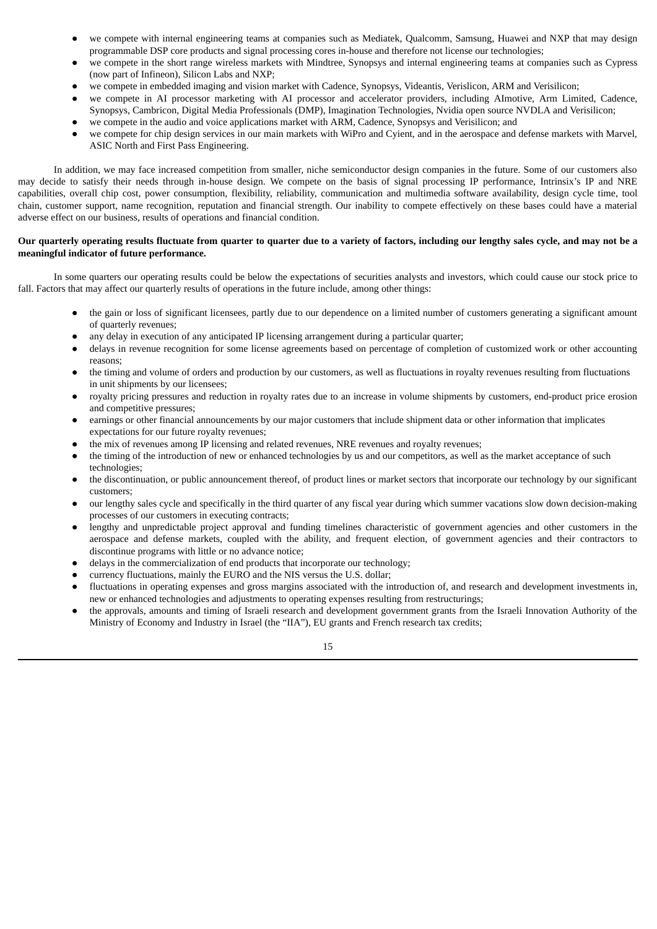- we compete with internal engineering teams at companies such as Mediatek, Qualcomm, Samsung, Huawei and NXP that may design programmable DSP core products and signal processing cores in-house and therefore not license our technologies;
- we compete in the short range wireless markets with Mindtree, Synopsys and internal engineering teams at companies such as Cypress (now part of Infineon), Silicon Labs and NXP;
- we compete in embedded imaging and vision market with Cadence, Synopsys, Videantis, Verislicon, ARM and Verisilicon;
- we compete in AI processor marketing with AI processor and accelerator providers, including AImotive, Arm Limited, Cadence, Synopsys, Cambricon, Digital Media Professionals (DMP), Imagination Technologies, Nvidia open source NVDLA and Verisilicon;
- we compete in the audio and voice applications market with ARM, Cadence, Synopsys and Verisilicon; and
- we compete for chip design services in our main markets with WiPro and Cyient, and in the aerospace and defense markets with Marvel, ASIC North and First Pass Engineering.

In addition, we may face increased competition from smaller, niche semiconductor design companies in the future. Some of our customers also may decide to satisfy their needs through in-house design. We compete on the basis of signal processing IP performance, Intrinsix's IP and NRE capabilities, overall chip cost, power consumption, flexibility, reliability, communication and multimedia software availability, design cycle time, tool chain, customer support, name recognition, reputation and financial strength. Our inability to compete effectively on these bases could have a material adverse effect on our business, results of operations and financial condition.

# Our quarterly operating results fluctuate from quarter to quarter due to a variety of factors, including our lengthy sales cycle, and may not be a **meaningful indicator of future performance.**

In some quarters our operating results could be below the expectations of securities analysts and investors, which could cause our stock price to fall. Factors that may affect our quarterly results of operations in the future include, among other things:

- the gain or loss of significant licensees, partly due to our dependence on a limited number of customers generating a significant amount of quarterly revenues;
- any delay in execution of any anticipated IP licensing arrangement during a particular quarter;
- delays in revenue recognition for some license agreements based on percentage of completion of customized work or other accounting reasons;
- the timing and volume of orders and production by our customers, as well as fluctuations in royalty revenues resulting from fluctuations in unit shipments by our licensees;
- royalty pricing pressures and reduction in royalty rates due to an increase in volume shipments by customers, end-product price erosion and competitive pressures;
- earnings or other financial announcements by our major customers that include shipment data or other information that implicates expectations for our future royalty revenues;
- the mix of revenues among IP licensing and related revenues, NRE revenues and royalty revenues;
- the timing of the introduction of new or enhanced technologies by us and our competitors, as well as the market acceptance of such technologies;
- the discontinuation, or public announcement thereof, of product lines or market sectors that incorporate our technology by our significant customers;
- our lengthy sales cycle and specifically in the third quarter of any fiscal year during which summer vacations slow down decision-making processes of our customers in executing contracts;
- lengthy and unpredictable project approval and funding timelines characteristic of government agencies and other customers in the aerospace and defense markets, coupled with the ability, and frequent election, of government agencies and their contractors to discontinue programs with little or no advance notice;
- delays in the commercialization of end products that incorporate our technology;
- currency fluctuations, mainly the EURO and the NIS versus the U.S. dollar;
- fluctuations in operating expenses and gross margins associated with the introduction of, and research and development investments in, new or enhanced technologies and adjustments to operating expenses resulting from restructurings;
- the approvals, amounts and timing of Israeli research and development government grants from the Israeli Innovation Authority of the Ministry of Economy and Industry in Israel (the "IIA"), EU grants and French research tax credits;

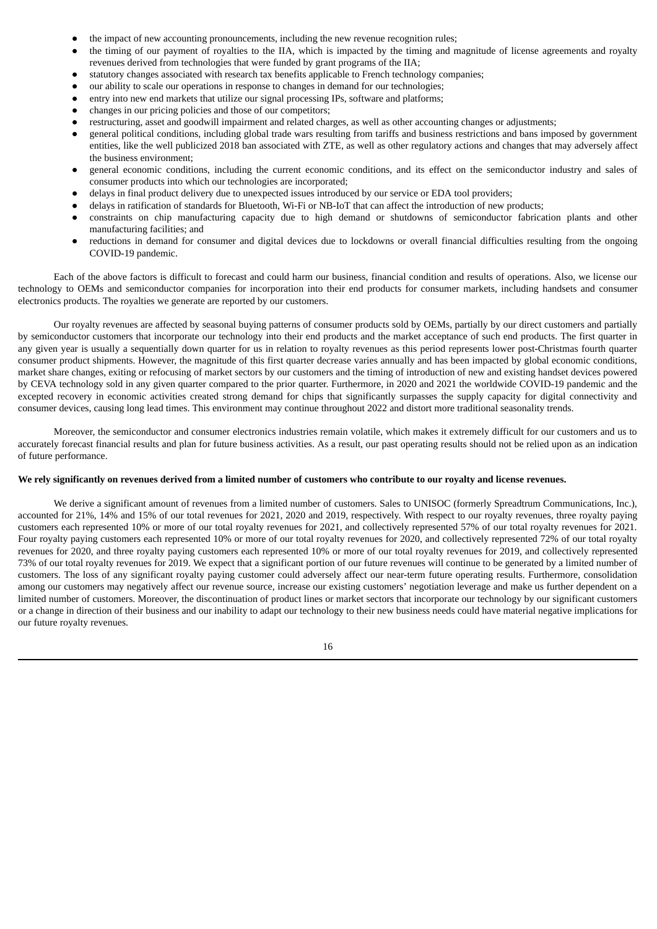- the impact of new accounting pronouncements, including the new revenue recognition rules;
- the timing of our payment of royalties to the IIA, which is impacted by the timing and magnitude of license agreements and royalty revenues derived from technologies that were funded by grant programs of the IIA;
- statutory changes associated with research tax benefits applicable to French technology companies;
- our ability to scale our operations in response to changes in demand for our technologies;
- entry into new end markets that utilize our signal processing IPs, software and platforms;
- changes in our pricing policies and those of our competitors;
- restructuring, asset and goodwill impairment and related charges, as well as other accounting changes or adjustments;
- general political conditions, including global trade wars resulting from tariffs and business restrictions and bans imposed by government entities, like the well publicized 2018 ban associated with ZTE, as well as other regulatory actions and changes that may adversely affect the business environment;
- general economic conditions, including the current economic conditions, and its effect on the semiconductor industry and sales of consumer products into which our technologies are incorporated;
- delays in final product delivery due to unexpected issues introduced by our service or EDA tool providers;
- delays in ratification of standards for Bluetooth, Wi-Fi or NB-IoT that can affect the introduction of new products;
- constraints on chip manufacturing capacity due to high demand or shutdowns of semiconductor fabrication plants and other manufacturing facilities; and
- reductions in demand for consumer and digital devices due to lockdowns or overall financial difficulties resulting from the ongoing COVID-19 pandemic.

Each of the above factors is difficult to forecast and could harm our business, financial condition and results of operations. Also, we license our technology to OEMs and semiconductor companies for incorporation into their end products for consumer markets, including handsets and consumer electronics products. The royalties we generate are reported by our customers.

Our royalty revenues are affected by seasonal buying patterns of consumer products sold by OEMs, partially by our direct customers and partially by semiconductor customers that incorporate our technology into their end products and the market acceptance of such end products. The first quarter in any given year is usually a sequentially down quarter for us in relation to royalty revenues as this period represents lower post-Christmas fourth quarter consumer product shipments. However, the magnitude of this first quarter decrease varies annually and has been impacted by global economic conditions, market share changes, exiting or refocusing of market sectors by our customers and the timing of introduction of new and existing handset devices powered by CEVA technology sold in any given quarter compared to the prior quarter. Furthermore, in 2020 and 2021 the worldwide COVID-19 pandemic and the excepted recovery in economic activities created strong demand for chips that significantly surpasses the supply capacity for digital connectivity and consumer devices, causing long lead times. This environment may continue throughout 2022 and distort more traditional seasonality trends.

Moreover, the semiconductor and consumer electronics industries remain volatile, which makes it extremely difficult for our customers and us to accurately forecast financial results and plan for future business activities. As a result, our past operating results should not be relied upon as an indication of future performance.

## We rely significantly on revenues derived from a limited number of customers who contribute to our royalty and license revenues.

We derive a significant amount of revenues from a limited number of customers. Sales to UNISOC (formerly Spreadtrum Communications, Inc.), accounted for 21%, 14% and 15% of our total revenues for 2021, 2020 and 2019, respectively. With respect to our royalty revenues, three royalty paying customers each represented 10% or more of our total royalty revenues for 2021, and collectively represented 57% of our total royalty revenues for 2021. Four royalty paying customers each represented 10% or more of our total royalty revenues for 2020, and collectively represented 72% of our total royalty revenues for 2020, and three royalty paying customers each represented 10% or more of our total royalty revenues for 2019, and collectively represented 73% of our total royalty revenues for 2019. We expect that a significant portion of our future revenues will continue to be generated by a limited number of customers. The loss of any significant royalty paying customer could adversely affect our near-term future operating results. Furthermore, consolidation among our customers may negatively affect our revenue source, increase our existing customers' negotiation leverage and make us further dependent on a limited number of customers. Moreover, the discontinuation of product lines or market sectors that incorporate our technology by our significant customers or a change in direction of their business and our inability to adapt our technology to their new business needs could have material negative implications for our future royalty revenues.

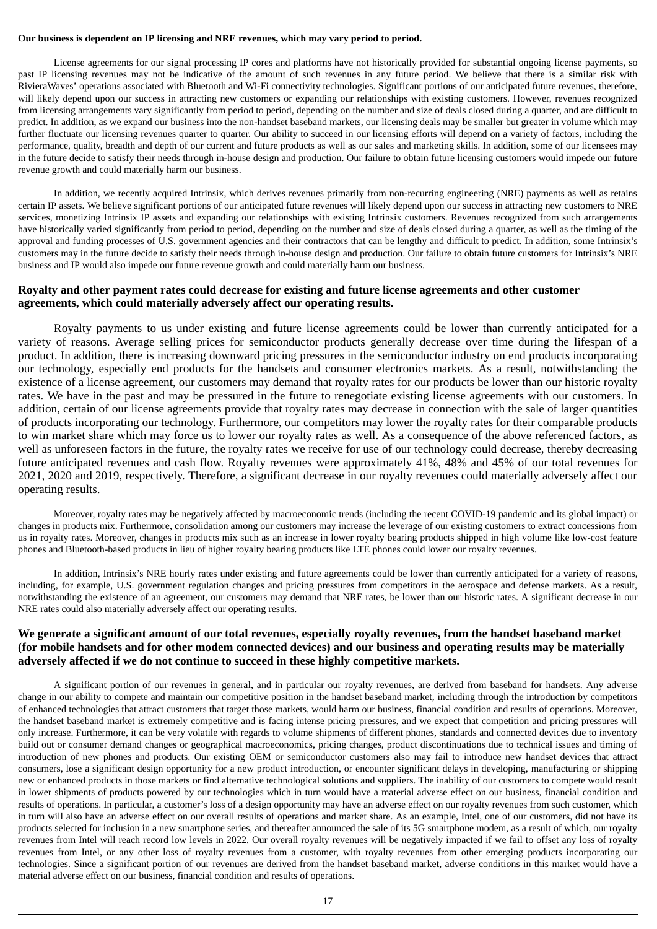### **Our business is dependent on IP licensing and NRE revenues, which may vary period to period.**

License agreements for our signal processing IP cores and platforms have not historically provided for substantial ongoing license payments, so past IP licensing revenues may not be indicative of the amount of such revenues in any future period. We believe that there is a similar risk with RivieraWaves' operations associated with Bluetooth and Wi-Fi connectivity technologies. Significant portions of our anticipated future revenues, therefore, will likely depend upon our success in attracting new customers or expanding our relationships with existing customers. However, revenues recognized from licensing arrangements vary significantly from period to period, depending on the number and size of deals closed during a quarter, and are difficult to predict. In addition, as we expand our business into the non-handset baseband markets, our licensing deals may be smaller but greater in volume which may further fluctuate our licensing revenues quarter to quarter. Our ability to succeed in our licensing efforts will depend on a variety of factors, including the performance, quality, breadth and depth of our current and future products as well as our sales and marketing skills. In addition, some of our licensees may in the future decide to satisfy their needs through in-house design and production. Our failure to obtain future licensing customers would impede our future revenue growth and could materially harm our business.

In addition, we recently acquired Intrinsix, which derives revenues primarily from non-recurring engineering (NRE) payments as well as retains certain IP assets. We believe significant portions of our anticipated future revenues will likely depend upon our success in attracting new customers to NRE services, monetizing Intrinsix IP assets and expanding our relationships with existing Intrinsix customers. Revenues recognized from such arrangements have historically varied significantly from period to period, depending on the number and size of deals closed during a quarter, as well as the timing of the approval and funding processes of U.S. government agencies and their contractors that can be lengthy and difficult to predict. In addition, some Intrinsix's customers may in the future decide to satisfy their needs through in-house design and production. Our failure to obtain future customers for Intrinsix's NRE business and IP would also impede our future revenue growth and could materially harm our business.

# **Royalty and other payment rates could decrease for existing and future license agreements and other customer agreements, which could materially adversely affect our operating results.**

Royalty payments to us under existing and future license agreements could be lower than currently anticipated for a variety of reasons. Average selling prices for semiconductor products generally decrease over time during the lifespan of a product. In addition, there is increasing downward pricing pressures in the semiconductor industry on end products incorporating our technology, especially end products for the handsets and consumer electronics markets. As a result, notwithstanding the existence of a license agreement, our customers may demand that royalty rates for our products be lower than our historic royalty rates. We have in the past and may be pressured in the future to renegotiate existing license agreements with our customers. In addition, certain of our license agreements provide that royalty rates may decrease in connection with the sale of larger quantities of products incorporating our technology. Furthermore, our competitors may lower the royalty rates for their comparable products to win market share which may force us to lower our royalty rates as well. As a consequence of the above referenced factors, as well as unforeseen factors in the future, the royalty rates we receive for use of our technology could decrease, thereby decreasing future anticipated revenues and cash flow. Royalty revenues were approximately 41%, 48% and 45% of our total revenues for 2021, 2020 and 2019, respectively. Therefore, a significant decrease in our royalty revenues could materially adversely affect our operating results.

Moreover, royalty rates may be negatively affected by macroeconomic trends (including the recent COVID-19 pandemic and its global impact) or changes in products mix. Furthermore, consolidation among our customers may increase the leverage of our existing customers to extract concessions from us in royalty rates. Moreover, changes in products mix such as an increase in lower royalty bearing products shipped in high volume like low-cost feature phones and Bluetooth-based products in lieu of higher royalty bearing products like LTE phones could lower our royalty revenues.

In addition, Intrinsix's NRE hourly rates under existing and future agreements could be lower than currently anticipated for a variety of reasons, including, for example, U.S. government regulation changes and pricing pressures from competitors in the aerospace and defense markets. As a result, notwithstanding the existence of an agreement, our customers may demand that NRE rates, be lower than our historic rates. A significant decrease in our NRE rates could also materially adversely affect our operating results.

# **We generate a significant amount of our total revenues, especially royalty revenues, from the handset baseband market (for mobile handsets and for other modem connected devices) and our business and operating results may be materially adversely affected if we do not continue to succeed in these highly competitive markets.**

A significant portion of our revenues in general, and in particular our royalty revenues, are derived from baseband for handsets. Any adverse change in our ability to compete and maintain our competitive position in the handset baseband market, including through the introduction by competitors of enhanced technologies that attract customers that target those markets, would harm our business, financial condition and results of operations. Moreover, the handset baseband market is extremely competitive and is facing intense pricing pressures, and we expect that competition and pricing pressures will only increase. Furthermore, it can be very volatile with regards to volume shipments of different phones, standards and connected devices due to inventory build out or consumer demand changes or geographical macroeconomics, pricing changes, product discontinuations due to technical issues and timing of introduction of new phones and products. Our existing OEM or semiconductor customers also may fail to introduce new handset devices that attract consumers, lose a significant design opportunity for a new product introduction, or encounter significant delays in developing, manufacturing or shipping new or enhanced products in those markets or find alternative technological solutions and suppliers. The inability of our customers to compete would result in lower shipments of products powered by our technologies which in turn would have a material adverse effect on our business, financial condition and results of operations. In particular, a customer's loss of a design opportunity may have an adverse effect on our royalty revenues from such customer, which in turn will also have an adverse effect on our overall results of operations and market share. As an example, Intel, one of our customers, did not have its products selected for inclusion in a new smartphone series, and thereafter announced the sale of its 5G smartphone modem, as a result of which, our royalty revenues from Intel will reach record low levels in 2022. Our overall royalty revenues will be negatively impacted if we fail to offset any loss of royalty revenues from Intel, or any other loss of royalty revenues from a customer, with royalty revenues from other emerging products incorporating our technologies. Since a significant portion of our revenues are derived from the handset baseband market, adverse conditions in this market would have a material adverse effect on our business, financial condition and results of operations.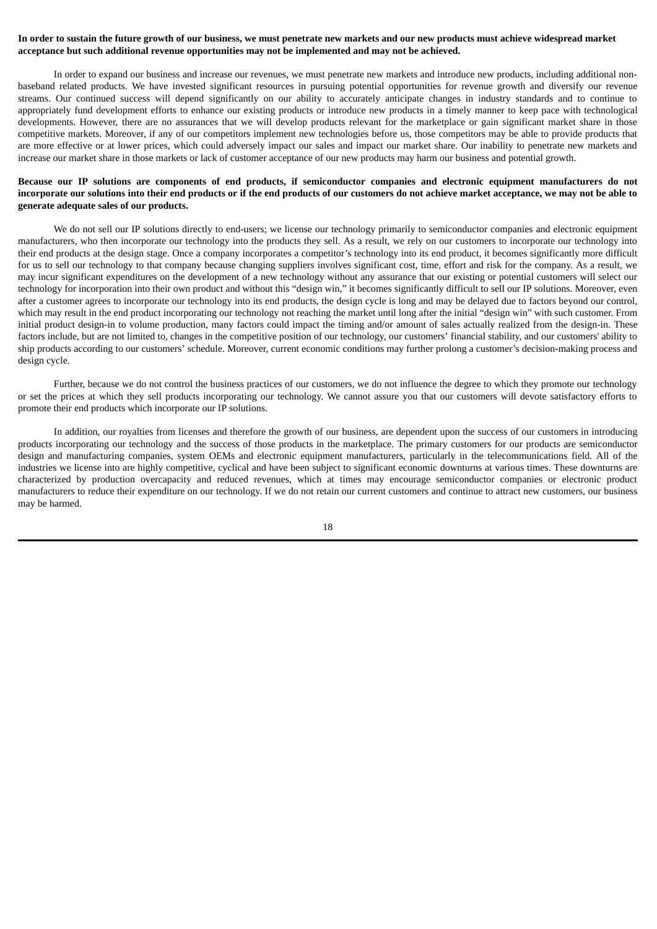# In order to sustain the future growth of our business, we must penetrate new markets and our new products must achieve widespread market **acceptance but such additional revenue opportunities may not be implemented and may not be achieved.**

In order to expand our business and increase our revenues, we must penetrate new markets and introduce new products, including additional nonbaseband related products. We have invested significant resources in pursuing potential opportunities for revenue growth and diversify our revenue streams. Our continued success will depend significantly on our ability to accurately anticipate changes in industry standards and to continue to appropriately fund development efforts to enhance our existing products or introduce new products in a timely manner to keep pace with technological developments. However, there are no assurances that we will develop products relevant for the marketplace or gain significant market share in those competitive markets. Moreover, if any of our competitors implement new technologies before us, those competitors may be able to provide products that are more effective or at lower prices, which could adversely impact our sales and impact our market share. Our inability to penetrate new markets and increase our market share in those markets or lack of customer acceptance of our new products may harm our business and potential growth.

## Because our IP solutions are components of end products, if semiconductor companies and electronic equipment manufacturers do not incorporate our solutions into their end products or if the end products of our customers do not achieve market acceptance, we may not be able to **generate adequate sales of our products.**

We do not sell our IP solutions directly to end-users; we license our technology primarily to semiconductor companies and electronic equipment manufacturers, who then incorporate our technology into the products they sell. As a result, we rely on our customers to incorporate our technology into their end products at the design stage. Once a company incorporates a competitor's technology into its end product, it becomes significantly more difficult for us to sell our technology to that company because changing suppliers involves significant cost, time, effort and risk for the company. As a result, we may incur significant expenditures on the development of a new technology without any assurance that our existing or potential customers will select our technology for incorporation into their own product and without this "design win," it becomes significantly difficult to sell our IP solutions. Moreover, even after a customer agrees to incorporate our technology into its end products, the design cycle is long and may be delayed due to factors beyond our control, which may result in the end product incorporating our technology not reaching the market until long after the initial "design win" with such customer. From initial product design-in to volume production, many factors could impact the timing and/or amount of sales actually realized from the design-in. These factors include, but are not limited to, changes in the competitive position of our technology, our customers' financial stability, and our customers' ability to ship products according to our customers' schedule. Moreover, current economic conditions may further prolong a customer's decision-making process and design cycle.

Further, because we do not control the business practices of our customers, we do not influence the degree to which they promote our technology or set the prices at which they sell products incorporating our technology. We cannot assure you that our customers will devote satisfactory efforts to promote their end products which incorporate our IP solutions.

In addition, our royalties from licenses and therefore the growth of our business, are dependent upon the success of our customers in introducing products incorporating our technology and the success of those products in the marketplace. The primary customers for our products are semiconductor design and manufacturing companies, system OEMs and electronic equipment manufacturers, particularly in the telecommunications field. All of the industries we license into are highly competitive, cyclical and have been subject to significant economic downturns at various times. These downturns are characterized by production overcapacity and reduced revenues, which at times may encourage semiconductor companies or electronic product manufacturers to reduce their expenditure on our technology. If we do not retain our current customers and continue to attract new customers, our business may be harmed.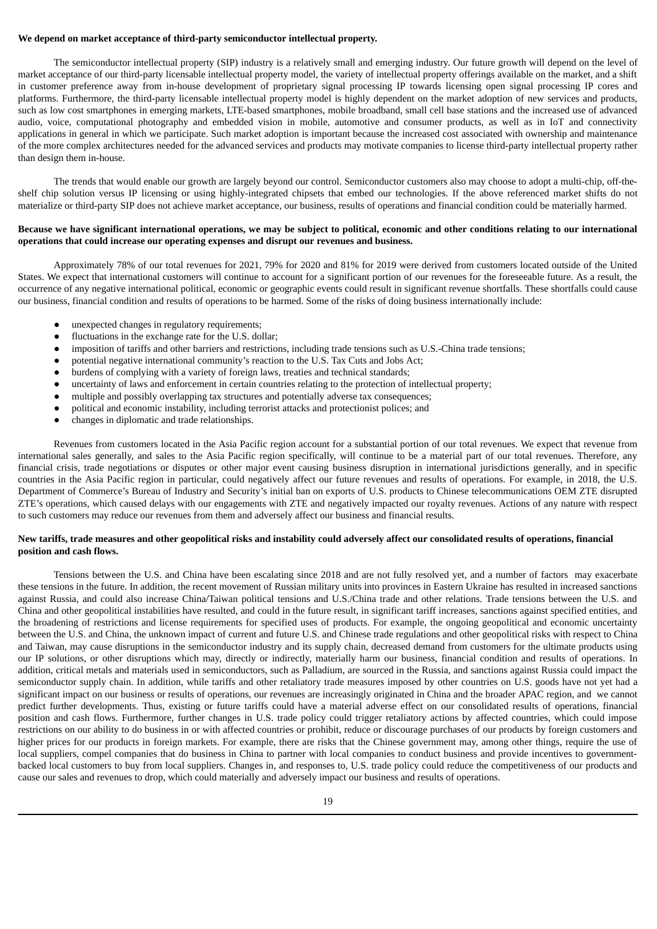### **We depend on market acceptance of third-party semiconductor intellectual property.**

The semiconductor intellectual property (SIP) industry is a relatively small and emerging industry. Our future growth will depend on the level of market acceptance of our third-party licensable intellectual property model, the variety of intellectual property offerings available on the market, and a shift in customer preference away from in-house development of proprietary signal processing IP towards licensing open signal processing IP cores and platforms. Furthermore, the third-party licensable intellectual property model is highly dependent on the market adoption of new services and products, such as low cost smartphones in emerging markets, LTE-based smartphones, mobile broadband, small cell base stations and the increased use of advanced audio, voice, computational photography and embedded vision in mobile, automotive and consumer products, as well as in IoT and connectivity applications in general in which we participate. Such market adoption is important because the increased cost associated with ownership and maintenance of the more complex architectures needed for the advanced services and products may motivate companies to license third-party intellectual property rather than design them in-house.

The trends that would enable our growth are largely beyond our control. Semiconductor customers also may choose to adopt a multi-chip, off-theshelf chip solution versus IP licensing or using highly-integrated chipsets that embed our technologies. If the above referenced market shifts do not materialize or third-party SIP does not achieve market acceptance, our business, results of operations and financial condition could be materially harmed.

# Because we have significant international operations, we may be subject to political, economic and other conditions relating to our international **operations that could increase our operating expenses and disrupt our revenues and business.**

Approximately 78% of our total revenues for 2021, 79% for 2020 and 81% for 2019 were derived from customers located outside of the United States. We expect that international customers will continue to account for a significant portion of our revenues for the foreseeable future. As a result, the occurrence of any negative international political, economic or geographic events could result in significant revenue shortfalls. These shortfalls could cause our business, financial condition and results of operations to be harmed. Some of the risks of doing business internationally include:

- unexpected changes in regulatory requirements;
- fluctuations in the exchange rate for the U.S. dollar;
- imposition of tariffs and other barriers and restrictions, including trade tensions such as U.S.-China trade tensions;
- potential negative international community's reaction to the U.S. Tax Cuts and Jobs Act;
- burdens of complying with a variety of foreign laws, treaties and technical standards;
- uncertainty of laws and enforcement in certain countries relating to the protection of intellectual property;
- multiple and possibly overlapping tax structures and potentially adverse tax consequences;
- political and economic instability, including terrorist attacks and protectionist polices; and
- changes in diplomatic and trade relationships.

Revenues from customers located in the Asia Pacific region account for a substantial portion of our total revenues. We expect that revenue from international sales generally, and sales to the Asia Pacific region specifically, will continue to be a material part of our total revenues. Therefore, any financial crisis, trade negotiations or disputes or other major event causing business disruption in international jurisdictions generally, and in specific countries in the Asia Pacific region in particular, could negatively affect our future revenues and results of operations. For example, in 2018, the U.S. Department of Commerce's Bureau of Industry and Security's initial ban on exports of U.S. products to Chinese telecommunications OEM ZTE disrupted ZTE's operations, which caused delays with our engagements with ZTE and negatively impacted our royalty revenues. Actions of any nature with respect to such customers may reduce our revenues from them and adversely affect our business and financial results.

# New tariffs, trade measures and other geopolitical risks and instability could adversely affect our consolidated results of operations, financial **position and cash flows.**

Tensions between the U.S. and China have been escalating since 2018 and are not fully resolved yet, and a number of factors may exacerbate these tensions in the future. In addition, the recent movement of Russian military units into provinces in Eastern Ukraine has resulted in increased sanctions against Russia, and could also increase China/Taiwan political tensions and U.S./China trade and other relations. Trade tensions between the U.S. and China and other geopolitical instabilities have resulted, and could in the future result, in significant tariff increases, sanctions against specified entities, and the broadening of restrictions and license requirements for specified uses of products. For example, the ongoing geopolitical and economic uncertainty between the U.S. and China, the unknown impact of current and future U.S. and Chinese trade regulations and other geopolitical risks with respect to China and Taiwan, may cause disruptions in the semiconductor industry and its supply chain, decreased demand from customers for the ultimate products using our IP solutions, or other disruptions which may, directly or indirectly, materially harm our business, financial condition and results of operations. In addition, critical metals and materials used in semiconductors, such as Palladium, are sourced in the Russia, and sanctions against Russia could impact the semiconductor supply chain. In addition, while tariffs and other retaliatory trade measures imposed by other countries on U.S. goods have not yet had a significant impact on our business or results of operations, our revenues are increasingly originated in China and the broader APAC region, and we cannot predict further developments. Thus, existing or future tariffs could have a material adverse effect on our consolidated results of operations, financial position and cash flows. Furthermore, further changes in U.S. trade policy could trigger retaliatory actions by affected countries, which could impose restrictions on our ability to do business in or with affected countries or prohibit, reduce or discourage purchases of our products by foreign customers and higher prices for our products in foreign markets. For example, there are risks that the Chinese government may, among other things, require the use of local suppliers, compel companies that do business in China to partner with local companies to conduct business and provide incentives to governmentbacked local customers to buy from local suppliers. Changes in, and responses to, U.S. trade policy could reduce the competitiveness of our products and cause our sales and revenues to drop, which could materially and adversely impact our business and results of operations.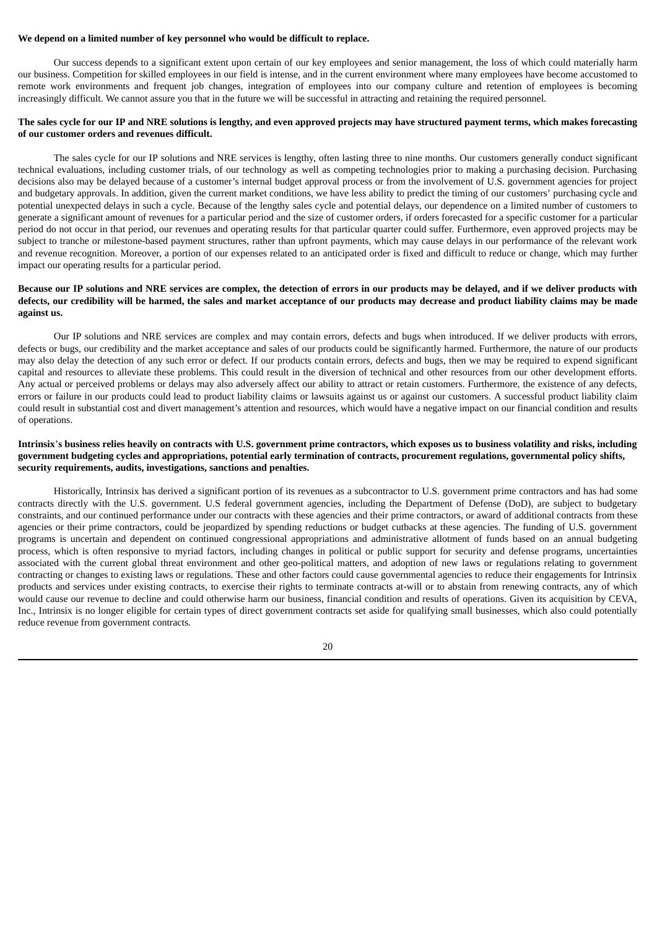### **We depend on a limited number of key personnel who would be difficult to replace.**

Our success depends to a significant extent upon certain of our key employees and senior management, the loss of which could materially harm our business. Competition for skilled employees in our field is intense, and in the current environment where many employees have become accustomed to remote work environments and frequent job changes, integration of employees into our company culture and retention of employees is becoming increasingly difficult. We cannot assure you that in the future we will be successful in attracting and retaining the required personnel.

### The sales cycle for our IP and NRE solutions is lengthy, and even approved projects may have structured payment terms, which makes forecasting **of our customer orders and revenues difficult.**

The sales cycle for our IP solutions and NRE services is lengthy, often lasting three to nine months. Our customers generally conduct significant technical evaluations, including customer trials, of our technology as well as competing technologies prior to making a purchasing decision. Purchasing decisions also may be delayed because of a customer's internal budget approval process or from the involvement of U.S. government agencies for project and budgetary approvals. In addition, given the current market conditions, we have less ability to predict the timing of our customers' purchasing cycle and potential unexpected delays in such a cycle. Because of the lengthy sales cycle and potential delays, our dependence on a limited number of customers to generate a significant amount of revenues for a particular period and the size of customer orders, if orders forecasted for a specific customer for a particular period do not occur in that period, our revenues and operating results for that particular quarter could suffer. Furthermore, even approved projects may be subject to tranche or milestone-based payment structures, rather than upfront payments, which may cause delays in our performance of the relevant work and revenue recognition. Moreover, a portion of our expenses related to an anticipated order is fixed and difficult to reduce or change, which may further impact our operating results for a particular period.

# Because our IP solutions and NRE services are complex, the detection of errors in our products may be delayed, and if we deliver products with defects, our credibility will be harmed, the sales and market acceptance of our products may decrease and product liability claims may be made **against us.**

Our IP solutions and NRE services are complex and may contain errors, defects and bugs when introduced. If we deliver products with errors, defects or bugs, our credibility and the market acceptance and sales of our products could be significantly harmed. Furthermore, the nature of our products may also delay the detection of any such error or defect. If our products contain errors, defects and bugs, then we may be required to expend significant capital and resources to alleviate these problems. This could result in the diversion of technical and other resources from our other development efforts. Any actual or perceived problems or delays may also adversely affect our ability to attract or retain customers. Furthermore, the existence of any defects, errors or failure in our products could lead to product liability claims or lawsuits against us or against our customers. A successful product liability claim could result in substantial cost and divert management's attention and resources, which would have a negative impact on our financial condition and results of operations.

# Intrinsix's business relies heavily on contracts with U.S. government prime contractors, which exposes us to business volatility and risks, including government budgeting cycles and appropriations, potential early termination of contracts, procurement regulations, governmental policy shifts, **security requirements, audits, investigations, sanctions and penalties.**

Historically, Intrinsix has derived a significant portion of its revenues as a subcontractor to U.S. government prime contractors and has had some contracts directly with the U.S. government. U.S federal government agencies, including the Department of Defense (DoD), are subject to budgetary constraints, and our continued performance under our contracts with these agencies and their prime contractors, or award of additional contracts from these agencies or their prime contractors, could be jeopardized by spending reductions or budget cutbacks at these agencies. The funding of U.S. government programs is uncertain and dependent on continued congressional appropriations and administrative allotment of funds based on an annual budgeting process, which is often responsive to myriad factors, including changes in political or public support for security and defense programs, uncertainties associated with the current global threat environment and other geo-political matters, and adoption of new laws or regulations relating to government contracting or changes to existing laws or regulations. These and other factors could cause governmental agencies to reduce their engagements for Intrinsix products and services under existing contracts, to exercise their rights to terminate contracts at-will or to abstain from renewing contracts, any of which would cause our revenue to decline and could otherwise harm our business, financial condition and results of operations. Given its acquisition by CEVA, Inc., Intrinsix is no longer eligible for certain types of direct government contracts set aside for qualifying small businesses, which also could potentially reduce revenue from government contracts.

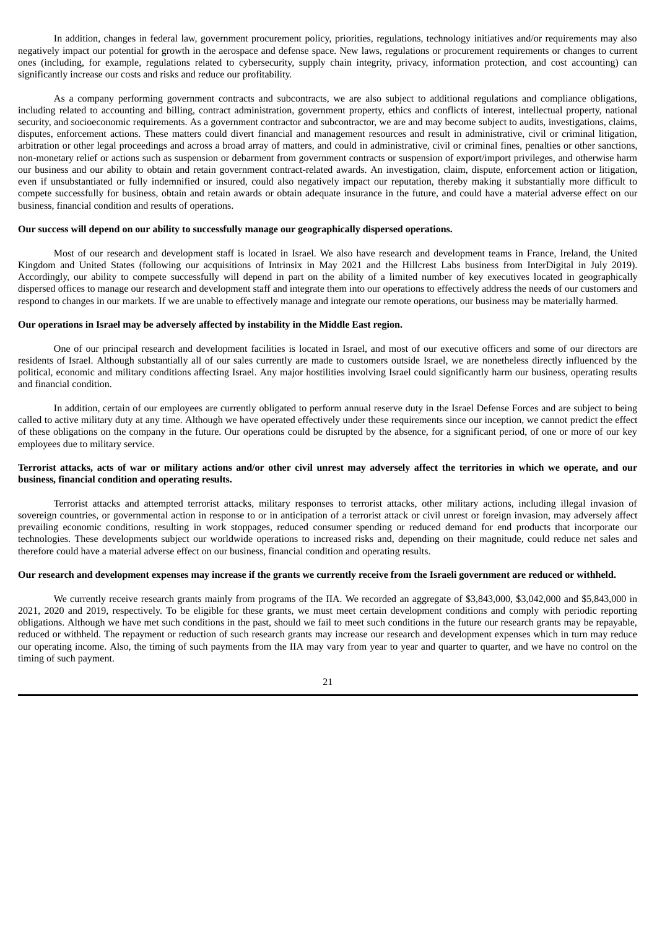In addition, changes in federal law, government procurement policy, priorities, regulations, technology initiatives and/or requirements may also negatively impact our potential for growth in the aerospace and defense space. New laws, regulations or procurement requirements or changes to current ones (including, for example, regulations related to cybersecurity, supply chain integrity, privacy, information protection, and cost accounting) can significantly increase our costs and risks and reduce our profitability.

As a company performing government contracts and subcontracts, we are also subject to additional regulations and compliance obligations, including related to accounting and billing, contract administration, government property, ethics and conflicts of interest, intellectual property, national security, and socioeconomic requirements. As a government contractor and subcontractor, we are and may become subject to audits, investigations, claims, disputes, enforcement actions. These matters could divert financial and management resources and result in administrative, civil or criminal litigation, arbitration or other legal proceedings and across a broad array of matters, and could in administrative, civil or criminal fines, penalties or other sanctions, non-monetary relief or actions such as suspension or debarment from government contracts or suspension of export/import privileges, and otherwise harm our business and our ability to obtain and retain government contract-related awards. An investigation, claim, dispute, enforcement action or litigation, even if unsubstantiated or fully indemnified or insured, could also negatively impact our reputation, thereby making it substantially more difficult to compete successfully for business, obtain and retain awards or obtain adequate insurance in the future, and could have a material adverse effect on our business, financial condition and results of operations.

### **Our success will depend on our ability to successfully manage our geographically dispersed operations.**

Most of our research and development staff is located in Israel. We also have research and development teams in France, Ireland, the United Kingdom and United States (following our acquisitions of Intrinsix in May 2021 and the Hillcrest Labs business from InterDigital in July 2019). Accordingly, our ability to compete successfully will depend in part on the ability of a limited number of key executives located in geographically dispersed offices to manage our research and development staff and integrate them into our operations to effectively address the needs of our customers and respond to changes in our markets. If we are unable to effectively manage and integrate our remote operations, our business may be materially harmed.

#### **Our operations in Israel may be adversely affected by instability in the Middle East region.**

One of our principal research and development facilities is located in Israel, and most of our executive officers and some of our directors are residents of Israel. Although substantially all of our sales currently are made to customers outside Israel, we are nonetheless directly influenced by the political, economic and military conditions affecting Israel. Any major hostilities involving Israel could significantly harm our business, operating results and financial condition.

In addition, certain of our employees are currently obligated to perform annual reserve duty in the Israel Defense Forces and are subject to being called to active military duty at any time. Although we have operated effectively under these requirements since our inception, we cannot predict the effect of these obligations on the company in the future. Our operations could be disrupted by the absence, for a significant period, of one or more of our key employees due to military service.

# Terrorist attacks, acts of war or military actions and/or other civil unrest may adversely affect the territories in which we operate, and our **business, financial condition and operating results.**

Terrorist attacks and attempted terrorist attacks, military responses to terrorist attacks, other military actions, including illegal invasion of sovereign countries, or governmental action in response to or in anticipation of a terrorist attack or civil unrest or foreign invasion, may adversely affect prevailing economic conditions, resulting in work stoppages, reduced consumer spending or reduced demand for end products that incorporate our technologies. These developments subject our worldwide operations to increased risks and, depending on their magnitude, could reduce net sales and therefore could have a material adverse effect on our business, financial condition and operating results.

#### Our research and development expenses may increase if the grants we currently receive from the Israeli government are reduced or withheld.

We currently receive research grants mainly from programs of the IIA. We recorded an aggregate of \$3,843,000, \$3,042,000 and \$5,843,000 in 2021, 2020 and 2019, respectively. To be eligible for these grants, we must meet certain development conditions and comply with periodic reporting obligations. Although we have met such conditions in the past, should we fail to meet such conditions in the future our research grants may be repayable, reduced or withheld. The repayment or reduction of such research grants may increase our research and development expenses which in turn may reduce our operating income. Also, the timing of such payments from the IIA may vary from year to year and quarter to quarter, and we have no control on the timing of such payment.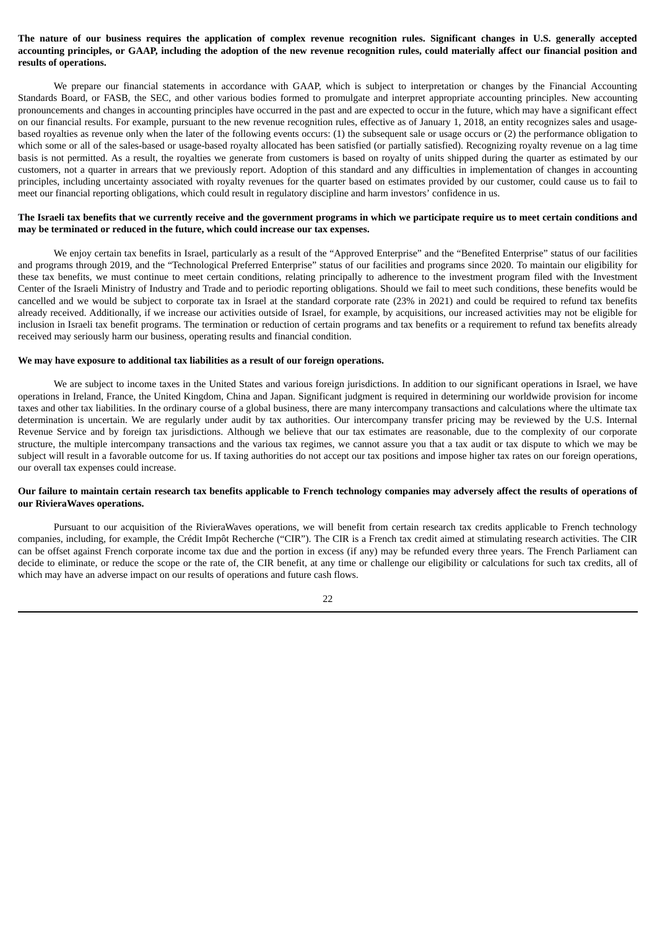### The nature of our business requires the application of complex revenue recognition rules. Significant changes in U.S. generally accepted accounting principles, or GAAP, including the adoption of the new revenue recognition rules, could materially affect our financial position and **results of operations.**

We prepare our financial statements in accordance with GAAP, which is subject to interpretation or changes by the Financial Accounting Standards Board, or FASB, the SEC, and other various bodies formed to promulgate and interpret appropriate accounting principles. New accounting pronouncements and changes in accounting principles have occurred in the past and are expected to occur in the future, which may have a significant effect on our financial results. For example, pursuant to the new revenue recognition rules, effective as of January 1, 2018, an entity recognizes sales and usagebased royalties as revenue only when the later of the following events occurs: (1) the subsequent sale or usage occurs or (2) the performance obligation to which some or all of the sales-based or usage-based royalty allocated has been satisfied (or partially satisfied). Recognizing royalty revenue on a lag time basis is not permitted. As a result, the royalties we generate from customers is based on royalty of units shipped during the quarter as estimated by our customers, not a quarter in arrears that we previously report. Adoption of this standard and any difficulties in implementation of changes in accounting principles, including uncertainty associated with royalty revenues for the quarter based on estimates provided by our customer, could cause us to fail to meet our financial reporting obligations, which could result in regulatory discipline and harm investors' confidence in us.

### The Israeli tax benefits that we currently receive and the government programs in which we participate require us to meet certain conditions and **may be terminated or reduced in the future, which could increase our tax expenses.**

We enjoy certain tax benefits in Israel, particularly as a result of the "Approved Enterprise" and the "Benefited Enterprise" status of our facilities and programs through 2019, and the "Technological Preferred Enterprise" status of our facilities and programs since 2020. To maintain our eligibility for these tax benefits, we must continue to meet certain conditions, relating principally to adherence to the investment program filed with the Investment Center of the Israeli Ministry of Industry and Trade and to periodic reporting obligations. Should we fail to meet such conditions, these benefits would be cancelled and we would be subject to corporate tax in Israel at the standard corporate rate (23% in 2021) and could be required to refund tax benefits already received. Additionally, if we increase our activities outside of Israel, for example, by acquisitions, our increased activities may not be eligible for inclusion in Israeli tax benefit programs. The termination or reduction of certain programs and tax benefits or a requirement to refund tax benefits already received may seriously harm our business, operating results and financial condition.

#### **We may have exposure to additional tax liabilities as a result of our foreign operations.**

We are subject to income taxes in the United States and various foreign jurisdictions. In addition to our significant operations in Israel, we have operations in Ireland, France, the United Kingdom, China and Japan. Significant judgment is required in determining our worldwide provision for income taxes and other tax liabilities. In the ordinary course of a global business, there are many intercompany transactions and calculations where the ultimate tax determination is uncertain. We are regularly under audit by tax authorities. Our intercompany transfer pricing may be reviewed by the U.S. Internal Revenue Service and by foreign tax jurisdictions. Although we believe that our tax estimates are reasonable, due to the complexity of our corporate structure, the multiple intercompany transactions and the various tax regimes, we cannot assure you that a tax audit or tax dispute to which we may be subject will result in a favorable outcome for us. If taxing authorities do not accept our tax positions and impose higher tax rates on our foreign operations, our overall tax expenses could increase.

# Our failure to maintain certain research tax benefits applicable to French technology companies may adversely affect the results of operations of **our RivieraWaves operations.**

Pursuant to our acquisition of the RivieraWaves operations, we will benefit from certain research tax credits applicable to French technology companies, including, for example, the Crédit Impôt Recherche ("CIR"). The CIR is a French tax credit aimed at stimulating research activities. The CIR can be offset against French corporate income tax due and the portion in excess (if any) may be refunded every three years. The French Parliament can decide to eliminate, or reduce the scope or the rate of, the CIR benefit, at any time or challenge our eligibility or calculations for such tax credits, all of which may have an adverse impact on our results of operations and future cash flows.

22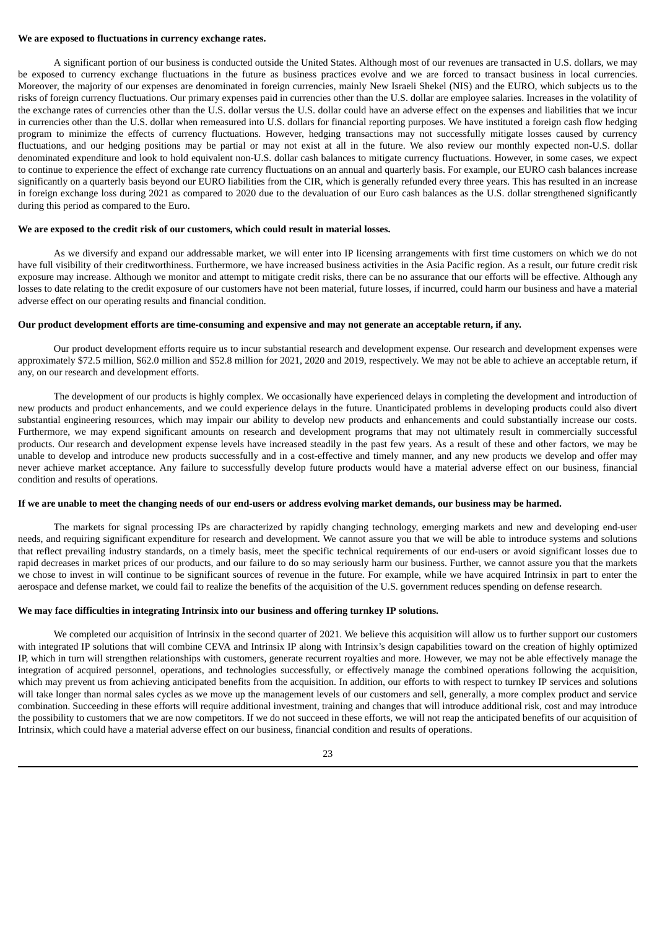#### **We are exposed to fluctuations in currency exchange rates.**

A significant portion of our business is conducted outside the United States. Although most of our revenues are transacted in U.S. dollars, we may be exposed to currency exchange fluctuations in the future as business practices evolve and we are forced to transact business in local currencies. Moreover, the majority of our expenses are denominated in foreign currencies, mainly New Israeli Shekel (NIS) and the EURO, which subjects us to the risks of foreign currency fluctuations. Our primary expenses paid in currencies other than the U.S. dollar are employee salaries. Increases in the volatility of the exchange rates of currencies other than the U.S. dollar versus the U.S. dollar could have an adverse effect on the expenses and liabilities that we incur in currencies other than the U.S. dollar when remeasured into U.S. dollars for financial reporting purposes. We have instituted a foreign cash flow hedging program to minimize the effects of currency fluctuations. However, hedging transactions may not successfully mitigate losses caused by currency fluctuations, and our hedging positions may be partial or may not exist at all in the future. We also review our monthly expected non-U.S. dollar denominated expenditure and look to hold equivalent non-U.S. dollar cash balances to mitigate currency fluctuations. However, in some cases, we expect to continue to experience the effect of exchange rate currency fluctuations on an annual and quarterly basis. For example, our EURO cash balances increase significantly on a quarterly basis beyond our EURO liabilities from the CIR, which is generally refunded every three years. This has resulted in an increase in foreign exchange loss during 2021 as compared to 2020 due to the devaluation of our Euro cash balances as the U.S. dollar strengthened significantly during this period as compared to the Euro.

### **We are exposed to the credit risk of our customers, which could result in material losses.**

As we diversify and expand our addressable market, we will enter into IP licensing arrangements with first time customers on which we do not have full visibility of their creditworthiness. Furthermore, we have increased business activities in the Asia Pacific region. As a result, our future credit risk exposure may increase. Although we monitor and attempt to mitigate credit risks, there can be no assurance that our efforts will be effective. Although any losses to date relating to the credit exposure of our customers have not been material, future losses, if incurred, could harm our business and have a material adverse effect on our operating results and financial condition.

#### Our product development efforts are time-consuming and expensive and may not generate an acceptable return, if any.

Our product development efforts require us to incur substantial research and development expense. Our research and development expenses were approximately \$72.5 million, \$62.0 million and \$52.8 million for 2021, 2020 and 2019, respectively. We may not be able to achieve an acceptable return, if any, on our research and development efforts.

The development of our products is highly complex. We occasionally have experienced delays in completing the development and introduction of new products and product enhancements, and we could experience delays in the future. Unanticipated problems in developing products could also divert substantial engineering resources, which may impair our ability to develop new products and enhancements and could substantially increase our costs. Furthermore, we may expend significant amounts on research and development programs that may not ultimately result in commercially successful products. Our research and development expense levels have increased steadily in the past few years. As a result of these and other factors, we may be unable to develop and introduce new products successfully and in a cost-effective and timely manner, and any new products we develop and offer may never achieve market acceptance. Any failure to successfully develop future products would have a material adverse effect on our business, financial condition and results of operations.

# If we are unable to meet the changing needs of our end-users or address evolving market demands, our business may be harmed.

The markets for signal processing IPs are characterized by rapidly changing technology, emerging markets and new and developing end-user needs, and requiring significant expenditure for research and development. We cannot assure you that we will be able to introduce systems and solutions that reflect prevailing industry standards, on a timely basis, meet the specific technical requirements of our end-users or avoid significant losses due to rapid decreases in market prices of our products, and our failure to do so may seriously harm our business. Further, we cannot assure you that the markets we chose to invest in will continue to be significant sources of revenue in the future. For example, while we have acquired Intrinsix in part to enter the aerospace and defense market, we could fail to realize the benefits of the acquisition of the U.S. government reduces spending on defense research.

# **We may face difficulties in integrating Intrinsix into our business and offering turnkey IP solutions.**

We completed our acquisition of Intrinsix in the second quarter of 2021. We believe this acquisition will allow us to further support our customers with integrated IP solutions that will combine CEVA and Intrinsix IP along with Intrinsix's design capabilities toward on the creation of highly optimized IP, which in turn will strengthen relationships with customers, generate recurrent royalties and more. However, we may not be able effectively manage the integration of acquired personnel, operations, and technologies successfully, or effectively manage the combined operations following the acquisition, which may prevent us from achieving anticipated benefits from the acquisition. In addition, our efforts to with respect to turnkey IP services and solutions will take longer than normal sales cycles as we move up the management levels of our customers and sell, generally, a more complex product and service combination. Succeeding in these efforts will require additional investment, training and changes that will introduce additional risk, cost and may introduce the possibility to customers that we are now competitors. If we do not succeed in these efforts, we will not reap the anticipated benefits of our acquisition of Intrinsix, which could have a material adverse effect on our business, financial condition and results of operations.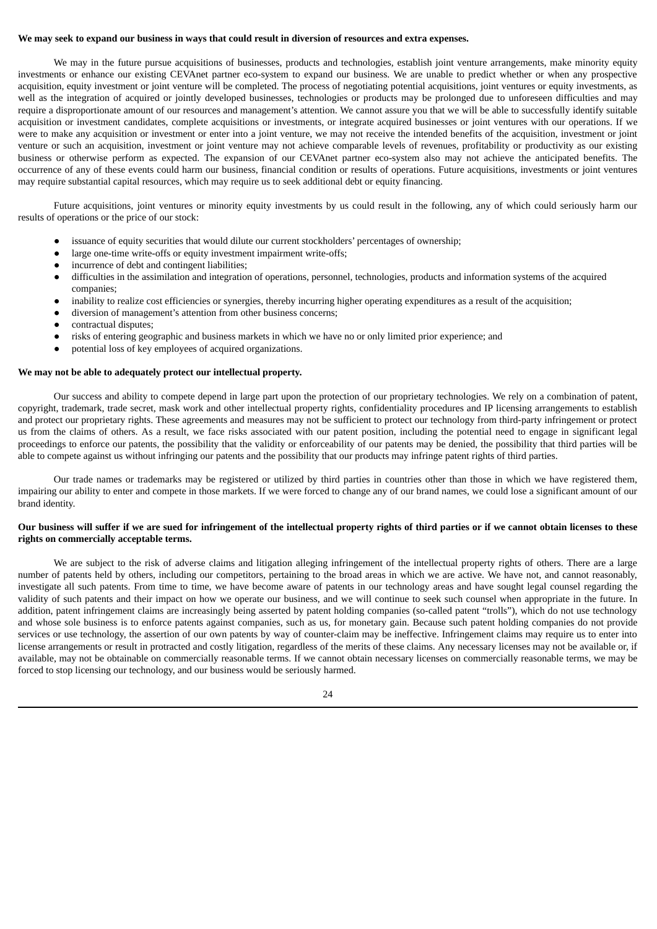### We may seek to expand our business in ways that could result in diversion of resources and extra expenses.

We may in the future pursue acquisitions of businesses, products and technologies, establish joint venture arrangements, make minority equity investments or enhance our existing CEVAnet partner eco-system to expand our business. We are unable to predict whether or when any prospective acquisition, equity investment or joint venture will be completed. The process of negotiating potential acquisitions, joint ventures or equity investments, as well as the integration of acquired or jointly developed businesses, technologies or products may be prolonged due to unforeseen difficulties and may require a disproportionate amount of our resources and management's attention. We cannot assure you that we will be able to successfully identify suitable acquisition or investment candidates, complete acquisitions or investments, or integrate acquired businesses or joint ventures with our operations. If we were to make any acquisition or investment or enter into a joint venture, we may not receive the intended benefits of the acquisition, investment or joint venture or such an acquisition, investment or joint venture may not achieve comparable levels of revenues, profitability or productivity as our existing business or otherwise perform as expected. The expansion of our CEVAnet partner eco-system also may not achieve the anticipated benefits. The occurrence of any of these events could harm our business, financial condition or results of operations. Future acquisitions, investments or joint ventures may require substantial capital resources, which may require us to seek additional debt or equity financing.

Future acquisitions, joint ventures or minority equity investments by us could result in the following, any of which could seriously harm our results of operations or the price of our stock:

- issuance of equity securities that would dilute our current stockholders' percentages of ownership;
- large one-time write-offs or equity investment impairment write-offs;
- incurrence of debt and contingent liabilities;
- difficulties in the assimilation and integration of operations, personnel, technologies, products and information systems of the acquired companies;
- inability to realize cost efficiencies or synergies, thereby incurring higher operating expenditures as a result of the acquisition;
- diversion of management's attention from other business concerns;
- contractual disputes:
- risks of entering geographic and business markets in which we have no or only limited prior experience; and
- potential loss of key employees of acquired organizations.

# **We may not be able to adequately protect our intellectual property.**

Our success and ability to compete depend in large part upon the protection of our proprietary technologies. We rely on a combination of patent, copyright, trademark, trade secret, mask work and other intellectual property rights, confidentiality procedures and IP licensing arrangements to establish and protect our proprietary rights. These agreements and measures may not be sufficient to protect our technology from third-party infringement or protect us from the claims of others. As a result, we face risks associated with our patent position, including the potential need to engage in significant legal proceedings to enforce our patents, the possibility that the validity or enforceability of our patents may be denied, the possibility that third parties will be able to compete against us without infringing our patents and the possibility that our products may infringe patent rights of third parties.

Our trade names or trademarks may be registered or utilized by third parties in countries other than those in which we have registered them, impairing our ability to enter and compete in those markets. If we were forced to change any of our brand names, we could lose a significant amount of our brand identity.

# Our business will suffer if we are sued for infringement of the intellectual property rights of third parties or if we cannot obtain licenses to these **rights on commercially acceptable terms.**

We are subject to the risk of adverse claims and litigation alleging infringement of the intellectual property rights of others. There are a large number of patents held by others, including our competitors, pertaining to the broad areas in which we are active. We have not, and cannot reasonably, investigate all such patents. From time to time, we have become aware of patents in our technology areas and have sought legal counsel regarding the validity of such patents and their impact on how we operate our business, and we will continue to seek such counsel when appropriate in the future. In addition, patent infringement claims are increasingly being asserted by patent holding companies (so-called patent "trolls"), which do not use technology and whose sole business is to enforce patents against companies, such as us, for monetary gain. Because such patent holding companies do not provide services or use technology, the assertion of our own patents by way of counter-claim may be ineffective. Infringement claims may require us to enter into license arrangements or result in protracted and costly litigation, regardless of the merits of these claims. Any necessary licenses may not be available or, if available, may not be obtainable on commercially reasonable terms. If we cannot obtain necessary licenses on commercially reasonable terms, we may be forced to stop licensing our technology, and our business would be seriously harmed.

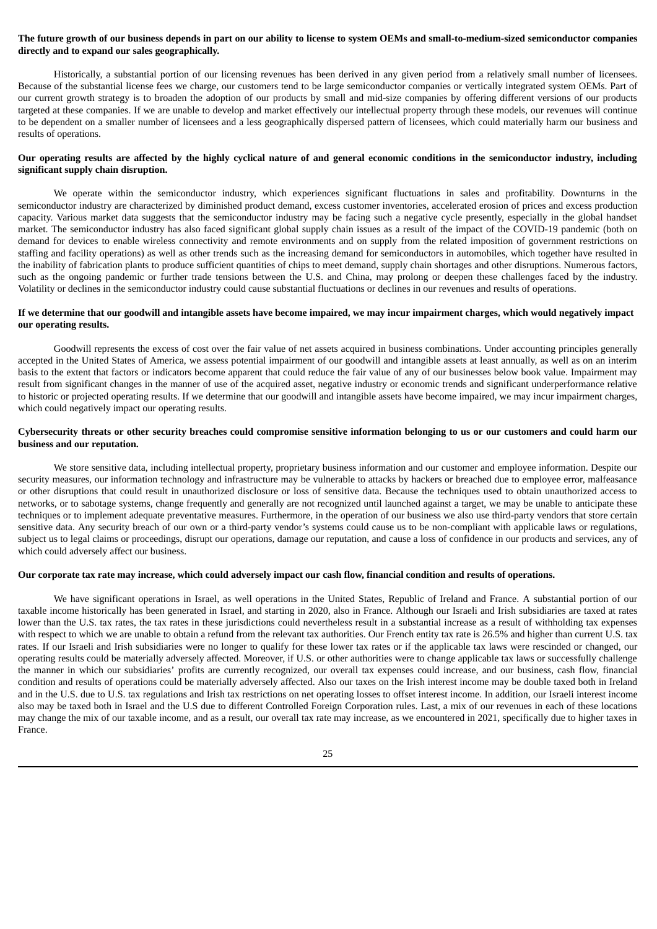## The future growth of our business depends in part on our ability to license to system OEMs and small-to-medium-sized semiconductor companies **directly and to expand our sales geographically.**

Historically, a substantial portion of our licensing revenues has been derived in any given period from a relatively small number of licensees. Because of the substantial license fees we charge, our customers tend to be large semiconductor companies or vertically integrated system OEMs. Part of our current growth strategy is to broaden the adoption of our products by small and mid-size companies by offering different versions of our products targeted at these companies. If we are unable to develop and market effectively our intellectual property through these models, our revenues will continue to be dependent on a smaller number of licensees and a less geographically dispersed pattern of licensees, which could materially harm our business and results of operations.

# Our operating results are affected by the highly cyclical nature of and general economic conditions in the semiconductor industry, including **significant supply chain disruption.**

We operate within the semiconductor industry, which experiences significant fluctuations in sales and profitability. Downturns in the semiconductor industry are characterized by diminished product demand, excess customer inventories, accelerated erosion of prices and excess production capacity. Various market data suggests that the semiconductor industry may be facing such a negative cycle presently, especially in the global handset market. The semiconductor industry has also faced significant global supply chain issues as a result of the impact of the COVID-19 pandemic (both on demand for devices to enable wireless connectivity and remote environments and on supply from the related imposition of government restrictions on staffing and facility operations) as well as other trends such as the increasing demand for semiconductors in automobiles, which together have resulted in the inability of fabrication plants to produce sufficient quantities of chips to meet demand, supply chain shortages and other disruptions. Numerous factors, such as the ongoing pandemic or further trade tensions between the U.S. and China, may prolong or deepen these challenges faced by the industry. Volatility or declines in the semiconductor industry could cause substantial fluctuations or declines in our revenues and results of operations.

## If we determine that our goodwill and intangible assets have become impaired, we may incur impairment charges, which would negatively impact **our operating results.**

Goodwill represents the excess of cost over the fair value of net assets acquired in business combinations. Under accounting principles generally accepted in the United States of America, we assess potential impairment of our goodwill and intangible assets at least annually, as well as on an interim basis to the extent that factors or indicators become apparent that could reduce the fair value of any of our businesses below book value. Impairment may result from significant changes in the manner of use of the acquired asset, negative industry or economic trends and significant underperformance relative to historic or projected operating results. If we determine that our goodwill and intangible assets have become impaired, we may incur impairment charges, which could negatively impact our operating results.

# Cybersecurity threats or other security breaches could compromise sensitive information belonging to us or our customers and could harm our **business and our reputation.**

We store sensitive data, including intellectual property, proprietary business information and our customer and employee information. Despite our security measures, our information technology and infrastructure may be vulnerable to attacks by hackers or breached due to employee error, malfeasance or other disruptions that could result in unauthorized disclosure or loss of sensitive data. Because the techniques used to obtain unauthorized access to networks, or to sabotage systems, change frequently and generally are not recognized until launched against a target, we may be unable to anticipate these techniques or to implement adequate preventative measures. Furthermore, in the operation of our business we also use third-party vendors that store certain sensitive data. Any security breach of our own or a third-party vendor's systems could cause us to be non-compliant with applicable laws or regulations, subject us to legal claims or proceedings, disrupt our operations, damage our reputation, and cause a loss of confidence in our products and services, any of which could adversely affect our business.

### Our corporate tax rate may increase, which could adversely impact our cash flow, financial condition and results of operations.

We have significant operations in Israel, as well operations in the United States, Republic of Ireland and France. A substantial portion of our taxable income historically has been generated in Israel, and starting in 2020, also in France. Although our Israeli and Irish subsidiaries are taxed at rates lower than the U.S. tax rates, the tax rates in these jurisdictions could nevertheless result in a substantial increase as a result of withholding tax expenses with respect to which we are unable to obtain a refund from the relevant tax authorities. Our French entity tax rate is 26.5% and higher than current U.S. tax rates. If our Israeli and Irish subsidiaries were no longer to qualify for these lower tax rates or if the applicable tax laws were rescinded or changed, our operating results could be materially adversely affected. Moreover, if U.S. or other authorities were to change applicable tax laws or successfully challenge the manner in which our subsidiaries' profits are currently recognized, our overall tax expenses could increase, and our business, cash flow, financial condition and results of operations could be materially adversely affected. Also our taxes on the Irish interest income may be double taxed both in Ireland and in the U.S. due to U.S. tax regulations and Irish tax restrictions on net operating losses to offset interest income. In addition, our Israeli interest income also may be taxed both in Israel and the U.S due to different Controlled Foreign Corporation rules. Last, a mix of our revenues in each of these locations may change the mix of our taxable income, and as a result, our overall tax rate may increase, as we encountered in 2021, specifically due to higher taxes in France.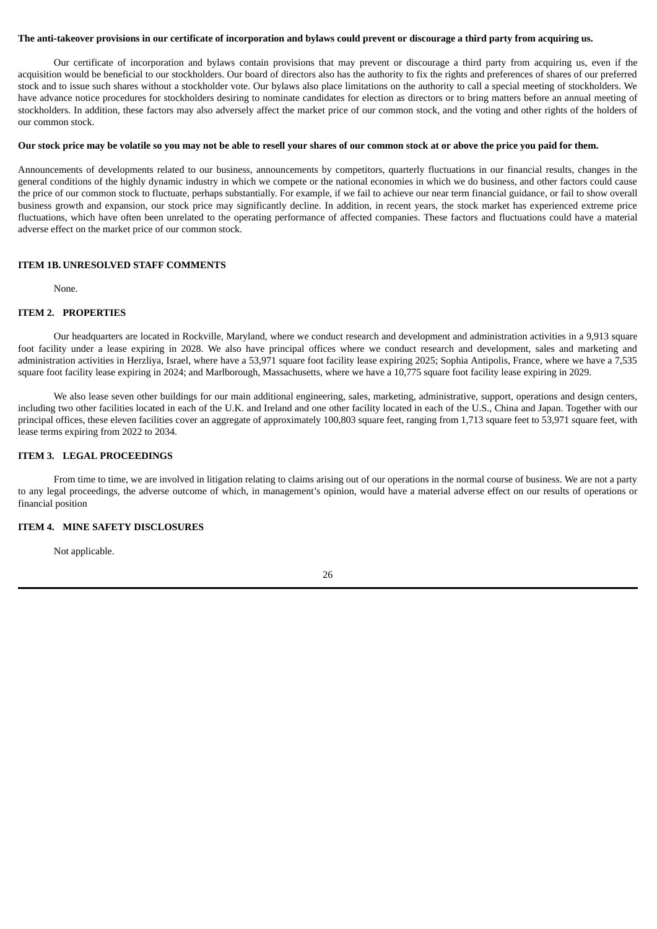#### The anti-takeover provisions in our certificate of incorporation and bylaws could prevent or discourage a third party from acquiring us.

Our certificate of incorporation and bylaws contain provisions that may prevent or discourage a third party from acquiring us, even if the acquisition would be beneficial to our stockholders. Our board of directors also has the authority to fix the rights and preferences of shares of our preferred stock and to issue such shares without a stockholder vote. Our bylaws also place limitations on the authority to call a special meeting of stockholders. We have advance notice procedures for stockholders desiring to nominate candidates for election as directors or to bring matters before an annual meeting of stockholders. In addition, these factors may also adversely affect the market price of our common stock, and the voting and other rights of the holders of our common stock.

### Our stock price may be volatile so you may not be able to resell your shares of our common stock at or above the price you paid for them.

Announcements of developments related to our business, announcements by competitors, quarterly fluctuations in our financial results, changes in the general conditions of the highly dynamic industry in which we compete or the national economies in which we do business, and other factors could cause the price of our common stock to fluctuate, perhaps substantially. For example, if we fail to achieve our near term financial guidance, or fail to show overall business growth and expansion, our stock price may significantly decline. In addition, in recent years, the stock market has experienced extreme price fluctuations, which have often been unrelated to the operating performance of affected companies. These factors and fluctuations could have a material adverse effect on the market price of our common stock.

# **ITEM 1B. UNRESOLVED STAFF COMMENTS**

None.

### **ITEM 2. PROPERTIES**

Our headquarters are located in Rockville, Maryland, where we conduct research and development and administration activities in a 9,913 square foot facility under a lease expiring in 2028. We also have principal offices where we conduct research and development, sales and marketing and administration activities in Herzliya, Israel, where have a 53,971 square foot facility lease expiring 2025; Sophia Antipolis, France, where we have a 7,535 square foot facility lease expiring in 2024; and Marlborough, Massachusetts, where we have a 10,775 square foot facility lease expiring in 2029.

We also lease seven other buildings for our main additional engineering, sales, marketing, administrative, support, operations and design centers, including two other facilities located in each of the U.K. and Ireland and one other facility located in each of the U.S., China and Japan. Together with our principal offices, these eleven facilities cover an aggregate of approximately 100,803 square feet, ranging from 1,713 square feet to 53,971 square feet, with lease terms expiring from 2022 to 2034.

# **ITEM 3. LEGAL PROCEEDINGS**

From time to time, we are involved in litigation relating to claims arising out of our operations in the normal course of business. We are not a party to any legal proceedings, the adverse outcome of which, in management's opinion, would have a material adverse effect on our results of operations or financial position

# **ITEM 4. MINE SAFETY DISCLOSURES**

Not applicable.

26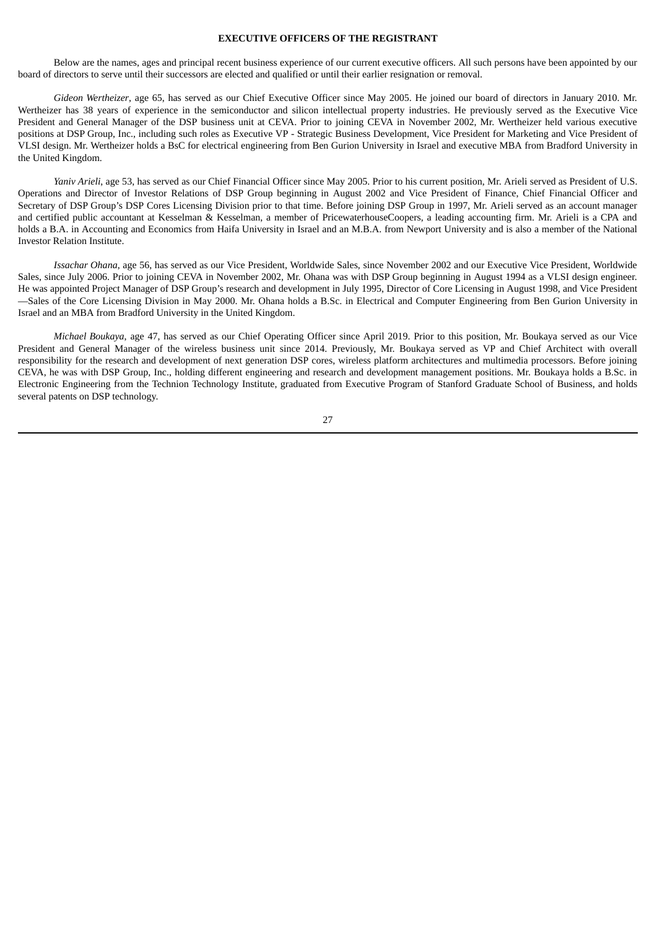## **EXECUTIVE OFFICERS OF THE REGISTRANT**

Below are the names, ages and principal recent business experience of our current executive officers. All such persons have been appointed by our board of directors to serve until their successors are elected and qualified or until their earlier resignation or removal.

*Gideon Wertheizer*, age 65, has served as our Chief Executive Officer since May 2005. He joined our board of directors in January 2010. Mr. Wertheizer has 38 years of experience in the semiconductor and silicon intellectual property industries. He previously served as the Executive Vice President and General Manager of the DSP business unit at CEVA. Prior to joining CEVA in November 2002, Mr. Wertheizer held various executive positions at DSP Group, Inc., including such roles as Executive VP - Strategic Business Development, Vice President for Marketing and Vice President of VLSI design. Mr. Wertheizer holds a BsC for electrical engineering from Ben Gurion University in Israel and executive MBA from Bradford University in the United Kingdom.

*Yaniv Arieli*, age 53, has served as our Chief Financial Officer since May 2005. Prior to his current position, Mr. Arieli served as President of U.S. Operations and Director of Investor Relations of DSP Group beginning in August 2002 and Vice President of Finance, Chief Financial Officer and Secretary of DSP Group's DSP Cores Licensing Division prior to that time. Before joining DSP Group in 1997, Mr. Arieli served as an account manager and certified public accountant at Kesselman & Kesselman, a member of PricewaterhouseCoopers, a leading accounting firm. Mr. Arieli is a CPA and holds a B.A. in Accounting and Economics from Haifa University in Israel and an M.B.A. from Newport University and is also a member of the National Investor Relation Institute.

*Issachar Ohana*, age 56, has served as our Vice President, Worldwide Sales, since November 2002 and our Executive Vice President, Worldwide Sales, since July 2006. Prior to joining CEVA in November 2002, Mr. Ohana was with DSP Group beginning in August 1994 as a VLSI design engineer. He was appointed Project Manager of DSP Group's research and development in July 1995, Director of Core Licensing in August 1998, and Vice President —Sales of the Core Licensing Division in May 2000. Mr. Ohana holds a B.Sc. in Electrical and Computer Engineering from Ben Gurion University in Israel and an MBA from Bradford University in the United Kingdom.

*Michael Boukaya*, age 47, has served as our Chief Operating Officer since April 2019. Prior to this position, Mr. Boukaya served as our Vice President and General Manager of the wireless business unit since 2014. Previously, Mr. Boukaya served as VP and Chief Architect with overall responsibility for the research and development of next generation DSP cores, wireless platform architectures and multimedia processors. Before joining CEVA, he was with DSP Group, Inc., holding different engineering and research and development management positions. Mr. Boukaya holds a B.Sc. in Electronic Engineering from the Technion Technology Institute, graduated from Executive Program of Stanford Graduate School of Business, and holds several patents on DSP technology.

27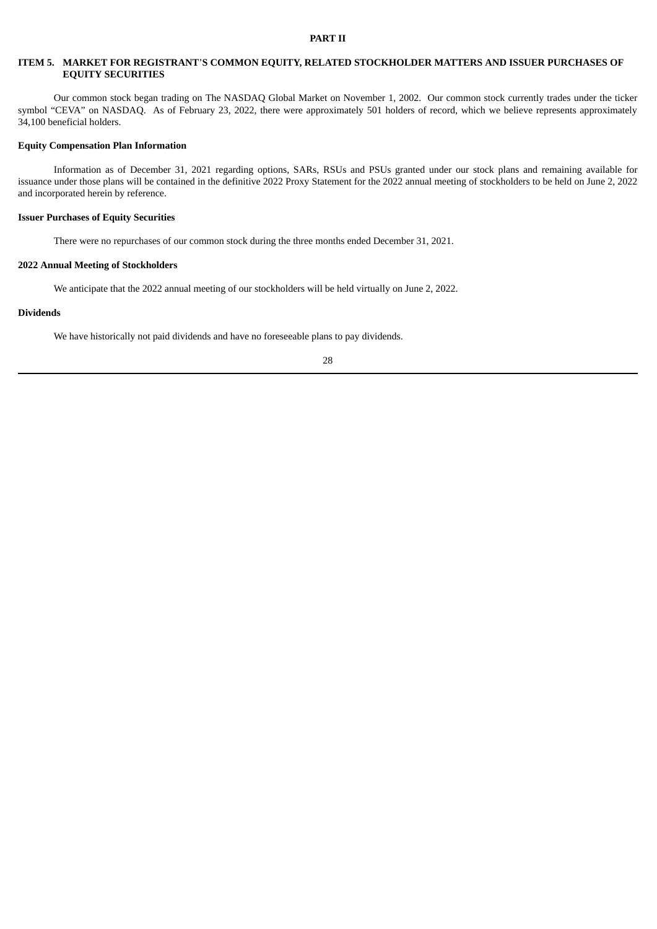#### **PART II**

# **ITEM 5. MARKET FOR REGISTRANT**'**S COMMON EQUITY, RELATED STOCKHOLDER MATTERS AND ISSUER PURCHASES OF EQUITY SECURITIES**

Our common stock began trading on The NASDAQ Global Market on November 1, 2002. Our common stock currently trades under the ticker symbol "CEVA" on NASDAQ. As of February 23, 2022, there were approximately 501 holders of record, which we believe represents approximately 34,100 beneficial holders.

### **Equity Compensation Plan Information**

Information as of December 31, 2021 regarding options, SARs, RSUs and PSUs granted under our stock plans and remaining available for issuance under those plans will be contained in the definitive 2022 Proxy Statement for the 2022 annual meeting of stockholders to be held on June 2, 2022 and incorporated herein by reference.

### **Issuer Purchases of Equity Securities**

There were no repurchases of our common stock during the three months ended December 31, 2021.

### **2022 Annual Meeting of Stockholders**

We anticipate that the 2022 annual meeting of our stockholders will be held virtually on June 2, 2022.

### **Dividends**

We have historically not paid dividends and have no foreseeable plans to pay dividends.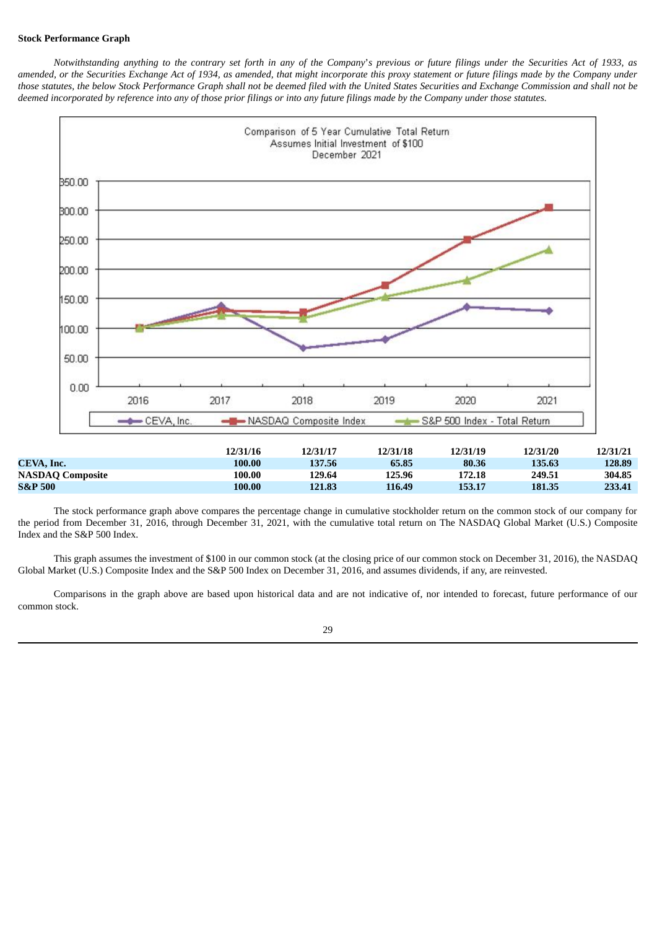### **Stock Performance Graph**

Notwithstanding anything to the contrary set forth in any of the Company's previous or future filings under the Securities Act of 1933, as amended, or the Securities Exchange Act of 1934, as amended, that might incorporate this proxy statement or future filings made by the Company under those statutes, the below Stock Performance Graph shall not be deemed filed with the United States Securities and Exchange Commission and shall not be deemed incorporated by reference into any of those prior filings or into any future filings made by the Company under those statutes.



|                         | 12/31/16 | 12/31/17 | 12/31/18 | 12/31/19 | 12/31/20 | 12/31/21 |
|-------------------------|----------|----------|----------|----------|----------|----------|
| CEVA, Inc.              | 100.00   | 137.56   | 65.85    | 80.36    | 135.63   | 128.89   |
| <b>NASDAQ Composite</b> | 100.00   | 129.64   | 125.96   | 172.18   | 249.51   | 304.85   |
| <b>S&amp;P 500</b>      | 100.00   | 121.83   | 116.49   | 153.17   | 181.35   | 233.41   |
|                         |          |          |          |          |          |          |

The stock performance graph above compares the percentage change in cumulative stockholder return on the common stock of our company for the period from December 31, 2016, through December 31, 2021, with the cumulative total return on The NASDAQ Global Market (U.S.) Composite Index and the S&P 500 Index.

This graph assumes the investment of \$100 in our common stock (at the closing price of our common stock on December 31, 2016), the NASDAQ Global Market (U.S.) Composite Index and the S&P 500 Index on December 31, 2016, and assumes dividends, if any, are reinvested.

Comparisons in the graph above are based upon historical data and are not indicative of, nor intended to forecast, future performance of our common stock.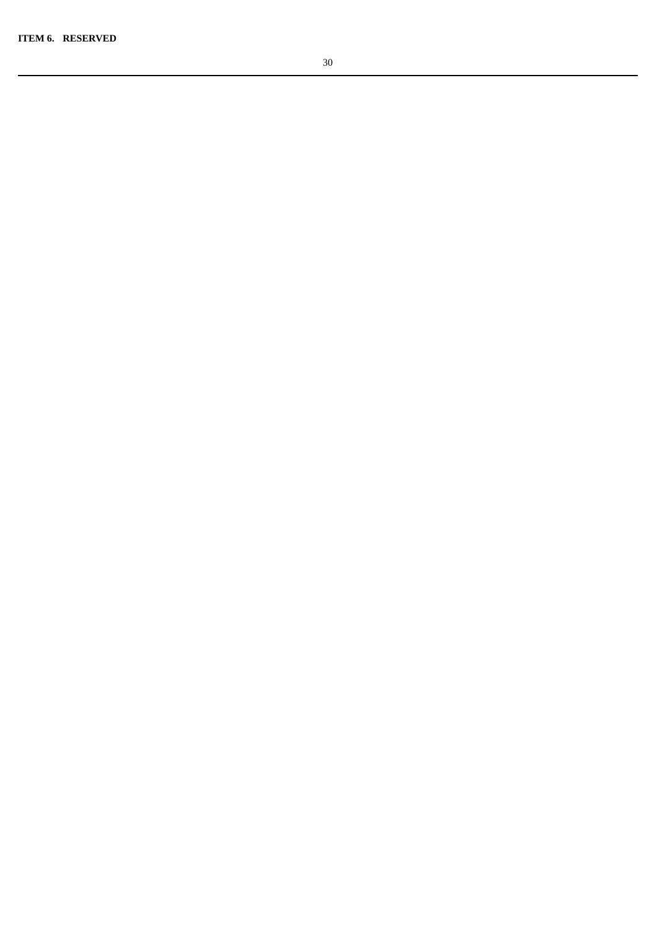**ITEM 6. RESERVED**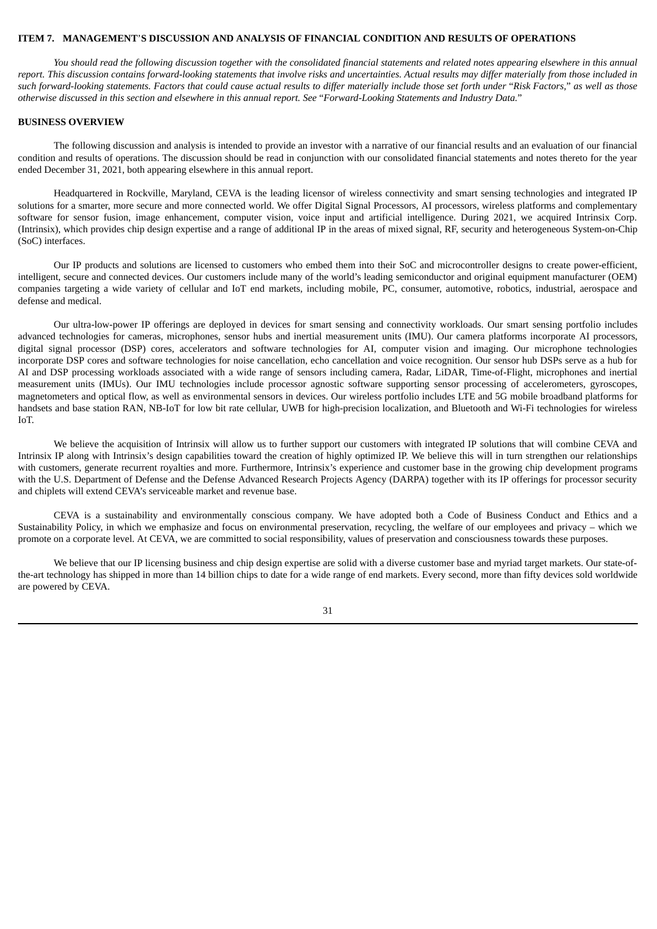### **ITEM 7. MANAGEMENT**'**S DISCUSSION AND ANALYSIS OF FINANCIAL CONDITION AND RESULTS OF OPERATIONS**

You should read the following discussion together with the consolidated financial statements and related notes appearing elsewhere in this annual report. This discussion contains forward-looking statements that involve risks and uncertainties. Actual results may differ materially from those included in such forward-looking statements. Factors that could cause actual results to differ materially include those set forth under "Risk Factors," as well as those otherwise discussed in this section and elsewhere in this annual report. See "Forward-Looking Statements and Industry Data."

### **BUSINESS OVERVIEW**

The following discussion and analysis is intended to provide an investor with a narrative of our financial results and an evaluation of our financial condition and results of operations. The discussion should be read in conjunction with our consolidated financial statements and notes thereto for the year ended December 31, 2021, both appearing elsewhere in this annual report.

Headquartered in Rockville, Maryland, CEVA is the leading licensor of wireless connectivity and smart sensing technologies and integrated IP solutions for a smarter, more secure and more connected world. We offer Digital Signal Processors, AI processors, wireless platforms and complementary software for sensor fusion, image enhancement, computer vision, voice input and artificial intelligence. During 2021, we acquired Intrinsix Corp. (Intrinsix), which provides chip design expertise and a range of additional IP in the areas of mixed signal, RF, security and heterogeneous System-on-Chip (SoC) interfaces.

Our IP products and solutions are licensed to customers who embed them into their SoC and microcontroller designs to create power-efficient, intelligent, secure and connected devices. Our customers include many of the world's leading semiconductor and original equipment manufacturer (OEM) companies targeting a wide variety of cellular and IoT end markets, including mobile, PC, consumer, automotive, robotics, industrial, aerospace and defense and medical.

Our ultra-low-power IP offerings are deployed in devices for smart sensing and connectivity workloads. Our smart sensing portfolio includes advanced technologies for cameras, microphones, sensor hubs and inertial measurement units (IMU). Our camera platforms incorporate AI processors, digital signal processor (DSP) cores, accelerators and software technologies for AI, computer vision and imaging. Our microphone technologies incorporate DSP cores and software technologies for noise cancellation, echo cancellation and voice recognition. Our sensor hub DSPs serve as a hub for AI and DSP processing workloads associated with a wide range of sensors including camera, Radar, LiDAR, Time-of-Flight, microphones and inertial measurement units (IMUs). Our IMU technologies include processor agnostic software supporting sensor processing of accelerometers, gyroscopes, magnetometers and optical flow, as well as environmental sensors in devices. Our wireless portfolio includes LTE and 5G mobile broadband platforms for handsets and base station RAN, NB-IoT for low bit rate cellular, UWB for high-precision localization, and Bluetooth and Wi-Fi technologies for wireless IoT.

We believe the acquisition of Intrinsix will allow us to further support our customers with integrated IP solutions that will combine CEVA and Intrinsix IP along with Intrinsix's design capabilities toward the creation of highly optimized IP. We believe this will in turn strengthen our relationships with customers, generate recurrent royalties and more. Furthermore, Intrinsix's experience and customer base in the growing chip development programs with the U.S. Department of Defense and the Defense Advanced Research Projects Agency (DARPA) together with its IP offerings for processor security and chiplets will extend CEVA's serviceable market and revenue base.

CEVA is a sustainability and environmentally conscious company. We have adopted both a Code of Business Conduct and Ethics and a Sustainability Policy, in which we emphasize and focus on environmental preservation, recycling, the welfare of our employees and privacy – which we promote on a corporate level. At CEVA, we are committed to social responsibility, values of preservation and consciousness towards these purposes.

We believe that our IP licensing business and chip design expertise are solid with a diverse customer base and myriad target markets. Our state-ofthe-art technology has shipped in more than 14 billion chips to date for a wide range of end markets. Every second, more than fifty devices sold worldwide are powered by CEVA.

31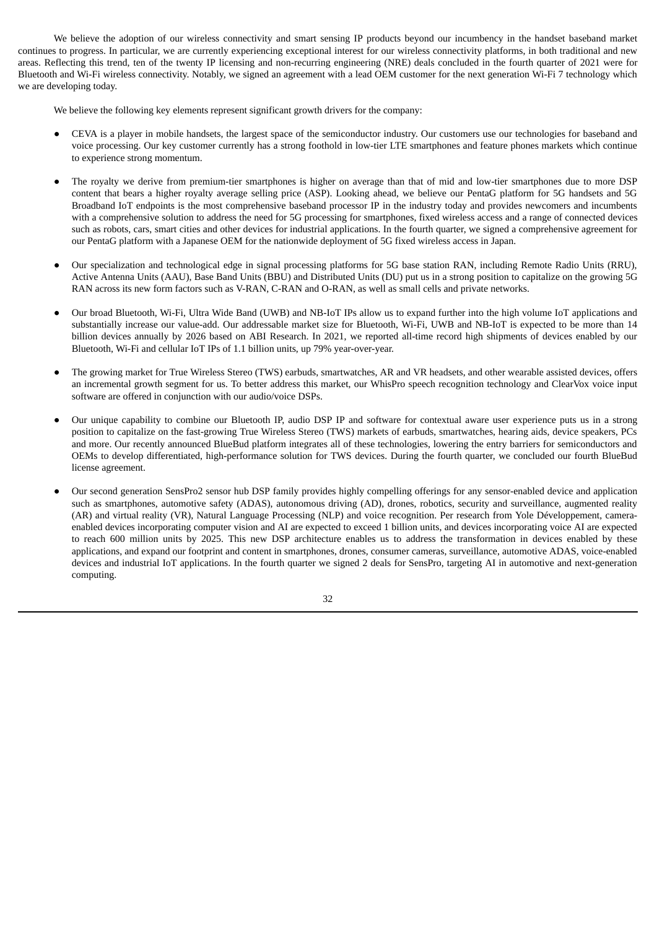We believe the adoption of our wireless connectivity and smart sensing IP products beyond our incumbency in the handset baseband market continues to progress. In particular, we are currently experiencing exceptional interest for our wireless connectivity platforms, in both traditional and new areas. Reflecting this trend, ten of the twenty IP licensing and non-recurring engineering (NRE) deals concluded in the fourth quarter of 2021 were for Bluetooth and Wi-Fi wireless connectivity. Notably, we signed an agreement with a lead OEM customer for the next generation Wi-Fi 7 technology which we are developing today.

We believe the following key elements represent significant growth drivers for the company:

- CEVA is a player in mobile handsets, the largest space of the semiconductor industry. Our customers use our technologies for baseband and voice processing. Our key customer currently has a strong foothold in low-tier LTE smartphones and feature phones markets which continue to experience strong momentum.
- The royalty we derive from premium-tier smartphones is higher on average than that of mid and low-tier smartphones due to more DSP content that bears a higher royalty average selling price (ASP). Looking ahead, we believe our PentaG platform for 5G handsets and 5G Broadband IoT endpoints is the most comprehensive baseband processor IP in the industry today and provides newcomers and incumbents with a comprehensive solution to address the need for 5G processing for smartphones, fixed wireless access and a range of connected devices such as robots, cars, smart cities and other devices for industrial applications. In the fourth quarter, we signed a comprehensive agreement for our PentaG platform with a Japanese OEM for the nationwide deployment of 5G fixed wireless access in Japan.
- Our specialization and technological edge in signal processing platforms for 5G base station RAN, including Remote Radio Units (RRU), Active Antenna Units (AAU), Base Band Units (BBU) and Distributed Units (DU) put us in a strong position to capitalize on the growing 5G RAN across its new form factors such as V-RAN, C-RAN and O-RAN, as well as small cells and private networks.
- Our broad Bluetooth, Wi-Fi, Ultra Wide Band (UWB) and NB-IoT IPs allow us to expand further into the high volume IoT applications and substantially increase our value-add. Our addressable market size for Bluetooth, Wi-Fi, UWB and NB-IoT is expected to be more than 14 billion devices annually by 2026 based on ABI Research. In 2021, we reported all-time record high shipments of devices enabled by our Bluetooth, Wi-Fi and cellular IoT IPs of 1.1 billion units, up 79% year-over-year.
- The growing market for True Wireless Stereo (TWS) earbuds, smartwatches, AR and VR headsets, and other wearable assisted devices, offers an incremental growth segment for us. To better address this market, our WhisPro speech recognition technology and ClearVox voice input software are offered in conjunction with our audio/voice DSPs.
- Our unique capability to combine our Bluetooth IP, audio DSP IP and software for contextual aware user experience puts us in a strong position to capitalize on the fast-growing True Wireless Stereo (TWS) markets of earbuds, smartwatches, hearing aids, device speakers, PCs and more. Our recently announced BlueBud platform integrates all of these technologies, lowering the entry barriers for semiconductors and OEMs to develop differentiated, high-performance solution for TWS devices. During the fourth quarter, we concluded our fourth BlueBud license agreement.
- Our second generation SensPro2 sensor hub DSP family provides highly compelling offerings for any sensor-enabled device and application such as smartphones, automotive safety (ADAS), autonomous driving (AD), drones, robotics, security and surveillance, augmented reality (AR) and virtual reality (VR), Natural Language Processing (NLP) and voice recognition. Per research from Yole Développement, cameraenabled devices incorporating computer vision and AI are expected to exceed 1 billion units, and devices incorporating voice AI are expected to reach 600 million units by 2025. This new DSP architecture enables us to address the transformation in devices enabled by these applications, and expand our footprint and content in smartphones, drones, consumer cameras, surveillance, automotive ADAS, voice-enabled devices and industrial IoT applications. In the fourth quarter we signed 2 deals for SensPro, targeting AI in automotive and next-generation computing.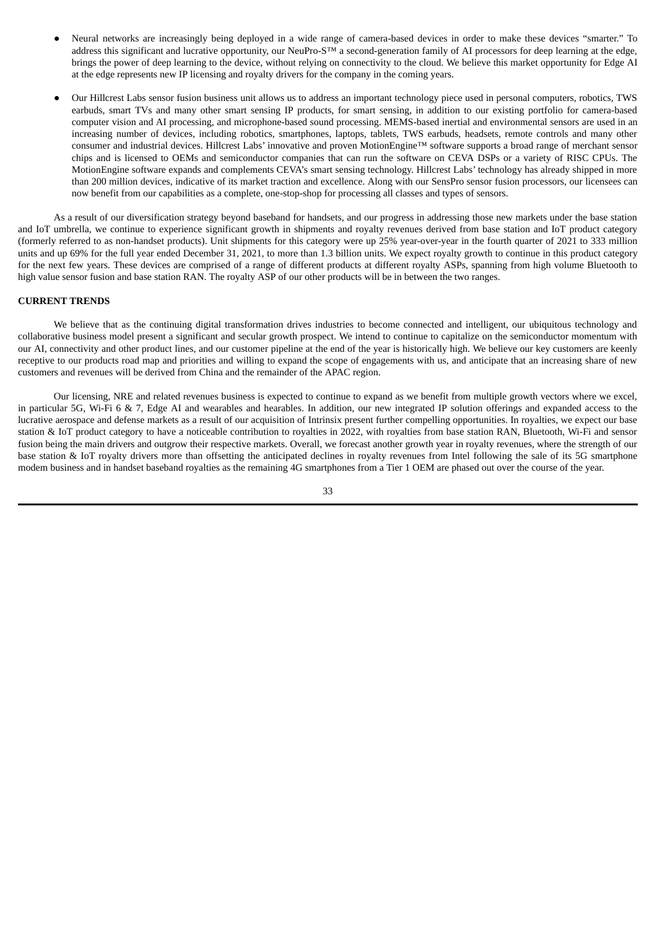- Neural networks are increasingly being deployed in a wide range of camera-based devices in order to make these devices "smarter." To address this significant and lucrative opportunity, our NeuPro-S™ a second-generation family of AI processors for deep learning at the edge, brings the power of deep learning to the device, without relying on connectivity to the cloud. We believe this market opportunity for Edge AI at the edge represents new IP licensing and royalty drivers for the company in the coming years.
- Our Hillcrest Labs sensor fusion business unit allows us to address an important technology piece used in personal computers, robotics, TWS earbuds, smart TVs and many other smart sensing IP products, for smart sensing, in addition to our existing portfolio for camera-based computer vision and AI processing, and microphone-based sound processing. MEMS-based inertial and environmental sensors are used in an increasing number of devices, including robotics, smartphones, laptops, tablets, TWS earbuds, headsets, remote controls and many other consumer and industrial devices. Hillcrest Labs' innovative and proven MotionEngine™ software supports a broad range of merchant sensor chips and is licensed to OEMs and semiconductor companies that can run the software on CEVA DSPs or a variety of RISC CPUs. The MotionEngine software expands and complements CEVA's smart sensing technology. Hillcrest Labs' technology has already shipped in more than 200 million devices, indicative of its market traction and excellence. Along with our SensPro sensor fusion processors, our licensees can now benefit from our capabilities as a complete, one-stop-shop for processing all classes and types of sensors.

As a result of our diversification strategy beyond baseband for handsets, and our progress in addressing those new markets under the base station and IoT umbrella, we continue to experience significant growth in shipments and royalty revenues derived from base station and IoT product category (formerly referred to as non-handset products). Unit shipments for this category were up 25% year-over-year in the fourth quarter of 2021 to 333 million units and up 69% for the full year ended December 31, 2021, to more than 1.3 billion units. We expect royalty growth to continue in this product category for the next few years. These devices are comprised of a range of different products at different royalty ASPs, spanning from high volume Bluetooth to high value sensor fusion and base station RAN. The royalty ASP of our other products will be in between the two ranges.

## **CURRENT TRENDS**

We believe that as the continuing digital transformation drives industries to become connected and intelligent, our ubiquitous technology and collaborative business model present a significant and secular growth prospect. We intend to continue to capitalize on the semiconductor momentum with our AI, connectivity and other product lines, and our customer pipeline at the end of the year is historically high. We believe our key customers are keenly receptive to our products road map and priorities and willing to expand the scope of engagements with us, and anticipate that an increasing share of new customers and revenues will be derived from China and the remainder of the APAC region.

Our licensing, NRE and related revenues business is expected to continue to expand as we benefit from multiple growth vectors where we excel, in particular 5G, Wi-Fi 6 & 7, Edge AI and wearables and hearables. In addition, our new integrated IP solution offerings and expanded access to the lucrative aerospace and defense markets as a result of our acquisition of Intrinsix present further compelling opportunities. In royalties, we expect our base station & IoT product category to have a noticeable contribution to royalties in 2022, with royalties from base station RAN, Bluetooth, Wi-Fi and sensor fusion being the main drivers and outgrow their respective markets. Overall, we forecast another growth year in royalty revenues, where the strength of our base station & IoT royalty drivers more than offsetting the anticipated declines in royalty revenues from Intel following the sale of its 5G smartphone modem business and in handset baseband royalties as the remaining 4G smartphones from a Tier 1 OEM are phased out over the course of the year.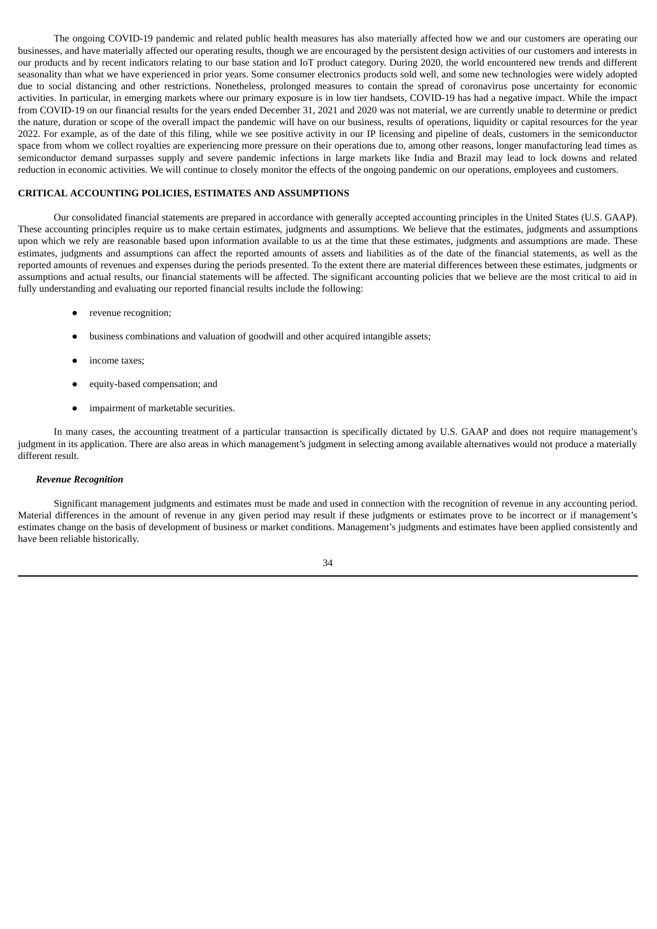The ongoing COVID-19 pandemic and related public health measures has also materially affected how we and our customers are operating our businesses, and have materially affected our operating results, though we are encouraged by the persistent design activities of our customers and interests in our products and by recent indicators relating to our base station and IoT product category. During 2020, the world encountered new trends and different seasonality than what we have experienced in prior years. Some consumer electronics products sold well, and some new technologies were widely adopted due to social distancing and other restrictions. Nonetheless, prolonged measures to contain the spread of coronavirus pose uncertainty for economic activities. In particular, in emerging markets where our primary exposure is in low tier handsets, COVID-19 has had a negative impact. While the impact from COVID-19 on our financial results for the years ended December 31, 2021 and 2020 was not material, we are currently unable to determine or predict the nature, duration or scope of the overall impact the pandemic will have on our business, results of operations, liquidity or capital resources for the year 2022. For example, as of the date of this filing, while we see positive activity in our IP licensing and pipeline of deals, customers in the semiconductor space from whom we collect royalties are experiencing more pressure on their operations due to, among other reasons, longer manufacturing lead times as semiconductor demand surpasses supply and severe pandemic infections in large markets like India and Brazil may lead to lock downs and related reduction in economic activities. We will continue to closely monitor the effects of the ongoing pandemic on our operations, employees and customers.

### **CRITICAL ACCOUNTING POLICIES, ESTIMATES AND ASSUMPTIONS**

Our consolidated financial statements are prepared in accordance with generally accepted accounting principles in the United States (U.S. GAAP). These accounting principles require us to make certain estimates, judgments and assumptions. We believe that the estimates, judgments and assumptions upon which we rely are reasonable based upon information available to us at the time that these estimates, judgments and assumptions are made. These estimates, judgments and assumptions can affect the reported amounts of assets and liabilities as of the date of the financial statements, as well as the reported amounts of revenues and expenses during the periods presented. To the extent there are material differences between these estimates, judgments or assumptions and actual results, our financial statements will be affected. The significant accounting policies that we believe are the most critical to aid in fully understanding and evaluating our reported financial results include the following:

- revenue recognition;
- business combinations and valuation of goodwill and other acquired intangible assets;
- income taxes;
- equity-based compensation; and
- impairment of marketable securities.

In many cases, the accounting treatment of a particular transaction is specifically dictated by U.S. GAAP and does not require management's judgment in its application. There are also areas in which management's judgment in selecting among available alternatives would not produce a materially different result.

### *Revenue Recognition*

Significant management judgments and estimates must be made and used in connection with the recognition of revenue in any accounting period. Material differences in the amount of revenue in any given period may result if these judgments or estimates prove to be incorrect or if management's estimates change on the basis of development of business or market conditions. Management's judgments and estimates have been applied consistently and have been reliable historically.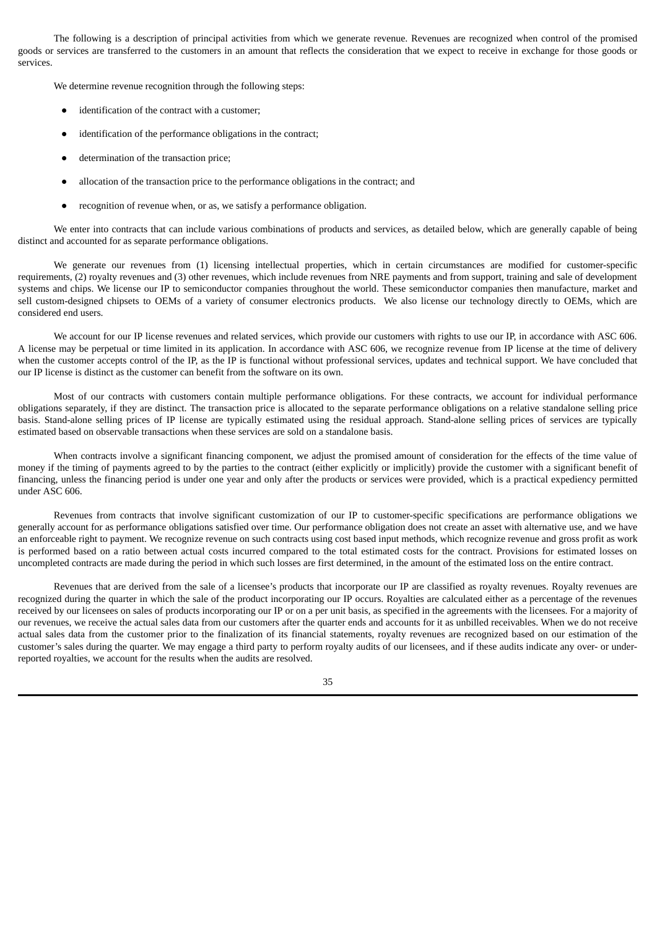The following is a description of principal activities from which we generate revenue. Revenues are recognized when control of the promised goods or services are transferred to the customers in an amount that reflects the consideration that we expect to receive in exchange for those goods or services.

We determine revenue recognition through the following steps:

- identification of the contract with a customer;
- identification of the performance obligations in the contract;
- determination of the transaction price;
- allocation of the transaction price to the performance obligations in the contract; and
- recognition of revenue when, or as, we satisfy a performance obligation.

We enter into contracts that can include various combinations of products and services, as detailed below, which are generally capable of being distinct and accounted for as separate performance obligations.

We generate our revenues from (1) licensing intellectual properties, which in certain circumstances are modified for customer-specific requirements, (2) royalty revenues and (3) other revenues, which include revenues from NRE payments and from support, training and sale of development systems and chips. We license our IP to semiconductor companies throughout the world. These semiconductor companies then manufacture, market and sell custom-designed chipsets to OEMs of a variety of consumer electronics products. We also license our technology directly to OEMs, which are considered end users.

We account for our IP license revenues and related services, which provide our customers with rights to use our IP, in accordance with ASC 606. A license may be perpetual or time limited in its application. In accordance with ASC 606, we recognize revenue from IP license at the time of delivery when the customer accepts control of the IP, as the IP is functional without professional services, updates and technical support. We have concluded that our IP license is distinct as the customer can benefit from the software on its own.

Most of our contracts with customers contain multiple performance obligations. For these contracts, we account for individual performance obligations separately, if they are distinct. The transaction price is allocated to the separate performance obligations on a relative standalone selling price basis. Stand-alone selling prices of IP license are typically estimated using the residual approach. Stand-alone selling prices of services are typically estimated based on observable transactions when these services are sold on a standalone basis.

When contracts involve a significant financing component, we adjust the promised amount of consideration for the effects of the time value of money if the timing of payments agreed to by the parties to the contract (either explicitly or implicitly) provide the customer with a significant benefit of financing, unless the financing period is under one year and only after the products or services were provided, which is a practical expediency permitted under ASC 606.

Revenues from contracts that involve significant customization of our IP to customer-specific specifications are performance obligations we generally account for as performance obligations satisfied over time. Our performance obligation does not create an asset with alternative use, and we have an enforceable right to payment. We recognize revenue on such contracts using cost based input methods, which recognize revenue and gross profit as work is performed based on a ratio between actual costs incurred compared to the total estimated costs for the contract. Provisions for estimated losses on uncompleted contracts are made during the period in which such losses are first determined, in the amount of the estimated loss on the entire contract.

Revenues that are derived from the sale of a licensee's products that incorporate our IP are classified as royalty revenues. Royalty revenues are recognized during the quarter in which the sale of the product incorporating our IP occurs. Royalties are calculated either as a percentage of the revenues received by our licensees on sales of products incorporating our IP or on a per unit basis, as specified in the agreements with the licensees. For a majority of our revenues, we receive the actual sales data from our customers after the quarter ends and accounts for it as unbilled receivables. When we do not receive actual sales data from the customer prior to the finalization of its financial statements, royalty revenues are recognized based on our estimation of the customer's sales during the quarter. We may engage a third party to perform royalty audits of our licensees, and if these audits indicate any over- or underreported royalties, we account for the results when the audits are resolved.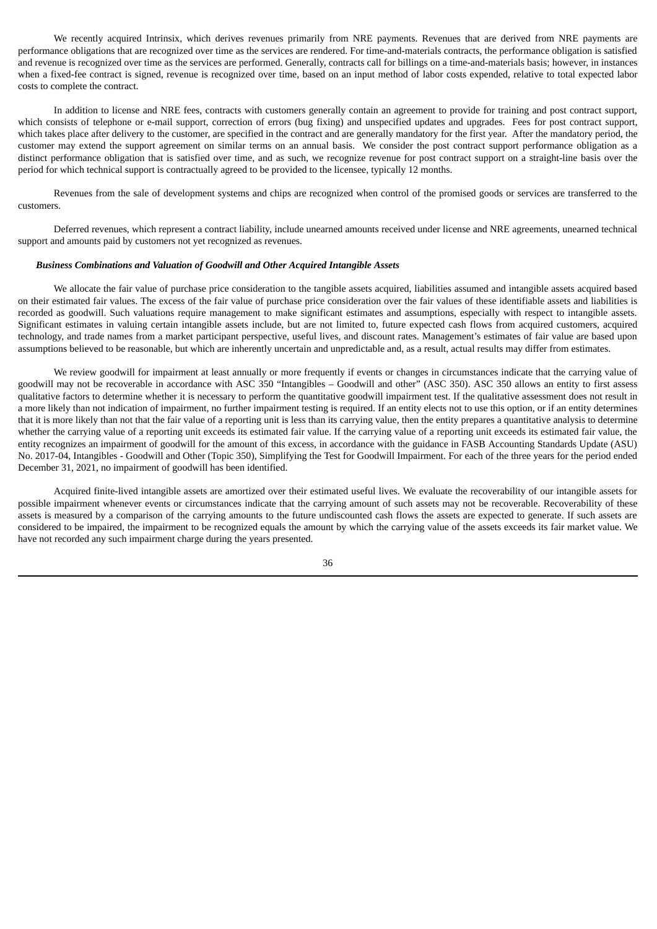We recently acquired Intrinsix, which derives revenues primarily from NRE payments. Revenues that are derived from NRE payments are performance obligations that are recognized over time as the services are rendered. For time-and-materials contracts, the performance obligation is satisfied and revenue is recognized over time as the services are performed. Generally, contracts call for billings on a time-and-materials basis; however, in instances when a fixed-fee contract is signed, revenue is recognized over time, based on an input method of labor costs expended, relative to total expected labor costs to complete the contract.

In addition to license and NRE fees, contracts with customers generally contain an agreement to provide for training and post contract support, which consists of telephone or e-mail support, correction of errors (bug fixing) and unspecified updates and upgrades. Fees for post contract support, which takes place after delivery to the customer, are specified in the contract and are generally mandatory for the first year. After the mandatory period, the customer may extend the support agreement on similar terms on an annual basis. We consider the post contract support performance obligation as a distinct performance obligation that is satisfied over time, and as such, we recognize revenue for post contract support on a straight-line basis over the period for which technical support is contractually agreed to be provided to the licensee, typically 12 months.

Revenues from the sale of development systems and chips are recognized when control of the promised goods or services are transferred to the customers.

Deferred revenues, which represent a contract liability, include unearned amounts received under license and NRE agreements, unearned technical support and amounts paid by customers not yet recognized as revenues.

### *Business Combinations and Valuation of Goodwill and Other Acquired Intangible Assets*

We allocate the fair value of purchase price consideration to the tangible assets acquired, liabilities assumed and intangible assets acquired based on their estimated fair values. The excess of the fair value of purchase price consideration over the fair values of these identifiable assets and liabilities is recorded as goodwill. Such valuations require management to make significant estimates and assumptions, especially with respect to intangible assets. Significant estimates in valuing certain intangible assets include, but are not limited to, future expected cash flows from acquired customers, acquired technology, and trade names from a market participant perspective, useful lives, and discount rates. Management's estimates of fair value are based upon assumptions believed to be reasonable, but which are inherently uncertain and unpredictable and, as a result, actual results may differ from estimates.

We review goodwill for impairment at least annually or more frequently if events or changes in circumstances indicate that the carrying value of goodwill may not be recoverable in accordance with ASC 350 "Intangibles – Goodwill and other" (ASC 350). ASC 350 allows an entity to first assess qualitative factors to determine whether it is necessary to perform the quantitative goodwill impairment test. If the qualitative assessment does not result in a more likely than not indication of impairment, no further impairment testing is required. If an entity elects not to use this option, or if an entity determines that it is more likely than not that the fair value of a reporting unit is less than its carrying value, then the entity prepares a quantitative analysis to determine whether the carrying value of a reporting unit exceeds its estimated fair value. If the carrying value of a reporting unit exceeds its estimated fair value, the entity recognizes an impairment of goodwill for the amount of this excess, in accordance with the guidance in FASB Accounting Standards Update (ASU) No. 2017-04, Intangibles - Goodwill and Other (Topic 350), Simplifying the Test for Goodwill Impairment. For each of the three years for the period ended December 31, 2021, no impairment of goodwill has been identified.

Acquired finite-lived intangible assets are amortized over their estimated useful lives. We evaluate the recoverability of our intangible assets for possible impairment whenever events or circumstances indicate that the carrying amount of such assets may not be recoverable. Recoverability of these assets is measured by a comparison of the carrying amounts to the future undiscounted cash flows the assets are expected to generate. If such assets are considered to be impaired, the impairment to be recognized equals the amount by which the carrying value of the assets exceeds its fair market value. We have not recorded any such impairment charge during the years presented.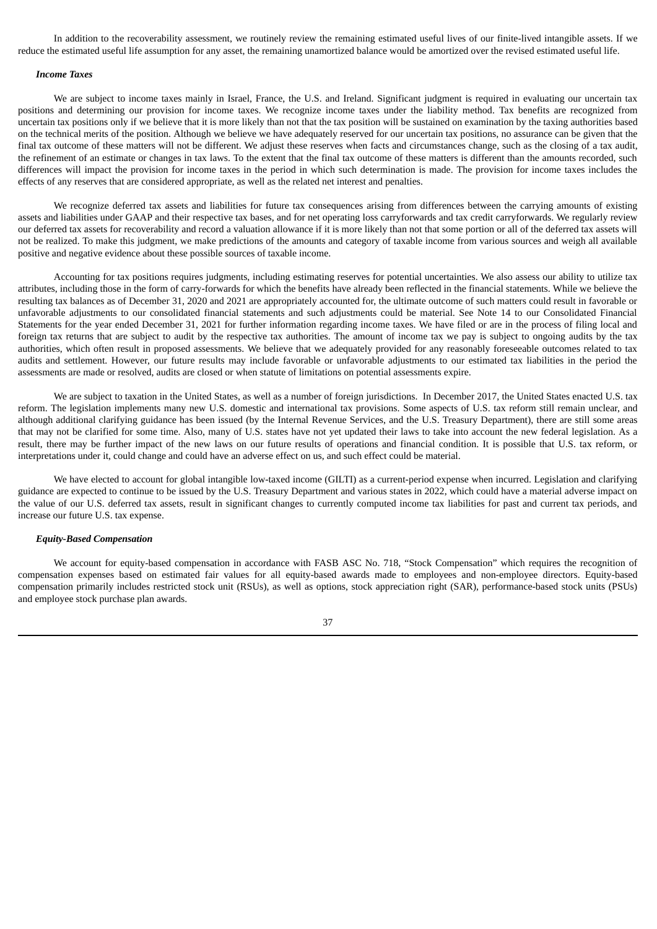In addition to the recoverability assessment, we routinely review the remaining estimated useful lives of our finite-lived intangible assets. If we reduce the estimated useful life assumption for any asset, the remaining unamortized balance would be amortized over the revised estimated useful life.

#### *Income Taxes*

We are subject to income taxes mainly in Israel, France, the U.S. and Ireland. Significant judgment is required in evaluating our uncertain tax positions and determining our provision for income taxes. We recognize income taxes under the liability method. Tax benefits are recognized from uncertain tax positions only if we believe that it is more likely than not that the tax position will be sustained on examination by the taxing authorities based on the technical merits of the position. Although we believe we have adequately reserved for our uncertain tax positions, no assurance can be given that the final tax outcome of these matters will not be different. We adjust these reserves when facts and circumstances change, such as the closing of a tax audit, the refinement of an estimate or changes in tax laws. To the extent that the final tax outcome of these matters is different than the amounts recorded, such differences will impact the provision for income taxes in the period in which such determination is made. The provision for income taxes includes the effects of any reserves that are considered appropriate, as well as the related net interest and penalties.

We recognize deferred tax assets and liabilities for future tax consequences arising from differences between the carrying amounts of existing assets and liabilities under GAAP and their respective tax bases, and for net operating loss carryforwards and tax credit carryforwards. We regularly review our deferred tax assets for recoverability and record a valuation allowance if it is more likely than not that some portion or all of the deferred tax assets will not be realized. To make this judgment, we make predictions of the amounts and category of taxable income from various sources and weigh all available positive and negative evidence about these possible sources of taxable income.

Accounting for tax positions requires judgments, including estimating reserves for potential uncertainties. We also assess our ability to utilize tax attributes, including those in the form of carry-forwards for which the benefits have already been reflected in the financial statements. While we believe the resulting tax balances as of December 31, 2020 and 2021 are appropriately accounted for, the ultimate outcome of such matters could result in favorable or unfavorable adjustments to our consolidated financial statements and such adjustments could be material. See Note 14 to our Consolidated Financial Statements for the year ended December 31, 2021 for further information regarding income taxes. We have filed or are in the process of filing local and foreign tax returns that are subject to audit by the respective tax authorities. The amount of income tax we pay is subject to ongoing audits by the tax authorities, which often result in proposed assessments. We believe that we adequately provided for any reasonably foreseeable outcomes related to tax audits and settlement. However, our future results may include favorable or unfavorable adjustments to our estimated tax liabilities in the period the assessments are made or resolved, audits are closed or when statute of limitations on potential assessments expire.

We are subject to taxation in the United States, as well as a number of foreign jurisdictions. In December 2017, the United States enacted U.S. tax reform. The legislation implements many new U.S. domestic and international tax provisions. Some aspects of U.S. tax reform still remain unclear, and although additional clarifying guidance has been issued (by the Internal Revenue Services, and the U.S. Treasury Department), there are still some areas that may not be clarified for some time. Also, many of U.S. states have not yet updated their laws to take into account the new federal legislation. As a result, there may be further impact of the new laws on our future results of operations and financial condition. It is possible that U.S. tax reform, or interpretations under it, could change and could have an adverse effect on us, and such effect could be material.

We have elected to account for global intangible low-taxed income (GILTI) as a current-period expense when incurred. Legislation and clarifying guidance are expected to continue to be issued by the U.S. Treasury Department and various states in 2022, which could have a material adverse impact on the value of our U.S. deferred tax assets, result in significant changes to currently computed income tax liabilities for past and current tax periods, and increase our future U.S. tax expense.

## *Equity-Based Compensation*

We account for equity-based compensation in accordance with FASB ASC No. 718, "Stock Compensation" which requires the recognition of compensation expenses based on estimated fair values for all equity-based awards made to employees and non-employee directors. Equity-based compensation primarily includes restricted stock unit (RSUs), as well as options, stock appreciation right (SAR), performance-based stock units (PSUs) and employee stock purchase plan awards.

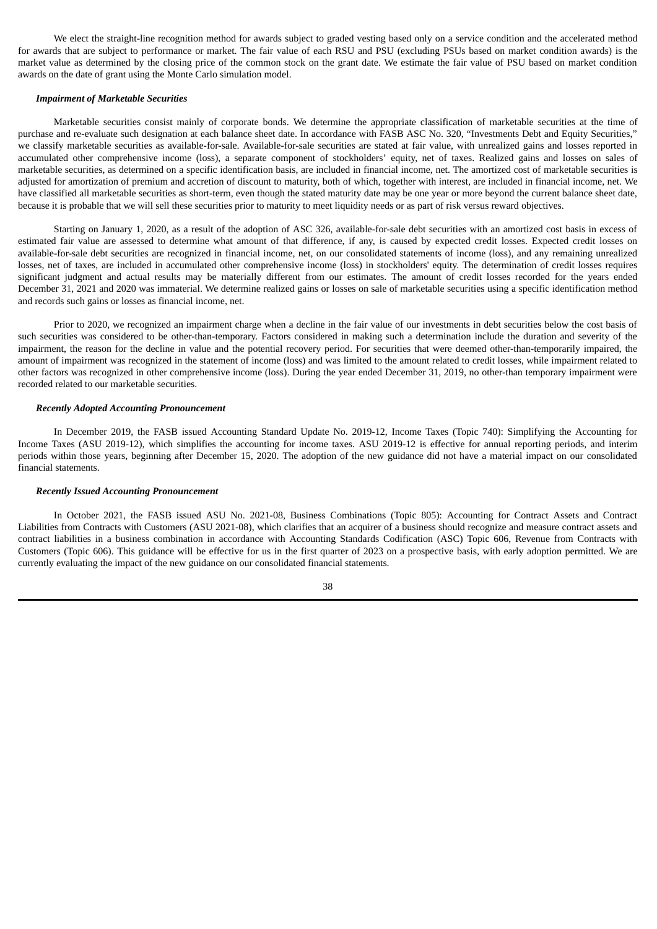We elect the straight-line recognition method for awards subject to graded vesting based only on a service condition and the accelerated method for awards that are subject to performance or market. The fair value of each RSU and PSU (excluding PSUs based on market condition awards) is the market value as determined by the closing price of the common stock on the grant date. We estimate the fair value of PSU based on market condition awards on the date of grant using the Monte Carlo simulation model.

### *Impairment of Marketable Securities*

Marketable securities consist mainly of corporate bonds. We determine the appropriate classification of marketable securities at the time of purchase and re-evaluate such designation at each balance sheet date. In accordance with FASB ASC No. 320, "Investments Debt and Equity Securities," we classify marketable securities as available-for-sale. Available-for-sale securities are stated at fair value, with unrealized gains and losses reported in accumulated other comprehensive income (loss), a separate component of stockholders' equity, net of taxes. Realized gains and losses on sales of marketable securities, as determined on a specific identification basis, are included in financial income, net. The amortized cost of marketable securities is adjusted for amortization of premium and accretion of discount to maturity, both of which, together with interest, are included in financial income, net. We have classified all marketable securities as short-term, even though the stated maturity date may be one year or more beyond the current balance sheet date, because it is probable that we will sell these securities prior to maturity to meet liquidity needs or as part of risk versus reward objectives.

Starting on January 1, 2020, as a result of the adoption of ASC 326, available-for-sale debt securities with an amortized cost basis in excess of estimated fair value are assessed to determine what amount of that difference, if any, is caused by expected credit losses. Expected credit losses on available-for-sale debt securities are recognized in financial income, net, on our consolidated statements of income (loss), and any remaining unrealized losses, net of taxes, are included in accumulated other comprehensive income (loss) in stockholders' equity. The determination of credit losses requires significant judgment and actual results may be materially different from our estimates. The amount of credit losses recorded for the years ended December 31, 2021 and 2020 was immaterial. We determine realized gains or losses on sale of marketable securities using a specific identification method and records such gains or losses as financial income, net.

Prior to 2020, we recognized an impairment charge when a decline in the fair value of our investments in debt securities below the cost basis of such securities was considered to be other-than-temporary. Factors considered in making such a determination include the duration and severity of the impairment, the reason for the decline in value and the potential recovery period. For securities that were deemed other-than-temporarily impaired, the amount of impairment was recognized in the statement of income (loss) and was limited to the amount related to credit losses, while impairment related to other factors was recognized in other comprehensive income (loss). During the year ended December 31, 2019, no other-than temporary impairment were recorded related to our marketable securities.

### *Recently Adopted Accounting Pronouncement*

In December 2019, the FASB issued Accounting Standard Update No. 2019-12, Income Taxes (Topic 740): Simplifying the Accounting for Income Taxes (ASU 2019-12), which simplifies the accounting for income taxes. ASU 2019-12 is effective for annual reporting periods, and interim periods within those years, beginning after December 15, 2020. The adoption of the new guidance did not have a material impact on our consolidated financial statements.

#### *Recently Issued Accounting Pronouncement*

In October 2021, the FASB issued ASU No. 2021-08, Business Combinations (Topic 805): Accounting for Contract Assets and Contract Liabilities from Contracts with Customers (ASU 2021-08), which clarifies that an acquirer of a business should recognize and measure contract assets and contract liabilities in a business combination in accordance with Accounting Standards Codification (ASC) Topic 606, Revenue from Contracts with Customers (Topic 606). This guidance will be effective for us in the first quarter of 2023 on a prospective basis, with early adoption permitted. We are currently evaluating the impact of the new guidance on our consolidated financial statements.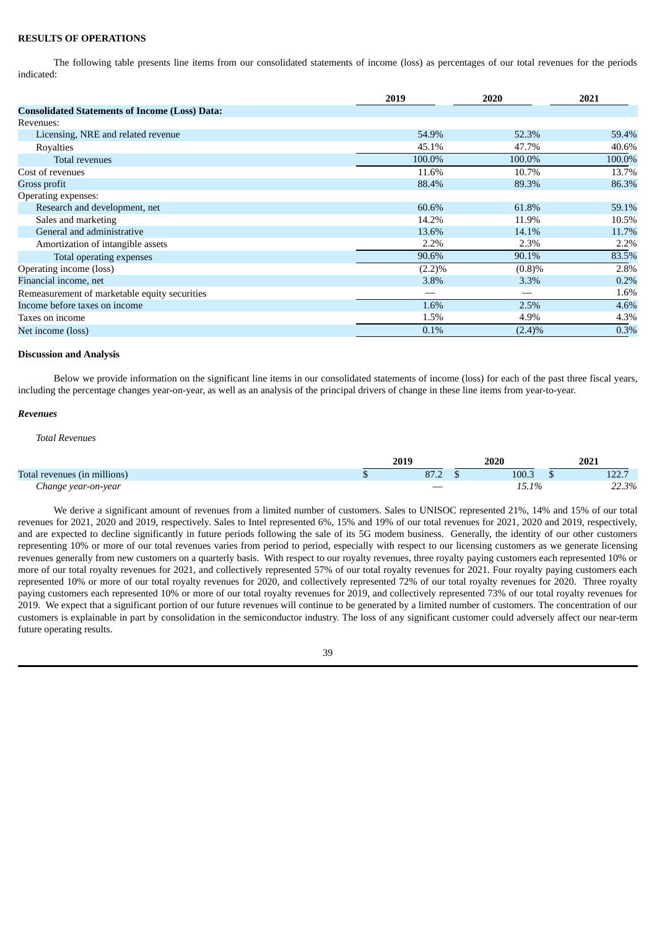## **RESULTS OF OPERATIONS**

The following table presents line items from our consolidated statements of income (loss) as percentages of our total revenues for the periods indicated:

|                                                       | 2019   | 2020      | 2021   |
|-------------------------------------------------------|--------|-----------|--------|
| <b>Consolidated Statements of Income (Loss) Data:</b> |        |           |        |
| Revenues:                                             |        |           |        |
| Licensing, NRE and related revenue                    | 54.9%  | 52.3%     | 59.4%  |
| Royalties                                             | 45.1%  | 47.7%     | 40.6%  |
| <b>Total revenues</b>                                 | 100.0% | 100.0%    | 100.0% |
| Cost of revenues                                      | 11.6%  | 10.7%     | 13.7%  |
| Gross profit                                          | 88.4%  | 89.3%     | 86.3%  |
| Operating expenses:                                   |        |           |        |
| Research and development, net                         | 60.6%  | 61.8%     | 59.1%  |
| Sales and marketing                                   | 14.2%  | 11.9%     | 10.5%  |
| General and administrative                            | 13.6%  | 14.1%     | 11.7%  |
| Amortization of intangible assets                     | 2.2%   | 2.3%      | 2.2%   |
| Total operating expenses                              | 90.6%  | 90.1%     | 83.5%  |
| Operating income (loss)                               | (2.2)% | (0.8)%    | 2.8%   |
| Financial income, net                                 | 3.8%   | 3.3%      | 0.2%   |
| Remeasurement of marketable equity securities         |        |           | 1.6%   |
| Income before taxes on income                         | 1.6%   | 2.5%      | 4.6%   |
| Taxes on income                                       | 1.5%   | 4.9%      | 4.3%   |
| Net income (loss)                                     | 0.1%   | $(2.4)\%$ | 0.3%   |

## **Discussion and Analysis**

Below we provide information on the significant line items in our consolidated statements of income (loss) for each of the past three fiscal years, including the percentage changes year-on-year, as well as an analysis of the principal drivers of change in these line items from year-to-year.

### *Revenues*

## *Total Revenues*

|                                              | 2019        | 2020  | 2021         |
|----------------------------------------------|-------------|-------|--------------|
| Total revenues<br>millions<br>$\mathfrak{m}$ | 0.7.7<br>–… | 100.3 | רחו<br>144.7 |
| : year-on-year<br>hange                      | _           | 10    | $22.3\%$     |

We derive a significant amount of revenues from a limited number of customers. Sales to UNISOC represented 21%, 14% and 15% of our total revenues for 2021, 2020 and 2019, respectively. Sales to Intel represented 6%, 15% and 19% of our total revenues for 2021, 2020 and 2019, respectively, and are expected to decline significantly in future periods following the sale of its 5G modem business. Generally, the identity of our other customers representing 10% or more of our total revenues varies from period to period, especially with respect to our licensing customers as we generate licensing revenues generally from new customers on a quarterly basis. With respect to our royalty revenues, three royalty paying customers each represented 10% or more of our total royalty revenues for 2021, and collectively represented 57% of our total royalty revenues for 2021. Four royalty paying customers each represented 10% or more of our total royalty revenues for 2020, and collectively represented 72% of our total royalty revenues for 2020. Three royalty paying customers each represented 10% or more of our total royalty revenues for 2019, and collectively represented 73% of our total royalty revenues for 2019. We expect that a significant portion of our future revenues will continue to be generated by a limited number of customers. The concentration of our customers is explainable in part by consolidation in the semiconductor industry. The loss of any significant customer could adversely affect our near-term future operating results.

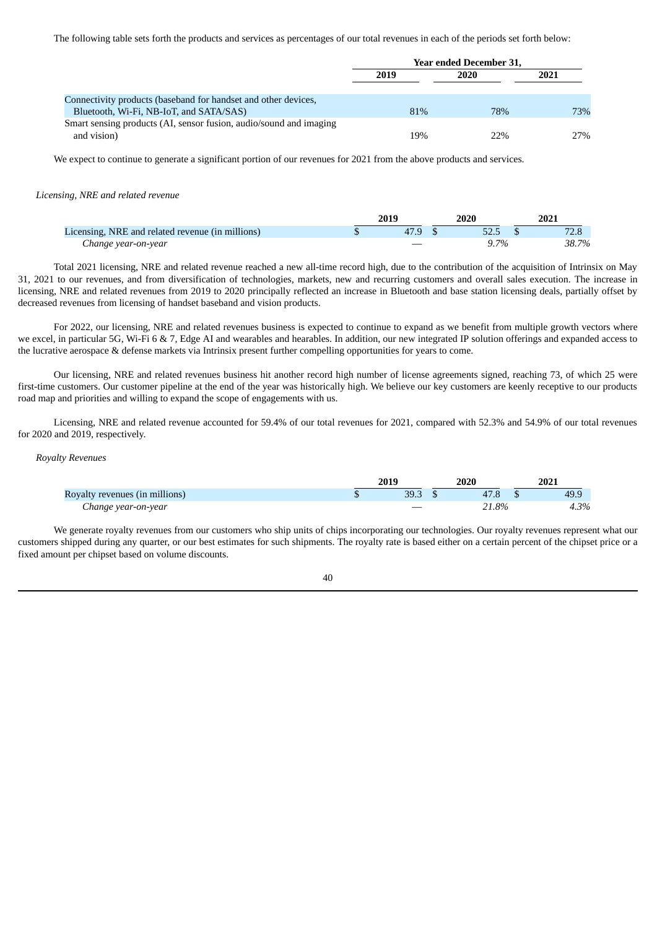The following table sets forth the products and services as percentages of our total revenues in each of the periods set forth below:

|                                                                                                           | <b>Year ended December 31,</b> |      |      |  |  |  |
|-----------------------------------------------------------------------------------------------------------|--------------------------------|------|------|--|--|--|
|                                                                                                           | 2019                           | 2020 | 2021 |  |  |  |
| Connectivity products (baseband for handset and other devices,<br>Bluetooth, Wi-Fi, NB-IoT, and SATA/SAS) | 81%                            | 78%  | 73%  |  |  |  |
| Smart sensing products (AI, sensor fusion, audio/sound and imaging<br>and vision)                         | 19%                            | 22%  | 27%  |  |  |  |

We expect to continue to generate a significant portion of our revenues for 2021 from the above products and services.

## *Licensing, NRE and related revenue*

|                                                  |  | 2020    | 2021  |
|--------------------------------------------------|--|---------|-------|
| Licensing, NRE and related revenue (in millions) |  |         |       |
| Change year-on-year                              |  | $9.7\%$ | 38.7% |

Total 2021 licensing, NRE and related revenue reached a new all-time record high, due to the contribution of the acquisition of Intrinsix on May 31, 2021 to our revenues, and from diversification of technologies, markets, new and recurring customers and overall sales execution. The increase in licensing, NRE and related revenues from 2019 to 2020 principally reflected an increase in Bluetooth and base station licensing deals, partially offset by decreased revenues from licensing of handset baseband and vision products.

For 2022, our licensing, NRE and related revenues business is expected to continue to expand as we benefit from multiple growth vectors where we excel, in particular 5G, Wi-Fi 6 & 7, Edge AI and wearables and hearables. In addition, our new integrated IP solution offerings and expanded access to the lucrative aerospace & defense markets via Intrinsix present further compelling opportunities for years to come.

Our licensing, NRE and related revenues business hit another record high number of license agreements signed, reaching 73, of which 25 were first-time customers. Our customer pipeline at the end of the year was historically high. We believe our key customers are keenly receptive to our products road map and priorities and willing to expand the scope of engagements with us.

Licensing, NRE and related revenue accounted for 59.4% of our total revenues for 2021, compared with 52.3% and 54.9% of our total revenues for 2020 and 2019, respectively.

## *Royalty Revenues*

|                                | 2010<br>40 I.S | 2020  | 2021 |
|--------------------------------|----------------|-------|------|
| Royalty revenues (in millions) | 50<br>JJ.J     |       | 49.9 |
| Change year-on-year            |                | 21.8% | .3%  |

We generate royalty revenues from our customers who ship units of chips incorporating our technologies. Our royalty revenues represent what our customers shipped during any quarter, or our best estimates for such shipments. The royalty rate is based either on a certain percent of the chipset price or a fixed amount per chipset based on volume discounts.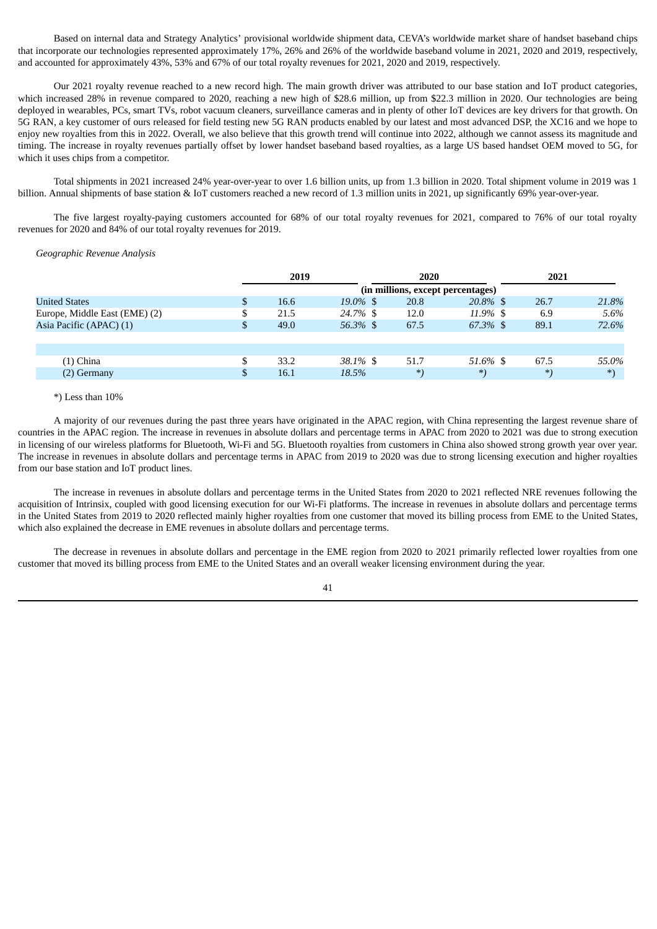Based on internal data and Strategy Analytics' provisional worldwide shipment data, CEVA's worldwide market share of handset baseband chips that incorporate our technologies represented approximately 17%, 26% and 26% of the worldwide baseband volume in 2021, 2020 and 2019, respectively, and accounted for approximately 43%, 53% and 67% of our total royalty revenues for 2021, 2020 and 2019, respectively.

Our 2021 royalty revenue reached to a new record high. The main growth driver was attributed to our base station and IoT product categories, which increased 28% in revenue compared to 2020, reaching a new high of \$28.6 million, up from \$22.3 million in 2020. Our technologies are being deployed in wearables, PCs, smart TVs, robot vacuum cleaners, surveillance cameras and in plenty of other IoT devices are key drivers for that growth. On 5G RAN, a key customer of ours released for field testing new 5G RAN products enabled by our latest and most advanced DSP, the XC16 and we hope to enjoy new royalties from this in 2022. Overall, we also believe that this growth trend will continue into 2022, although we cannot assess its magnitude and timing. The increase in royalty revenues partially offset by lower handset baseband based royalties, as a large US based handset OEM moved to 5G, for which it uses chips from a competitor.

Total shipments in 2021 increased 24% year-over-year to over 1.6 billion units, up from 1.3 billion in 2020. Total shipment volume in 2019 was 1 billion. Annual shipments of base station & IoT customers reached a new record of 1.3 million units in 2021, up significantly 69% year-over-year.

The five largest royalty-paying customers accounted for 68% of our total royalty revenues for 2021, compared to 76% of our total royalty revenues for 2020 and 84% of our total royalty revenues for 2019.

### *Geographic Revenue Analysis*

| 2019       |             | 2020   |             | 2021                              |       |
|------------|-------------|--------|-------------|-----------------------------------|-------|
|            |             |        |             |                                   |       |
| \$<br>16.6 | $19.0\%$ \$ | 20.8   | 20.8% \$    | 26.7                              | 21.8% |
| \$<br>21.5 | 24.7% \$    | 12.0   | $11.9\%$ \$ | 6.9                               | 5.6%  |
| \$<br>49.0 | 56.3% \$    | 67.5   | 67.3% \$    | 89.1                              | 72.6% |
|            |             |        |             |                                   |       |
|            |             |        |             |                                   |       |
| \$<br>33.2 | $38.1\%$ \$ | 51.7   | 51.6% \$    | 67.5                              | 55.0% |
| \$<br>16.1 | 18.5%       | $\ast$ | $\ast$      | $*$                               | $*$   |
|            |             |        |             | (in millions, except percentages) |       |

\*) Less than 10%

A majority of our revenues during the past three years have originated in the APAC region, with China representing the largest revenue share of countries in the APAC region. The increase in revenues in absolute dollars and percentage terms in APAC from 2020 to 2021 was due to strong execution in licensing of our wireless platforms for Bluetooth, Wi-Fi and 5G. Bluetooth royalties from customers in China also showed strong growth year over year. The increase in revenues in absolute dollars and percentage terms in APAC from 2019 to 2020 was due to strong licensing execution and higher royalties from our base station and IoT product lines.

The increase in revenues in absolute dollars and percentage terms in the United States from 2020 to 2021 reflected NRE revenues following the acquisition of Intrinsix, coupled with good licensing execution for our Wi-Fi platforms. The increase in revenues in absolute dollars and percentage terms in the United States from 2019 to 2020 reflected mainly higher royalties from one customer that moved its billing process from EME to the United States, which also explained the decrease in EME revenues in absolute dollars and percentage terms.

The decrease in revenues in absolute dollars and percentage in the EME region from 2020 to 2021 primarily reflected lower royalties from one customer that moved its billing process from EME to the United States and an overall weaker licensing environment during the year.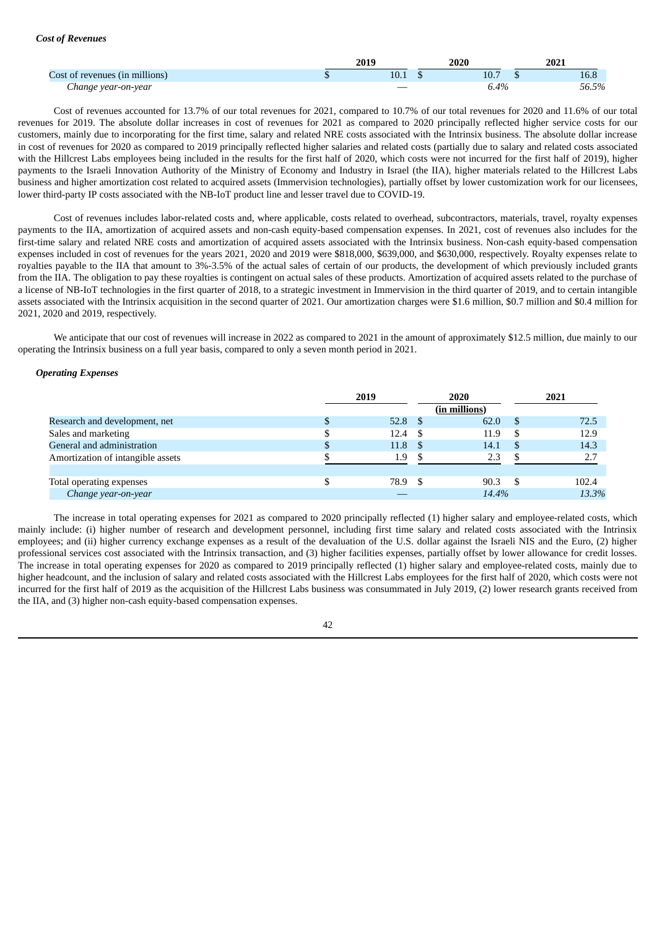|                                         | 2019                   | 2020           | 2021           |  |
|-----------------------------------------|------------------------|----------------|----------------|--|
| $-11$<br>lost of revenues (in millions) | 1 <sub>0</sub><br>10.I | $\sim$<br>10.7 | $\sim$<br>16.8 |  |
| year-on-year                            | __                     | $3.4\%$        | 56.5%          |  |

Cost of revenues accounted for 13.7% of our total revenues for 2021, compared to 10.7% of our total revenues for 2020 and 11.6% of our total revenues for 2019. The absolute dollar increases in cost of revenues for 2021 as compared to 2020 principally reflected higher service costs for our customers, mainly due to incorporating for the first time, salary and related NRE costs associated with the Intrinsix business. The absolute dollar increase in cost of revenues for 2020 as compared to 2019 principally reflected higher salaries and related costs (partially due to salary and related costs associated with the Hillcrest Labs employees being included in the results for the first half of 2020, which costs were not incurred for the first half of 2019), higher payments to the Israeli Innovation Authority of the Ministry of Economy and Industry in Israel (the IIA), higher materials related to the Hillcrest Labs business and higher amortization cost related to acquired assets (Immervision technologies), partially offset by lower customization work for our licensees, lower third-party IP costs associated with the NB-IoT product line and lesser travel due to COVID-19.

Cost of revenues includes labor-related costs and, where applicable, costs related to overhead, subcontractors, materials, travel, royalty expenses payments to the IIA, amortization of acquired assets and non-cash equity-based compensation expenses. In 2021, cost of revenues also includes for the first-time salary and related NRE costs and amortization of acquired assets associated with the Intrinsix business. Non-cash equity-based compensation expenses included in cost of revenues for the years 2021, 2020 and 2019 were \$818,000, \$639,000, and \$630,000, respectively. Royalty expenses relate to royalties payable to the IIA that amount to 3%-3.5% of the actual sales of certain of our products, the development of which previously included grants from the IIA. The obligation to pay these royalties is contingent on actual sales of these products. Amortization of acquired assets related to the purchase of a license of NB-IoT technologies in the first quarter of 2018, to a strategic investment in Immervision in the third quarter of 2019, and to certain intangible assets associated with the Intrinsix acquisition in the second quarter of 2021. Our amortization charges were \$1.6 million, \$0.7 million and \$0.4 million for 2021, 2020 and 2019, respectively.

We anticipate that our cost of revenues will increase in 2022 as compared to 2021 in the amount of approximately \$12.5 million, due mainly to our operating the Intrinsix business on a full year basis, compared to only a seven month period in 2021.

### *Operating Expenses*

|                                   | 2019      |      | 2020          | 2021  |
|-----------------------------------|-----------|------|---------------|-------|
|                                   |           |      | (in millions) |       |
| Research and development, net     | $52.8$ \$ |      | 62.0          | 72.5  |
| Sales and marketing               | 12.4      | - \$ | 11.9          | 12.9  |
| General and administration        | 11.8      |      | 14.1          | 14.3  |
| Amortization of intangible assets | 1.9       |      | 2.3           | 2.7   |
|                                   |           |      |               |       |
| Total operating expenses          | 78.9      | - \$ | 90.3          | 102.4 |
| Change year-on-year               |           |      | 14.4%         | 13.3% |

The increase in total operating expenses for 2021 as compared to 2020 principally reflected (1) higher salary and employee-related costs, which mainly include: (i) higher number of research and development personnel, including first time salary and related costs associated with the Intrinsix employees; and (ii) higher currency exchange expenses as a result of the devaluation of the U.S. dollar against the Israeli NIS and the Euro, (2) higher professional services cost associated with the Intrinsix transaction, and (3) higher facilities expenses, partially offset by lower allowance for credit losses. The increase in total operating expenses for 2020 as compared to 2019 principally reflected (1) higher salary and employee-related costs, mainly due to higher headcount, and the inclusion of salary and related costs associated with the Hillcrest Labs employees for the first half of 2020, which costs were not incurred for the first half of 2019 as the acquisition of the Hillcrest Labs business was consummated in July 2019, (2) lower research grants received from the IIA, and (3) higher non-cash equity-based compensation expenses.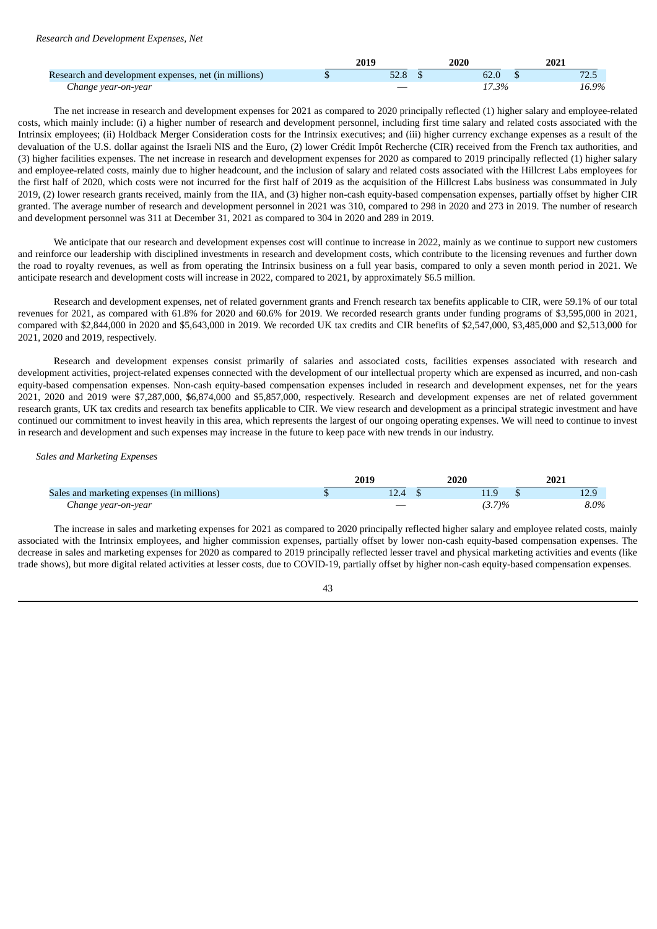|                                                      | 2019 | 2020 |      | 202    |
|------------------------------------------------------|------|------|------|--------|
| Research and development expenses, net (in millions) |      |      |      | $\sim$ |
| Change year-on-year                                  |      |      | 7.3% | 6.9%   |

The net increase in research and development expenses for 2021 as compared to 2020 principally reflected (1) higher salary and employee-related costs, which mainly include: (i) a higher number of research and development personnel, including first time salary and related costs associated with the Intrinsix employees; (ii) Holdback Merger Consideration costs for the Intrinsix executives; and (iii) higher currency exchange expenses as a result of the devaluation of the U.S. dollar against the Israeli NIS and the Euro, (2) lower Crédit Impôt Recherche (CIR) received from the French tax authorities, and (3) higher facilities expenses. The net increase in research and development expenses for 2020 as compared to 2019 principally reflected (1) higher salary and employee-related costs, mainly due to higher headcount, and the inclusion of salary and related costs associated with the Hillcrest Labs employees for the first half of 2020, which costs were not incurred for the first half of 2019 as the acquisition of the Hillcrest Labs business was consummated in July 2019, (2) lower research grants received, mainly from the IIA, and (3) higher non-cash equity-based compensation expenses, partially offset by higher CIR granted. The average number of research and development personnel in 2021 was 310, compared to 298 in 2020 and 273 in 2019. The number of research and development personnel was 311 at December 31, 2021 as compared to 304 in 2020 and 289 in 2019.

We anticipate that our research and development expenses cost will continue to increase in 2022, mainly as we continue to support new customers and reinforce our leadership with disciplined investments in research and development costs, which contribute to the licensing revenues and further down the road to royalty revenues, as well as from operating the Intrinsix business on a full year basis, compared to only a seven month period in 2021. We anticipate research and development costs will increase in 2022, compared to 2021, by approximately \$6.5 million.

Research and development expenses, net of related government grants and French research tax benefits applicable to CIR, were 59.1% of our total revenues for 2021, as compared with 61.8% for 2020 and 60.6% for 2019. We recorded research grants under funding programs of \$3,595,000 in 2021, compared with \$2,844,000 in 2020 and \$5,643,000 in 2019. We recorded UK tax credits and CIR benefits of \$2,547,000, \$3,485,000 and \$2,513,000 for 2021, 2020 and 2019, respectively.

Research and development expenses consist primarily of salaries and associated costs, facilities expenses associated with research and development activities, project-related expenses connected with the development of our intellectual property which are expensed as incurred, and non-cash equity-based compensation expenses. Non-cash equity-based compensation expenses included in research and development expenses, net for the years 2021, 2020 and 2019 were \$7,287,000, \$6,874,000 and \$5,857,000, respectively. Research and development expenses are net of related government research grants, UK tax credits and research tax benefits applicable to CIR. We view research and development as a principal strategic investment and have continued our commitment to invest heavily in this area, which represents the largest of our ongoing operating expenses. We will need to continue to invest in research and development and such expenses may increase in the future to keep pace with new trends in our industry.

*Sales and Marketing Expenses*

|                                            | 2019                 | 2020         | 2021 |         |
|--------------------------------------------|----------------------|--------------|------|---------|
| Sales and marketing expenses (in millions) | 1 <sub>2</sub><br>-- |              |      | ن م کیا |
| Change year-on-year                        | __                   | 7)%<br>ເບ. / |      | 8.0%    |

The increase in sales and marketing expenses for 2021 as compared to 2020 principally reflected higher salary and employee related costs, mainly associated with the Intrinsix employees, and higher commission expenses, partially offset by lower non-cash equity-based compensation expenses. The decrease in sales and marketing expenses for 2020 as compared to 2019 principally reflected lesser travel and physical marketing activities and events (like trade shows), but more digital related activities at lesser costs, due to COVID-19, partially offset by higher non-cash equity-based compensation expenses.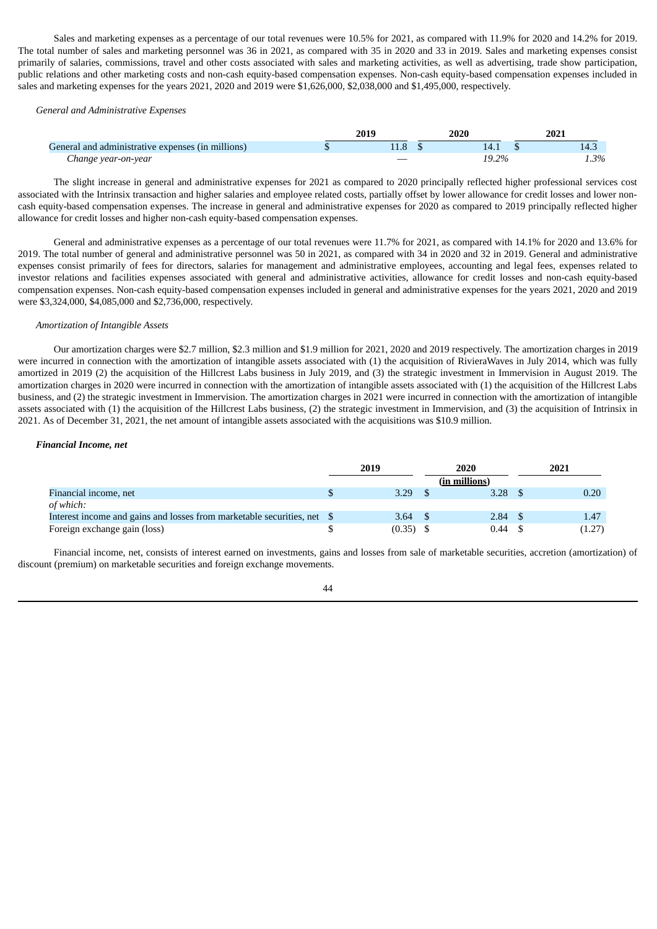Sales and marketing expenses as a percentage of our total revenues were 10.5% for 2021, as compared with 11.9% for 2020 and 14.2% for 2019. The total number of sales and marketing personnel was 36 in 2021, as compared with 35 in 2020 and 33 in 2019. Sales and marketing expenses consist primarily of salaries, commissions, travel and other costs associated with sales and marketing activities, as well as advertising, trade show participation, public relations and other marketing costs and non-cash equity-based compensation expenses. Non-cash equity-based compensation expenses included in sales and marketing expenses for the years 2021, 2020 and 2019 were \$1,626,000, \$2,038,000 and \$1,495,000, respectively.

### *General and Administrative Expenses*

|                                                   | 2019 | 2020  | 2021 |      |
|---------------------------------------------------|------|-------|------|------|
| General and administrative expenses (in millions) |      |       |      | 14.3 |
| Change year-on-year                               |      | 19.2% |      | 1.3% |

The slight increase in general and administrative expenses for 2021 as compared to 2020 principally reflected higher professional services cost associated with the Intrinsix transaction and higher salaries and employee related costs, partially offset by lower allowance for credit losses and lower noncash equity-based compensation expenses. The increase in general and administrative expenses for 2020 as compared to 2019 principally reflected higher allowance for credit losses and higher non-cash equity-based compensation expenses.

General and administrative expenses as a percentage of our total revenues were 11.7% for 2021, as compared with 14.1% for 2020 and 13.6% for 2019. The total number of general and administrative personnel was 50 in 2021, as compared with 34 in 2020 and 32 in 2019. General and administrative expenses consist primarily of fees for directors, salaries for management and administrative employees, accounting and legal fees, expenses related to investor relations and facilities expenses associated with general and administrative activities, allowance for credit losses and non-cash equity-based compensation expenses. Non-cash equity-based compensation expenses included in general and administrative expenses for the years 2021, 2020 and 2019 were \$3,324,000, \$4,085,000 and \$2,736,000, respectively.

### *Amortization of Intangible Assets*

Our amortization charges were \$2.7 million, \$2.3 million and \$1.9 million for 2021, 2020 and 2019 respectively. The amortization charges in 2019 were incurred in connection with the amortization of intangible assets associated with (1) the acquisition of RivieraWaves in July 2014, which was fully amortized in 2019 (2) the acquisition of the Hillcrest Labs business in July 2019, and (3) the strategic investment in Immervision in August 2019. The amortization charges in 2020 were incurred in connection with the amortization of intangible assets associated with (1) the acquisition of the Hillcrest Labs business, and (2) the strategic investment in Immervision. The amortization charges in 2021 were incurred in connection with the amortization of intangible assets associated with (1) the acquisition of the Hillcrest Labs business, (2) the strategic investment in Immervision, and (3) the acquisition of Intrinsix in 2021. As of December 31, 2021, the net amount of intangible assets associated with the acquisitions was \$10.9 million.

### *Financial Income, net*

|                                                                         | 2019 |        | 2020 |               | 2021   |
|-------------------------------------------------------------------------|------|--------|------|---------------|--------|
|                                                                         |      |        |      | (in millions) |        |
| Financial income, net                                                   |      | 3.29   |      | 3.28          | 0.20   |
| of which:                                                               |      |        |      |               |        |
| Interest income and gains and losses from marketable securities, net \$ |      | 3.64   |      | 2.84          | 1.47   |
| Foreign exchange gain (loss)                                            |      | (0.35) |      | 0.44          | (1.27) |

Financial income, net, consists of interest earned on investments, gains and losses from sale of marketable securities, accretion (amortization) of discount (premium) on marketable securities and foreign exchange movements.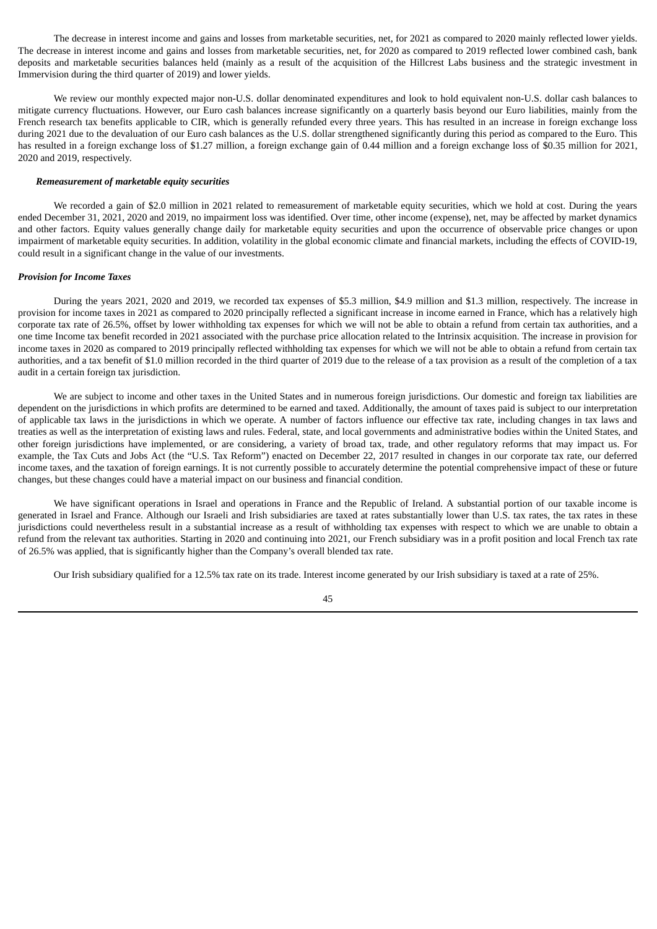The decrease in interest income and gains and losses from marketable securities, net, for 2021 as compared to 2020 mainly reflected lower yields. The decrease in interest income and gains and losses from marketable securities, net, for 2020 as compared to 2019 reflected lower combined cash, bank deposits and marketable securities balances held (mainly as a result of the acquisition of the Hillcrest Labs business and the strategic investment in Immervision during the third quarter of 2019) and lower yields.

We review our monthly expected major non-U.S. dollar denominated expenditures and look to hold equivalent non-U.S. dollar cash balances to mitigate currency fluctuations. However, our Euro cash balances increase significantly on a quarterly basis beyond our Euro liabilities, mainly from the French research tax benefits applicable to CIR, which is generally refunded every three years. This has resulted in an increase in foreign exchange loss during 2021 due to the devaluation of our Euro cash balances as the U.S. dollar strengthened significantly during this period as compared to the Euro. This has resulted in a foreign exchange loss of \$1.27 million, a foreign exchange gain of 0.44 million and a foreign exchange loss of \$0.35 million for 2021, 2020 and 2019, respectively.

#### *Remeasurement of marketable equity securities*

We recorded a gain of \$2.0 million in 2021 related to remeasurement of marketable equity securities, which we hold at cost. During the years ended December 31, 2021, 2020 and 2019, no impairment loss was identified. Over time, other income (expense), net, may be affected by market dynamics and other factors. Equity values generally change daily for marketable equity securities and upon the occurrence of observable price changes or upon impairment of marketable equity securities. In addition, volatility in the global economic climate and financial markets, including the effects of COVID-19, could result in a significant change in the value of our investments.

#### *Provision for Income Taxes*

During the years 2021, 2020 and 2019, we recorded tax expenses of \$5.3 million, \$4.9 million and \$1.3 million, respectively. The increase in provision for income taxes in 2021 as compared to 2020 principally reflected a significant increase in income earned in France, which has a relatively high corporate tax rate of 26.5%, offset by lower withholding tax expenses for which we will not be able to obtain a refund from certain tax authorities, and a one time Income tax benefit recorded in 2021 associated with the purchase price allocation related to the Intrinsix acquisition. The increase in provision for income taxes in 2020 as compared to 2019 principally reflected withholding tax expenses for which we will not be able to obtain a refund from certain tax authorities, and a tax benefit of \$1.0 million recorded in the third quarter of 2019 due to the release of a tax provision as a result of the completion of a tax audit in a certain foreign tax jurisdiction.

We are subject to income and other taxes in the United States and in numerous foreign jurisdictions. Our domestic and foreign tax liabilities are dependent on the jurisdictions in which profits are determined to be earned and taxed. Additionally, the amount of taxes paid is subject to our interpretation of applicable tax laws in the jurisdictions in which we operate. A number of factors influence our effective tax rate, including changes in tax laws and treaties as well as the interpretation of existing laws and rules. Federal, state, and local governments and administrative bodies within the United States, and other foreign jurisdictions have implemented, or are considering, a variety of broad tax, trade, and other regulatory reforms that may impact us. For example, the Tax Cuts and Jobs Act (the "U.S. Tax Reform") enacted on December 22, 2017 resulted in changes in our corporate tax rate, our deferred income taxes, and the taxation of foreign earnings. It is not currently possible to accurately determine the potential comprehensive impact of these or future changes, but these changes could have a material impact on our business and financial condition.

We have significant operations in Israel and operations in France and the Republic of Ireland. A substantial portion of our taxable income is generated in Israel and France. Although our Israeli and Irish subsidiaries are taxed at rates substantially lower than U.S. tax rates, the tax rates in these jurisdictions could nevertheless result in a substantial increase as a result of withholding tax expenses with respect to which we are unable to obtain a refund from the relevant tax authorities. Starting in 2020 and continuing into 2021, our French subsidiary was in a profit position and local French tax rate of 26.5% was applied, that is significantly higher than the Company's overall blended tax rate.

Our Irish subsidiary qualified for a 12.5% tax rate on its trade. Interest income generated by our Irish subsidiary is taxed at a rate of 25%.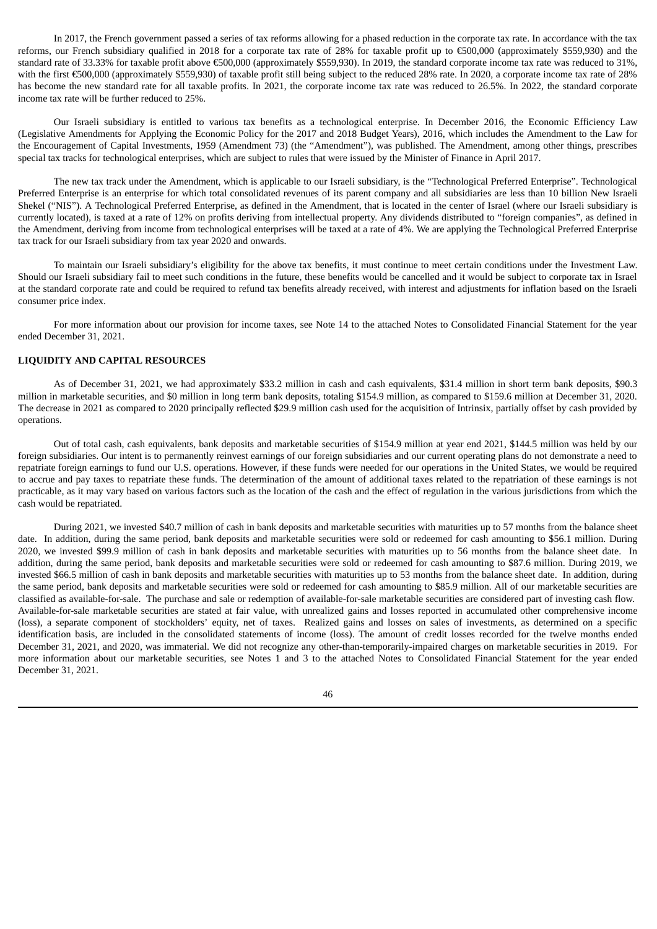In 2017, the French government passed a series of tax reforms allowing for a phased reduction in the corporate tax rate. In accordance with the tax reforms, our French subsidiary qualified in 2018 for a corporate tax rate of 28% for taxable profit up to €500,000 (approximately \$559,930) and the standard rate of 33.33% for taxable profit above €500,000 (approximately \$559,930). In 2019, the standard corporate income tax rate was reduced to 31%, with the first €500,000 (approximately \$559,930) of taxable profit still being subject to the reduced 28% rate. In 2020, a corporate income tax rate of 28% has become the new standard rate for all taxable profits. In 2021, the corporate income tax rate was reduced to 26.5%. In 2022, the standard corporate income tax rate will be further reduced to 25%.

Our Israeli subsidiary is entitled to various tax benefits as a technological enterprise. In December 2016, the Economic Efficiency Law (Legislative Amendments for Applying the Economic Policy for the 2017 and 2018 Budget Years), 2016, which includes the Amendment to the Law for the Encouragement of Capital Investments, 1959 (Amendment 73) (the "Amendment"), was published. The Amendment, among other things, prescribes special tax tracks for technological enterprises, which are subject to rules that were issued by the Minister of Finance in April 2017.

The new tax track under the Amendment, which is applicable to our Israeli subsidiary, is the "Technological Preferred Enterprise". Technological Preferred Enterprise is an enterprise for which total consolidated revenues of its parent company and all subsidiaries are less than 10 billion New Israeli Shekel ("NIS"). A Technological Preferred Enterprise, as defined in the Amendment, that is located in the center of Israel (where our Israeli subsidiary is currently located), is taxed at a rate of 12% on profits deriving from intellectual property. Any dividends distributed to "foreign companies", as defined in the Amendment, deriving from income from technological enterprises will be taxed at a rate of 4%. We are applying the Technological Preferred Enterprise tax track for our Israeli subsidiary from tax year 2020 and onwards.

To maintain our Israeli subsidiary's eligibility for the above tax benefits, it must continue to meet certain conditions under the Investment Law. Should our Israeli subsidiary fail to meet such conditions in the future, these benefits would be cancelled and it would be subject to corporate tax in Israel at the standard corporate rate and could be required to refund tax benefits already received, with interest and adjustments for inflation based on the Israeli consumer price index.

For more information about our provision for income taxes, see Note 14 to the attached Notes to Consolidated Financial Statement for the year ended December 31, 2021.

## **LIQUIDITY AND CAPITAL RESOURCES**

As of December 31, 2021, we had approximately \$33.2 million in cash and cash equivalents, \$31.4 million in short term bank deposits, \$90.3 million in marketable securities, and \$0 million in long term bank deposits, totaling \$154.9 million, as compared to \$159.6 million at December 31, 2020. The decrease in 2021 as compared to 2020 principally reflected \$29.9 million cash used for the acquisition of Intrinsix, partially offset by cash provided by operations.

Out of total cash, cash equivalents, bank deposits and marketable securities of \$154.9 million at year end 2021, \$144.5 million was held by our foreign subsidiaries. Our intent is to permanently reinvest earnings of our foreign subsidiaries and our current operating plans do not demonstrate a need to repatriate foreign earnings to fund our U.S. operations. However, if these funds were needed for our operations in the United States, we would be required to accrue and pay taxes to repatriate these funds. The determination of the amount of additional taxes related to the repatriation of these earnings is not practicable, as it may vary based on various factors such as the location of the cash and the effect of regulation in the various jurisdictions from which the cash would be repatriated.

During 2021, we invested \$40.7 million of cash in bank deposits and marketable securities with maturities up to 57 months from the balance sheet date. In addition, during the same period, bank deposits and marketable securities were sold or redeemed for cash amounting to \$56.1 million. During 2020, we invested \$99.9 million of cash in bank deposits and marketable securities with maturities up to 56 months from the balance sheet date. In addition, during the same period, bank deposits and marketable securities were sold or redeemed for cash amounting to \$87.6 million. During 2019, we invested \$66.5 million of cash in bank deposits and marketable securities with maturities up to 53 months from the balance sheet date. In addition, during the same period, bank deposits and marketable securities were sold or redeemed for cash amounting to \$85.9 million. All of our marketable securities are classified as available-for-sale. The purchase and sale or redemption of available-for-sale marketable securities are considered part of investing cash flow. Available-for-sale marketable securities are stated at fair value, with unrealized gains and losses reported in accumulated other comprehensive income (loss), a separate component of stockholders' equity, net of taxes. Realized gains and losses on sales of investments, as determined on a specific identification basis, are included in the consolidated statements of income (loss). The amount of credit losses recorded for the twelve months ended December 31, 2021, and 2020, was immaterial. We did not recognize any other-than-temporarily-impaired charges on marketable securities in 2019. For more information about our marketable securities, see Notes 1 and 3 to the attached Notes to Consolidated Financial Statement for the year ended December 31, 2021.

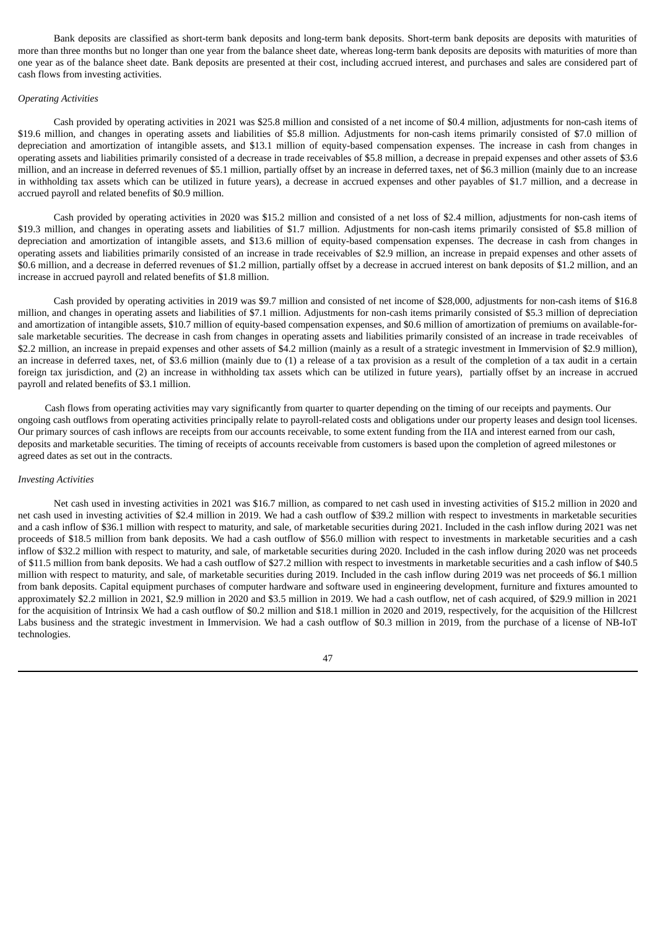Bank deposits are classified as short-term bank deposits and long-term bank deposits. Short-term bank deposits are deposits with maturities of more than three months but no longer than one year from the balance sheet date, whereas long-term bank deposits are deposits with maturities of more than one year as of the balance sheet date. Bank deposits are presented at their cost, including accrued interest, and purchases and sales are considered part of cash flows from investing activities.

## *Operating Activities*

Cash provided by operating activities in 2021 was \$25.8 million and consisted of a net income of \$0.4 million, adjustments for non-cash items of \$19.6 million, and changes in operating assets and liabilities of \$5.8 million. Adjustments for non-cash items primarily consisted of \$7.0 million of depreciation and amortization of intangible assets, and \$13.1 million of equity-based compensation expenses. The increase in cash from changes in operating assets and liabilities primarily consisted of a decrease in trade receivables of \$5.8 million, a decrease in prepaid expenses and other assets of \$3.6 million, and an increase in deferred revenues of \$5.1 million, partially offset by an increase in deferred taxes, net of \$6.3 million (mainly due to an increase in withholding tax assets which can be utilized in future years), a decrease in accrued expenses and other payables of \$1.7 million, and a decrease in accrued payroll and related benefits of \$0.9 million.

Cash provided by operating activities in 2020 was \$15.2 million and consisted of a net loss of \$2.4 million, adjustments for non-cash items of \$19.3 million, and changes in operating assets and liabilities of \$1.7 million. Adjustments for non-cash items primarily consisted of \$5.8 million of depreciation and amortization of intangible assets, and \$13.6 million of equity-based compensation expenses. The decrease in cash from changes in operating assets and liabilities primarily consisted of an increase in trade receivables of \$2.9 million, an increase in prepaid expenses and other assets of \$0.6 million, and a decrease in deferred revenues of \$1.2 million, partially offset by a decrease in accrued interest on bank deposits of \$1.2 million, and an increase in accrued payroll and related benefits of \$1.8 million.

Cash provided by operating activities in 2019 was \$9.7 million and consisted of net income of \$28,000, adjustments for non-cash items of \$16.8 million, and changes in operating assets and liabilities of \$7.1 million. Adjustments for non-cash items primarily consisted of \$5.3 million of depreciation and amortization of intangible assets, \$10.7 million of equity-based compensation expenses, and \$0.6 million of amortization of premiums on available-forsale marketable securities. The decrease in cash from changes in operating assets and liabilities primarily consisted of an increase in trade receivables of \$2.2 million, an increase in prepaid expenses and other assets of \$4.2 million (mainly as a result of a strategic investment in Immervision of \$2.9 million), an increase in deferred taxes, net, of \$3.6 million (mainly due to (1) a release of a tax provision as a result of the completion of a tax audit in a certain foreign tax jurisdiction, and (2) an increase in withholding tax assets which can be utilized in future years), partially offset by an increase in accrued payroll and related benefits of \$3.1 million.

Cash flows from operating activities may vary significantly from quarter to quarter depending on the timing of our receipts and payments. Our ongoing cash outflows from operating activities principally relate to payroll-related costs and obligations under our property leases and design tool licenses. Our primary sources of cash inflows are receipts from our accounts receivable, to some extent funding from the IIA and interest earned from our cash, deposits and marketable securities. The timing of receipts of accounts receivable from customers is based upon the completion of agreed milestones or agreed dates as set out in the contracts.

## *Investing Activities*

Net cash used in investing activities in 2021 was \$16.7 million, as compared to net cash used in investing activities of \$15.2 million in 2020 and net cash used in investing activities of \$2.4 million in 2019. We had a cash outflow of \$39.2 million with respect to investments in marketable securities and a cash inflow of \$36.1 million with respect to maturity, and sale, of marketable securities during 2021. Included in the cash inflow during 2021 was net proceeds of \$18.5 million from bank deposits. We had a cash outflow of \$56.0 million with respect to investments in marketable securities and a cash inflow of \$32.2 million with respect to maturity, and sale, of marketable securities during 2020. Included in the cash inflow during 2020 was net proceeds of \$11.5 million from bank deposits. We had a cash outflow of \$27.2 million with respect to investments in marketable securities and a cash inflow of \$40.5 million with respect to maturity, and sale, of marketable securities during 2019. Included in the cash inflow during 2019 was net proceeds of \$6.1 million from bank deposits. Capital equipment purchases of computer hardware and software used in engineering development, furniture and fixtures amounted to approximately \$2.2 million in 2021, \$2.9 million in 2020 and \$3.5 million in 2019. We had a cash outflow, net of cash acquired, of \$29.9 million in 2021 for the acquisition of Intrinsix We had a cash outflow of \$0.2 million and \$18.1 million in 2020 and 2019, respectively, for the acquisition of the Hillcrest Labs business and the strategic investment in Immervision. We had a cash outflow of \$0.3 million in 2019, from the purchase of a license of NB-IoT technologies.

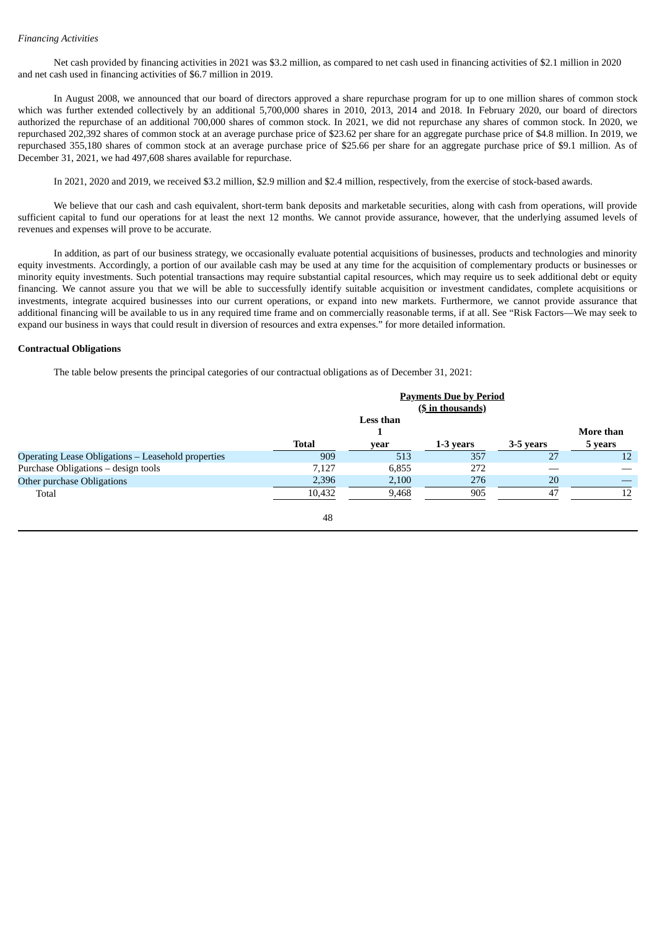## *Financing Activities*

Net cash provided by financing activities in 2021 was \$3.2 million, as compared to net cash used in financing activities of \$2.1 million in 2020 and net cash used in financing activities of \$6.7 million in 2019.

In August 2008, we announced that our board of directors approved a share repurchase program for up to one million shares of common stock which was further extended collectively by an additional 5,700,000 shares in 2010, 2013, 2014 and 2018. In February 2020, our board of directors authorized the repurchase of an additional 700,000 shares of common stock. In 2021, we did not repurchase any shares of common stock. In 2020, we repurchased 202,392 shares of common stock at an average purchase price of \$23.62 per share for an aggregate purchase price of \$4.8 million. In 2019, we repurchased 355,180 shares of common stock at an average purchase price of \$25.66 per share for an aggregate purchase price of \$9.1 million. As of December 31, 2021, we had 497,608 shares available for repurchase.

In 2021, 2020 and 2019, we received \$3.2 million, \$2.9 million and \$2.4 million, respectively, from the exercise of stock-based awards.

We believe that our cash and cash equivalent, short-term bank deposits and marketable securities, along with cash from operations, will provide sufficient capital to fund our operations for at least the next 12 months. We cannot provide assurance, however, that the underlying assumed levels of revenues and expenses will prove to be accurate.

In addition, as part of our business strategy, we occasionally evaluate potential acquisitions of businesses, products and technologies and minority equity investments. Accordingly, a portion of our available cash may be used at any time for the acquisition of complementary products or businesses or minority equity investments. Such potential transactions may require substantial capital resources, which may require us to seek additional debt or equity financing. We cannot assure you that we will be able to successfully identify suitable acquisition or investment candidates, complete acquisitions or investments, integrate acquired businesses into our current operations, or expand into new markets. Furthermore, we cannot provide assurance that additional financing will be available to us in any required time frame and on commercially reasonable terms, if at all. See "Risk Factors—We may seek to expand our business in ways that could result in diversion of resources and extra expenses." for more detailed information.

## **Contractual Obligations**

The table below presents the principal categories of our contractual obligations as of December 31, 2021:

|                                                    |              |           | <b>Payments Due by Period</b><br>(\$ in thousands) |           |           |
|----------------------------------------------------|--------------|-----------|----------------------------------------------------|-----------|-----------|
|                                                    |              | Less than |                                                    |           | More than |
|                                                    | <b>Total</b> | vear      | 1-3 years                                          | 3-5 years | 5 years   |
| Operating Lease Obligations – Leasehold properties | 909          | 513       | 357                                                | 27        | 12        |
| Purchase Obligations - design tools                | 7,127        | 6,855     | 272                                                |           |           |
| Other purchase Obligations                         | 2,396        | 2,100     | 276                                                | 20        |           |
| Total                                              | 10,432       | 9,468     | 905                                                | 47        | 12        |
|                                                    | 48           |           |                                                    |           |           |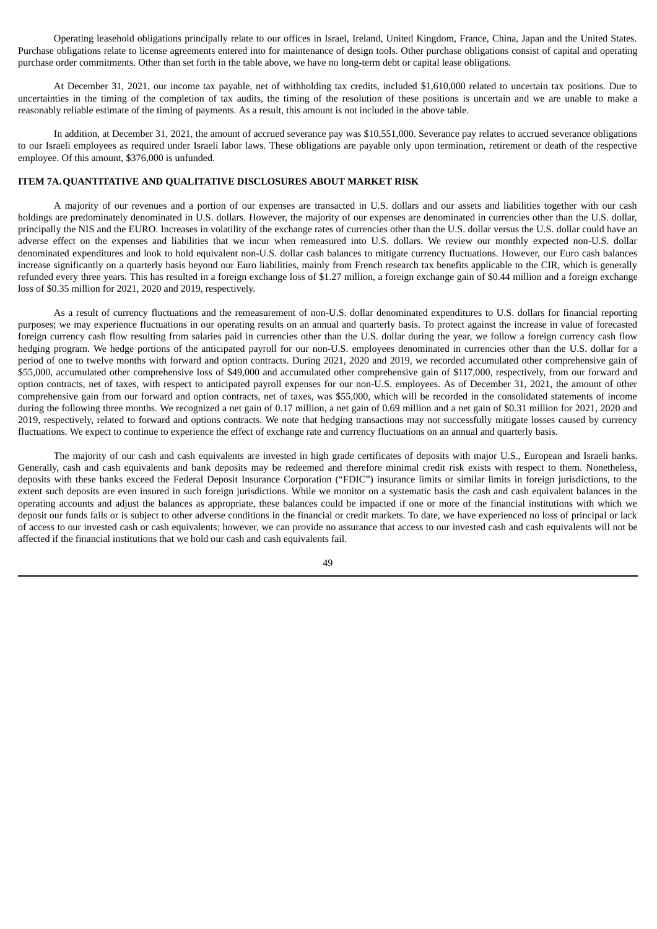Operating leasehold obligations principally relate to our offices in Israel, Ireland, United Kingdom, France, China, Japan and the United States. Purchase obligations relate to license agreements entered into for maintenance of design tools. Other purchase obligations consist of capital and operating purchase order commitments. Other than set forth in the table above, we have no long-term debt or capital lease obligations.

At December 31, 2021, our income tax payable, net of withholding tax credits, included \$1,610,000 related to uncertain tax positions. Due to uncertainties in the timing of the completion of tax audits, the timing of the resolution of these positions is uncertain and we are unable to make a reasonably reliable estimate of the timing of payments. As a result, this amount is not included in the above table.

In addition, at December 31, 2021, the amount of accrued severance pay was \$10,551,000. Severance pay relates to accrued severance obligations to our Israeli employees as required under Israeli labor laws. These obligations are payable only upon termination, retirement or death of the respective employee. Of this amount, \$376,000 is unfunded.

## **ITEM 7A.QUANTITATIVE AND QUALITATIVE DISCLOSURES ABOUT MARKET RISK**

A majority of our revenues and a portion of our expenses are transacted in U.S. dollars and our assets and liabilities together with our cash holdings are predominately denominated in U.S. dollars. However, the majority of our expenses are denominated in currencies other than the U.S. dollar, principally the NIS and the EURO. Increases in volatility of the exchange rates of currencies other than the U.S. dollar versus the U.S. dollar could have an adverse effect on the expenses and liabilities that we incur when remeasured into U.S. dollars. We review our monthly expected non-U.S. dollar denominated expenditures and look to hold equivalent non-U.S. dollar cash balances to mitigate currency fluctuations. However, our Euro cash balances increase significantly on a quarterly basis beyond our Euro liabilities, mainly from French research tax benefits applicable to the CIR, which is generally refunded every three years. This has resulted in a foreign exchange loss of \$1.27 million, a foreign exchange gain of \$0.44 million and a foreign exchange loss of \$0.35 million for 2021, 2020 and 2019, respectively.

As a result of currency fluctuations and the remeasurement of non-U.S. dollar denominated expenditures to U.S. dollars for financial reporting purposes; we may experience fluctuations in our operating results on an annual and quarterly basis. To protect against the increase in value of forecasted foreign currency cash flow resulting from salaries paid in currencies other than the U.S. dollar during the year, we follow a foreign currency cash flow hedging program. We hedge portions of the anticipated payroll for our non-U.S. employees denominated in currencies other than the U.S. dollar for a period of one to twelve months with forward and option contracts. During 2021, 2020 and 2019, we recorded accumulated other comprehensive gain of \$55,000, accumulated other comprehensive loss of \$49,000 and accumulated other comprehensive gain of \$117,000, respectively, from our forward and option contracts, net of taxes, with respect to anticipated payroll expenses for our non-U.S. employees. As of December 31, 2021, the amount of other comprehensive gain from our forward and option contracts, net of taxes, was \$55,000, which will be recorded in the consolidated statements of income during the following three months. We recognized a net gain of 0.17 million, a net gain of 0.69 million and a net gain of \$0.31 million for 2021, 2020 and 2019, respectively, related to forward and options contracts. We note that hedging transactions may not successfully mitigate losses caused by currency fluctuations. We expect to continue to experience the effect of exchange rate and currency fluctuations on an annual and quarterly basis.

The majority of our cash and cash equivalents are invested in high grade certificates of deposits with major U.S., European and Israeli banks. Generally, cash and cash equivalents and bank deposits may be redeemed and therefore minimal credit risk exists with respect to them. Nonetheless, deposits with these banks exceed the Federal Deposit Insurance Corporation ("FDIC") insurance limits or similar limits in foreign jurisdictions, to the extent such deposits are even insured in such foreign jurisdictions. While we monitor on a systematic basis the cash and cash equivalent balances in the operating accounts and adjust the balances as appropriate, these balances could be impacted if one or more of the financial institutions with which we deposit our funds fails or is subject to other adverse conditions in the financial or credit markets. To date, we have experienced no loss of principal or lack of access to our invested cash or cash equivalents; however, we can provide no assurance that access to our invested cash and cash equivalents will not be affected if the financial institutions that we hold our cash and cash equivalents fail.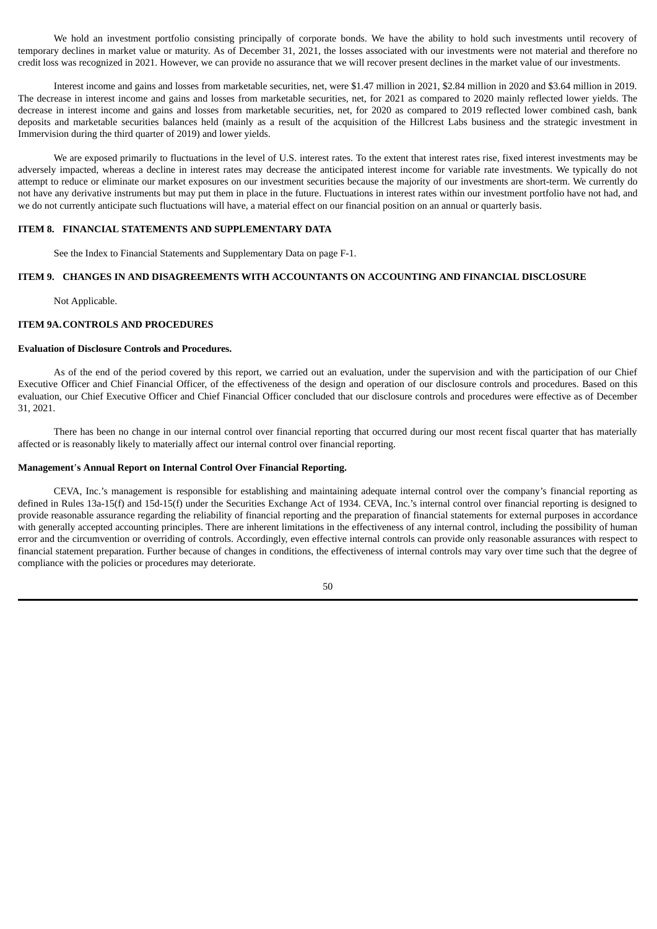We hold an investment portfolio consisting principally of corporate bonds. We have the ability to hold such investments until recovery of temporary declines in market value or maturity. As of December 31, 2021, the losses associated with our investments were not material and therefore no credit loss was recognized in 2021. However, we can provide no assurance that we will recover present declines in the market value of our investments.

Interest income and gains and losses from marketable securities, net, were \$1.47 million in 2021, \$2.84 million in 2020 and \$3.64 million in 2019. The decrease in interest income and gains and losses from marketable securities, net, for 2021 as compared to 2020 mainly reflected lower yields. The decrease in interest income and gains and losses from marketable securities, net, for 2020 as compared to 2019 reflected lower combined cash, bank deposits and marketable securities balances held (mainly as a result of the acquisition of the Hillcrest Labs business and the strategic investment in Immervision during the third quarter of 2019) and lower yields.

We are exposed primarily to fluctuations in the level of U.S. interest rates. To the extent that interest rates rise, fixed interest investments may be adversely impacted, whereas a decline in interest rates may decrease the anticipated interest income for variable rate investments. We typically do not attempt to reduce or eliminate our market exposures on our investment securities because the majority of our investments are short-term. We currently do not have any derivative instruments but may put them in place in the future. Fluctuations in interest rates within our investment portfolio have not had, and we do not currently anticipate such fluctuations will have, a material effect on our financial position on an annual or quarterly basis.

## **ITEM 8. FINANCIAL STATEMENTS AND SUPPLEMENTARY DATA**

See the Index to Financial Statements and Supplementary Data on page F-1.

## **ITEM 9. CHANGES IN AND DISAGREEMENTS WITH ACCOUNTANTS ON ACCOUNTING AND FINANCIAL DISCLOSURE**

Not Applicable.

## **ITEM 9A.CONTROLS AND PROCEDURES**

## **Evaluation of Disclosure Controls and Procedures.**

As of the end of the period covered by this report, we carried out an evaluation, under the supervision and with the participation of our Chief Executive Officer and Chief Financial Officer, of the effectiveness of the design and operation of our disclosure controls and procedures. Based on this evaluation, our Chief Executive Officer and Chief Financial Officer concluded that our disclosure controls and procedures were effective as of December 31, 2021.

There has been no change in our internal control over financial reporting that occurred during our most recent fiscal quarter that has materially affected or is reasonably likely to materially affect our internal control over financial reporting.

### **Management**'**s Annual Report on Internal Control Over Financial Reporting.**

CEVA, Inc.'s management is responsible for establishing and maintaining adequate internal control over the company's financial reporting as defined in Rules 13a-15(f) and 15d-15(f) under the Securities Exchange Act of 1934. CEVA, Inc.'s internal control over financial reporting is designed to provide reasonable assurance regarding the reliability of financial reporting and the preparation of financial statements for external purposes in accordance with generally accepted accounting principles. There are inherent limitations in the effectiveness of any internal control, including the possibility of human error and the circumvention or overriding of controls. Accordingly, even effective internal controls can provide only reasonable assurances with respect to financial statement preparation. Further because of changes in conditions, the effectiveness of internal controls may vary over time such that the degree of compliance with the policies or procedures may deteriorate.

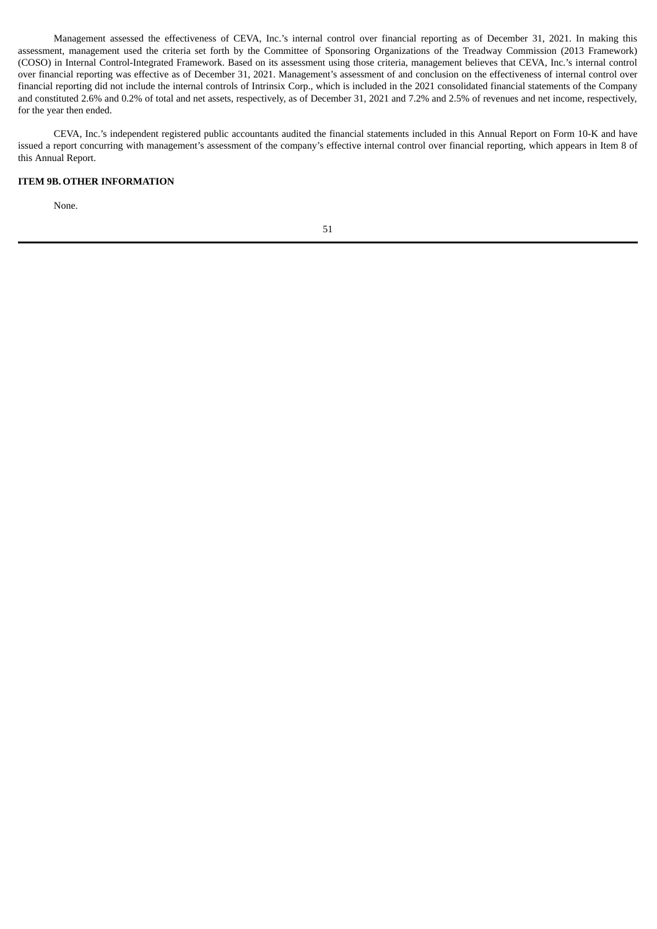Management assessed the effectiveness of CEVA, Inc.'s internal control over financial reporting as of December 31, 2021. In making this assessment, management used the criteria set forth by the Committee of Sponsoring Organizations of the Treadway Commission (2013 Framework) (COSO) in Internal Control-Integrated Framework. Based on its assessment using those criteria, management believes that CEVA, Inc.'s internal control over financial reporting was effective as of December 31, 2021. Management's assessment of and conclusion on the effectiveness of internal control over financial reporting did not include the internal controls of Intrinsix Corp., which is included in the 2021 consolidated financial statements of the Company and constituted 2.6% and 0.2% of total and net assets, respectively, as of December 31, 2021 and 7.2% and 2.5% of revenues and net income, respectively, for the year then ended.

CEVA, Inc.'s independent registered public accountants audited the financial statements included in this Annual Report on Form 10-K and have issued a report concurring with management's assessment of the company's effective internal control over financial reporting, which appears in Item 8 of this Annual Report.

### **ITEM 9B. OTHER INFORMATION**

None.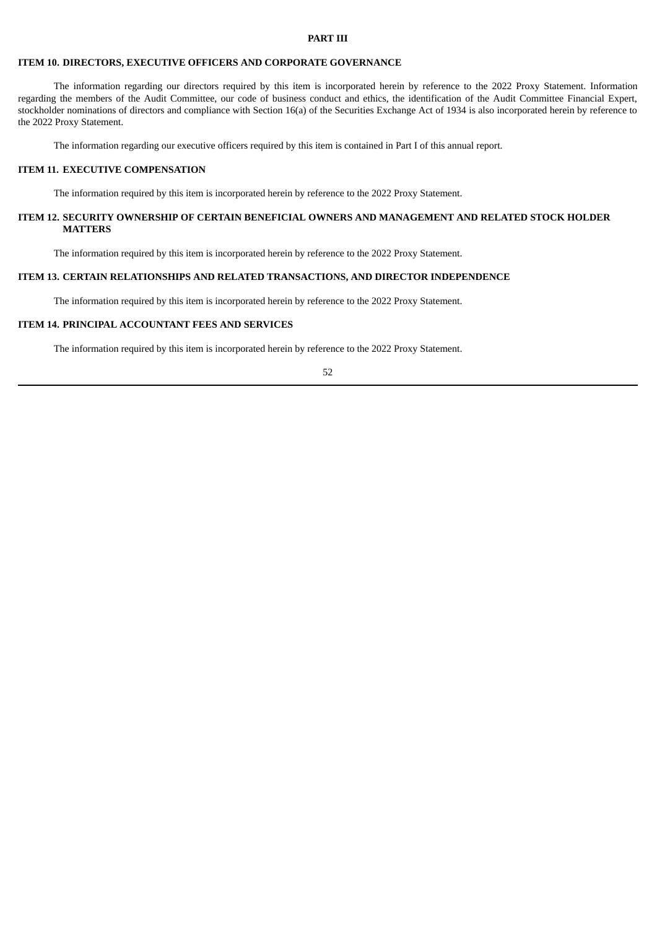### **PART III**

## **ITEM 10. DIRECTORS, EXECUTIVE OFFICERS AND CORPORATE GOVERNANCE**

The information regarding our directors required by this item is incorporated herein by reference to the 2022 Proxy Statement. Information regarding the members of the Audit Committee, our code of business conduct and ethics, the identification of the Audit Committee Financial Expert, stockholder nominations of directors and compliance with Section 16(a) of the Securities Exchange Act of 1934 is also incorporated herein by reference to the 2022 Proxy Statement.

The information regarding our executive officers required by this item is contained in Part I of this annual report.

## **ITEM 11. EXECUTIVE COMPENSATION**

The information required by this item is incorporated herein by reference to the 2022 Proxy Statement.

## **ITEM 12. SECURITY OWNERSHIP OF CERTAIN BENEFICIAL OWNERS AND MANAGEMENT AND RELATED STOCK HOLDER MATTERS**

The information required by this item is incorporated herein by reference to the 2022 Proxy Statement.

## **ITEM 13. CERTAIN RELATIONSHIPS AND RELATED TRANSACTIONS, AND DIRECTOR INDEPENDENCE**

The information required by this item is incorporated herein by reference to the 2022 Proxy Statement.

## **ITEM 14. PRINCIPAL ACCOUNTANT FEES AND SERVICES**

The information required by this item is incorporated herein by reference to the 2022 Proxy Statement.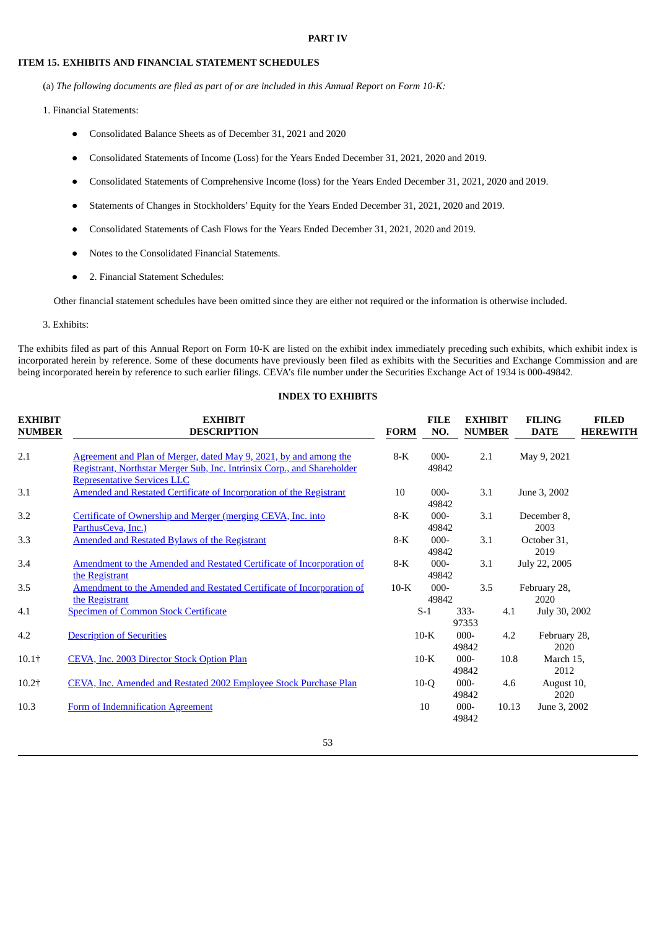## **ITEM 15. EXHIBITS AND FINANCIAL STATEMENT SCHEDULES**

(a) The following documents are filed as part of or are included in this Annual Report on Form 10-K:

1. Financial Statements:

- Consolidated Balance Sheets as of December 31, 2021 and 2020
- Consolidated Statements of Income (Loss) for the Years Ended December 31, 2021, 2020 and 2019.
- Consolidated Statements of Comprehensive Income (loss) for the Years Ended December 31, 2021, 2020 and 2019.
- Statements of Changes in Stockholders' Equity for the Years Ended December 31, 2021, 2020 and 2019.
- Consolidated Statements of Cash Flows for the Years Ended December 31, 2021, 2020 and 2019.
- Notes to the Consolidated Financial Statements.
- 2. Financial Statement Schedules:

Other financial statement schedules have been omitted since they are either not required or the information is otherwise included.

### 3. Exhibits:

The exhibits filed as part of this Annual Report on Form 10-K are listed on the exhibit index immediately preceding such exhibits, which exhibit index is incorporated herein by reference. Some of these documents have previously been filed as exhibits with the Securities and Exchange Commission and are being incorporated herein by reference to such earlier filings. CEVA's file number under the Securities Exchange Act of 1934 is 000-49842.

| <b>EXHIBIT</b><br><b>NUMBER</b> | <b>EXHIBIT</b><br><b>DESCRIPTION</b>                                                                                                                                               | <b>FORM</b> | <b>FILE</b><br>NO. | <b>EXHIBIT</b><br><b>NUMBER</b> |             | <b>FILING</b><br><b>DATE</b> | <b>FILED</b><br><b>HEREWITH</b> |
|---------------------------------|------------------------------------------------------------------------------------------------------------------------------------------------------------------------------------|-------------|--------------------|---------------------------------|-------------|------------------------------|---------------------------------|
| 2.1                             | Agreement and Plan of Merger, dated May 9, 2021, by and among the<br>Registrant, Northstar Merger Sub, Inc. Intrinsix Corp., and Shareholder<br><b>Representative Services LLC</b> | $8-K$       | $000 -$<br>49842   | 2.1                             |             | May 9, 2021                  |                                 |
| 3.1                             | Amended and Restated Certificate of Incorporation of the Registrant                                                                                                                | 10          | $000 -$<br>49842   | 3.1                             |             | June 3, 2002                 |                                 |
| 3.2                             | Certificate of Ownership and Merger (merging CEVA, Inc. into<br>ParthusCeva, Inc.)                                                                                                 | $8-K$       | $000 -$<br>49842   | 3.1                             |             | December 8,<br>2003          |                                 |
| 3.3                             | <b>Amended and Restated Bylaws of the Registrant</b>                                                                                                                               | 8-K         | $000 -$<br>49842   | 3.1                             | October 31, |                              |                                 |
| 3.4                             | Amendment to the Amended and Restated Certificate of Incorporation of<br>the Registrant                                                                                            | 8-K         | $000 -$<br>49842   | 3.1                             |             | July 22, 2005                |                                 |
| 3.5                             | Amendment to the Amended and Restated Certificate of Incorporation of<br>the Registrant                                                                                            | $10-K$      | $000 -$<br>49842   | 3.5                             |             | February 28,<br>2020         |                                 |
| 4.1                             | <b>Specimen of Common Stock Certificate</b>                                                                                                                                        |             | $S-1$              | 333-<br>97353                   | 4.1         | July 30, 2002                |                                 |
| 4.2                             | <b>Description of Securities</b>                                                                                                                                                   |             | $10-K$             | $000 -$<br>49842                | 4.2         | February 28,<br>2020         |                                 |
| 10.1 <sub>†</sub>               | CEVA, Inc. 2003 Director Stock Option Plan                                                                                                                                         |             | $10-K$             | $000 -$<br>49842                | 10.8        | March 15,<br>2012            |                                 |
| $10.2\dagger$                   | CEVA, Inc. Amended and Restated 2002 Employee Stock Purchase Plan                                                                                                                  |             | $10-Q$             | $000 -$<br>49842                | 4.6         | August 10,<br>2020           |                                 |
| 10.3                            | Form of Indemnification Agreement                                                                                                                                                  |             | 10                 | $000 -$<br>49842                | 10.13       | June 3, 2002                 |                                 |
|                                 | 53                                                                                                                                                                                 |             |                    |                                 |             |                              |                                 |

# **INDEX TO EXHIBITS**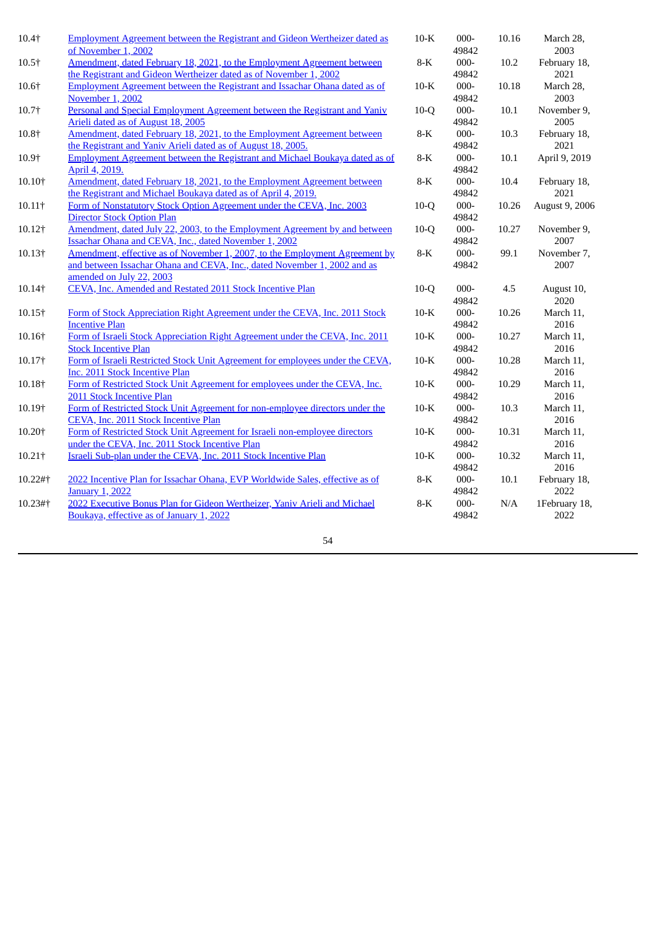| <b>Employment Agreement between the Registrant and Gideon Wertheizer dated as</b>                                                                       | $10-K$                                                                                                                                                                                      | $000 -$<br>49842 | 10.16                   | March 28,<br>2003     |
|---------------------------------------------------------------------------------------------------------------------------------------------------------|---------------------------------------------------------------------------------------------------------------------------------------------------------------------------------------------|------------------|-------------------------|-----------------------|
| Amendment, dated February 18, 2021, to the Employment Agreement between<br>the Registrant and Gideon Wertheizer dated as of November 1, 2002            | $8-K$                                                                                                                                                                                       | $000 -$<br>49842 | 10.2                    | February 18,<br>2021  |
| <b>Employment Agreement between the Registrant and Issachar Ohana dated as of</b>                                                                       | $10-K$                                                                                                                                                                                      | $000 -$          | 10.18                   | March 28,<br>2003     |
| Personal and Special Employment Agreement between the Registrant and Yaniv                                                                              | $10-Q$                                                                                                                                                                                      | $000 -$<br>49842 | $10.1\,$                | November 9,<br>2005   |
| Amendment, dated February 18, 2021, to the Employment Agreement between<br>the Registrant and Yaniv Arieli dated as of August 18, 2005.                 | $8-K$                                                                                                                                                                                       | $000 -$<br>49842 | 10.3                    | February 18,<br>2021  |
| Employment Agreement between the Registrant and Michael Boukaya dated as of                                                                             | 8-K                                                                                                                                                                                         | $000 -$<br>49842 | 10.1                    | April 9, 2019         |
| Amendment, dated February 18, 2021, to the Employment Agreement between<br>the Registrant and Michael Boukaya dated as of April 4, 2019.                | $8-K$                                                                                                                                                                                       | $000 -$<br>49842 | 10.4                    | February 18,<br>2021  |
| Form of Nonstatutory Stock Option Agreement under the CEVA, Inc. 2003<br><b>Director Stock Option Plan</b>                                              | $10-Q$                                                                                                                                                                                      | $000 -$<br>49842 | 10.26                   | August 9, 2006        |
| Amendment, dated July 22, 2003, to the Employment Agreement by and between<br>Issachar Ohana and CEVA, Inc., dated November 1, 2002                     | $10-Q$                                                                                                                                                                                      | $000 -$<br>49842 | 10.27                   | November 9,<br>2007   |
| Amendment, effective as of November 1, 2007, to the Employment Agreement by<br>and between Issachar Ohana and CEVA, Inc., dated November 1, 2002 and as | $8-K$                                                                                                                                                                                       | $000 -$<br>49842 | 99.1                    | November 7,<br>2007   |
| CEVA, Inc. Amended and Restated 2011 Stock Incentive Plan                                                                                               | $10-Q$                                                                                                                                                                                      | $000 -$          | 4.5                     | August 10,<br>2020    |
| Form of Stock Appreciation Right Agreement under the CEVA, Inc. 2011 Stock<br><b>Incentive Plan</b>                                                     | $10-K$                                                                                                                                                                                      | $000 -$<br>49842 | 10.26                   | March 11,<br>2016     |
| Form of Israeli Stock Appreciation Right Agreement under the CEVA, Inc. 2011                                                                            | $10-K$                                                                                                                                                                                      | $000 -$          | 10.27                   | March 11,<br>2016     |
| Form of Israeli Restricted Stock Unit Agreement for employees under the CEVA,<br>Inc. 2011 Stock Incentive Plan                                         | $10-K$                                                                                                                                                                                      | $000 -$<br>49842 | 10.28                   | March 11,<br>2016     |
| Form of Restricted Stock Unit Agreement for employees under the CEVA, Inc.<br>2011 Stock Incentive Plan                                                 | $10-K$                                                                                                                                                                                      | $000 -$<br>49842 | 10.29                   | March 11,<br>2016     |
| Form of Restricted Stock Unit Agreement for non-employee directors under the<br>CEVA, Inc. 2011 Stock Incentive Plan                                    | $10-K$                                                                                                                                                                                      | $000 -$<br>49842 | 10.3                    | March 11,<br>2016     |
| Form of Restricted Stock Unit Agreement for Israeli non-employee directors<br>under the CEVA, Inc. 2011 Stock Incentive Plan                            | $10-K$                                                                                                                                                                                      | $000 -$<br>49842 | 10.31                   | March 11,<br>2016     |
| Israeli Sub-plan under the CEVA, Inc. 2011 Stock Incentive Plan                                                                                         | $10-K$                                                                                                                                                                                      | $000 -$<br>49842 | 10.32                   | March 11,<br>2016     |
| 2022 Incentive Plan for Issachar Ohana, EVP Worldwide Sales, effective as of                                                                            | 8-K                                                                                                                                                                                         | $000 -$<br>49842 | $10.1\,$                | February 18,<br>2022  |
| 2022 Executive Bonus Plan for Gideon Wertheizer, Yaniv Arieli and Michael<br>Boukaya, effective as of January 1, 2022                                   | 8-K                                                                                                                                                                                         | $000 -$<br>49842 | N/A                     | 1February 18,<br>2022 |
|                                                                                                                                                         | of November 1, 2002<br><b>November 1, 2002</b><br>Arieli dated as of August 18, 2005<br>April 4, 2019.<br>amended on July 22, 2003<br><b>Stock Incentive Plan</b><br><b>January 1, 2022</b> |                  | 49842<br>49842<br>49842 |                       |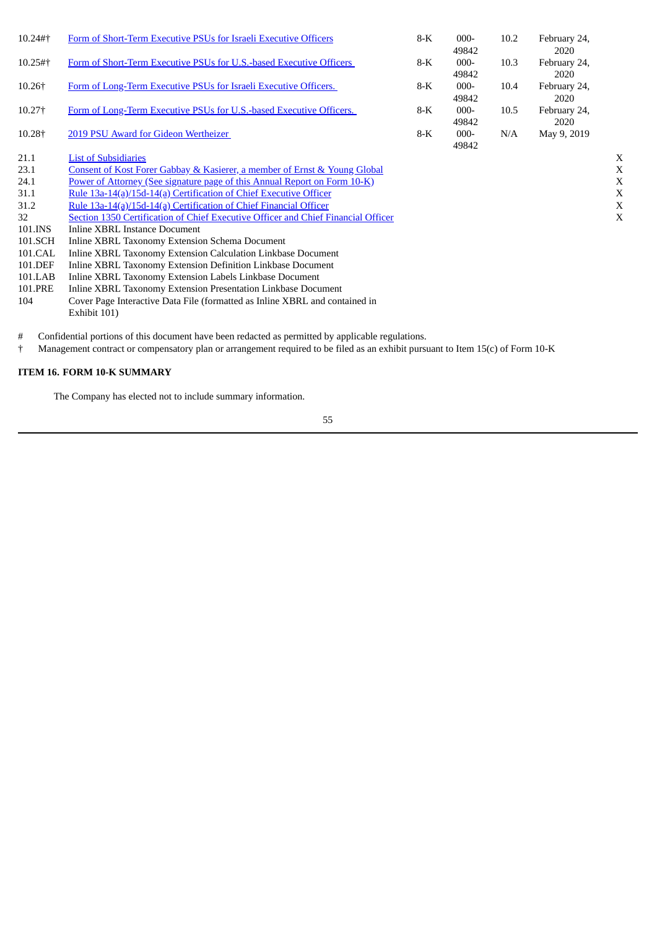| 10.24#†            | Form of Short-Term Executive PSUs for Israeli Executive Officers                         | 8-K | $000 -$<br>49842 | 10.2 | February 24,<br>2020 |   |
|--------------------|------------------------------------------------------------------------------------------|-----|------------------|------|----------------------|---|
| 10.25#+            | Form of Short-Term Executive PSUs for U.S.-based Executive Officers                      | 8-K | $000 -$<br>49842 | 10.3 | February 24,<br>2020 |   |
| 10.26†             | Form of Long-Term Executive PSUs for Israeli Executive Officers.                         | 8-K | $000 -$<br>49842 | 10.4 | February 24,<br>2020 |   |
| 10.27 <sup>†</sup> | Form of Long-Term Executive PSUs for U.S.-based Executive Officers.                      | 8-K | $000 -$<br>49842 | 10.5 | February 24,<br>2020 |   |
| 10.28+             | 2019 PSU Award for Gideon Wertheizer                                                     | 8-K | $000 -$<br>49842 | N/A  | May 9, 2019          |   |
| 21.1               | <b>List of Subsidiaries</b>                                                              |     |                  |      |                      | X |
| 23.1               | Consent of Kost Forer Gabbay & Kasierer, a member of Ernst & Young Global                |     |                  |      |                      | X |
| 24.1               | <b>Power of Attorney (See signature page of this Annual Report on Form 10-K)</b>         |     |                  |      |                      | X |
| 31.1               | Rule 13a-14(a)/15d-14(a) Certification of Chief Executive Officer                        |     |                  |      |                      | X |
| 31.2               | Rule 13a-14(a)/15d-14(a) Certification of Chief Financial Officer                        |     |                  |      |                      | X |
| 32                 | <b>Section 1350 Certification of Chief Executive Officer and Chief Financial Officer</b> |     |                  |      |                      | X |
| 101.INS            | Inline XBRL Instance Document                                                            |     |                  |      |                      |   |
| 101.SCH            | Inline XBRL Taxonomy Extension Schema Document                                           |     |                  |      |                      |   |
| 101.CAL            | Inline XBRL Taxonomy Extension Calculation Linkbase Document                             |     |                  |      |                      |   |
| 101.DEF            | Inline XBRL Taxonomy Extension Definition Linkbase Document                              |     |                  |      |                      |   |

101.LAB Inline XBRL Taxonomy Extension Labels Linkbase Document<br>101.PRE Inline XBRL Taxonomy Extension Presentation Linkbase Docu

The Company has elected not to include summary information.

Exhibit 101)

**ITEM 16. FORM 10-K SUMMARY**

Inline XBRL Taxonomy Extension Presentation Linkbase Document 104 Cover Page Interactive Data File (formatted as Inline XBRL and contained in

# Confidential portions of this document have been redacted as permitted by applicable regulations.

55

† Management contract or compensatory plan or arrangement required to be filed as an exhibit pursuant to Item 15(c) of Form 10-K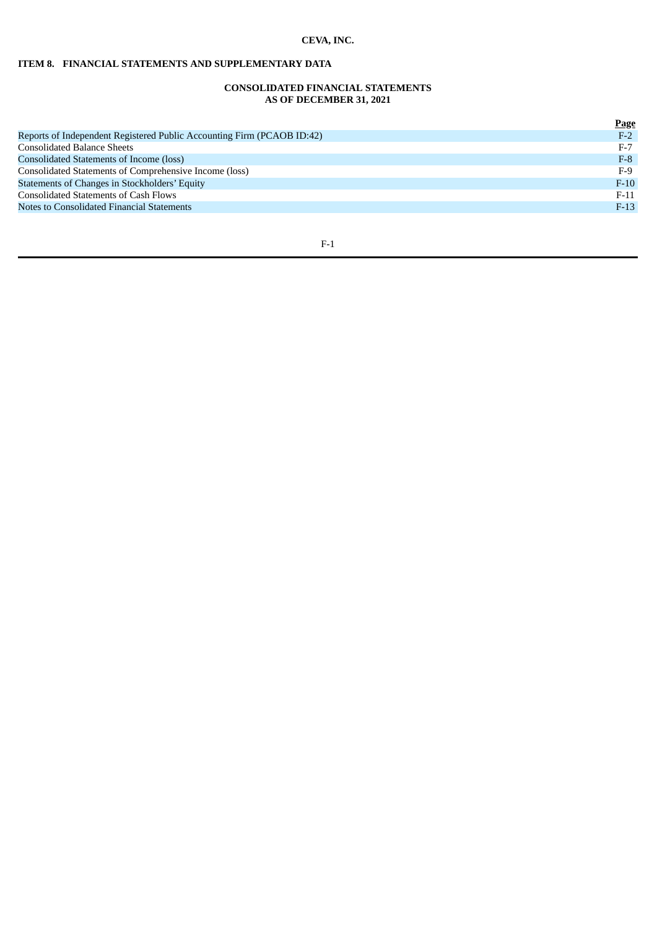# **ITEM 8. FINANCIAL STATEMENTS AND SUPPLEMENTARY DATA**

## **CONSOLIDATED FINANCIAL STATEMENTS AS OF DECEMBER 31, 2021**

|                                                                        | <b>Page</b> |
|------------------------------------------------------------------------|-------------|
| Reports of Independent Registered Public Accounting Firm (PCAOB ID:42) | $F-2$       |
| <b>Consolidated Balance Sheets</b>                                     | $F-7$       |
| Consolidated Statements of Income (loss)                               | $F-8$       |
| Consolidated Statements of Comprehensive Income (loss)                 | F-9         |
| Statements of Changes in Stockholders' Equity                          | $F-10$      |
| <b>Consolidated Statements of Cash Flows</b>                           | $F-11$      |
| Notes to Consolidated Financial Statements                             | $F-13$      |
|                                                                        |             |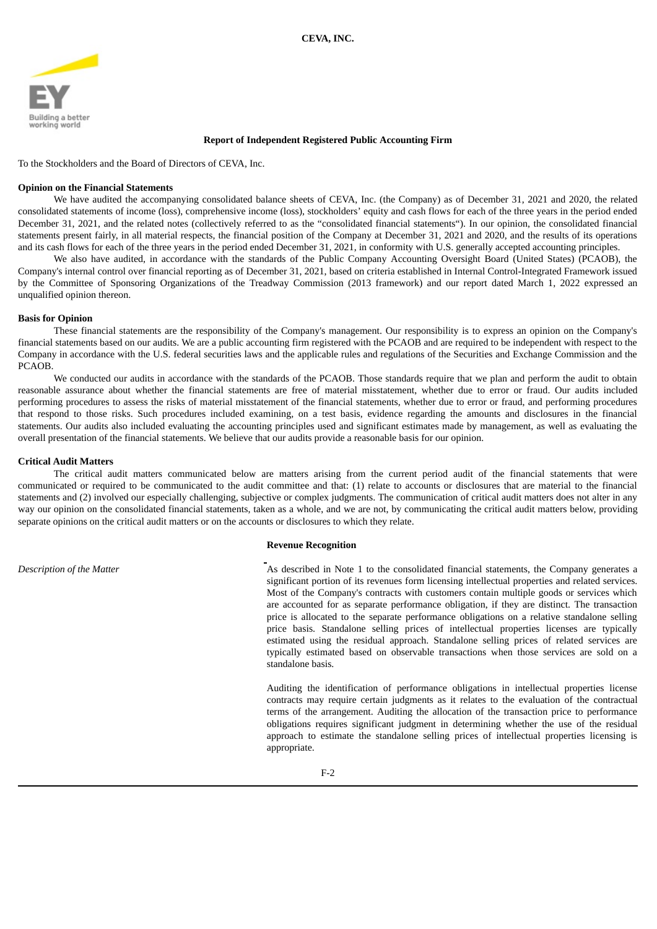

## **Report of Independent Registered Public Accounting Firm**

To the Stockholders and the Board of Directors of CEVA, Inc.

## **Opinion on the Financial Statements**

We have audited the accompanying consolidated balance sheets of CEVA, Inc. (the Company) as of December 31, 2021 and 2020, the related consolidated statements of income (loss), comprehensive income (loss), stockholders' equity and cash flows for each of the three years in the period ended December 31, 2021, and the related notes (collectively referred to as the "consolidated financial statements"). In our opinion, the consolidated financial statements present fairly, in all material respects, the financial position of the Company at December 31, 2021 and 2020, and the results of its operations and its cash flows for each of the three years in the period ended December 31, 2021, in conformity with U.S. generally accepted accounting principles.

We also have audited, in accordance with the standards of the Public Company Accounting Oversight Board (United States) (PCAOB), the Company's internal control over financial reporting as of December 31, 2021, based on criteria established in Internal Control-Integrated Framework issued by the Committee of Sponsoring Organizations of the Treadway Commission (2013 framework) and our report dated March 1, 2022 expressed an unqualified opinion thereon.

### **Basis for Opinion**

These financial statements are the responsibility of the Company's management. Our responsibility is to express an opinion on the Company's financial statements based on our audits. We are a public accounting firm registered with the PCAOB and are required to be independent with respect to the Company in accordance with the U.S. federal securities laws and the applicable rules and regulations of the Securities and Exchange Commission and the PCAOB.

We conducted our audits in accordance with the standards of the PCAOB. Those standards require that we plan and perform the audit to obtain reasonable assurance about whether the financial statements are free of material misstatement, whether due to error or fraud. Our audits included performing procedures to assess the risks of material misstatement of the financial statements, whether due to error or fraud, and performing procedures that respond to those risks. Such procedures included examining, on a test basis, evidence regarding the amounts and disclosures in the financial statements. Our audits also included evaluating the accounting principles used and significant estimates made by management, as well as evaluating the overall presentation of the financial statements. We believe that our audits provide a reasonable basis for our opinion.

#### **Critical Audit Matters**

The critical audit matters communicated below are matters arising from the current period audit of the financial statements that were communicated or required to be communicated to the audit committee and that: (1) relate to accounts or disclosures that are material to the financial statements and (2) involved our especially challenging, subjective or complex judgments. The communication of critical audit matters does not alter in any way our opinion on the consolidated financial statements, taken as a whole, and we are not, by communicating the critical audit matters below, providing separate opinions on the critical audit matters or on the accounts or disclosures to which they relate.

### **Revenue Recognition**

*Description of the Matter* **As** *As described in Note 1 to the consolidated financial statements, the Company generates a* significant portion of its revenues form licensing intellectual properties and related services. Most of the Company's contracts with customers contain multiple goods or services which are accounted for as separate performance obligation, if they are distinct. The transaction price is allocated to the separate performance obligations on a relative standalone selling price basis. Standalone selling prices of intellectual properties licenses are typically estimated using the residual approach. Standalone selling prices of related services are typically estimated based on observable transactions when those services are sold on a standalone basis.

> Auditing the identification of performance obligations in intellectual properties license contracts may require certain judgments as it relates to the evaluation of the contractual terms of the arrangement. Auditing the allocation of the transaction price to performance obligations requires significant judgment in determining whether the use of the residual approach to estimate the standalone selling prices of intellectual properties licensing is appropriate.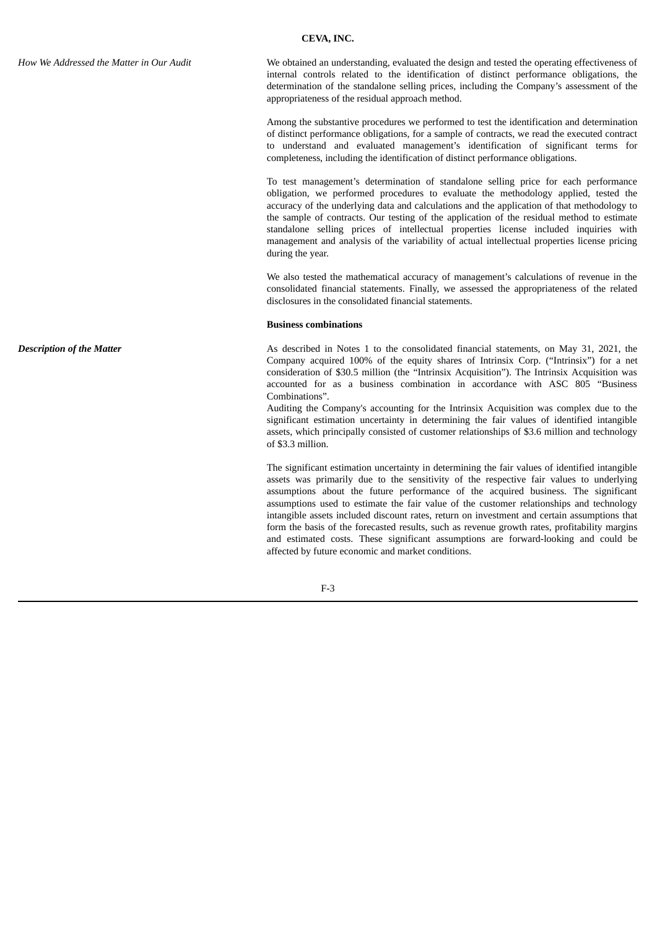*How We Addressed the Matter in Our Audit* We obtained an understanding, evaluated the design and tested the operating effectiveness of internal controls related to the identification of distinct performance obligations, the determination of the standalone selling prices, including the Company's assessment of the appropriateness of the residual approach method.

> Among the substantive procedures we performed to test the identification and determination of distinct performance obligations, for a sample of contracts, we read the executed contract to understand and evaluated management's identification of significant terms for completeness, including the identification of distinct performance obligations.

> To test management's determination of standalone selling price for each performance obligation, we performed procedures to evaluate the methodology applied, tested the accuracy of the underlying data and calculations and the application of that methodology to the sample of contracts. Our testing of the application of the residual method to estimate standalone selling prices of intellectual properties license included inquiries with management and analysis of the variability of actual intellectual properties license pricing during the year.

> We also tested the mathematical accuracy of management's calculations of revenue in the consolidated financial statements. Finally, we assessed the appropriateness of the related disclosures in the consolidated financial statements.

### **Business combinations**

**Description of the Matter As described in Notes 1 to the consolidated financial statements, on May 31, 2021, the** Company acquired 100% of the equity shares of Intrinsix Corp. ("Intrinsix") for a net consideration of \$30.5 million (the "Intrinsix Acquisition"). The Intrinsix Acquisition was accounted for as a business combination in accordance with ASC 805 "Business Combinations".

> Auditing the Company's accounting for the Intrinsix Acquisition was complex due to the significant estimation uncertainty in determining the fair values of identified intangible assets, which principally consisted of customer relationships of \$3.6 million and technology of \$3.3 million.

> The significant estimation uncertainty in determining the fair values of identified intangible assets was primarily due to the sensitivity of the respective fair values to underlying assumptions about the future performance of the acquired business. The significant assumptions used to estimate the fair value of the customer relationships and technology intangible assets included discount rates, return on investment and certain assumptions that form the basis of the forecasted results, such as revenue growth rates, profitability margins and estimated costs. These significant assumptions are forward-looking and could be affected by future economic and market conditions.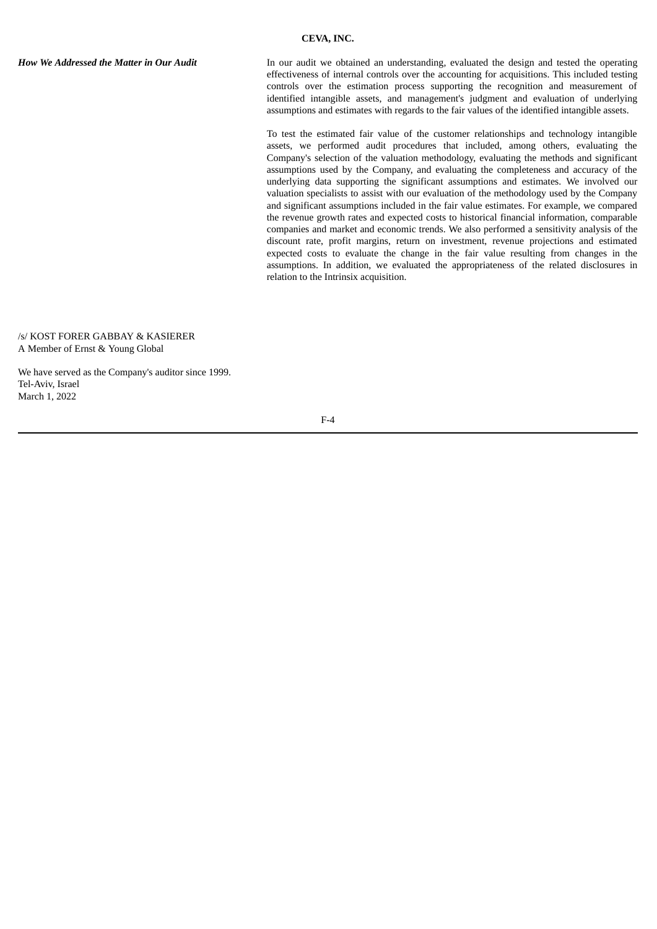*How We Addressed the Matter in Our Audit* **In our audit we obtained an understanding, evaluated the design and tested the operating** effectiveness of internal controls over the accounting for acquisitions. This included testing controls over the estimation process supporting the recognition and measurement of identified intangible assets, and management's judgment and evaluation of underlying assumptions and estimates with regards to the fair values of the identified intangible assets.

> To test the estimated fair value of the customer relationships and technology intangible assets, we performed audit procedures that included, among others, evaluating the Company's selection of the valuation methodology, evaluating the methods and significant assumptions used by the Company, and evaluating the completeness and accuracy of the underlying data supporting the significant assumptions and estimates. We involved our valuation specialists to assist with our evaluation of the methodology used by the Company and significant assumptions included in the fair value estimates. For example, we compared the revenue growth rates and expected costs to historical financial information, comparable companies and market and economic trends. We also performed a sensitivity analysis of the discount rate, profit margins, return on investment, revenue projections and estimated expected costs to evaluate the change in the fair value resulting from changes in the assumptions. In addition, we evaluated the appropriateness of the related disclosures in relation to the Intrinsix acquisition.

/s/ KOST FORER GABBAY & KASIERER A Member of Ernst & Young Global

We have served as the Company's auditor since 1999. Tel-Aviv, Israel March 1, 2022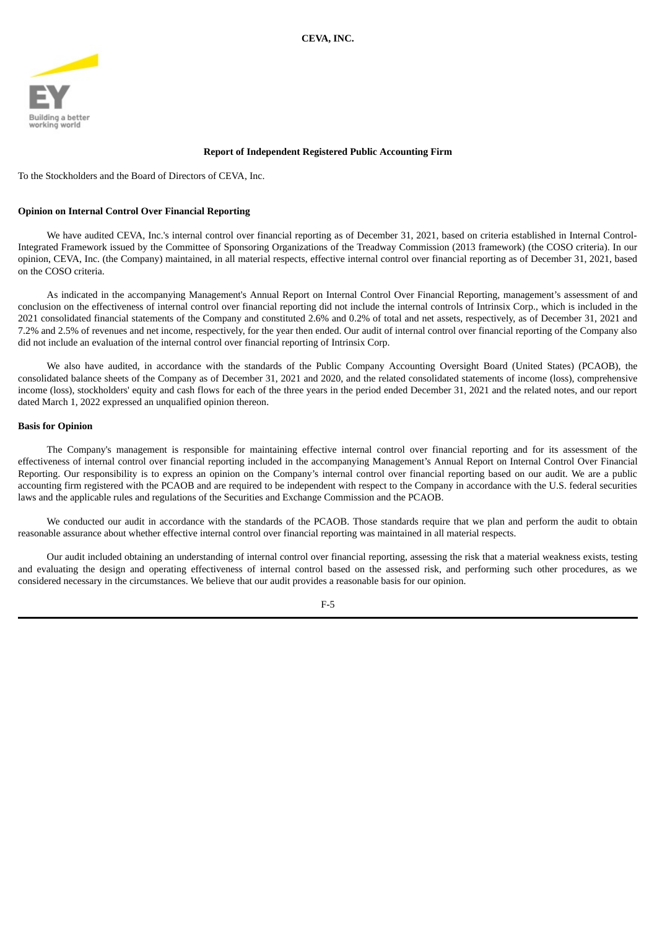

## **Report of Independent Registered Public Accounting Firm**

To the Stockholders and the Board of Directors of CEVA, Inc.

## **Opinion on Internal Control Over Financial Reporting**

We have audited CEVA, Inc.'s internal control over financial reporting as of December 31, 2021, based on criteria established in Internal Control-Integrated Framework issued by the Committee of Sponsoring Organizations of the Treadway Commission (2013 framework) (the COSO criteria). In our opinion, CEVA, Inc. (the Company) maintained, in all material respects, effective internal control over financial reporting as of December 31, 2021, based on the COSO criteria.

As indicated in the accompanying Management's Annual Report on Internal Control Over Financial Reporting, management's assessment of and conclusion on the effectiveness of internal control over financial reporting did not include the internal controls of Intrinsix Corp., which is included in the 2021 consolidated financial statements of the Company and constituted 2.6% and 0.2% of total and net assets, respectively, as of December 31, 2021 and 7.2% and 2.5% of revenues and net income, respectively, for the year then ended. Our audit of internal control over financial reporting of the Company also did not include an evaluation of the internal control over financial reporting of Intrinsix Corp.

We also have audited, in accordance with the standards of the Public Company Accounting Oversight Board (United States) (PCAOB), the consolidated balance sheets of the Company as of December 31, 2021 and 2020, and the related consolidated statements of income (loss), comprehensive income (loss), stockholders' equity and cash flows for each of the three years in the period ended December 31, 2021 and the related notes, and our report dated March 1, 2022 expressed an unqualified opinion thereon.

#### **Basis for Opinion**

The Company's management is responsible for maintaining effective internal control over financial reporting and for its assessment of the effectiveness of internal control over financial reporting included in the accompanying Management's Annual Report on Internal Control Over Financial Reporting. Our responsibility is to express an opinion on the Company's internal control over financial reporting based on our audit. We are a public accounting firm registered with the PCAOB and are required to be independent with respect to the Company in accordance with the U.S. federal securities laws and the applicable rules and regulations of the Securities and Exchange Commission and the PCAOB.

We conducted our audit in accordance with the standards of the PCAOB. Those standards require that we plan and perform the audit to obtain reasonable assurance about whether effective internal control over financial reporting was maintained in all material respects.

Our audit included obtaining an understanding of internal control over financial reporting, assessing the risk that a material weakness exists, testing and evaluating the design and operating effectiveness of internal control based on the assessed risk, and performing such other procedures, as we considered necessary in the circumstances. We believe that our audit provides a reasonable basis for our opinion.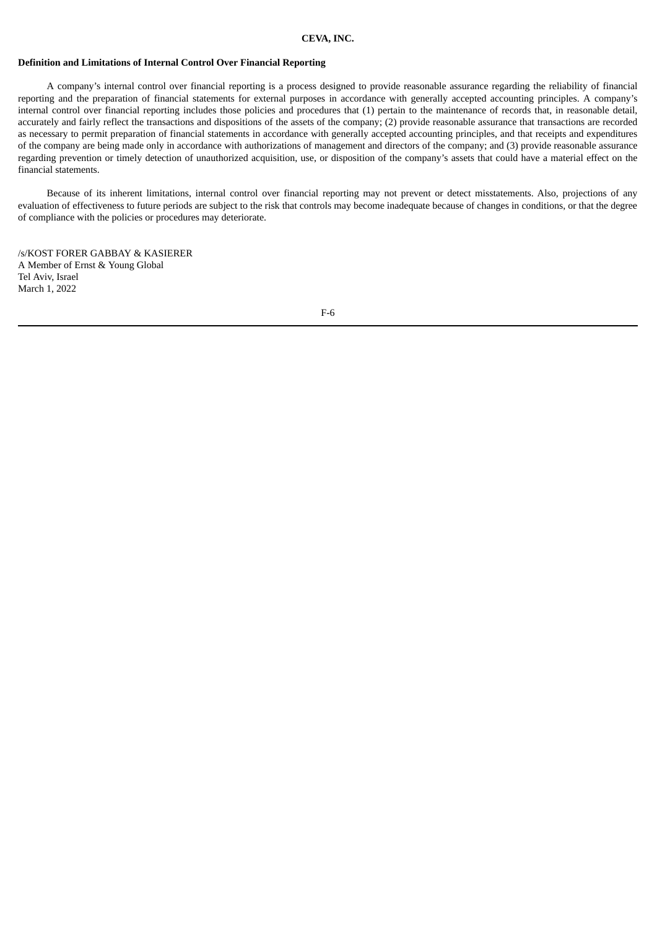## **Definition and Limitations of Internal Control Over Financial Reporting**

A company's internal control over financial reporting is a process designed to provide reasonable assurance regarding the reliability of financial reporting and the preparation of financial statements for external purposes in accordance with generally accepted accounting principles. A company's internal control over financial reporting includes those policies and procedures that (1) pertain to the maintenance of records that, in reasonable detail, accurately and fairly reflect the transactions and dispositions of the assets of the company; (2) provide reasonable assurance that transactions are recorded as necessary to permit preparation of financial statements in accordance with generally accepted accounting principles, and that receipts and expenditures of the company are being made only in accordance with authorizations of management and directors of the company; and (3) provide reasonable assurance regarding prevention or timely detection of unauthorized acquisition, use, or disposition of the company's assets that could have a material effect on the financial statements.

Because of its inherent limitations, internal control over financial reporting may not prevent or detect misstatements. Also, projections of any evaluation of effectiveness to future periods are subject to the risk that controls may become inadequate because of changes in conditions, or that the degree of compliance with the policies or procedures may deteriorate.

/s/KOST FORER GABBAY & KASIERER A Member of Ernst & Young Global Tel Aviv, Israel March 1, 2022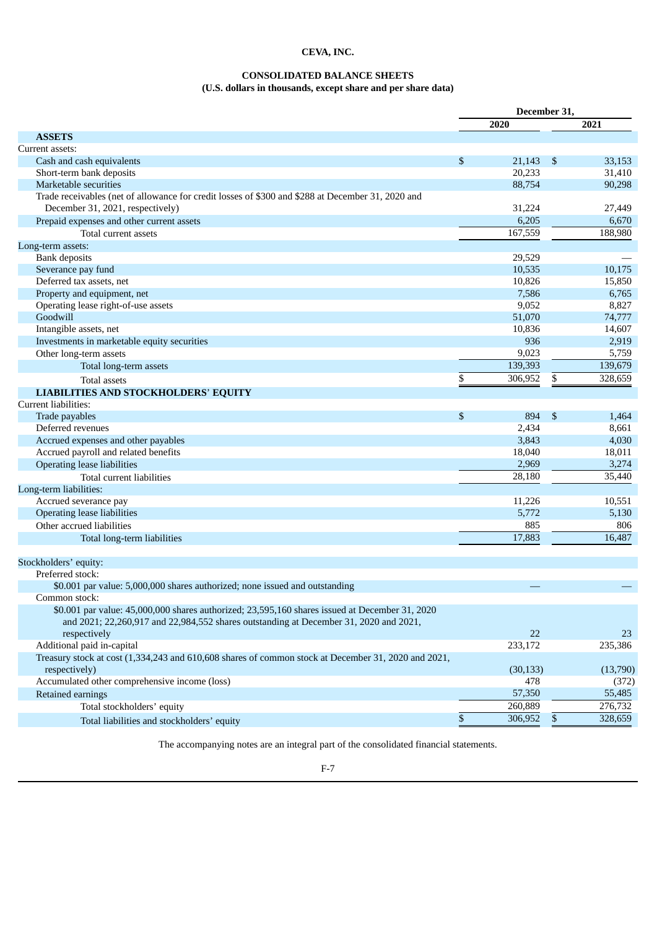## **CONSOLIDATED BALANCE SHEETS**

### **(U.S. dollars in thousands, except share and per share data)**

|                                                                                                     | December 31, |           |     |          |
|-----------------------------------------------------------------------------------------------------|--------------|-----------|-----|----------|
|                                                                                                     |              | 2020      |     | 2021     |
| <b>ASSETS</b>                                                                                       |              |           |     |          |
| Current assets:                                                                                     |              |           |     |          |
| Cash and cash equivalents                                                                           | \$           | 21,143    | -\$ | 33,153   |
| Short-term bank deposits                                                                            |              | 20,233    |     | 31,410   |
| Marketable securities                                                                               |              | 88,754    |     | 90,298   |
| Trade receivables (net of allowance for credit losses of \$300 and \$288 at December 31, 2020 and   |              |           |     |          |
| December 31, 2021, respectively)                                                                    |              | 31,224    |     | 27,449   |
| Prepaid expenses and other current assets                                                           |              | 6,205     |     | 6,670    |
| Total current assets                                                                                |              | 167,559   |     | 188,980  |
| Long-term assets:                                                                                   |              |           |     |          |
| <b>Bank</b> deposits                                                                                |              | 29,529    |     |          |
| Severance pay fund                                                                                  |              | 10,535    |     | 10,175   |
| Deferred tax assets, net                                                                            |              | 10,826    |     | 15,850   |
| Property and equipment, net                                                                         |              | 7,586     |     | 6,765    |
| Operating lease right-of-use assets                                                                 |              | 9,052     |     | 8,827    |
| Goodwill                                                                                            |              | 51,070    |     | 74,777   |
| Intangible assets, net                                                                              |              | 10,836    |     | 14,607   |
| Investments in marketable equity securities                                                         |              | 936       |     | 2,919    |
| Other long-term assets                                                                              |              | 9,023     |     | 5,759    |
| Total long-term assets                                                                              |              | 139,393   |     | 139,679  |
| <b>Total assets</b>                                                                                 | \$           | 306,952   | \$  | 328,659  |
| <b>LIABILITIES AND STOCKHOLDERS' EQUITY</b>                                                         |              |           |     |          |
| Current liabilities:                                                                                |              |           |     |          |
| Trade payables                                                                                      | \$           | 894       | \$  | 1,464    |
| Deferred revenues                                                                                   |              | 2,434     |     | 8,661    |
| Accrued expenses and other payables                                                                 |              | 3,843     |     | 4,030    |
| Accrued payroll and related benefits                                                                |              | 18,040    |     | 18,011   |
| <b>Operating lease liabilities</b>                                                                  |              | 2,969     |     | 3,274    |
| Total current liabilities                                                                           |              | 28,180    |     | 35,440   |
| Long-term liabilities:                                                                              |              |           |     |          |
| Accrued severance pay                                                                               |              | 11,226    |     | 10,551   |
| <b>Operating lease liabilities</b>                                                                  |              | 5,772     |     | 5,130    |
| Other accrued liabilities                                                                           |              | 885       |     | 806      |
| Total long-term liabilities                                                                         |              | 17,883    |     | 16,487   |
|                                                                                                     |              |           |     |          |
| Stockholders' equity:                                                                               |              |           |     |          |
| Preferred stock:                                                                                    |              |           |     |          |
| \$0.001 par value: 5,000,000 shares authorized; none issued and outstanding                         |              |           |     |          |
| Common stock:                                                                                       |              |           |     |          |
| \$0.001 par value: 45,000,000 shares authorized; 23,595,160 shares issued at December 31, 2020      |              |           |     |          |
| and 2021; 22,260,917 and 22,984,552 shares outstanding at December 31, 2020 and 2021,               |              |           |     |          |
| respectively                                                                                        |              | 22        |     | 23       |
| Additional paid in-capital                                                                          |              | 233,172   |     | 235,386  |
| Treasury stock at cost (1,334,243 and 610,608 shares of common stock at December 31, 2020 and 2021, |              |           |     |          |
| respectively)                                                                                       |              | (30, 133) |     | (13,790) |
| Accumulated other comprehensive income (loss)                                                       |              | 478       |     | (372)    |
| Retained earnings                                                                                   |              | 57,350    |     | 55,485   |
| Total stockholders' equity                                                                          |              | 260,889   |     | 276,732  |
| Total liabilities and stockholders' equity                                                          | \$           | 306,952   | \$  | 328,659  |
|                                                                                                     |              |           |     |          |

The accompanying notes are an integral part of the consolidated financial statements.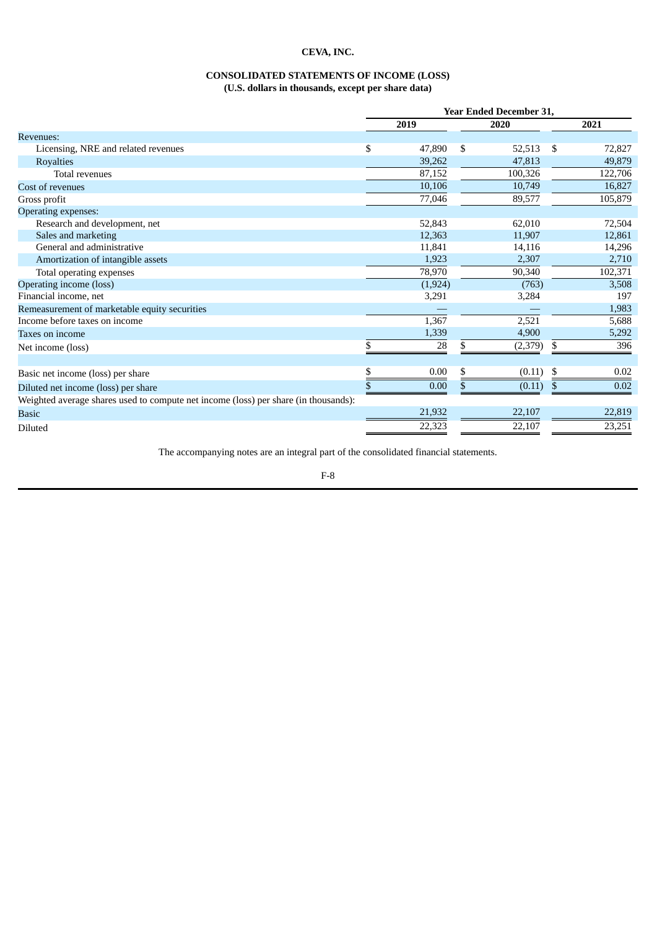## **CONSOLIDATED STATEMENTS OF INCOME (LOSS) (U.S. dollars in thousands, except per share data)**

|                                                                                     | <b>Year Ended December 31,</b> |         |    |         |    |         |
|-------------------------------------------------------------------------------------|--------------------------------|---------|----|---------|----|---------|
|                                                                                     |                                | 2019    |    | 2020    |    | 2021    |
| <b>Revenues:</b>                                                                    |                                |         |    |         |    |         |
| Licensing, NRE and related revenues                                                 | \$                             | 47,890  | \$ | 52,513  | \$ | 72,827  |
| Royalties                                                                           |                                | 39,262  |    | 47,813  |    | 49,879  |
| <b>Total revenues</b>                                                               |                                | 87,152  |    | 100,326 |    | 122,706 |
| Cost of revenues                                                                    |                                | 10,106  |    | 10,749  |    | 16,827  |
| Gross profit                                                                        |                                | 77,046  |    | 89,577  |    | 105,879 |
| Operating expenses:                                                                 |                                |         |    |         |    |         |
| Research and development, net                                                       |                                | 52,843  |    | 62,010  |    | 72,504  |
| Sales and marketing                                                                 |                                | 12,363  |    | 11,907  |    | 12,861  |
| General and administrative                                                          |                                | 11,841  |    | 14,116  |    | 14,296  |
| Amortization of intangible assets                                                   |                                | 1,923   |    | 2,307   |    | 2,710   |
| Total operating expenses                                                            |                                | 78,970  |    | 90,340  |    | 102,371 |
| Operating income (loss)                                                             |                                | (1,924) |    | (763)   |    | 3,508   |
| Financial income, net                                                               |                                | 3,291   |    | 3,284   |    | 197     |
| Remeasurement of marketable equity securities                                       |                                |         |    |         |    | 1,983   |
| Income before taxes on income                                                       |                                | 1,367   |    | 2,521   |    | 5,688   |
| Taxes on income                                                                     |                                | 1,339   |    | 4,900   |    | 5,292   |
| Net income (loss)                                                                   | \$                             | 28      | \$ | (2,379) | \$ | 396     |
|                                                                                     |                                |         |    |         |    |         |
| Basic net income (loss) per share                                                   | \$                             | 0.00    | \$ | (0.11)  | \$ | 0.02    |
| Diluted net income (loss) per share                                                 | S                              | 0.00    | \$ | (0.11)  | \$ | 0.02    |
| Weighted average shares used to compute net income (loss) per share (in thousands): |                                |         |    |         |    |         |
| Basic                                                                               |                                | 21,932  |    | 22,107  |    | 22,819  |
| <b>Diluted</b>                                                                      |                                | 22,323  |    | 22,107  |    | 23,251  |

The accompanying notes are an integral part of the consolidated financial statements.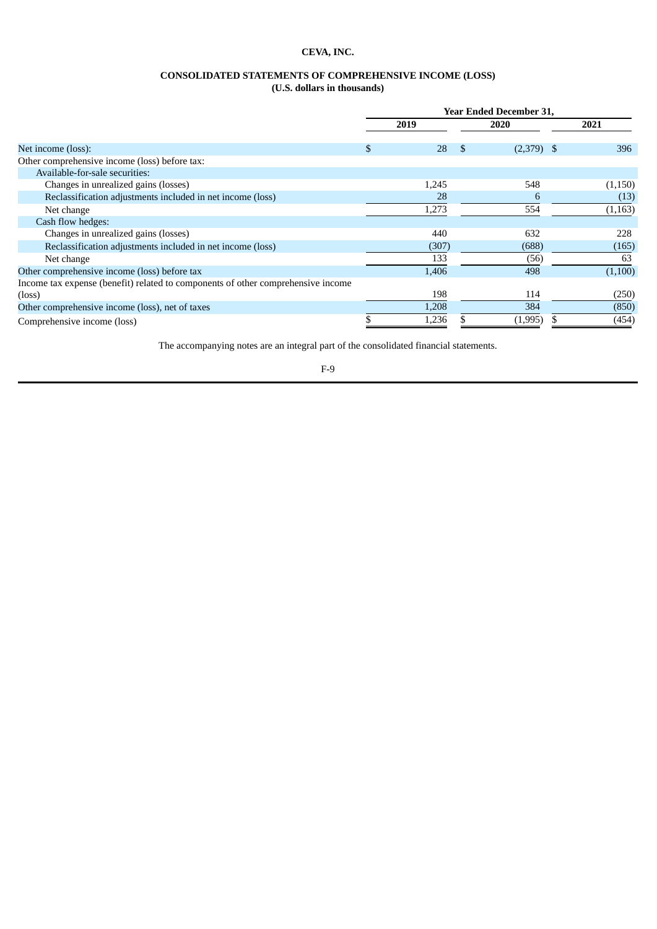### **CONSOLIDATED STATEMENTS OF COMPREHENSIVE INCOME (LOSS) (U.S. dollars in thousands)**

|                                                                                  |      |       |      | <b>Year Ended December 31,</b> |          |
|----------------------------------------------------------------------------------|------|-------|------|--------------------------------|----------|
|                                                                                  | 2019 |       | 2020 |                                | 2021     |
| Net income (loss):                                                               | \$   | 28    | - \$ | $(2,379)$ \$                   | 396      |
| Other comprehensive income (loss) before tax:                                    |      |       |      |                                |          |
| Available-for-sale securities:                                                   |      |       |      |                                |          |
| Changes in unrealized gains (losses)                                             |      | 1,245 |      | 548                            | (1,150)  |
| Reclassification adjustments included in net income (loss)                       |      | 28    |      | 6                              | (13)     |
| Net change                                                                       |      | 1,273 |      | 554                            | (1, 163) |
| Cash flow hedges:                                                                |      |       |      |                                |          |
| Changes in unrealized gains (losses)                                             |      | 440   |      | 632                            | 228      |
| Reclassification adjustments included in net income (loss)                       |      | (307) |      | (688)                          | (165)    |
| Net change                                                                       |      | 133   |      | (56)                           | 63       |
| Other comprehensive income (loss) before tax                                     |      | 1,406 |      | 498                            | (1,100)  |
| Income tax expense (benefit) related to components of other comprehensive income |      |       |      |                                |          |
| (loss)                                                                           |      | 198   |      | 114                            | (250)    |
| Other comprehensive income (loss), net of taxes                                  |      | 1,208 |      | 384                            | (850)    |
| Comprehensive income (loss)                                                      |      | 1,236 |      | (1, 995)                       | (454)    |

The accompanying notes are an integral part of the consolidated financial statements.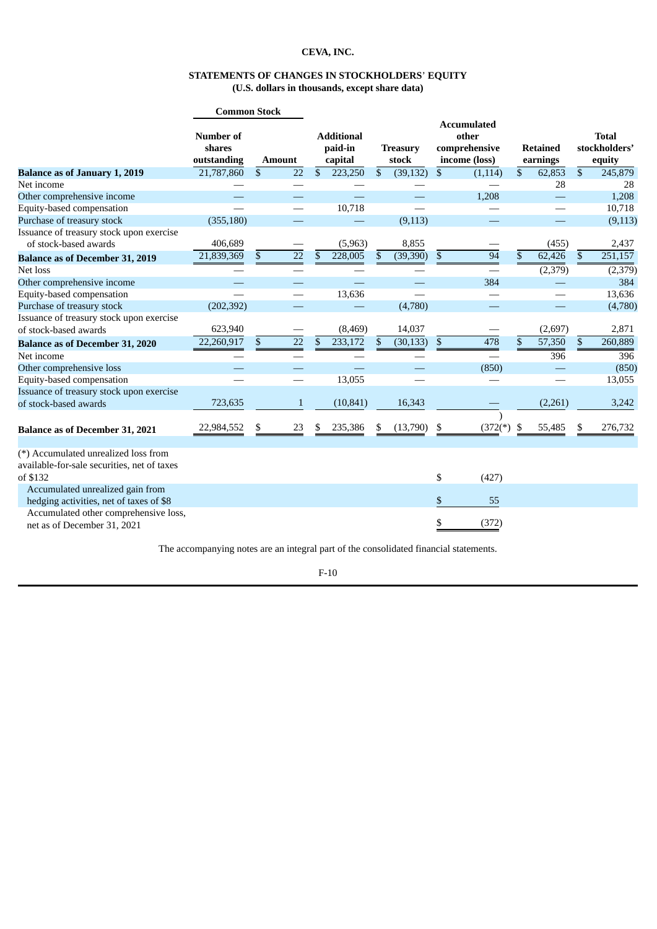### **STATEMENTS OF CHANGES IN STOCKHOLDERS**' **EQUITY (U.S. dollars in thousands, except share data)**

|                                                                                     | <b>Common Stock</b>        |               |                 |              |                              |              |                 |                |                                              |                          |                           |                               |
|-------------------------------------------------------------------------------------|----------------------------|---------------|-----------------|--------------|------------------------------|--------------|-----------------|----------------|----------------------------------------------|--------------------------|---------------------------|-------------------------------|
|                                                                                     | <b>Number of</b><br>shares |               |                 |              | <b>Additional</b><br>paid-in |              | <b>Treasury</b> |                | <b>Accumulated</b><br>other<br>comprehensive | <b>Retained</b>          |                           | <b>Total</b><br>stockholders' |
|                                                                                     | outstanding                | <b>Amount</b> |                 |              | capital                      |              | stock           |                | income (loss)                                | earnings                 |                           | equity                        |
| <b>Balance as of January 1, 2019</b>                                                | 21,787,860                 | \$            | 22              | $\mathbb{S}$ | 223,250                      | \$           | (39, 132)       | $\mathfrak{S}$ | (1, 114)                                     | \$<br>62,853             | $\mathfrak{S}$            | 245,879                       |
| Net income                                                                          |                            |               |                 |              |                              |              |                 |                |                                              | 28                       |                           | 28                            |
| Other comprehensive income                                                          |                            |               |                 |              |                              |              |                 |                | 1,208                                        | $\overline{\phantom{0}}$ |                           | 1,208                         |
| Equity-based compensation                                                           |                            |               |                 |              | 10,718                       |              |                 |                |                                              |                          |                           | 10,718                        |
| Purchase of treasury stock                                                          | (355, 180)                 |               |                 |              |                              |              | (9, 113)        |                |                                              |                          |                           | (9, 113)                      |
| Issuance of treasury stock upon exercise<br>of stock-based awards                   | 406,689                    |               |                 |              | (5,963)                      |              | 8,855           |                |                                              | (455)                    |                           | 2,437                         |
| <b>Balance as of December 31, 2019</b>                                              | 21,839,369                 | \$            | $\overline{22}$ | \$           | 228,005                      | $\mathbb{S}$ | (39, 390)       | $\mathfrak{s}$ | $\overline{94}$                              | \$<br>62,426             | $\boldsymbol{\mathsf{S}}$ | 251,157                       |
| Net loss                                                                            |                            |               |                 |              |                              |              |                 |                |                                              | (2,379)                  |                           | (2,379)                       |
| Other comprehensive income                                                          |                            |               |                 |              |                              |              |                 |                | 384                                          |                          |                           | 384                           |
| Equity-based compensation                                                           |                            |               |                 |              | 13,636                       |              |                 |                |                                              |                          |                           | 13,636                        |
| Purchase of treasury stock                                                          | (202, 392)                 |               |                 |              |                              |              | (4,780)         |                |                                              |                          |                           | (4,780)                       |
| Issuance of treasury stock upon exercise<br>of stock-based awards                   | 623,940                    |               |                 |              | (8, 469)                     |              | 14,037          |                |                                              | (2,697)                  |                           | 2,871                         |
| <b>Balance as of December 31, 2020</b>                                              | 22,260,917                 | \$            | $\overline{22}$ | \$           | 233,172                      | $\mathbb{S}$ | (30, 133)       | $\mathfrak{s}$ | 478                                          | \$<br>57,350             | $\mathbb{S}$              | 260,889                       |
| Net income                                                                          |                            |               |                 |              |                              |              |                 |                |                                              | 396                      |                           | 396                           |
| Other comprehensive loss                                                            |                            |               |                 |              |                              |              |                 |                | (850)                                        |                          |                           | (850)                         |
| Equity-based compensation                                                           |                            |               |                 |              | 13,055                       |              |                 |                |                                              |                          |                           | 13,055                        |
| Issuance of treasury stock upon exercise<br>of stock-based awards                   | 723,635                    |               | 1               |              | (10, 841)                    |              | 16,343          |                |                                              | (2,261)                  |                           | 3,242                         |
|                                                                                     |                            |               |                 |              |                              |              |                 |                |                                              |                          |                           |                               |
| <b>Balance as of December 31, 2021</b>                                              | 22,984,552                 | \$            | 23              | \$           | 235,386                      | \$           | (13,790)        | \$             | $(372(*)$                                    | \$<br>55,485             | \$                        | 276,732                       |
| (*) Accumulated unrealized loss from<br>available-for-sale securities, net of taxes |                            |               |                 |              |                              |              |                 |                |                                              |                          |                           |                               |
| of \$132                                                                            |                            |               |                 |              |                              |              |                 | \$             | (427)                                        |                          |                           |                               |
| Accumulated unrealized gain from<br>hedging activities, net of taxes of \$8         |                            |               |                 |              |                              |              |                 | $\mathbb{S}$   | 55                                           |                          |                           |                               |
| Accumulated other comprehensive loss,<br>net as of December 31, 2021                |                            |               |                 |              |                              |              |                 | S              | (372)                                        |                          |                           |                               |

The accompanying notes are an integral part of the consolidated financial statements.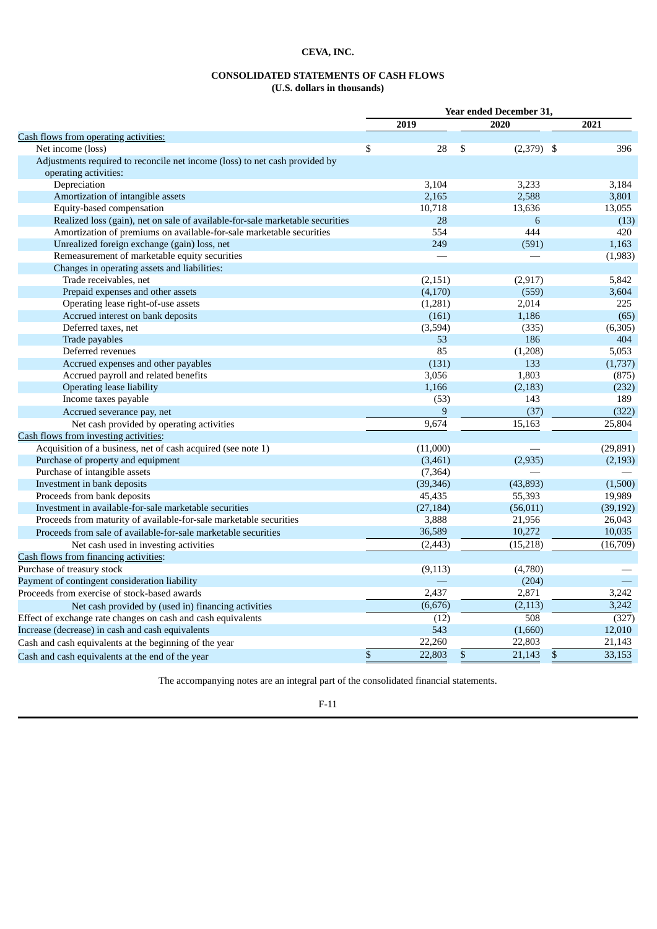# **CONSOLIDATED STATEMENTS OF CASH FLOWS (U.S. dollars in thousands)**

| 2019<br>2020<br>2021<br>Cash flows from operating activities:<br>\$<br>396<br>Net income (loss)<br>28<br>\$<br>$(2,379)$ \$<br>Adjustments required to reconcile net income (loss) to net cash provided by<br>operating activities:<br>Depreciation<br>3,104<br>3,233<br>3,184<br>2,165<br>2,588<br>3,801<br>Amortization of intangible assets<br>Equity-based compensation<br>10,718<br>13,636<br>13,055<br>Realized loss (gain), net on sale of available-for-sale marketable securities<br>28<br>6<br>(13)<br>Amortization of premiums on available-for-sale marketable securities<br>554<br>444<br>420<br>Unrealized foreign exchange (gain) loss, net<br>249<br>(591)<br>1,163<br>Remeasurement of marketable equity securities<br>(1,983)<br>Changes in operating assets and liabilities:<br>Trade receivables, net<br>(2, 151)<br>(2, 917)<br>5,842<br>Prepaid expenses and other assets<br>(4,170)<br>(559)<br>3,604<br>Operating lease right-of-use assets<br>(1,281)<br>2,014<br>225<br>Accrued interest on bank deposits<br>1,186<br>(65)<br>(161)<br>Deferred taxes, net<br>(3,594)<br>(335)<br>(6,305)<br>Trade payables<br>186<br>404<br>53<br>Deferred revenues<br>85<br>(1,208)<br>5,053<br>Accrued expenses and other payables<br>(131)<br>133<br>(1,737)<br>Accrued payroll and related benefits<br>3,056<br>1,803<br>(875)<br><b>Operating lease liability</b><br>1,166<br>(2, 183)<br>(232)<br>Income taxes payable<br>(53)<br>143<br>189<br>9<br>(37)<br>(322)<br>Accrued severance pay, net<br>9,674<br>15,163<br>25,804<br>Net cash provided by operating activities<br>Cash flows from investing activities:<br>Acquisition of a business, net of cash acquired (see note 1)<br>(11,000)<br>(29, 891)<br>Purchase of property and equipment<br>(3, 461)<br>(2, 935)<br>(2, 193)<br>Purchase of intangible assets<br>(7, 364)<br>Investment in bank deposits<br>(39, 346)<br>(43, 893)<br>(1,500)<br>45,435<br>Proceeds from bank deposits<br>55,393<br>19,989<br>Investment in available-for-sale marketable securities<br>(27, 184)<br>(56, 011)<br>(39, 192)<br>3,888<br>21,956<br>26,043<br>Proceeds from maturity of available-for-sale marketable securities<br>36,589<br>10,272<br>10,035<br>Proceeds from sale of available-for-sale marketable securities<br>(16, 709)<br>(2, 443)<br>(15, 218)<br>Net cash used in investing activities<br>Cash flows from financing activities:<br>Purchase of treasury stock<br>(9, 113)<br>(4,780)<br>Payment of contingent consideration liability<br>(204)<br>2,437<br>2,871<br>Proceeds from exercise of stock-based awards<br>3,242<br>(6,676)<br>3,242<br>(2, 113)<br>Net cash provided by (used in) financing activities<br>508<br>(327)<br>Effect of exchange rate changes on cash and cash equivalents<br>(12)<br>543<br>12,010<br>Increase (decrease) in cash and cash equivalents<br>(1,660)<br>22,260<br>22,803<br>21,143<br>Cash and cash equivalents at the beginning of the year<br>$\overline{\$}$<br>33,153<br>\$<br>22,803<br>\$<br>21,143<br>Cash and cash equivalents at the end of the year | Year ended December 31, |  |  |  |  |  |
|-------------------------------------------------------------------------------------------------------------------------------------------------------------------------------------------------------------------------------------------------------------------------------------------------------------------------------------------------------------------------------------------------------------------------------------------------------------------------------------------------------------------------------------------------------------------------------------------------------------------------------------------------------------------------------------------------------------------------------------------------------------------------------------------------------------------------------------------------------------------------------------------------------------------------------------------------------------------------------------------------------------------------------------------------------------------------------------------------------------------------------------------------------------------------------------------------------------------------------------------------------------------------------------------------------------------------------------------------------------------------------------------------------------------------------------------------------------------------------------------------------------------------------------------------------------------------------------------------------------------------------------------------------------------------------------------------------------------------------------------------------------------------------------------------------------------------------------------------------------------------------------------------------------------------------------------------------------------------------------------------------------------------------------------------------------------------------------------------------------------------------------------------------------------------------------------------------------------------------------------------------------------------------------------------------------------------------------------------------------------------------------------------------------------------------------------------------------------------------------------------------------------------------------------------------------------------------------------------------------------------------------------------------------------------------------------------------------------------------------------------------------------------------------------------------------------------------------------------------------------------------------------------------------------------------------------------------------------------------------------------------------------------------------------------------------------------------------|-------------------------|--|--|--|--|--|
|                                                                                                                                                                                                                                                                                                                                                                                                                                                                                                                                                                                                                                                                                                                                                                                                                                                                                                                                                                                                                                                                                                                                                                                                                                                                                                                                                                                                                                                                                                                                                                                                                                                                                                                                                                                                                                                                                                                                                                                                                                                                                                                                                                                                                                                                                                                                                                                                                                                                                                                                                                                                                                                                                                                                                                                                                                                                                                                                                                                                                                                                                     |                         |  |  |  |  |  |
|                                                                                                                                                                                                                                                                                                                                                                                                                                                                                                                                                                                                                                                                                                                                                                                                                                                                                                                                                                                                                                                                                                                                                                                                                                                                                                                                                                                                                                                                                                                                                                                                                                                                                                                                                                                                                                                                                                                                                                                                                                                                                                                                                                                                                                                                                                                                                                                                                                                                                                                                                                                                                                                                                                                                                                                                                                                                                                                                                                                                                                                                                     |                         |  |  |  |  |  |
|                                                                                                                                                                                                                                                                                                                                                                                                                                                                                                                                                                                                                                                                                                                                                                                                                                                                                                                                                                                                                                                                                                                                                                                                                                                                                                                                                                                                                                                                                                                                                                                                                                                                                                                                                                                                                                                                                                                                                                                                                                                                                                                                                                                                                                                                                                                                                                                                                                                                                                                                                                                                                                                                                                                                                                                                                                                                                                                                                                                                                                                                                     |                         |  |  |  |  |  |
|                                                                                                                                                                                                                                                                                                                                                                                                                                                                                                                                                                                                                                                                                                                                                                                                                                                                                                                                                                                                                                                                                                                                                                                                                                                                                                                                                                                                                                                                                                                                                                                                                                                                                                                                                                                                                                                                                                                                                                                                                                                                                                                                                                                                                                                                                                                                                                                                                                                                                                                                                                                                                                                                                                                                                                                                                                                                                                                                                                                                                                                                                     |                         |  |  |  |  |  |
|                                                                                                                                                                                                                                                                                                                                                                                                                                                                                                                                                                                                                                                                                                                                                                                                                                                                                                                                                                                                                                                                                                                                                                                                                                                                                                                                                                                                                                                                                                                                                                                                                                                                                                                                                                                                                                                                                                                                                                                                                                                                                                                                                                                                                                                                                                                                                                                                                                                                                                                                                                                                                                                                                                                                                                                                                                                                                                                                                                                                                                                                                     |                         |  |  |  |  |  |
|                                                                                                                                                                                                                                                                                                                                                                                                                                                                                                                                                                                                                                                                                                                                                                                                                                                                                                                                                                                                                                                                                                                                                                                                                                                                                                                                                                                                                                                                                                                                                                                                                                                                                                                                                                                                                                                                                                                                                                                                                                                                                                                                                                                                                                                                                                                                                                                                                                                                                                                                                                                                                                                                                                                                                                                                                                                                                                                                                                                                                                                                                     |                         |  |  |  |  |  |
|                                                                                                                                                                                                                                                                                                                                                                                                                                                                                                                                                                                                                                                                                                                                                                                                                                                                                                                                                                                                                                                                                                                                                                                                                                                                                                                                                                                                                                                                                                                                                                                                                                                                                                                                                                                                                                                                                                                                                                                                                                                                                                                                                                                                                                                                                                                                                                                                                                                                                                                                                                                                                                                                                                                                                                                                                                                                                                                                                                                                                                                                                     |                         |  |  |  |  |  |
|                                                                                                                                                                                                                                                                                                                                                                                                                                                                                                                                                                                                                                                                                                                                                                                                                                                                                                                                                                                                                                                                                                                                                                                                                                                                                                                                                                                                                                                                                                                                                                                                                                                                                                                                                                                                                                                                                                                                                                                                                                                                                                                                                                                                                                                                                                                                                                                                                                                                                                                                                                                                                                                                                                                                                                                                                                                                                                                                                                                                                                                                                     |                         |  |  |  |  |  |
|                                                                                                                                                                                                                                                                                                                                                                                                                                                                                                                                                                                                                                                                                                                                                                                                                                                                                                                                                                                                                                                                                                                                                                                                                                                                                                                                                                                                                                                                                                                                                                                                                                                                                                                                                                                                                                                                                                                                                                                                                                                                                                                                                                                                                                                                                                                                                                                                                                                                                                                                                                                                                                                                                                                                                                                                                                                                                                                                                                                                                                                                                     |                         |  |  |  |  |  |
|                                                                                                                                                                                                                                                                                                                                                                                                                                                                                                                                                                                                                                                                                                                                                                                                                                                                                                                                                                                                                                                                                                                                                                                                                                                                                                                                                                                                                                                                                                                                                                                                                                                                                                                                                                                                                                                                                                                                                                                                                                                                                                                                                                                                                                                                                                                                                                                                                                                                                                                                                                                                                                                                                                                                                                                                                                                                                                                                                                                                                                                                                     |                         |  |  |  |  |  |
|                                                                                                                                                                                                                                                                                                                                                                                                                                                                                                                                                                                                                                                                                                                                                                                                                                                                                                                                                                                                                                                                                                                                                                                                                                                                                                                                                                                                                                                                                                                                                                                                                                                                                                                                                                                                                                                                                                                                                                                                                                                                                                                                                                                                                                                                                                                                                                                                                                                                                                                                                                                                                                                                                                                                                                                                                                                                                                                                                                                                                                                                                     |                         |  |  |  |  |  |
|                                                                                                                                                                                                                                                                                                                                                                                                                                                                                                                                                                                                                                                                                                                                                                                                                                                                                                                                                                                                                                                                                                                                                                                                                                                                                                                                                                                                                                                                                                                                                                                                                                                                                                                                                                                                                                                                                                                                                                                                                                                                                                                                                                                                                                                                                                                                                                                                                                                                                                                                                                                                                                                                                                                                                                                                                                                                                                                                                                                                                                                                                     |                         |  |  |  |  |  |
|                                                                                                                                                                                                                                                                                                                                                                                                                                                                                                                                                                                                                                                                                                                                                                                                                                                                                                                                                                                                                                                                                                                                                                                                                                                                                                                                                                                                                                                                                                                                                                                                                                                                                                                                                                                                                                                                                                                                                                                                                                                                                                                                                                                                                                                                                                                                                                                                                                                                                                                                                                                                                                                                                                                                                                                                                                                                                                                                                                                                                                                                                     |                         |  |  |  |  |  |
|                                                                                                                                                                                                                                                                                                                                                                                                                                                                                                                                                                                                                                                                                                                                                                                                                                                                                                                                                                                                                                                                                                                                                                                                                                                                                                                                                                                                                                                                                                                                                                                                                                                                                                                                                                                                                                                                                                                                                                                                                                                                                                                                                                                                                                                                                                                                                                                                                                                                                                                                                                                                                                                                                                                                                                                                                                                                                                                                                                                                                                                                                     |                         |  |  |  |  |  |
|                                                                                                                                                                                                                                                                                                                                                                                                                                                                                                                                                                                                                                                                                                                                                                                                                                                                                                                                                                                                                                                                                                                                                                                                                                                                                                                                                                                                                                                                                                                                                                                                                                                                                                                                                                                                                                                                                                                                                                                                                                                                                                                                                                                                                                                                                                                                                                                                                                                                                                                                                                                                                                                                                                                                                                                                                                                                                                                                                                                                                                                                                     |                         |  |  |  |  |  |
|                                                                                                                                                                                                                                                                                                                                                                                                                                                                                                                                                                                                                                                                                                                                                                                                                                                                                                                                                                                                                                                                                                                                                                                                                                                                                                                                                                                                                                                                                                                                                                                                                                                                                                                                                                                                                                                                                                                                                                                                                                                                                                                                                                                                                                                                                                                                                                                                                                                                                                                                                                                                                                                                                                                                                                                                                                                                                                                                                                                                                                                                                     |                         |  |  |  |  |  |
|                                                                                                                                                                                                                                                                                                                                                                                                                                                                                                                                                                                                                                                                                                                                                                                                                                                                                                                                                                                                                                                                                                                                                                                                                                                                                                                                                                                                                                                                                                                                                                                                                                                                                                                                                                                                                                                                                                                                                                                                                                                                                                                                                                                                                                                                                                                                                                                                                                                                                                                                                                                                                                                                                                                                                                                                                                                                                                                                                                                                                                                                                     |                         |  |  |  |  |  |
|                                                                                                                                                                                                                                                                                                                                                                                                                                                                                                                                                                                                                                                                                                                                                                                                                                                                                                                                                                                                                                                                                                                                                                                                                                                                                                                                                                                                                                                                                                                                                                                                                                                                                                                                                                                                                                                                                                                                                                                                                                                                                                                                                                                                                                                                                                                                                                                                                                                                                                                                                                                                                                                                                                                                                                                                                                                                                                                                                                                                                                                                                     |                         |  |  |  |  |  |
|                                                                                                                                                                                                                                                                                                                                                                                                                                                                                                                                                                                                                                                                                                                                                                                                                                                                                                                                                                                                                                                                                                                                                                                                                                                                                                                                                                                                                                                                                                                                                                                                                                                                                                                                                                                                                                                                                                                                                                                                                                                                                                                                                                                                                                                                                                                                                                                                                                                                                                                                                                                                                                                                                                                                                                                                                                                                                                                                                                                                                                                                                     |                         |  |  |  |  |  |
|                                                                                                                                                                                                                                                                                                                                                                                                                                                                                                                                                                                                                                                                                                                                                                                                                                                                                                                                                                                                                                                                                                                                                                                                                                                                                                                                                                                                                                                                                                                                                                                                                                                                                                                                                                                                                                                                                                                                                                                                                                                                                                                                                                                                                                                                                                                                                                                                                                                                                                                                                                                                                                                                                                                                                                                                                                                                                                                                                                                                                                                                                     |                         |  |  |  |  |  |
|                                                                                                                                                                                                                                                                                                                                                                                                                                                                                                                                                                                                                                                                                                                                                                                                                                                                                                                                                                                                                                                                                                                                                                                                                                                                                                                                                                                                                                                                                                                                                                                                                                                                                                                                                                                                                                                                                                                                                                                                                                                                                                                                                                                                                                                                                                                                                                                                                                                                                                                                                                                                                                                                                                                                                                                                                                                                                                                                                                                                                                                                                     |                         |  |  |  |  |  |
|                                                                                                                                                                                                                                                                                                                                                                                                                                                                                                                                                                                                                                                                                                                                                                                                                                                                                                                                                                                                                                                                                                                                                                                                                                                                                                                                                                                                                                                                                                                                                                                                                                                                                                                                                                                                                                                                                                                                                                                                                                                                                                                                                                                                                                                                                                                                                                                                                                                                                                                                                                                                                                                                                                                                                                                                                                                                                                                                                                                                                                                                                     |                         |  |  |  |  |  |
|                                                                                                                                                                                                                                                                                                                                                                                                                                                                                                                                                                                                                                                                                                                                                                                                                                                                                                                                                                                                                                                                                                                                                                                                                                                                                                                                                                                                                                                                                                                                                                                                                                                                                                                                                                                                                                                                                                                                                                                                                                                                                                                                                                                                                                                                                                                                                                                                                                                                                                                                                                                                                                                                                                                                                                                                                                                                                                                                                                                                                                                                                     |                         |  |  |  |  |  |
|                                                                                                                                                                                                                                                                                                                                                                                                                                                                                                                                                                                                                                                                                                                                                                                                                                                                                                                                                                                                                                                                                                                                                                                                                                                                                                                                                                                                                                                                                                                                                                                                                                                                                                                                                                                                                                                                                                                                                                                                                                                                                                                                                                                                                                                                                                                                                                                                                                                                                                                                                                                                                                                                                                                                                                                                                                                                                                                                                                                                                                                                                     |                         |  |  |  |  |  |
|                                                                                                                                                                                                                                                                                                                                                                                                                                                                                                                                                                                                                                                                                                                                                                                                                                                                                                                                                                                                                                                                                                                                                                                                                                                                                                                                                                                                                                                                                                                                                                                                                                                                                                                                                                                                                                                                                                                                                                                                                                                                                                                                                                                                                                                                                                                                                                                                                                                                                                                                                                                                                                                                                                                                                                                                                                                                                                                                                                                                                                                                                     |                         |  |  |  |  |  |
|                                                                                                                                                                                                                                                                                                                                                                                                                                                                                                                                                                                                                                                                                                                                                                                                                                                                                                                                                                                                                                                                                                                                                                                                                                                                                                                                                                                                                                                                                                                                                                                                                                                                                                                                                                                                                                                                                                                                                                                                                                                                                                                                                                                                                                                                                                                                                                                                                                                                                                                                                                                                                                                                                                                                                                                                                                                                                                                                                                                                                                                                                     |                         |  |  |  |  |  |
|                                                                                                                                                                                                                                                                                                                                                                                                                                                                                                                                                                                                                                                                                                                                                                                                                                                                                                                                                                                                                                                                                                                                                                                                                                                                                                                                                                                                                                                                                                                                                                                                                                                                                                                                                                                                                                                                                                                                                                                                                                                                                                                                                                                                                                                                                                                                                                                                                                                                                                                                                                                                                                                                                                                                                                                                                                                                                                                                                                                                                                                                                     |                         |  |  |  |  |  |
|                                                                                                                                                                                                                                                                                                                                                                                                                                                                                                                                                                                                                                                                                                                                                                                                                                                                                                                                                                                                                                                                                                                                                                                                                                                                                                                                                                                                                                                                                                                                                                                                                                                                                                                                                                                                                                                                                                                                                                                                                                                                                                                                                                                                                                                                                                                                                                                                                                                                                                                                                                                                                                                                                                                                                                                                                                                                                                                                                                                                                                                                                     |                         |  |  |  |  |  |
|                                                                                                                                                                                                                                                                                                                                                                                                                                                                                                                                                                                                                                                                                                                                                                                                                                                                                                                                                                                                                                                                                                                                                                                                                                                                                                                                                                                                                                                                                                                                                                                                                                                                                                                                                                                                                                                                                                                                                                                                                                                                                                                                                                                                                                                                                                                                                                                                                                                                                                                                                                                                                                                                                                                                                                                                                                                                                                                                                                                                                                                                                     |                         |  |  |  |  |  |
|                                                                                                                                                                                                                                                                                                                                                                                                                                                                                                                                                                                                                                                                                                                                                                                                                                                                                                                                                                                                                                                                                                                                                                                                                                                                                                                                                                                                                                                                                                                                                                                                                                                                                                                                                                                                                                                                                                                                                                                                                                                                                                                                                                                                                                                                                                                                                                                                                                                                                                                                                                                                                                                                                                                                                                                                                                                                                                                                                                                                                                                                                     |                         |  |  |  |  |  |
|                                                                                                                                                                                                                                                                                                                                                                                                                                                                                                                                                                                                                                                                                                                                                                                                                                                                                                                                                                                                                                                                                                                                                                                                                                                                                                                                                                                                                                                                                                                                                                                                                                                                                                                                                                                                                                                                                                                                                                                                                                                                                                                                                                                                                                                                                                                                                                                                                                                                                                                                                                                                                                                                                                                                                                                                                                                                                                                                                                                                                                                                                     |                         |  |  |  |  |  |
|                                                                                                                                                                                                                                                                                                                                                                                                                                                                                                                                                                                                                                                                                                                                                                                                                                                                                                                                                                                                                                                                                                                                                                                                                                                                                                                                                                                                                                                                                                                                                                                                                                                                                                                                                                                                                                                                                                                                                                                                                                                                                                                                                                                                                                                                                                                                                                                                                                                                                                                                                                                                                                                                                                                                                                                                                                                                                                                                                                                                                                                                                     |                         |  |  |  |  |  |
|                                                                                                                                                                                                                                                                                                                                                                                                                                                                                                                                                                                                                                                                                                                                                                                                                                                                                                                                                                                                                                                                                                                                                                                                                                                                                                                                                                                                                                                                                                                                                                                                                                                                                                                                                                                                                                                                                                                                                                                                                                                                                                                                                                                                                                                                                                                                                                                                                                                                                                                                                                                                                                                                                                                                                                                                                                                                                                                                                                                                                                                                                     |                         |  |  |  |  |  |
|                                                                                                                                                                                                                                                                                                                                                                                                                                                                                                                                                                                                                                                                                                                                                                                                                                                                                                                                                                                                                                                                                                                                                                                                                                                                                                                                                                                                                                                                                                                                                                                                                                                                                                                                                                                                                                                                                                                                                                                                                                                                                                                                                                                                                                                                                                                                                                                                                                                                                                                                                                                                                                                                                                                                                                                                                                                                                                                                                                                                                                                                                     |                         |  |  |  |  |  |
|                                                                                                                                                                                                                                                                                                                                                                                                                                                                                                                                                                                                                                                                                                                                                                                                                                                                                                                                                                                                                                                                                                                                                                                                                                                                                                                                                                                                                                                                                                                                                                                                                                                                                                                                                                                                                                                                                                                                                                                                                                                                                                                                                                                                                                                                                                                                                                                                                                                                                                                                                                                                                                                                                                                                                                                                                                                                                                                                                                                                                                                                                     |                         |  |  |  |  |  |
|                                                                                                                                                                                                                                                                                                                                                                                                                                                                                                                                                                                                                                                                                                                                                                                                                                                                                                                                                                                                                                                                                                                                                                                                                                                                                                                                                                                                                                                                                                                                                                                                                                                                                                                                                                                                                                                                                                                                                                                                                                                                                                                                                                                                                                                                                                                                                                                                                                                                                                                                                                                                                                                                                                                                                                                                                                                                                                                                                                                                                                                                                     |                         |  |  |  |  |  |
|                                                                                                                                                                                                                                                                                                                                                                                                                                                                                                                                                                                                                                                                                                                                                                                                                                                                                                                                                                                                                                                                                                                                                                                                                                                                                                                                                                                                                                                                                                                                                                                                                                                                                                                                                                                                                                                                                                                                                                                                                                                                                                                                                                                                                                                                                                                                                                                                                                                                                                                                                                                                                                                                                                                                                                                                                                                                                                                                                                                                                                                                                     |                         |  |  |  |  |  |
|                                                                                                                                                                                                                                                                                                                                                                                                                                                                                                                                                                                                                                                                                                                                                                                                                                                                                                                                                                                                                                                                                                                                                                                                                                                                                                                                                                                                                                                                                                                                                                                                                                                                                                                                                                                                                                                                                                                                                                                                                                                                                                                                                                                                                                                                                                                                                                                                                                                                                                                                                                                                                                                                                                                                                                                                                                                                                                                                                                                                                                                                                     |                         |  |  |  |  |  |
|                                                                                                                                                                                                                                                                                                                                                                                                                                                                                                                                                                                                                                                                                                                                                                                                                                                                                                                                                                                                                                                                                                                                                                                                                                                                                                                                                                                                                                                                                                                                                                                                                                                                                                                                                                                                                                                                                                                                                                                                                                                                                                                                                                                                                                                                                                                                                                                                                                                                                                                                                                                                                                                                                                                                                                                                                                                                                                                                                                                                                                                                                     |                         |  |  |  |  |  |
|                                                                                                                                                                                                                                                                                                                                                                                                                                                                                                                                                                                                                                                                                                                                                                                                                                                                                                                                                                                                                                                                                                                                                                                                                                                                                                                                                                                                                                                                                                                                                                                                                                                                                                                                                                                                                                                                                                                                                                                                                                                                                                                                                                                                                                                                                                                                                                                                                                                                                                                                                                                                                                                                                                                                                                                                                                                                                                                                                                                                                                                                                     |                         |  |  |  |  |  |
|                                                                                                                                                                                                                                                                                                                                                                                                                                                                                                                                                                                                                                                                                                                                                                                                                                                                                                                                                                                                                                                                                                                                                                                                                                                                                                                                                                                                                                                                                                                                                                                                                                                                                                                                                                                                                                                                                                                                                                                                                                                                                                                                                                                                                                                                                                                                                                                                                                                                                                                                                                                                                                                                                                                                                                                                                                                                                                                                                                                                                                                                                     |                         |  |  |  |  |  |
|                                                                                                                                                                                                                                                                                                                                                                                                                                                                                                                                                                                                                                                                                                                                                                                                                                                                                                                                                                                                                                                                                                                                                                                                                                                                                                                                                                                                                                                                                                                                                                                                                                                                                                                                                                                                                                                                                                                                                                                                                                                                                                                                                                                                                                                                                                                                                                                                                                                                                                                                                                                                                                                                                                                                                                                                                                                                                                                                                                                                                                                                                     |                         |  |  |  |  |  |
|                                                                                                                                                                                                                                                                                                                                                                                                                                                                                                                                                                                                                                                                                                                                                                                                                                                                                                                                                                                                                                                                                                                                                                                                                                                                                                                                                                                                                                                                                                                                                                                                                                                                                                                                                                                                                                                                                                                                                                                                                                                                                                                                                                                                                                                                                                                                                                                                                                                                                                                                                                                                                                                                                                                                                                                                                                                                                                                                                                                                                                                                                     |                         |  |  |  |  |  |
|                                                                                                                                                                                                                                                                                                                                                                                                                                                                                                                                                                                                                                                                                                                                                                                                                                                                                                                                                                                                                                                                                                                                                                                                                                                                                                                                                                                                                                                                                                                                                                                                                                                                                                                                                                                                                                                                                                                                                                                                                                                                                                                                                                                                                                                                                                                                                                                                                                                                                                                                                                                                                                                                                                                                                                                                                                                                                                                                                                                                                                                                                     |                         |  |  |  |  |  |
|                                                                                                                                                                                                                                                                                                                                                                                                                                                                                                                                                                                                                                                                                                                                                                                                                                                                                                                                                                                                                                                                                                                                                                                                                                                                                                                                                                                                                                                                                                                                                                                                                                                                                                                                                                                                                                                                                                                                                                                                                                                                                                                                                                                                                                                                                                                                                                                                                                                                                                                                                                                                                                                                                                                                                                                                                                                                                                                                                                                                                                                                                     |                         |  |  |  |  |  |

The accompanying notes are an integral part of the consolidated financial statements.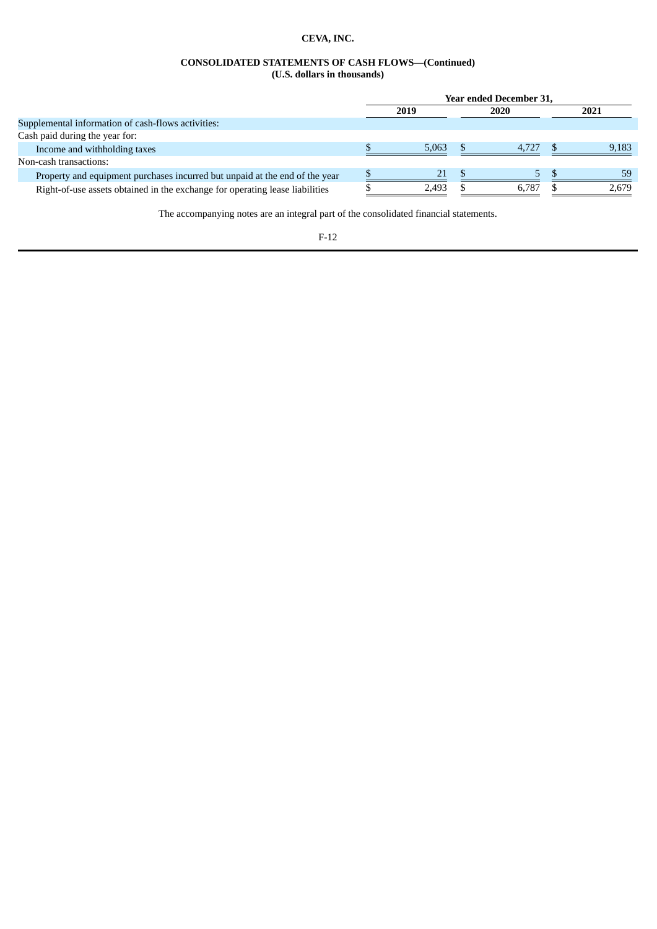### **CONSOLIDATED STATEMENTS OF CASH FLOWS**—**(Continued) (U.S. dollars in thousands)**

|                                                                              |      |       |  | <b>Year ended December 31,</b> |       |
|------------------------------------------------------------------------------|------|-------|--|--------------------------------|-------|
|                                                                              | 2019 |       |  | 2020                           | 2021  |
| Supplemental information of cash-flows activities:                           |      |       |  |                                |       |
| Cash paid during the year for:                                               |      |       |  |                                |       |
| Income and withholding taxes                                                 |      | 5.063 |  | 4.727                          | 9.183 |
| Non-cash transactions:                                                       |      |       |  |                                |       |
| Property and equipment purchases incurred but unpaid at the end of the year  |      | 21    |  |                                | 59    |
| Right-of-use assets obtained in the exchange for operating lease liabilities |      | 2.493 |  | 6.787                          | 2.679 |

The accompanying notes are an integral part of the consolidated financial statements.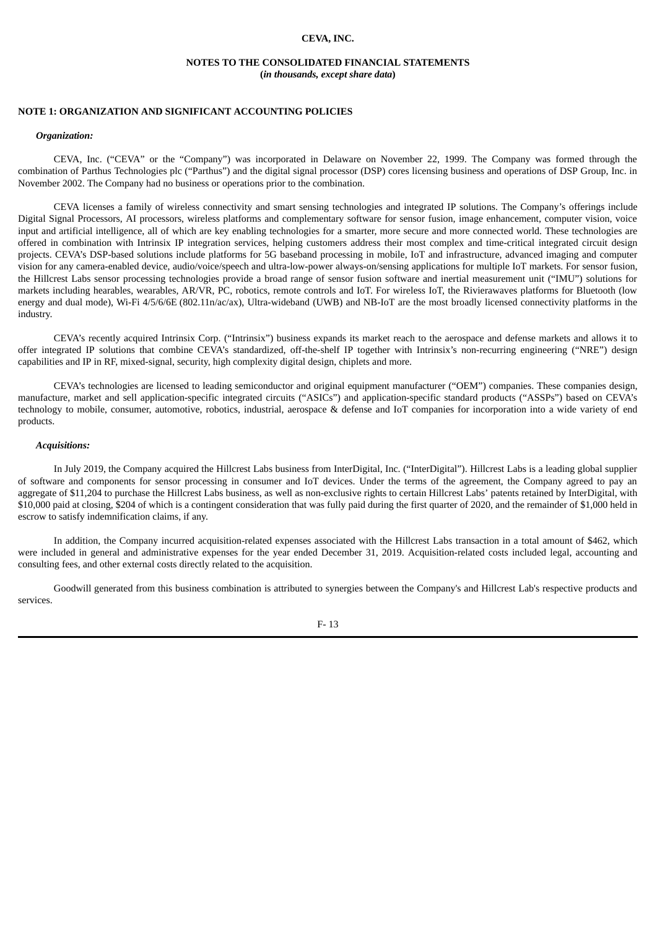## **NOTES TO THE CONSOLIDATED FINANCIAL STATEMENTS (***in thousands, except share data***)**

## **NOTE 1: ORGANIZATION AND SIGNIFICANT ACCOUNTING POLICIES**

### *Organization:*

CEVA, Inc. ("CEVA" or the "Company") was incorporated in Delaware on November 22, 1999. The Company was formed through the combination of Parthus Technologies plc ("Parthus") and the digital signal processor (DSP) cores licensing business and operations of DSP Group, Inc. in November 2002. The Company had no business or operations prior to the combination.

CEVA licenses a family of wireless connectivity and smart sensing technologies and integrated IP solutions. The Company's offerings include Digital Signal Processors, AI processors, wireless platforms and complementary software for sensor fusion, image enhancement, computer vision, voice input and artificial intelligence, all of which are key enabling technologies for a smarter, more secure and more connected world. These technologies are offered in combination with Intrinsix IP integration services, helping customers address their most complex and time-critical integrated circuit design projects. CEVA's DSP-based solutions include platforms for 5G baseband processing in mobile, IoT and infrastructure, advanced imaging and computer vision for any camera-enabled device, audio/voice/speech and ultra-low-power always-on/sensing applications for multiple IoT markets. For sensor fusion, the Hillcrest Labs sensor processing technologies provide a broad range of sensor fusion software and inertial measurement unit ("IMU") solutions for markets including hearables, wearables, AR/VR, PC, robotics, remote controls and IoT. For wireless IoT, the Rivierawaves platforms for Bluetooth (low energy and dual mode), Wi-Fi 4/5/6/6E (802.11n/ac/ax), Ultra-wideband (UWB) and NB-IoT are the most broadly licensed connectivity platforms in the industry.

CEVA's recently acquired Intrinsix Corp. ("Intrinsix") business expands its market reach to the aerospace and defense markets and allows it to offer integrated IP solutions that combine CEVA's standardized, off-the-shelf IP together with Intrinsix's non-recurring engineering ("NRE") design capabilities and IP in RF, mixed-signal, security, high complexity digital design, chiplets and more.

CEVA's technologies are licensed to leading semiconductor and original equipment manufacturer ("OEM") companies. These companies design, manufacture, market and sell application-specific integrated circuits ("ASICs") and application-specific standard products ("ASSPs") based on CEVA's technology to mobile, consumer, automotive, robotics, industrial, aerospace & defense and IoT companies for incorporation into a wide variety of end products.

#### *Acquisitions:*

In July 2019, the Company acquired the Hillcrest Labs business from InterDigital, Inc. ("InterDigital"). Hillcrest Labs is a leading global supplier of software and components for sensor processing in consumer and IoT devices. Under the terms of the agreement, the Company agreed to pay an aggregate of \$11,204 to purchase the Hillcrest Labs business, as well as non-exclusive rights to certain Hillcrest Labs' patents retained by InterDigital, with \$10,000 paid at closing, \$204 of which is a contingent consideration that was fully paid during the first quarter of 2020, and the remainder of \$1,000 held in escrow to satisfy indemnification claims, if any.

In addition, the Company incurred acquisition-related expenses associated with the Hillcrest Labs transaction in a total amount of \$462, which were included in general and administrative expenses for the year ended December 31, 2019. Acquisition-related costs included legal, accounting and consulting fees, and other external costs directly related to the acquisition.

Goodwill generated from this business combination is attributed to synergies between the Company's and Hillcrest Lab's respective products and services.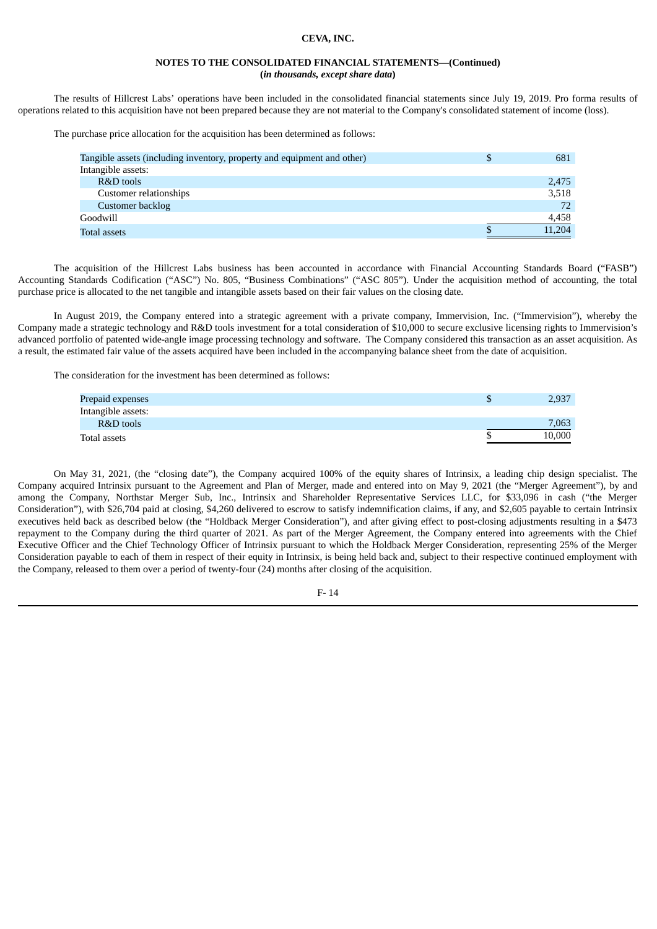## **NOTES TO THE CONSOLIDATED FINANCIAL STATEMENTS**—**(Continued) (***in thousands, except share data***)**

The results of Hillcrest Labs' operations have been included in the consolidated financial statements since July 19, 2019. Pro forma results of operations related to this acquisition have not been prepared because they are not material to the Company's consolidated statement of income (loss).

The purchase price allocation for the acquisition has been determined as follows:

| Tangible assets (including inventory, property and equipment and other) | \$<br>681 |
|-------------------------------------------------------------------------|-----------|
| Intangible assets:                                                      |           |
| R&D tools                                                               | 2,475     |
| Customer relationships                                                  | 3,518     |
| Customer backlog                                                        | 72        |
| Goodwill                                                                | 4.458     |
| Total assets                                                            | 11.204    |

The acquisition of the Hillcrest Labs business has been accounted in accordance with Financial Accounting Standards Board ("FASB") Accounting Standards Codification ("ASC") No. 805, "Business Combinations" ("ASC 805"). Under the acquisition method of accounting, the total purchase price is allocated to the net tangible and intangible assets based on their fair values on the closing date.

In August 2019, the Company entered into a strategic agreement with a private company, Immervision, Inc. ("Immervision"), whereby the Company made a strategic technology and R&D tools investment for a total consideration of \$10,000 to secure exclusive licensing rights to Immervision's advanced portfolio of patented wide-angle image processing technology and software. The Company considered this transaction as an asset acquisition. As a result, the estimated fair value of the assets acquired have been included in the accompanying balance sheet from the date of acquisition.

The consideration for the investment has been determined as follows:

| Prepaid expenses   | 2,937  |
|--------------------|--------|
| Intangible assets: |        |
| R&D tools          | 7,063  |
| Total assets       | 10,000 |

On May 31, 2021, (the "closing date"), the Company acquired 100% of the equity shares of Intrinsix, a leading chip design specialist. The Company acquired Intrinsix pursuant to the Agreement and Plan of Merger, made and entered into on May 9, 2021 (the "Merger Agreement"), by and among the Company, Northstar Merger Sub, Inc., Intrinsix and Shareholder Representative Services LLC, for \$33,096 in cash ("the Merger Consideration"), with \$26,704 paid at closing, \$4,260 delivered to escrow to satisfy indemnification claims, if any, and \$2,605 payable to certain Intrinsix executives held back as described below (the "Holdback Merger Consideration"), and after giving effect to post-closing adjustments resulting in a \$473 repayment to the Company during the third quarter of 2021. As part of the Merger Agreement, the Company entered into agreements with the Chief Executive Officer and the Chief Technology Officer of Intrinsix pursuant to which the Holdback Merger Consideration, representing 25% of the Merger Consideration payable to each of them in respect of their equity in Intrinsix, is being held back and, subject to their respective continued employment with the Company, released to them over a period of twenty-four (24) months after closing of the acquisition.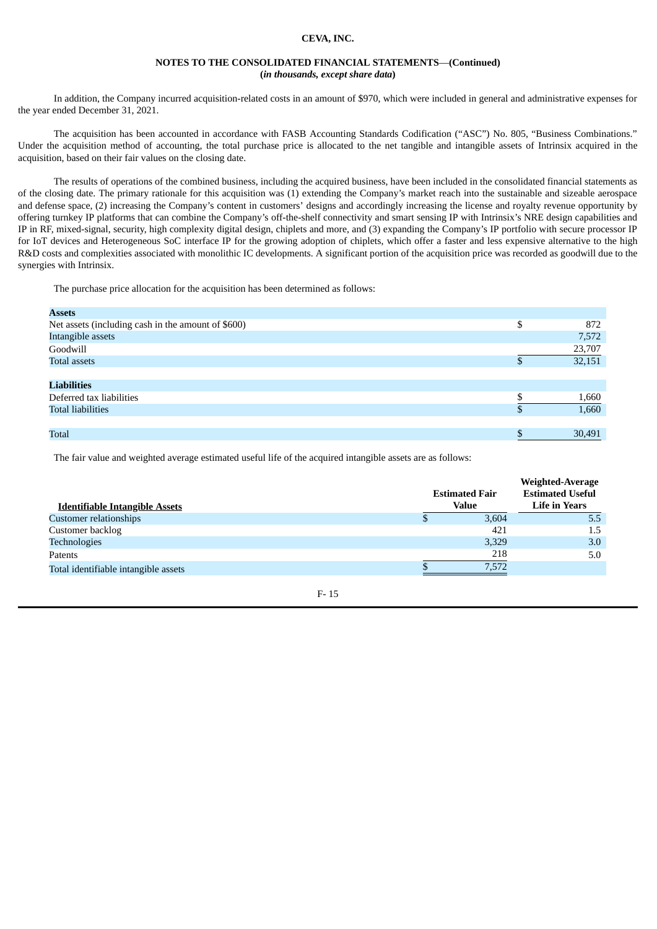## **NOTES TO THE CONSOLIDATED FINANCIAL STATEMENTS**—**(Continued) (***in thousands, except share data***)**

In addition, the Company incurred acquisition-related costs in an amount of \$970, which were included in general and administrative expenses for the year ended December 31, 2021.

The acquisition has been accounted in accordance with FASB Accounting Standards Codification ("ASC") No. 805, "Business Combinations." Under the acquisition method of accounting, the total purchase price is allocated to the net tangible and intangible assets of Intrinsix acquired in the acquisition, based on their fair values on the closing date.

The results of operations of the combined business, including the acquired business, have been included in the consolidated financial statements as of the closing date. The primary rationale for this acquisition was (1) extending the Company's market reach into the sustainable and sizeable aerospace and defense space, (2) increasing the Company's content in customers' designs and accordingly increasing the license and royalty revenue opportunity by offering turnkey IP platforms that can combine the Company's off-the-shelf connectivity and smart sensing IP with Intrinsix's NRE design capabilities and IP in RF, mixed-signal, security, high complexity digital design, chiplets and more, and (3) expanding the Company's IP portfolio with secure processor IP for IoT devices and Heterogeneous SoC interface IP for the growing adoption of chiplets, which offer a faster and less expensive alternative to the high R&D costs and complexities associated with monolithic IC developments. A significant portion of the acquisition price was recorded as goodwill due to the synergies with Intrinsix.

The purchase price allocation for the acquisition has been determined as follows:

| <b>Assets</b>                                      |   |        |
|----------------------------------------------------|---|--------|
| Net assets (including cash in the amount of \$600) | S | 872    |
| Intangible assets                                  |   | 7,572  |
| Goodwill                                           |   | 23,707 |
| <b>Total assets</b>                                |   | 32,151 |
|                                                    |   |        |
| <b>Liabilities</b>                                 |   |        |
| Deferred tax liabilities                           |   | 1,660  |
| <b>Total liabilities</b>                           |   | 1,660  |
|                                                    |   |        |
| <b>Total</b>                                       |   | 30.491 |

The fair value and weighted average estimated useful life of the acquired intangible assets are as follows:

|                                       |                       |       | Weighted-Average        |  |
|---------------------------------------|-----------------------|-------|-------------------------|--|
|                                       | <b>Estimated Fair</b> |       | <b>Estimated Useful</b> |  |
| <b>Identifiable Intangible Assets</b> | Value                 |       | <b>Life in Years</b>    |  |
| <b>Customer relationships</b>         |                       | 3,604 | 5.5                     |  |
| Customer backlog                      |                       | 421   | 1.5                     |  |
| <b>Technologies</b>                   |                       | 3,329 | 3.0                     |  |
| Patents                               |                       | 218   | 5.0                     |  |
| Total identifiable intangible assets  |                       | 7.572 |                         |  |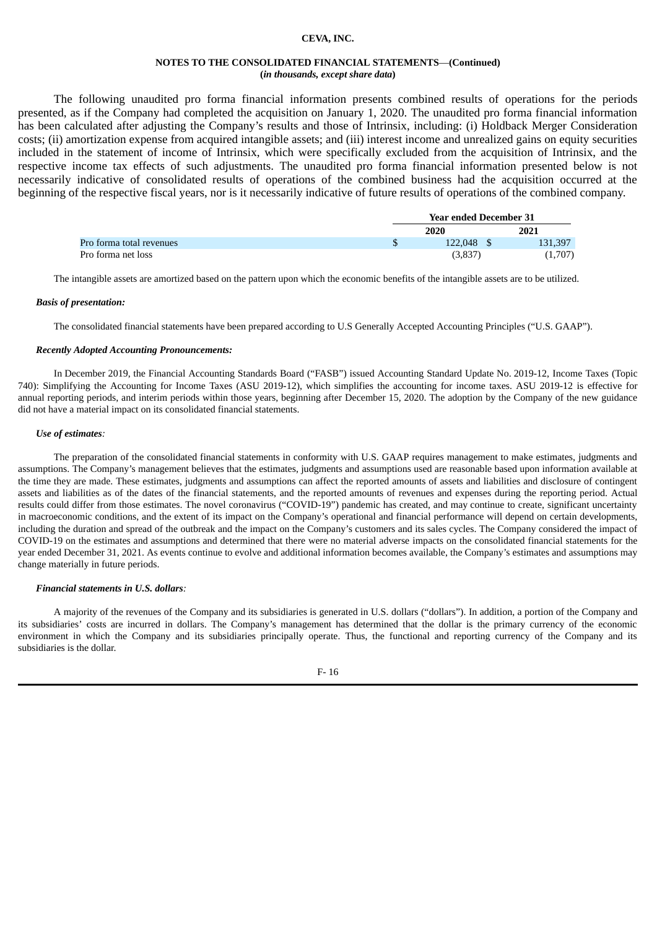# **NOTES TO THE CONSOLIDATED FINANCIAL STATEMENTS**—**(Continued) (***in thousands, except share data***)**

The following unaudited pro forma financial information presents combined results of operations for the periods presented, as if the Company had completed the acquisition on January 1, 2020. The unaudited pro forma financial information has been calculated after adjusting the Company's results and those of Intrinsix, including: (i) Holdback Merger Consideration costs; (ii) amortization expense from acquired intangible assets; and (iii) interest income and unrealized gains on equity securities included in the statement of income of Intrinsix, which were specifically excluded from the acquisition of Intrinsix, and the respective income tax effects of such adjustments. The unaudited pro forma financial information presented below is not necessarily indicative of consolidated results of operations of the combined business had the acquisition occurred at the beginning of the respective fiscal years, nor is it necessarily indicative of future results of operations of the combined company.

|                          | <b>Year ended December 31</b> |         |  |  |  |  |
|--------------------------|-------------------------------|---------|--|--|--|--|
|                          | 2020                          | 2021    |  |  |  |  |
| Pro forma total revenues | $122.048$ \$                  | 131,397 |  |  |  |  |
| Pro forma net loss       | (3,837)                       | (1,707) |  |  |  |  |

The intangible assets are amortized based on the pattern upon which the economic benefits of the intangible assets are to be utilized.

#### *Basis of presentation:*

The consolidated financial statements have been prepared according to U.S Generally Accepted Accounting Principles ("U.S. GAAP").

## *Recently Adopted Accounting Pronouncements:*

In December 2019, the Financial Accounting Standards Board ("FASB") issued Accounting Standard Update No. 2019-12, Income Taxes (Topic 740): Simplifying the Accounting for Income Taxes (ASU 2019-12), which simplifies the accounting for income taxes. ASU 2019-12 is effective for annual reporting periods, and interim periods within those years, beginning after December 15, 2020. The adoption by the Company of the new guidance did not have a material impact on its consolidated financial statements.

### *Use of estimates:*

The preparation of the consolidated financial statements in conformity with U.S. GAAP requires management to make estimates, judgments and assumptions. The Company's management believes that the estimates, judgments and assumptions used are reasonable based upon information available at the time they are made. These estimates, judgments and assumptions can affect the reported amounts of assets and liabilities and disclosure of contingent assets and liabilities as of the dates of the financial statements, and the reported amounts of revenues and expenses during the reporting period. Actual results could differ from those estimates. The novel coronavirus ("COVID-19") pandemic has created, and may continue to create, significant uncertainty in macroeconomic conditions, and the extent of its impact on the Company's operational and financial performance will depend on certain developments, including the duration and spread of the outbreak and the impact on the Company's customers and its sales cycles. The Company considered the impact of COVID-19 on the estimates and assumptions and determined that there were no material adverse impacts on the consolidated financial statements for the year ended December 31, 2021. As events continue to evolve and additional information becomes available, the Company's estimates and assumptions may change materially in future periods.

## *Financial statements in U.S. dollars:*

A majority of the revenues of the Company and its subsidiaries is generated in U.S. dollars ("dollars"). In addition, a portion of the Company and its subsidiaries' costs are incurred in dollars. The Company's management has determined that the dollar is the primary currency of the economic environment in which the Company and its subsidiaries principally operate. Thus, the functional and reporting currency of the Company and its subsidiaries is the dollar.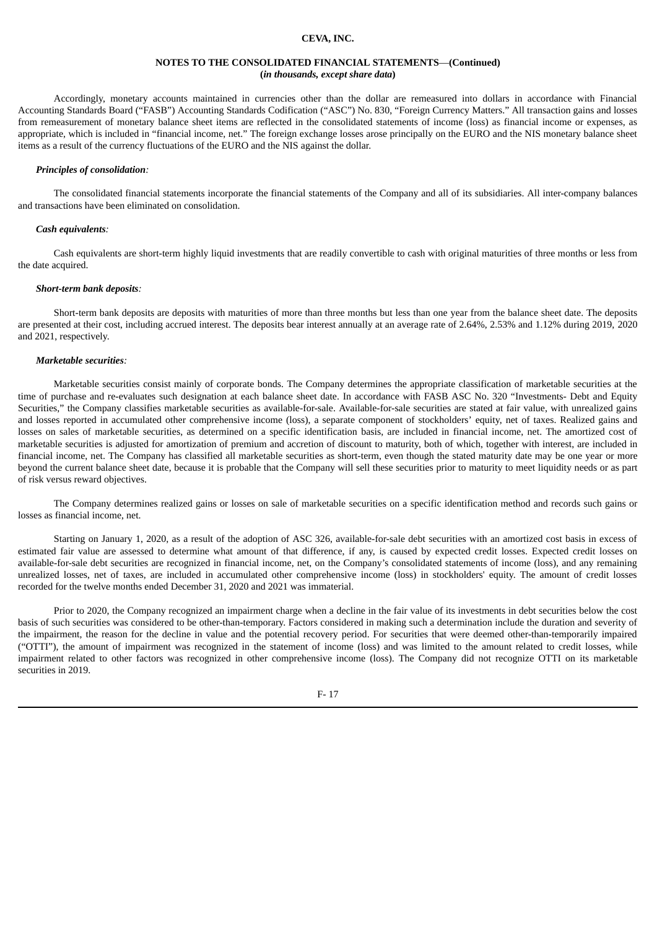## **NOTES TO THE CONSOLIDATED FINANCIAL STATEMENTS**—**(Continued) (***in thousands, except share data***)**

Accordingly, monetary accounts maintained in currencies other than the dollar are remeasured into dollars in accordance with Financial Accounting Standards Board ("FASB") Accounting Standards Codification ("ASC") No. 830, "Foreign Currency Matters." All transaction gains and losses from remeasurement of monetary balance sheet items are reflected in the consolidated statements of income (loss) as financial income or expenses, as appropriate, which is included in "financial income, net." The foreign exchange losses arose principally on the EURO and the NIS monetary balance sheet items as a result of the currency fluctuations of the EURO and the NIS against the dollar.

#### *Principles of consolidation:*

The consolidated financial statements incorporate the financial statements of the Company and all of its subsidiaries. All inter-company balances and transactions have been eliminated on consolidation.

#### *Cash equivalents:*

Cash equivalents are short-term highly liquid investments that are readily convertible to cash with original maturities of three months or less from the date acquired.

### *Short-term bank deposits:*

Short-term bank deposits are deposits with maturities of more than three months but less than one year from the balance sheet date. The deposits are presented at their cost, including accrued interest. The deposits bear interest annually at an average rate of 2.64%, 2.53% and 1.12% during 2019, 2020 and 2021, respectively.

#### *Marketable securities:*

Marketable securities consist mainly of corporate bonds. The Company determines the appropriate classification of marketable securities at the time of purchase and re-evaluates such designation at each balance sheet date. In accordance with FASB ASC No. 320 "Investments- Debt and Equity Securities," the Company classifies marketable securities as available-for-sale. Available-for-sale securities are stated at fair value, with unrealized gains and losses reported in accumulated other comprehensive income (loss), a separate component of stockholders' equity, net of taxes. Realized gains and losses on sales of marketable securities, as determined on a specific identification basis, are included in financial income, net. The amortized cost of marketable securities is adjusted for amortization of premium and accretion of discount to maturity, both of which, together with interest, are included in financial income, net. The Company has classified all marketable securities as short-term, even though the stated maturity date may be one year or more beyond the current balance sheet date, because it is probable that the Company will sell these securities prior to maturity to meet liquidity needs or as part of risk versus reward objectives.

The Company determines realized gains or losses on sale of marketable securities on a specific identification method and records such gains or losses as financial income, net.

Starting on January 1, 2020, as a result of the adoption of ASC 326, available-for-sale debt securities with an amortized cost basis in excess of estimated fair value are assessed to determine what amount of that difference, if any, is caused by expected credit losses. Expected credit losses on available-for-sale debt securities are recognized in financial income, net, on the Company's consolidated statements of income (loss), and any remaining unrealized losses, net of taxes, are included in accumulated other comprehensive income (loss) in stockholders' equity. The amount of credit losses recorded for the twelve months ended December 31, 2020 and 2021 was immaterial.

Prior to 2020, the Company recognized an impairment charge when a decline in the fair value of its investments in debt securities below the cost basis of such securities was considered to be other-than-temporary. Factors considered in making such a determination include the duration and severity of the impairment, the reason for the decline in value and the potential recovery period. For securities that were deemed other-than-temporarily impaired ("OTTI"), the amount of impairment was recognized in the statement of income (loss) and was limited to the amount related to credit losses, while impairment related to other factors was recognized in other comprehensive income (loss). The Company did not recognize OTTI on its marketable securities in 2019.

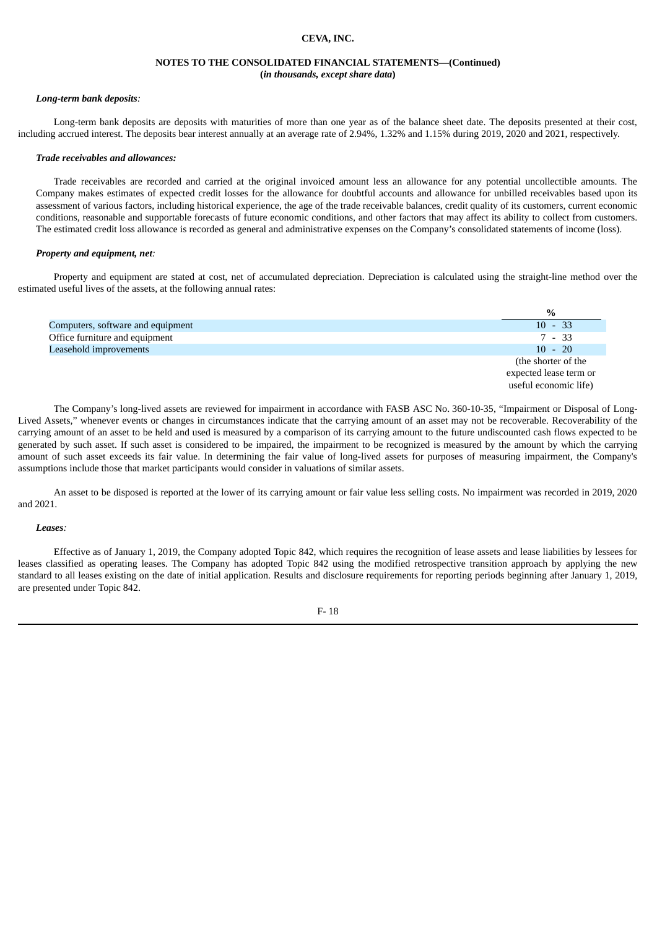# **NOTES TO THE CONSOLIDATED FINANCIAL STATEMENTS**—**(Continued) (***in thousands, except share data***)**

#### *Long-term bank deposits:*

Long-term bank deposits are deposits with maturities of more than one year as of the balance sheet date. The deposits presented at their cost, including accrued interest. The deposits bear interest annually at an average rate of 2.94%, 1.32% and 1.15% during 2019, 2020 and 2021, respectively.

### *Trade receivables and allowances:*

Trade receivables are recorded and carried at the original invoiced amount less an allowance for any potential uncollectible amounts. The Company makes estimates of expected credit losses for the allowance for doubtful accounts and allowance for unbilled receivables based upon its assessment of various factors, including historical experience, the age of the trade receivable balances, credit quality of its customers, current economic conditions, reasonable and supportable forecasts of future economic conditions, and other factors that may affect its ability to collect from customers. The estimated credit loss allowance is recorded as general and administrative expenses on the Company's consolidated statements of income (loss).

#### *Property and equipment, net:*

Property and equipment are stated at cost, net of accumulated depreciation. Depreciation is calculated using the straight-line method over the estimated useful lives of the assets, at the following annual rates:

|                                   | $\frac{6}{9}$          |
|-----------------------------------|------------------------|
| Computers, software and equipment | $10 - 33$              |
| Office furniture and equipment    | $7 - 33$               |
| Leasehold improvements            | $10 - 20$              |
|                                   | (the shorter of the    |
|                                   | expected lease term or |
|                                   | useful economic life)  |

The Company's long-lived assets are reviewed for impairment in accordance with FASB ASC No. 360-10-35, "Impairment or Disposal of Long-Lived Assets," whenever events or changes in circumstances indicate that the carrying amount of an asset may not be recoverable. Recoverability of the carrying amount of an asset to be held and used is measured by a comparison of its carrying amount to the future undiscounted cash flows expected to be generated by such asset. If such asset is considered to be impaired, the impairment to be recognized is measured by the amount by which the carrying amount of such asset exceeds its fair value. In determining the fair value of long-lived assets for purposes of measuring impairment, the Company's assumptions include those that market participants would consider in valuations of similar assets.

An asset to be disposed is reported at the lower of its carrying amount or fair value less selling costs. No impairment was recorded in 2019, 2020 and 2021.

#### *Leases:*

Effective as of January 1, 2019, the Company adopted Topic 842, which requires the recognition of lease assets and lease liabilities by lessees for leases classified as operating leases. The Company has adopted Topic 842 using the modified retrospective transition approach by applying the new standard to all leases existing on the date of initial application. Results and disclosure requirements for reporting periods beginning after January 1, 2019, are presented under Topic 842.

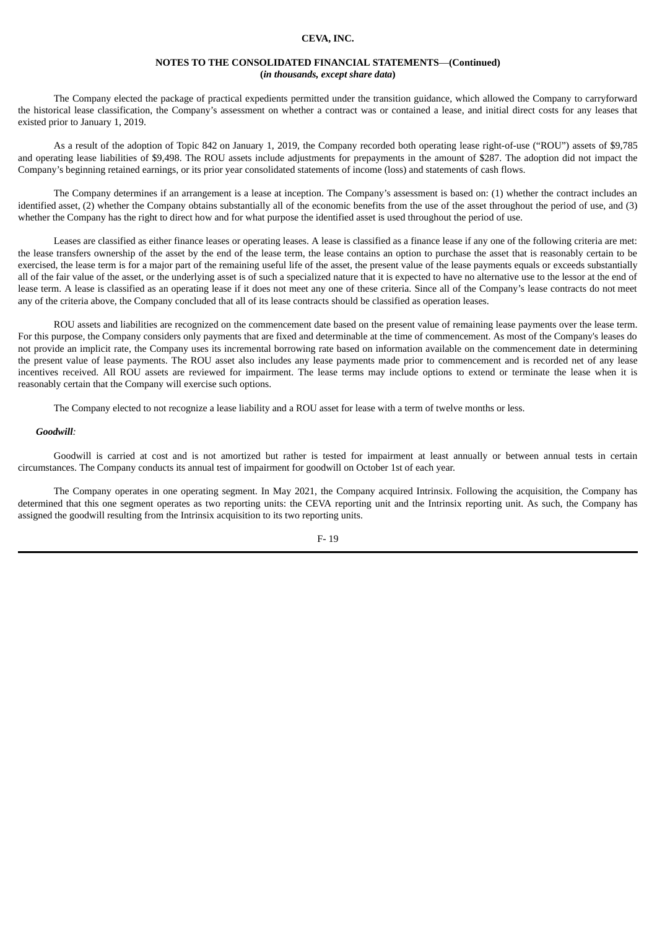# **NOTES TO THE CONSOLIDATED FINANCIAL STATEMENTS**—**(Continued) (***in thousands, except share data***)**

The Company elected the package of practical expedients permitted under the transition guidance, which allowed the Company to carryforward the historical lease classification, the Company's assessment on whether a contract was or contained a lease, and initial direct costs for any leases that existed prior to January 1, 2019.

As a result of the adoption of Topic 842 on January 1, 2019, the Company recorded both operating lease right-of-use ("ROU") assets of \$9,785 and operating lease liabilities of \$9,498. The ROU assets include adjustments for prepayments in the amount of \$287. The adoption did not impact the Company's beginning retained earnings, or its prior year consolidated statements of income (loss) and statements of cash flows.

The Company determines if an arrangement is a lease at inception. The Company's assessment is based on: (1) whether the contract includes an identified asset, (2) whether the Company obtains substantially all of the economic benefits from the use of the asset throughout the period of use, and (3) whether the Company has the right to direct how and for what purpose the identified asset is used throughout the period of use.

Leases are classified as either finance leases or operating leases. A lease is classified as a finance lease if any one of the following criteria are met: the lease transfers ownership of the asset by the end of the lease term, the lease contains an option to purchase the asset that is reasonably certain to be exercised, the lease term is for a major part of the remaining useful life of the asset, the present value of the lease payments equals or exceeds substantially all of the fair value of the asset, or the underlying asset is of such a specialized nature that it is expected to have no alternative use to the lessor at the end of lease term. A lease is classified as an operating lease if it does not meet any one of these criteria. Since all of the Company's lease contracts do not meet any of the criteria above, the Company concluded that all of its lease contracts should be classified as operation leases.

ROU assets and liabilities are recognized on the commencement date based on the present value of remaining lease payments over the lease term. For this purpose, the Company considers only payments that are fixed and determinable at the time of commencement. As most of the Company's leases do not provide an implicit rate, the Company uses its incremental borrowing rate based on information available on the commencement date in determining the present value of lease payments. The ROU asset also includes any lease payments made prior to commencement and is recorded net of any lease incentives received. All ROU assets are reviewed for impairment. The lease terms may include options to extend or terminate the lease when it is reasonably certain that the Company will exercise such options.

The Company elected to not recognize a lease liability and a ROU asset for lease with a term of twelve months or less.

# *Goodwill:*

Goodwill is carried at cost and is not amortized but rather is tested for impairment at least annually or between annual tests in certain circumstances. The Company conducts its annual test of impairment for goodwill on October 1st of each year.

The Company operates in one operating segment. In May 2021, the Company acquired Intrinsix. Following the acquisition, the Company has determined that this one segment operates as two reporting units: the CEVA reporting unit and the Intrinsix reporting unit. As such, the Company has assigned the goodwill resulting from the Intrinsix acquisition to its two reporting units.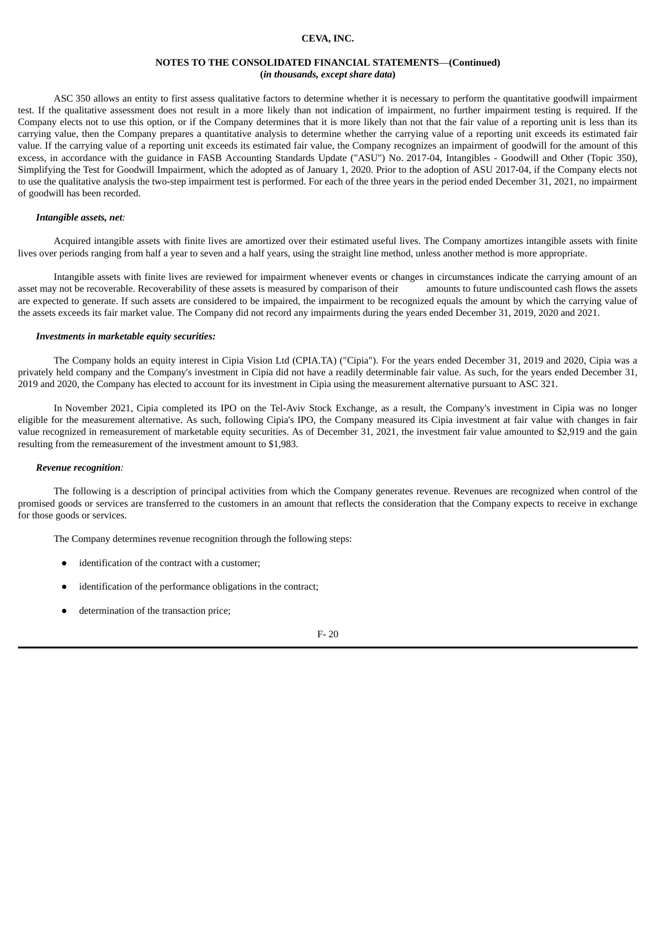# **NOTES TO THE CONSOLIDATED FINANCIAL STATEMENTS**—**(Continued) (***in thousands, except share data***)**

ASC 350 allows an entity to first assess qualitative factors to determine whether it is necessary to perform the quantitative goodwill impairment test. If the qualitative assessment does not result in a more likely than not indication of impairment, no further impairment testing is required. If the Company elects not to use this option, or if the Company determines that it is more likely than not that the fair value of a reporting unit is less than its carrying value, then the Company prepares a quantitative analysis to determine whether the carrying value of a reporting unit exceeds its estimated fair value. If the carrying value of a reporting unit exceeds its estimated fair value, the Company recognizes an impairment of goodwill for the amount of this excess, in accordance with the guidance in FASB Accounting Standards Update ("ASU") No. 2017-04, Intangibles - Goodwill and Other (Topic 350), Simplifying the Test for Goodwill Impairment, which the adopted as of January 1, 2020. Prior to the adoption of ASU 2017-04, if the Company elects not to use the qualitative analysis the two-step impairment test is performed. For each of the three years in the period ended December 31, 2021, no impairment of goodwill has been recorded.

## *Intangible assets, net:*

Acquired intangible assets with finite lives are amortized over their estimated useful lives. The Company amortizes intangible assets with finite lives over periods ranging from half a year to seven and a half years, using the straight line method, unless another method is more appropriate.

Intangible assets with finite lives are reviewed for impairment whenever events or changes in circumstances indicate the carrying amount of an asset may not be recoverable. Recoverability of these assets is measured by comparison of their amounts to future undiscounted cash flows the assets are expected to generate. If such assets are considered to be impaired, the impairment to be recognized equals the amount by which the carrying value of the assets exceeds its fair market value. The Company did not record any impairments during the years ended December 31, 2019, 2020 and 2021.

#### *Investments in marketable equity securities:*

The Company holds an equity interest in Cipia Vision Ltd (CPIA.TA) ("Cipia"). For the years ended December 31, 2019 and 2020, Cipia was a privately held company and the Company's investment in Cipia did not have a readily determinable fair value. As such, for the years ended December 31, 2019 and 2020, the Company has elected to account for its investment in Cipia using the measurement alternative pursuant to ASC 321.

In November 2021, Cipia completed its IPO on the Tel-Aviv Stock Exchange, as a result, the Company's investment in Cipia was no longer eligible for the measurement alternative. As such, following Cipia's IPO, the Company measured its Cipia investment at fair value with changes in fair value recognized in remeasurement of marketable equity securities. As of December 31, 2021, the investment fair value amounted to \$2,919 and the gain resulting from the remeasurement of the investment amount to \$1,983.

### *Revenue recognition:*

The following is a description of principal activities from which the Company generates revenue. Revenues are recognized when control of the promised goods or services are transferred to the customers in an amount that reflects the consideration that the Company expects to receive in exchange for those goods or services.

The Company determines revenue recognition through the following steps:

- identification of the contract with a customer;
- identification of the performance obligations in the contract:
- determination of the transaction price;

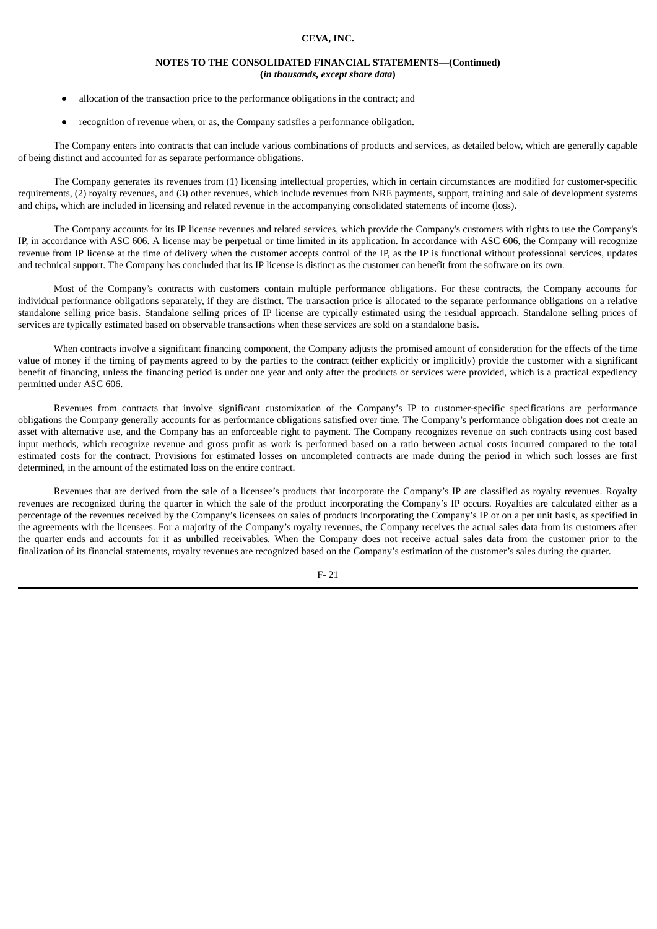# **NOTES TO THE CONSOLIDATED FINANCIAL STATEMENTS**—**(Continued) (***in thousands, except share data***)**

- allocation of the transaction price to the performance obligations in the contract; and
- recognition of revenue when, or as, the Company satisfies a performance obligation.

The Company enters into contracts that can include various combinations of products and services, as detailed below, which are generally capable of being distinct and accounted for as separate performance obligations.

The Company generates its revenues from (1) licensing intellectual properties, which in certain circumstances are modified for customer-specific requirements, (2) royalty revenues, and (3) other revenues, which include revenues from NRE payments, support, training and sale of development systems and chips, which are included in licensing and related revenue in the accompanying consolidated statements of income (loss).

The Company accounts for its IP license revenues and related services, which provide the Company's customers with rights to use the Company's IP, in accordance with ASC 606. A license may be perpetual or time limited in its application. In accordance with ASC 606, the Company will recognize revenue from IP license at the time of delivery when the customer accepts control of the IP, as the IP is functional without professional services, updates and technical support. The Company has concluded that its IP license is distinct as the customer can benefit from the software on its own.

Most of the Company's contracts with customers contain multiple performance obligations. For these contracts, the Company accounts for individual performance obligations separately, if they are distinct. The transaction price is allocated to the separate performance obligations on a relative standalone selling price basis. Standalone selling prices of IP license are typically estimated using the residual approach. Standalone selling prices of services are typically estimated based on observable transactions when these services are sold on a standalone basis.

When contracts involve a significant financing component, the Company adjusts the promised amount of consideration for the effects of the time value of money if the timing of payments agreed to by the parties to the contract (either explicitly or implicitly) provide the customer with a significant benefit of financing, unless the financing period is under one year and only after the products or services were provided, which is a practical expediency permitted under ASC 606.

Revenues from contracts that involve significant customization of the Company's IP to customer-specific specifications are performance obligations the Company generally accounts for as performance obligations satisfied over time. The Company's performance obligation does not create an asset with alternative use, and the Company has an enforceable right to payment. The Company recognizes revenue on such contracts using cost based input methods, which recognize revenue and gross profit as work is performed based on a ratio between actual costs incurred compared to the total estimated costs for the contract. Provisions for estimated losses on uncompleted contracts are made during the period in which such losses are first determined, in the amount of the estimated loss on the entire contract.

Revenues that are derived from the sale of a licensee's products that incorporate the Company's IP are classified as royalty revenues. Royalty revenues are recognized during the quarter in which the sale of the product incorporating the Company's IP occurs. Royalties are calculated either as a percentage of the revenues received by the Company's licensees on sales of products incorporating the Company's IP or on a per unit basis, as specified in the agreements with the licensees. For a majority of the Company's royalty revenues, the Company receives the actual sales data from its customers after the quarter ends and accounts for it as unbilled receivables. When the Company does not receive actual sales data from the customer prior to the finalization of its financial statements, royalty revenues are recognized based on the Company's estimation of the customer's sales during the quarter.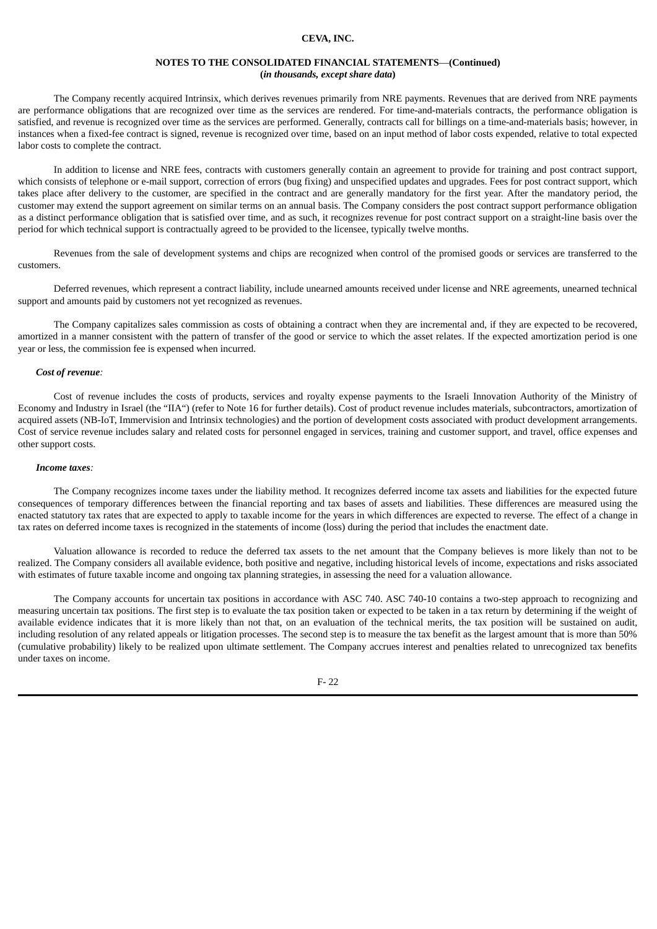# **NOTES TO THE CONSOLIDATED FINANCIAL STATEMENTS**—**(Continued) (***in thousands, except share data***)**

The Company recently acquired Intrinsix, which derives revenues primarily from NRE payments. Revenues that are derived from NRE payments are performance obligations that are recognized over time as the services are rendered. For time-and-materials contracts, the performance obligation is satisfied, and revenue is recognized over time as the services are performed. Generally, contracts call for billings on a time-and-materials basis; however, in instances when a fixed-fee contract is signed, revenue is recognized over time, based on an input method of labor costs expended, relative to total expected labor costs to complete the contract.

In addition to license and NRE fees, contracts with customers generally contain an agreement to provide for training and post contract support, which consists of telephone or e-mail support, correction of errors (bug fixing) and unspecified updates and upgrades. Fees for post contract support, which takes place after delivery to the customer, are specified in the contract and are generally mandatory for the first year. After the mandatory period, the customer may extend the support agreement on similar terms on an annual basis. The Company considers the post contract support performance obligation as a distinct performance obligation that is satisfied over time, and as such, it recognizes revenue for post contract support on a straight-line basis over the period for which technical support is contractually agreed to be provided to the licensee, typically twelve months.

Revenues from the sale of development systems and chips are recognized when control of the promised goods or services are transferred to the customers.

Deferred revenues, which represent a contract liability, include unearned amounts received under license and NRE agreements, unearned technical support and amounts paid by customers not yet recognized as revenues.

The Company capitalizes sales commission as costs of obtaining a contract when they are incremental and, if they are expected to be recovered, amortized in a manner consistent with the pattern of transfer of the good or service to which the asset relates. If the expected amortization period is one year or less, the commission fee is expensed when incurred.

# *Cost of revenue:*

Cost of revenue includes the costs of products, services and royalty expense payments to the Israeli Innovation Authority of the Ministry of Economy and Industry in Israel (the "IIA") (refer to Note 16 for further details). Cost of product revenue includes materials, subcontractors, amortization of acquired assets (NB-IoT, Immervision and Intrinsix technologies) and the portion of development costs associated with product development arrangements. Cost of service revenue includes salary and related costs for personnel engaged in services, training and customer support, and travel, office expenses and other support costs.

### *Income taxes:*

The Company recognizes income taxes under the liability method. It recognizes deferred income tax assets and liabilities for the expected future consequences of temporary differences between the financial reporting and tax bases of assets and liabilities. These differences are measured using the enacted statutory tax rates that are expected to apply to taxable income for the years in which differences are expected to reverse. The effect of a change in tax rates on deferred income taxes is recognized in the statements of income (loss) during the period that includes the enactment date.

Valuation allowance is recorded to reduce the deferred tax assets to the net amount that the Company believes is more likely than not to be realized. The Company considers all available evidence, both positive and negative, including historical levels of income, expectations and risks associated with estimates of future taxable income and ongoing tax planning strategies, in assessing the need for a valuation allowance.

The Company accounts for uncertain tax positions in accordance with ASC 740. ASC 740-10 contains a two-step approach to recognizing and measuring uncertain tax positions. The first step is to evaluate the tax position taken or expected to be taken in a tax return by determining if the weight of available evidence indicates that it is more likely than not that, on an evaluation of the technical merits, the tax position will be sustained on audit, including resolution of any related appeals or litigation processes. The second step is to measure the tax benefit as the largest amount that is more than 50% (cumulative probability) likely to be realized upon ultimate settlement. The Company accrues interest and penalties related to unrecognized tax benefits under taxes on income.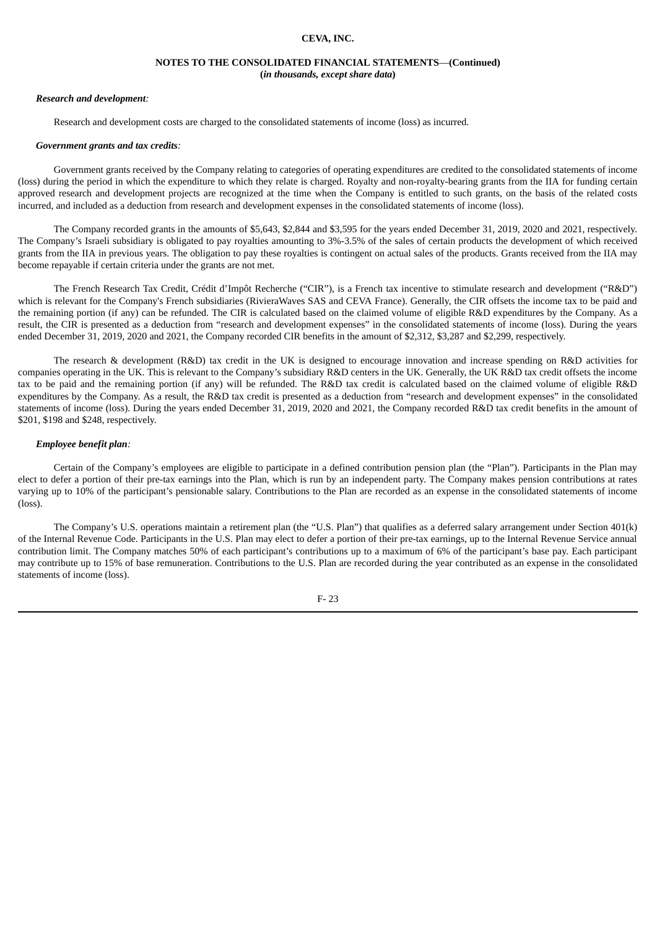# **NOTES TO THE CONSOLIDATED FINANCIAL STATEMENTS**—**(Continued) (***in thousands, except share data***)**

#### *Research and development:*

Research and development costs are charged to the consolidated statements of income (loss) as incurred.

#### *Government grants and tax credits:*

Government grants received by the Company relating to categories of operating expenditures are credited to the consolidated statements of income (loss) during the period in which the expenditure to which they relate is charged. Royalty and non-royalty-bearing grants from the IIA for funding certain approved research and development projects are recognized at the time when the Company is entitled to such grants, on the basis of the related costs incurred, and included as a deduction from research and development expenses in the consolidated statements of income (loss).

The Company recorded grants in the amounts of \$5,643, \$2,844 and \$3,595 for the years ended December 31, 2019, 2020 and 2021, respectively. The Company's Israeli subsidiary is obligated to pay royalties amounting to 3%-3.5% of the sales of certain products the development of which received grants from the IIA in previous years. The obligation to pay these royalties is contingent on actual sales of the products. Grants received from the IIA may become repayable if certain criteria under the grants are not met.

The French Research Tax Credit, Crédit d'Impôt Recherche ("CIR"), is a French tax incentive to stimulate research and development ("R&D") which is relevant for the Company's French subsidiaries (RivieraWaves SAS and CEVA France). Generally, the CIR offsets the income tax to be paid and the remaining portion (if any) can be refunded. The CIR is calculated based on the claimed volume of eligible R&D expenditures by the Company. As a result, the CIR is presented as a deduction from "research and development expenses" in the consolidated statements of income (loss). During the years ended December 31, 2019, 2020 and 2021, the Company recorded CIR benefits in the amount of \$2,312, \$3,287 and \$2,299, respectively.

The research & development (R&D) tax credit in the UK is designed to encourage innovation and increase spending on R&D activities for companies operating in the UK. This is relevant to the Company's subsidiary R&D centers in the UK. Generally, the UK R&D tax credit offsets the income tax to be paid and the remaining portion (if any) will be refunded. The R&D tax credit is calculated based on the claimed volume of eligible R&D expenditures by the Company. As a result, the R&D tax credit is presented as a deduction from "research and development expenses" in the consolidated statements of income (loss). During the years ended December 31, 2019, 2020 and 2021, the Company recorded R&D tax credit benefits in the amount of \$201, \$198 and \$248, respectively.

### *Employee benefit plan:*

Certain of the Company's employees are eligible to participate in a defined contribution pension plan (the "Plan"). Participants in the Plan may elect to defer a portion of their pre-tax earnings into the Plan, which is run by an independent party. The Company makes pension contributions at rates varying up to 10% of the participant's pensionable salary. Contributions to the Plan are recorded as an expense in the consolidated statements of income (loss).

The Company's U.S. operations maintain a retirement plan (the "U.S. Plan") that qualifies as a deferred salary arrangement under Section 401(k) of the Internal Revenue Code. Participants in the U.S. Plan may elect to defer a portion of their pre-tax earnings, up to the Internal Revenue Service annual contribution limit. The Company matches 50% of each participant's contributions up to a maximum of 6% of the participant's base pay. Each participant may contribute up to 15% of base remuneration. Contributions to the U.S. Plan are recorded during the year contributed as an expense in the consolidated statements of income (loss).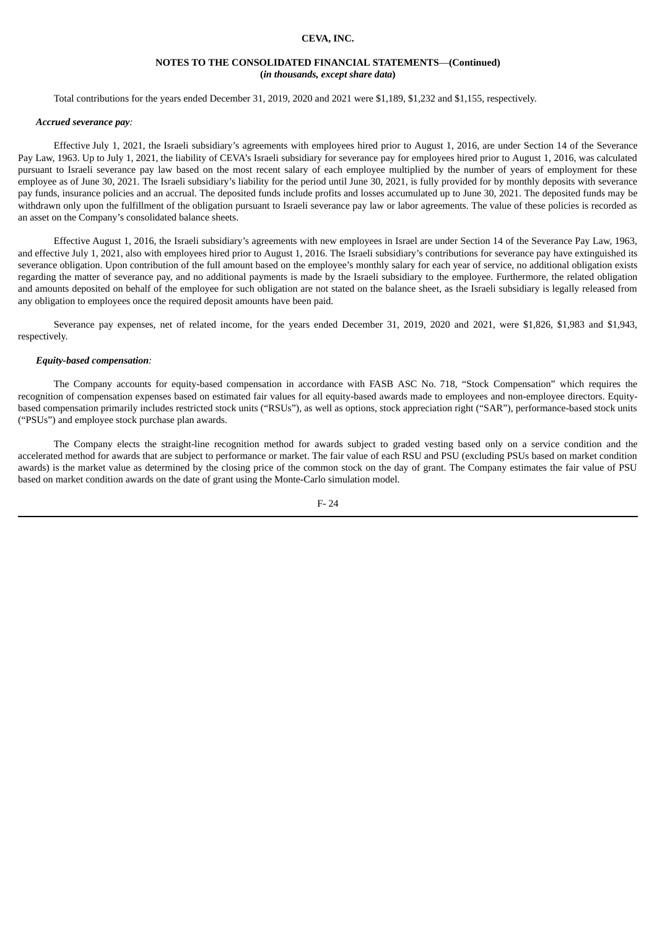# **NOTES TO THE CONSOLIDATED FINANCIAL STATEMENTS**—**(Continued) (***in thousands, except share data***)**

Total contributions for the years ended December 31, 2019, 2020 and 2021 were \$1,189, \$1,232 and \$1,155, respectively.

#### *Accrued severance pay:*

Effective July 1, 2021, the Israeli subsidiary's agreements with employees hired prior to August 1, 2016, are under Section 14 of the Severance Pay Law, 1963. Up to July 1, 2021, the liability of CEVA's Israeli subsidiary for severance pay for employees hired prior to August 1, 2016, was calculated pursuant to Israeli severance pay law based on the most recent salary of each employee multiplied by the number of years of employment for these employee as of June 30, 2021. The Israeli subsidiary's liability for the period until June 30, 2021, is fully provided for by monthly deposits with severance pay funds, insurance policies and an accrual. The deposited funds include profits and losses accumulated up to June 30, 2021. The deposited funds may be withdrawn only upon the fulfillment of the obligation pursuant to Israeli severance pay law or labor agreements. The value of these policies is recorded as an asset on the Company's consolidated balance sheets.

Effective August 1, 2016, the Israeli subsidiary's agreements with new employees in Israel are under Section 14 of the Severance Pay Law, 1963, and effective July 1, 2021, also with employees hired prior to August 1, 2016. The Israeli subsidiary's contributions for severance pay have extinguished its severance obligation. Upon contribution of the full amount based on the employee's monthly salary for each year of service, no additional obligation exists regarding the matter of severance pay, and no additional payments is made by the Israeli subsidiary to the employee. Furthermore, the related obligation and amounts deposited on behalf of the employee for such obligation are not stated on the balance sheet, as the Israeli subsidiary is legally released from any obligation to employees once the required deposit amounts have been paid.

Severance pay expenses, net of related income, for the years ended December 31, 2019, 2020 and 2021, were \$1,826, \$1,983 and \$1,943, respectively.

### *Equity-based compensation:*

The Company accounts for equity-based compensation in accordance with FASB ASC No. 718, "Stock Compensation" which requires the recognition of compensation expenses based on estimated fair values for all equity-based awards made to employees and non-employee directors. Equitybased compensation primarily includes restricted stock units ("RSUs"), as well as options, stock appreciation right ("SAR"), performance-based stock units ("PSUs") and employee stock purchase plan awards.

The Company elects the straight-line recognition method for awards subject to graded vesting based only on a service condition and the accelerated method for awards that are subject to performance or market. The fair value of each RSU and PSU (excluding PSUs based on market condition awards) is the market value as determined by the closing price of the common stock on the day of grant. The Company estimates the fair value of PSU based on market condition awards on the date of grant using the Monte-Carlo simulation model.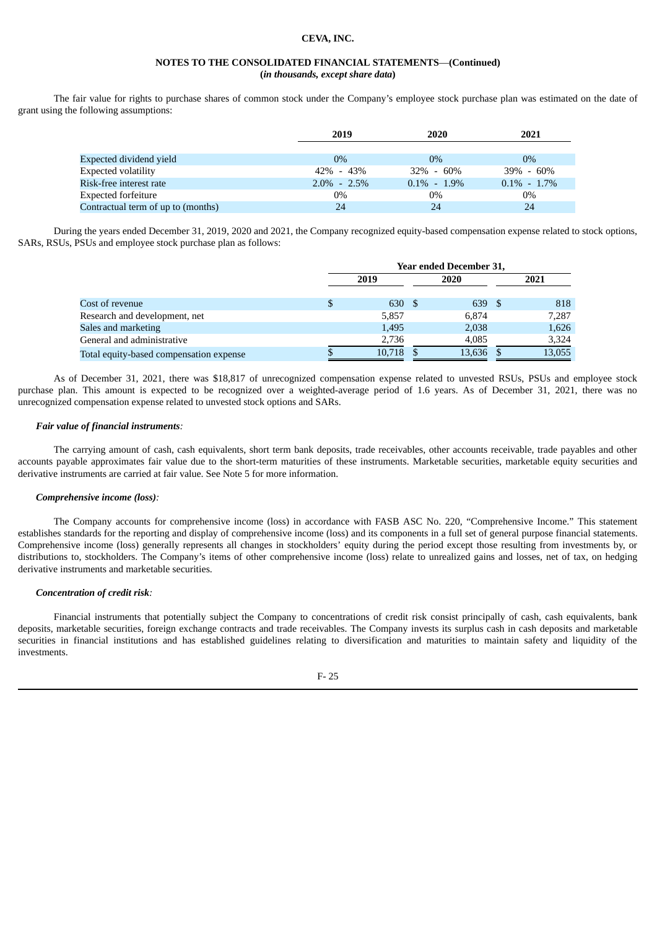# **NOTES TO THE CONSOLIDATED FINANCIAL STATEMENTS**—**(Continued) (***in thousands, except share data***)**

The fair value for rights to purchase shares of common stock under the Company's employee stock purchase plan was estimated on the date of grant using the following assumptions:

|                                    | 2019            | 2020            | 2021            |
|------------------------------------|-----------------|-----------------|-----------------|
|                                    |                 |                 |                 |
| Expected dividend yield            | $0\%$           | $0\%$           | $0\%$           |
| <b>Expected volatility</b>         | $42\% - 43\%$   | 32% - 60%       | $39\% - 60\%$   |
| Risk-free interest rate            | $2.0\% - 2.5\%$ | $0.1\% - 1.9\%$ | $0.1\% - 1.7\%$ |
| <b>Expected forfeiture</b>         | $0\%$           | $0\%$           | $0\%$           |
| Contractual term of up to (months) | 24              | 24              | 24              |

During the years ended December 31, 2019, 2020 and 2021, the Company recognized equity-based compensation expense related to stock options, SARs, RSUs, PSUs and employee stock purchase plan as follows:

|                                         | Year ended December 31, |        |  |        |  |        |  |  |  |
|-----------------------------------------|-------------------------|--------|--|--------|--|--------|--|--|--|
|                                         |                         | 2019   |  | 2020   |  | 2021   |  |  |  |
|                                         |                         |        |  |        |  |        |  |  |  |
| Cost of revenue                         | \$                      | 630 \$ |  | 639    |  | 818    |  |  |  |
| Research and development, net           |                         | 5,857  |  | 6,874  |  | 7,287  |  |  |  |
| Sales and marketing                     |                         | 1,495  |  | 2,038  |  | 1,626  |  |  |  |
| General and administrative              |                         | 2,736  |  | 4,085  |  | 3,324  |  |  |  |
| Total equity-based compensation expense |                         | 10,718 |  | 13,636 |  | 13,055 |  |  |  |

As of December 31, 2021, there was \$18,817 of unrecognized compensation expense related to unvested RSUs, PSUs and employee stock purchase plan. This amount is expected to be recognized over a weighted-average period of 1.6 years. As of December 31, 2021, there was no unrecognized compensation expense related to unvested stock options and SARs.

## *Fair value of financial instruments:*

The carrying amount of cash, cash equivalents, short term bank deposits, trade receivables, other accounts receivable, trade payables and other accounts payable approximates fair value due to the short-term maturities of these instruments. Marketable securities, marketable equity securities and derivative instruments are carried at fair value. See Note 5 for more information.

### *Comprehensive income (loss):*

The Company accounts for comprehensive income (loss) in accordance with FASB ASC No. 220, "Comprehensive Income." This statement establishes standards for the reporting and display of comprehensive income (loss) and its components in a full set of general purpose financial statements. Comprehensive income (loss) generally represents all changes in stockholders' equity during the period except those resulting from investments by, or distributions to, stockholders. The Company's items of other comprehensive income (loss) relate to unrealized gains and losses, net of tax, on hedging derivative instruments and marketable securities.

### *Concentration of credit risk:*

Financial instruments that potentially subject the Company to concentrations of credit risk consist principally of cash, cash equivalents, bank deposits, marketable securities, foreign exchange contracts and trade receivables. The Company invests its surplus cash in cash deposits and marketable securities in financial institutions and has established guidelines relating to diversification and maturities to maintain safety and liquidity of the investments.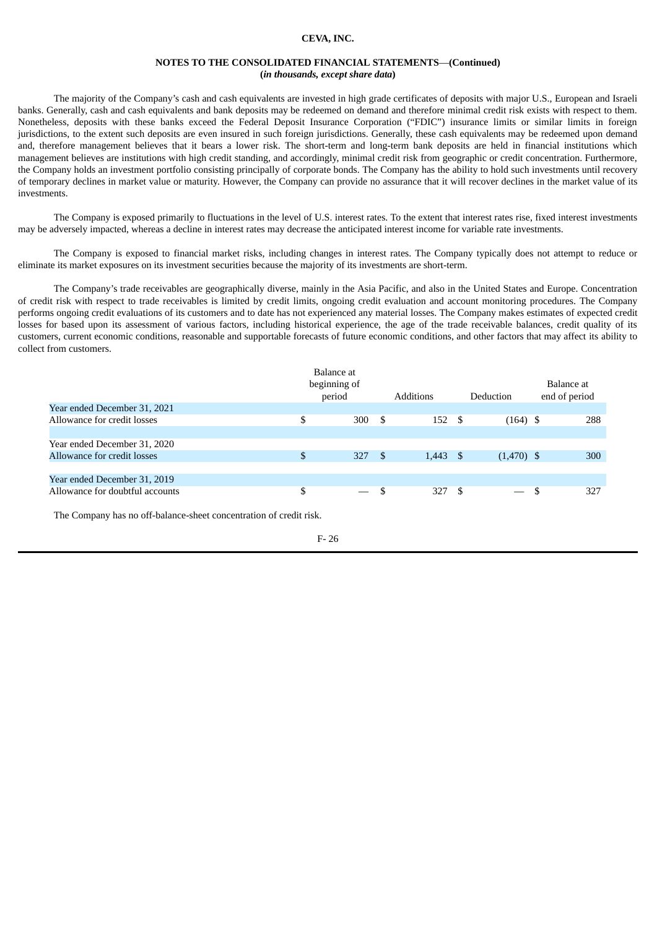# **NOTES TO THE CONSOLIDATED FINANCIAL STATEMENTS**—**(Continued) (***in thousands, except share data***)**

The majority of the Company's cash and cash equivalents are invested in high grade certificates of deposits with major U.S., European and Israeli banks. Generally, cash and cash equivalents and bank deposits may be redeemed on demand and therefore minimal credit risk exists with respect to them. Nonetheless, deposits with these banks exceed the Federal Deposit Insurance Corporation ("FDIC") insurance limits or similar limits in foreign jurisdictions, to the extent such deposits are even insured in such foreign jurisdictions. Generally, these cash equivalents may be redeemed upon demand and, therefore management believes that it bears a lower risk. The short-term and long-term bank deposits are held in financial institutions which management believes are institutions with high credit standing, and accordingly, minimal credit risk from geographic or credit concentration. Furthermore, the Company holds an investment portfolio consisting principally of corporate bonds. The Company has the ability to hold such investments until recovery of temporary declines in market value or maturity. However, the Company can provide no assurance that it will recover declines in the market value of its investments.

The Company is exposed primarily to fluctuations in the level of U.S. interest rates. To the extent that interest rates rise, fixed interest investments may be adversely impacted, whereas a decline in interest rates may decrease the anticipated interest income for variable rate investments.

The Company is exposed to financial market risks, including changes in interest rates. The Company typically does not attempt to reduce or eliminate its market exposures on its investment securities because the majority of its investments are short-term.

The Company's trade receivables are geographically diverse, mainly in the Asia Pacific, and also in the United States and Europe. Concentration of credit risk with respect to trade receivables is limited by credit limits, ongoing credit evaluation and account monitoring procedures. The Company performs ongoing credit evaluations of its customers and to date has not experienced any material losses. The Company makes estimates of expected credit losses for based upon its assessment of various factors, including historical experience, the age of the trade receivable balances, credit quality of its customers, current economic conditions, reasonable and supportable forecasts of future economic conditions, and other factors that may affect its ability to collect from customers.

|                                 | Balance at<br>beginning of<br>period | <b>Additions</b> | Deduction |            |      | Balance at<br>end of period |      |     |
|---------------------------------|--------------------------------------|------------------|-----------|------------|------|-----------------------------|------|-----|
| Year ended December 31, 2021    |                                      |                  |           |            |      |                             |      |     |
| Allowance for credit losses     | \$                                   | 300              | - \$      | 152S       |      | $(164)$ \$                  |      | 288 |
|                                 |                                      |                  |           |            |      |                             |      |     |
| Year ended December 31, 2020    |                                      |                  |           |            |      |                             |      |     |
| Allowance for credit losses     | \$                                   | 327              | - \$      | $1,443$ \$ |      | $(1,470)$ \$                |      | 300 |
|                                 |                                      |                  |           |            |      |                             |      |     |
| Year ended December 31, 2019    |                                      |                  |           |            |      |                             |      |     |
| Allowance for doubtful accounts | \$                                   |                  | - \$      | 327        | - \$ |                             | - \$ | 327 |

The Company has no off-balance-sheet concentration of credit risk.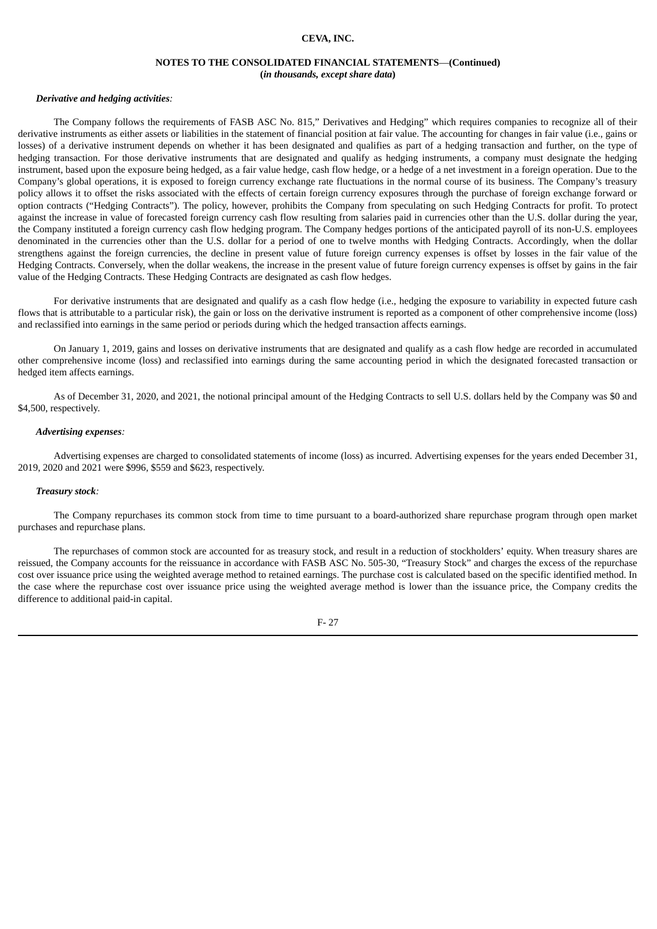# **NOTES TO THE CONSOLIDATED FINANCIAL STATEMENTS**—**(Continued) (***in thousands, except share data***)**

#### *Derivative and hedging activities:*

The Company follows the requirements of FASB ASC No. 815," Derivatives and Hedging" which requires companies to recognize all of their derivative instruments as either assets or liabilities in the statement of financial position at fair value. The accounting for changes in fair value (i.e., gains or losses) of a derivative instrument depends on whether it has been designated and qualifies as part of a hedging transaction and further, on the type of hedging transaction. For those derivative instruments that are designated and qualify as hedging instruments, a company must designate the hedging instrument, based upon the exposure being hedged, as a fair value hedge, cash flow hedge, or a hedge of a net investment in a foreign operation. Due to the Company's global operations, it is exposed to foreign currency exchange rate fluctuations in the normal course of its business. The Company's treasury policy allows it to offset the risks associated with the effects of certain foreign currency exposures through the purchase of foreign exchange forward or option contracts ("Hedging Contracts"). The policy, however, prohibits the Company from speculating on such Hedging Contracts for profit. To protect against the increase in value of forecasted foreign currency cash flow resulting from salaries paid in currencies other than the U.S. dollar during the year, the Company instituted a foreign currency cash flow hedging program. The Company hedges portions of the anticipated payroll of its non-U.S. employees denominated in the currencies other than the U.S. dollar for a period of one to twelve months with Hedging Contracts. Accordingly, when the dollar strengthens against the foreign currencies, the decline in present value of future foreign currency expenses is offset by losses in the fair value of the Hedging Contracts. Conversely, when the dollar weakens, the increase in the present value of future foreign currency expenses is offset by gains in the fair value of the Hedging Contracts. These Hedging Contracts are designated as cash flow hedges.

For derivative instruments that are designated and qualify as a cash flow hedge (i.e., hedging the exposure to variability in expected future cash flows that is attributable to a particular risk), the gain or loss on the derivative instrument is reported as a component of other comprehensive income (loss) and reclassified into earnings in the same period or periods during which the hedged transaction affects earnings.

On January 1, 2019, gains and losses on derivative instruments that are designated and qualify as a cash flow hedge are recorded in accumulated other comprehensive income (loss) and reclassified into earnings during the same accounting period in which the designated forecasted transaction or hedged item affects earnings.

As of December 31, 2020, and 2021, the notional principal amount of the Hedging Contracts to sell U.S. dollars held by the Company was \$0 and \$4,500, respectively.

## *Advertising expenses:*

Advertising expenses are charged to consolidated statements of income (loss) as incurred. Advertising expenses for the years ended December 31, 2019, 2020 and 2021 were \$996, \$559 and \$623, respectively.

#### *Treasury stock:*

The Company repurchases its common stock from time to time pursuant to a board-authorized share repurchase program through open market purchases and repurchase plans.

The repurchases of common stock are accounted for as treasury stock, and result in a reduction of stockholders' equity. When treasury shares are reissued, the Company accounts for the reissuance in accordance with FASB ASC No. 505-30, "Treasury Stock" and charges the excess of the repurchase cost over issuance price using the weighted average method to retained earnings. The purchase cost is calculated based on the specific identified method. In the case where the repurchase cost over issuance price using the weighted average method is lower than the issuance price, the Company credits the difference to additional paid-in capital.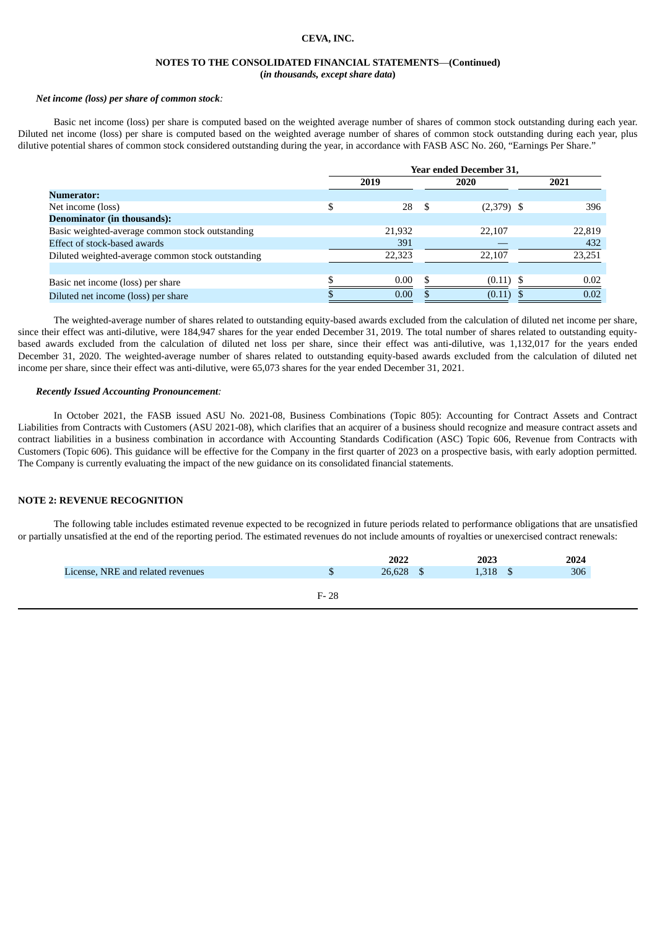# **NOTES TO THE CONSOLIDATED FINANCIAL STATEMENTS**—**(Continued) (***in thousands, except share data***)**

#### *Net income (loss) per share of common stock:*

Basic net income (loss) per share is computed based on the weighted average number of shares of common stock outstanding during each year. Diluted net income (loss) per share is computed based on the weighted average number of shares of common stock outstanding during each year, plus dilutive potential shares of common stock considered outstanding during the year, in accordance with FASB ASC No. 260, "Earnings Per Share."

|                                                   | Year ended December 31, |        |      |              |  |        |  |  |  |  |  |  |
|---------------------------------------------------|-------------------------|--------|------|--------------|--|--------|--|--|--|--|--|--|
| Numerator:                                        |                         | 2019   | 2020 |              |  | 2021   |  |  |  |  |  |  |
|                                                   |                         |        |      |              |  |        |  |  |  |  |  |  |
| Net income (loss)                                 | S                       | 28     | - \$ | $(2,379)$ \$ |  | 396    |  |  |  |  |  |  |
| <b>Denominator (in thousands):</b>                |                         |        |      |              |  |        |  |  |  |  |  |  |
| Basic weighted-average common stock outstanding   |                         | 21,932 |      | 22,107       |  | 22,819 |  |  |  |  |  |  |
| Effect of stock-based awards                      |                         | 391    |      |              |  | 432    |  |  |  |  |  |  |
| Diluted weighted-average common stock outstanding |                         | 22,323 |      | 22,107       |  | 23,251 |  |  |  |  |  |  |
|                                                   |                         |        |      |              |  |        |  |  |  |  |  |  |
| Basic net income (loss) per share                 |                         | 0.00   |      | $(0.11)$ \$  |  | 0.02   |  |  |  |  |  |  |
| Diluted net income (loss) per share               |                         | 0.00   |      | (0.11)       |  | 0.02   |  |  |  |  |  |  |

The weighted-average number of shares related to outstanding equity-based awards excluded from the calculation of diluted net income per share, since their effect was anti-dilutive, were 184,947 shares for the year ended December 31, 2019. The total number of shares related to outstanding equitybased awards excluded from the calculation of diluted net loss per share, since their effect was anti-dilutive, was 1,132,017 for the years ended December 31, 2020. The weighted-average number of shares related to outstanding equity-based awards excluded from the calculation of diluted net income per share, since their effect was anti-dilutive, were 65,073 shares for the year ended December 31, 2021.

## *Recently Issued Accounting Pronouncement:*

In October 2021, the FASB issued ASU No. 2021-08, Business Combinations (Topic 805): Accounting for Contract Assets and Contract Liabilities from Contracts with Customers (ASU 2021-08), which clarifies that an acquirer of a business should recognize and measure contract assets and contract liabilities in a business combination in accordance with Accounting Standards Codification (ASC) Topic 606, Revenue from Contracts with Customers (Topic 606). This guidance will be effective for the Company in the first quarter of 2023 on a prospective basis, with early adoption permitted. The Company is currently evaluating the impact of the new guidance on its consolidated financial statements.

# **NOTE 2: REVENUE RECOGNITION**

The following table includes estimated revenue expected to be recognized in future periods related to performance obligations that are unsatisfied or partially unsatisfied at the end of the reporting period. The estimated revenues do not include amounts of royalties or unexercised contract renewals:

|                                      | 2022   | 2023 | 20Z4 |
|--------------------------------------|--------|------|------|
| NRE and related revenues<br>icense i | 26.628 | ነ1 Ջ | 306  |
|                                      |        |      |      |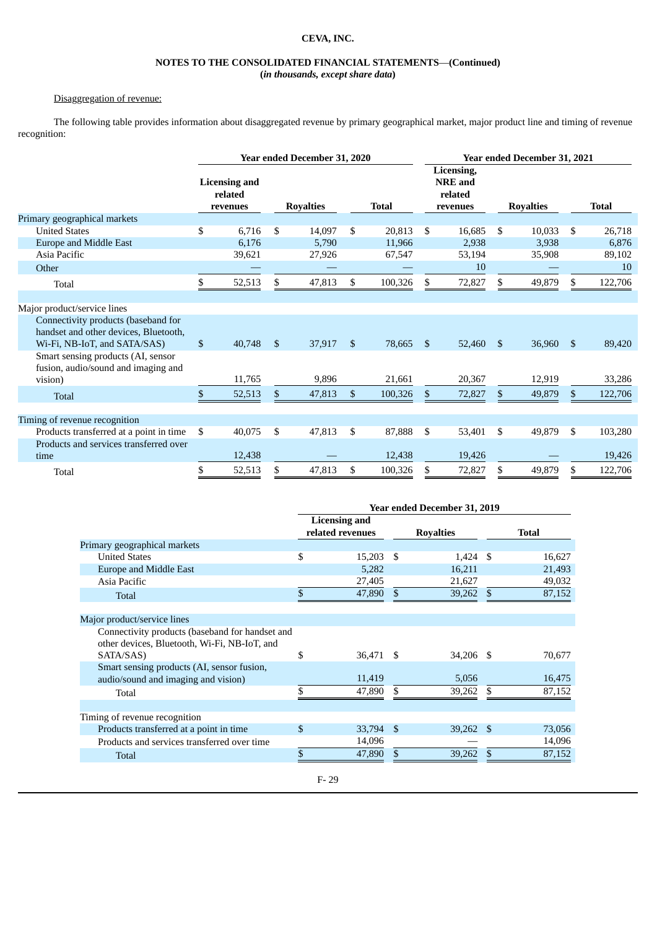# **NOTES TO THE CONSOLIDATED FINANCIAL STATEMENTS**—**(Continued) (***in thousands, except share data***)**

# Disaggregation of revenue:

The following table provides information about disaggregated revenue by primary geographical market, major product line and timing of revenue recognition:

|                                                                                                              |                                             |                        | Year ended December 31, 2020 |                | Year ended December 31, 2021 |                    |                                                     |    |                  |    |              |
|--------------------------------------------------------------------------------------------------------------|---------------------------------------------|------------------------|------------------------------|----------------|------------------------------|--------------------|-----------------------------------------------------|----|------------------|----|--------------|
|                                                                                                              | <b>Licensing and</b><br>related<br>revenues |                        | <b>Royalties</b>             |                | <b>Total</b>                 |                    | Licensing,<br><b>NRE</b> and<br>related<br>revenues |    | <b>Royalties</b> |    | <b>Total</b> |
| Primary geographical markets                                                                                 |                                             |                        |                              |                |                              |                    |                                                     |    |                  |    |              |
| <b>United States</b>                                                                                         | \$<br>6,716                                 | \$                     | 14,097                       | \$             | 20,813                       | \$                 | 16,685                                              | \$ | 10,033           | \$ | 26,718       |
| <b>Europe and Middle East</b>                                                                                | 6,176                                       |                        | 5,790                        |                | 11,966                       |                    | 2,938                                               |    | 3,938            |    | 6,876        |
| Asia Pacific                                                                                                 | 39,621                                      |                        | 27,926                       |                | 67,547                       |                    | 53,194                                              |    | 35,908           |    | 89,102       |
| Other                                                                                                        |                                             |                        |                              |                |                              |                    | 10                                                  |    |                  |    | 10           |
| Total                                                                                                        | \$<br>52,513                                | \$                     | 47,813                       | \$             | 100,326                      | \$                 | 72,827                                              | S  | 49,879           | \$ | 122,706      |
| Major product/service lines                                                                                  |                                             |                        |                              |                |                              |                    |                                                     |    |                  |    |              |
| Connectivity products (baseband for<br>handset and other devices, Bluetooth,<br>Wi-Fi, NB-IoT, and SATA/SAS) | \$<br>40,748                                | $\mathbf{\mathcal{S}}$ | 37,917                       | $\mathfrak{L}$ | 78,665                       | $\mathbf{\hat{S}}$ | 52,460                                              | -S | 36,960           | \$ | 89,420       |
| Smart sensing products (AI, sensor<br>fusion, audio/sound and imaging and                                    |                                             |                        |                              |                |                              |                    |                                                     |    |                  |    |              |
| vision)                                                                                                      | 11,765                                      |                        | 9,896                        |                | 21,661                       |                    | 20,367                                              |    | 12,919           |    | 33,286       |
| Total                                                                                                        | \$<br>52,513                                | \$                     | 47,813                       | $\mathbb{S}$   | 100,326                      | $\mathfrak{S}$     | 72,827                                              | \$ | 49,879           | \$ | 122,706      |
| Timing of revenue recognition                                                                                |                                             |                        |                              |                |                              |                    |                                                     |    |                  |    |              |
| Products transferred at a point in time                                                                      | \$<br>40,075                                | \$                     | 47,813                       | \$             | 87,888                       | \$                 | 53,401                                              | \$ | 49,879           | \$ | 103,280      |
| Products and services transferred over<br>time                                                               | 12,438                                      |                        |                              |                | 12,438                       |                    | 19,426                                              |    |                  |    | 19,426       |
| Total                                                                                                        | \$<br>52,513                                | \$                     | 47,813                       | \$             | 100,326                      | \$                 | 72,827                                              | \$ | 49,879           | \$ | 122,706      |

|                                                                                                 | Year ended December 31, 2019             |           |                          |                |              |  |  |  |  |
|-------------------------------------------------------------------------------------------------|------------------------------------------|-----------|--------------------------|----------------|--------------|--|--|--|--|
|                                                                                                 | <b>Licensing and</b><br>related revenues |           | <b>Royalties</b>         |                | <b>Total</b> |  |  |  |  |
| Primary geographical markets                                                                    |                                          |           |                          |                |              |  |  |  |  |
| <b>United States</b>                                                                            | \$                                       | 15,203    | - \$<br>$1,424$ \$       |                | 16,627       |  |  |  |  |
| Europe and Middle East                                                                          |                                          | 5,282     | 16,211                   |                | 21,493       |  |  |  |  |
| Asia Pacific                                                                                    |                                          | 27,405    | 21,627                   |                | 49,032       |  |  |  |  |
| Total                                                                                           | \$                                       | 47,890    | 39,262<br>$\mathfrak{L}$ | $\mathfrak{S}$ | 87,152       |  |  |  |  |
|                                                                                                 |                                          |           |                          |                |              |  |  |  |  |
| Major product/service lines                                                                     |                                          |           |                          |                |              |  |  |  |  |
| Connectivity products (baseband for handset and<br>other devices, Bluetooth, Wi-Fi, NB-IoT, and |                                          |           |                          |                |              |  |  |  |  |
| SATA/SAS)                                                                                       | \$                                       | 36,471 \$ | 34,206 \$                |                | 70,677       |  |  |  |  |
| Smart sensing products (AI, sensor fusion,<br>audio/sound and imaging and vision)               |                                          | 11,419    | 5,056                    |                | 16,475       |  |  |  |  |
| Total                                                                                           |                                          | 47,890    | \$<br>39,262             | \$             | 87,152       |  |  |  |  |
|                                                                                                 |                                          |           |                          |                |              |  |  |  |  |
| Timing of revenue recognition                                                                   |                                          |           |                          |                |              |  |  |  |  |
| Products transferred at a point in time                                                         | $\mathbf{s}$                             | 33,794    | - \$<br>$39,262$ \$      |                | 73,056       |  |  |  |  |
| Products and services transferred over time                                                     |                                          | 14,096    |                          |                | 14,096       |  |  |  |  |
| Total                                                                                           | \$                                       | 47,890    | $\mathsf{\$}$<br>39,262  |                | 87,152       |  |  |  |  |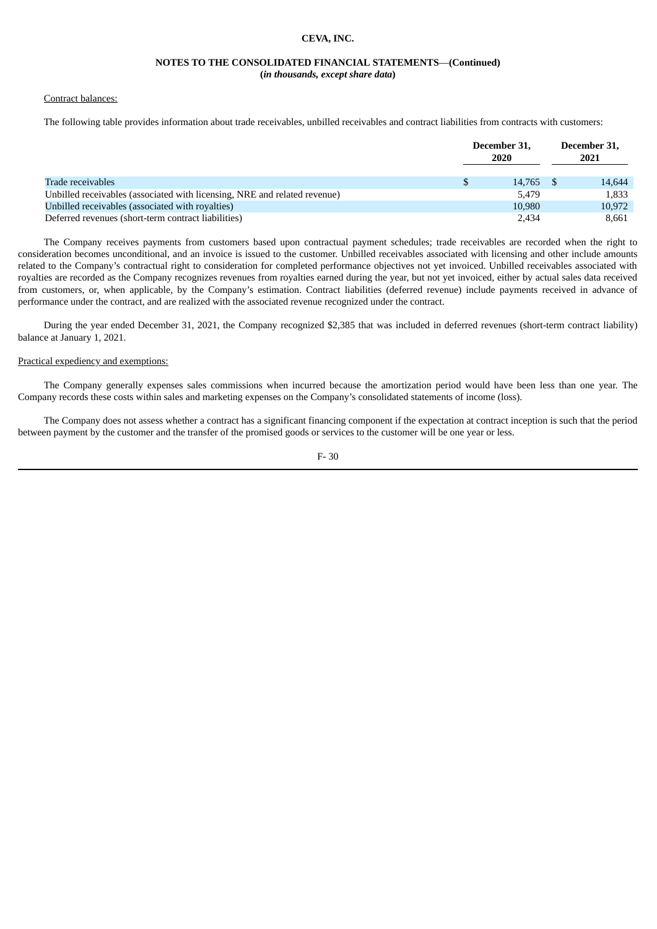# **NOTES TO THE CONSOLIDATED FINANCIAL STATEMENTS**—**(Continued) (***in thousands, except share data***)**

#### Contract balances:

The following table provides information about trade receivables, unbilled receivables and contract liabilities from contracts with customers:

|                                                                           | December 31,<br>2020 | December 31,<br>2021 |
|---------------------------------------------------------------------------|----------------------|----------------------|
| Trade receivables                                                         | 14,765 \$            | 14,644               |
| Unbilled receivables (associated with licensing, NRE and related revenue) | 5.479                | 1.833                |
| Unbilled receivables (associated with royalties)                          | 10,980               | 10,972               |
| Deferred revenues (short-term contract liabilities)                       | 2.434                | 8.661                |

The Company receives payments from customers based upon contractual payment schedules; trade receivables are recorded when the right to consideration becomes unconditional, and an invoice is issued to the customer. Unbilled receivables associated with licensing and other include amounts related to the Company's contractual right to consideration for completed performance objectives not yet invoiced. Unbilled receivables associated with royalties are recorded as the Company recognizes revenues from royalties earned during the year, but not yet invoiced, either by actual sales data received from customers, or, when applicable, by the Company's estimation. Contract liabilities (deferred revenue) include payments received in advance of performance under the contract, and are realized with the associated revenue recognized under the contract.

During the year ended December 31, 2021, the Company recognized \$2,385 that was included in deferred revenues (short-term contract liability) balance at January 1, 2021.

#### Practical expediency and exemptions:

The Company generally expenses sales commissions when incurred because the amortization period would have been less than one year. The Company records these costs within sales and marketing expenses on the Company's consolidated statements of income (loss).

The Company does not assess whether a contract has a significant financing component if the expectation at contract inception is such that the period between payment by the customer and the transfer of the promised goods or services to the customer will be one year or less.

$$
F-30
$$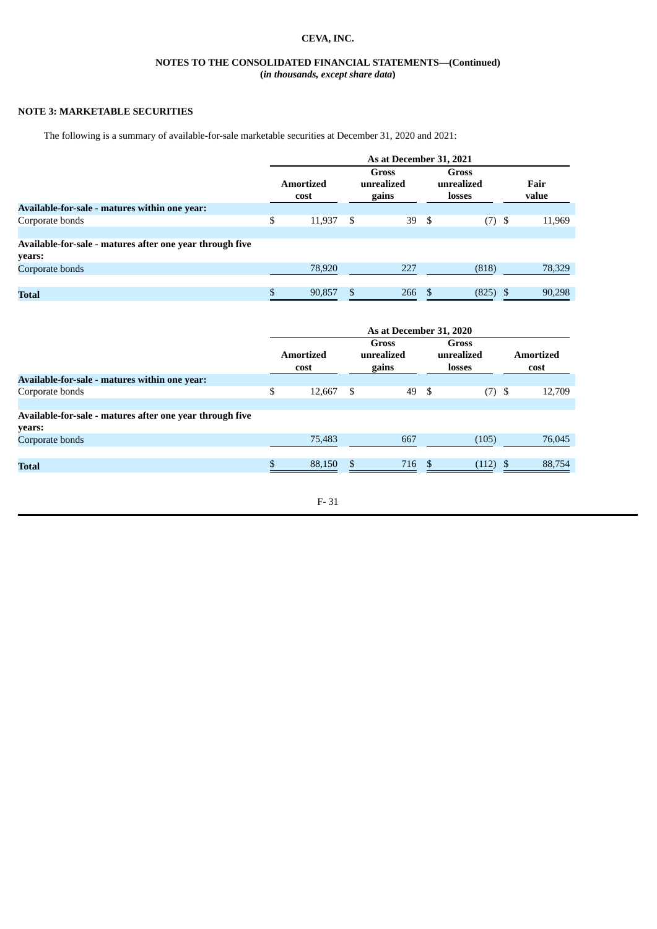# **NOTES TO THE CONSOLIDATED FINANCIAL STATEMENTS**—**(Continued) (***in thousands, except share data***)**

# **NOTE 3: MARKETABLE SECURITIES**

The following is a summary of available-for-sale marketable securities at December 31, 2020 and 2021:

|                                                          | As at December 31, 2021  |        |     |                              |      |                                      |  |               |  |  |
|----------------------------------------------------------|--------------------------|--------|-----|------------------------------|------|--------------------------------------|--|---------------|--|--|
|                                                          | <b>Amortized</b><br>cost |        |     | Gross<br>unrealized<br>gains |      | <b>Gross</b><br>unrealized<br>losses |  | Fair<br>value |  |  |
| Available-for-sale - matures within one year:            |                          |        |     |                              |      |                                      |  |               |  |  |
| Corporate bonds                                          | \$                       | 11,937 | S   | 39                           | - \$ | $(7)$ \$                             |  | 11,969        |  |  |
|                                                          |                          |        |     |                              |      |                                      |  |               |  |  |
| Available-for-sale - matures after one year through five |                          |        |     |                              |      |                                      |  |               |  |  |
| years:                                                   |                          |        |     |                              |      |                                      |  |               |  |  |
| Corporate bonds                                          |                          | 78,920 |     | 227                          |      | (818)                                |  | 78,329        |  |  |
|                                                          |                          |        |     |                              |      |                                      |  |               |  |  |
| <b>Total</b>                                             | \$                       | 90,857 | \$. | 266                          | -S   | (825)                                |  | 90,298        |  |  |

|                                                                    | As at December 31, 2020  |        |                              |     |                               |            |     |                          |
|--------------------------------------------------------------------|--------------------------|--------|------------------------------|-----|-------------------------------|------------|-----|--------------------------|
|                                                                    | <b>Amortized</b><br>cost |        | Gross<br>unrealized<br>gains |     | Gross<br>unrealized<br>losses |            |     | <b>Amortized</b><br>cost |
| Available-for-sale - matures within one year:                      |                          |        |                              |     |                               |            |     |                          |
| Corporate bonds                                                    | \$                       | 12,667 | - \$                         | 49  | - \$                          | (7)        | -\$ | 12,709                   |
|                                                                    |                          |        |                              |     |                               |            |     |                          |
| Available-for-sale - matures after one year through five<br>years: |                          |        |                              |     |                               |            |     |                          |
| Corporate bonds                                                    |                          | 75,483 |                              | 667 |                               | (105)      |     | 76,045                   |
|                                                                    |                          |        |                              |     |                               |            |     |                          |
| Total                                                              | \$                       | 88,150 | \$.                          | 716 | - \$                          | $(112)$ \$ |     | 88,754                   |
|                                                                    |                          |        |                              |     |                               |            |     |                          |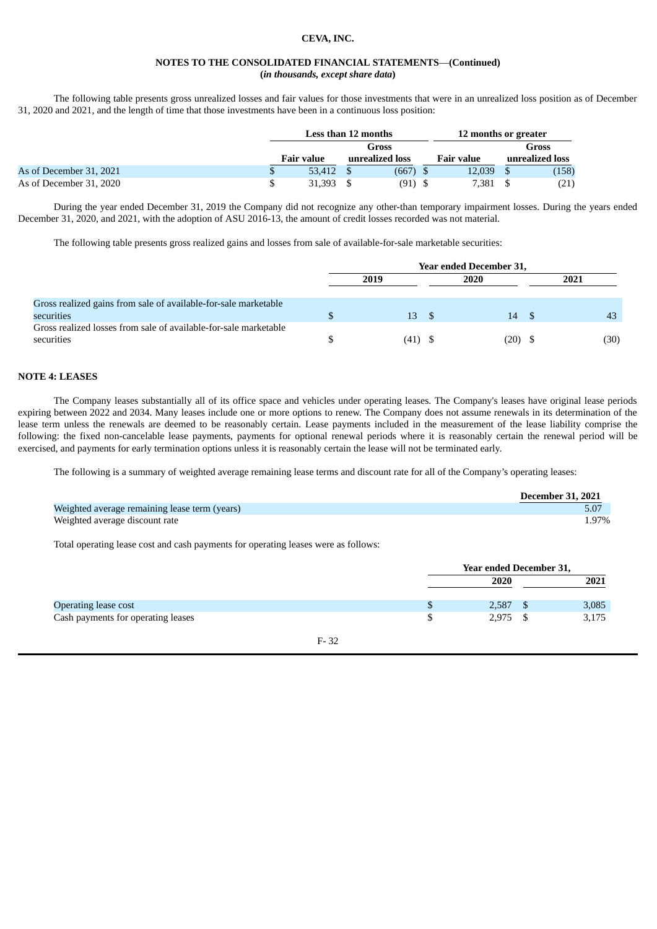# **NOTES TO THE CONSOLIDATED FINANCIAL STATEMENTS**—**(Continued) (***in thousands, except share data***)**

The following table presents gross unrealized losses and fair values for those investments that were in an unrealized loss position as of December 31, 2020 and 2021, and the length of time that those investments have been in a continuous loss position:

|                         | Less than 12 months |  |                 |  | 12 months or greater |  |                 |  |
|-------------------------|---------------------|--|-----------------|--|----------------------|--|-----------------|--|
|                         | Gross               |  |                 |  |                      |  | Gross           |  |
|                         | Fair value          |  | unrealized loss |  | Fair value           |  | unrealized loss |  |
| As of December 31, 2021 | 53.412              |  | $(667)$ \$      |  | 12.039               |  | (158)           |  |
| As of December 31, 2020 | 31.393              |  | (91)            |  | 7.381                |  | (21)            |  |

During the year ended December 31, 2019 the Company did not recognize any other-than temporary impairment losses. During the years ended December 31, 2020, and 2021, with the adoption of ASU 2016-13, the amount of credit losses recorded was not material.

The following table presents gross realized gains and losses from sale of available-for-sale marketable securities:

|                                                                               | <b>Year ended December 31,</b> |           |      |      |  |      |  |  |
|-------------------------------------------------------------------------------|--------------------------------|-----------|------|------|--|------|--|--|
|                                                                               | 2019                           |           | 2020 |      |  | 2021 |  |  |
| Gross realized gains from sale of available-for-sale marketable<br>securities |                                | 13        |      | 14   |  | 43   |  |  |
| Gross realized losses from sale of available-for-sale marketable              |                                |           |      |      |  |      |  |  |
| securities                                                                    |                                | $(41)$ \$ |      | (20) |  | (30) |  |  |

#### **NOTE 4: LEASES**

The Company leases substantially all of its office space and vehicles under operating leases. The Company's leases have original lease periods expiring between 2022 and 2034. Many leases include one or more options to renew. The Company does not assume renewals in its determination of the lease term unless the renewals are deemed to be reasonably certain. Lease payments included in the measurement of the lease liability comprise the following: the fixed non-cancelable lease payments, payments for optional renewal periods where it is reasonably certain the renewal period will be exercised, and payments for early termination options unless it is reasonably certain the lease will not be terminated early.

The following is a summary of weighted average remaining lease terms and discount rate for all of the Company's operating leases:

|                                               | <b>December 31, 2021</b> |
|-----------------------------------------------|--------------------------|
| Weighted average remaining lease term (years) | 5.07                     |
| Weighted average discount rate                | 1.97%                    |

Total operating lease cost and cash payments for operating leases were as follows:

|                                    |          |    | Year ended December 31, |  |       |  |
|------------------------------------|----------|----|-------------------------|--|-------|--|
|                                    |          |    | 2020                    |  | 2021  |  |
| <b>Operating lease cost</b>        |          | P  | 2,587                   |  | 3,085 |  |
| Cash payments for operating leases |          | \$ | 2,975                   |  | 3,175 |  |
|                                    | $F - 32$ |    |                         |  |       |  |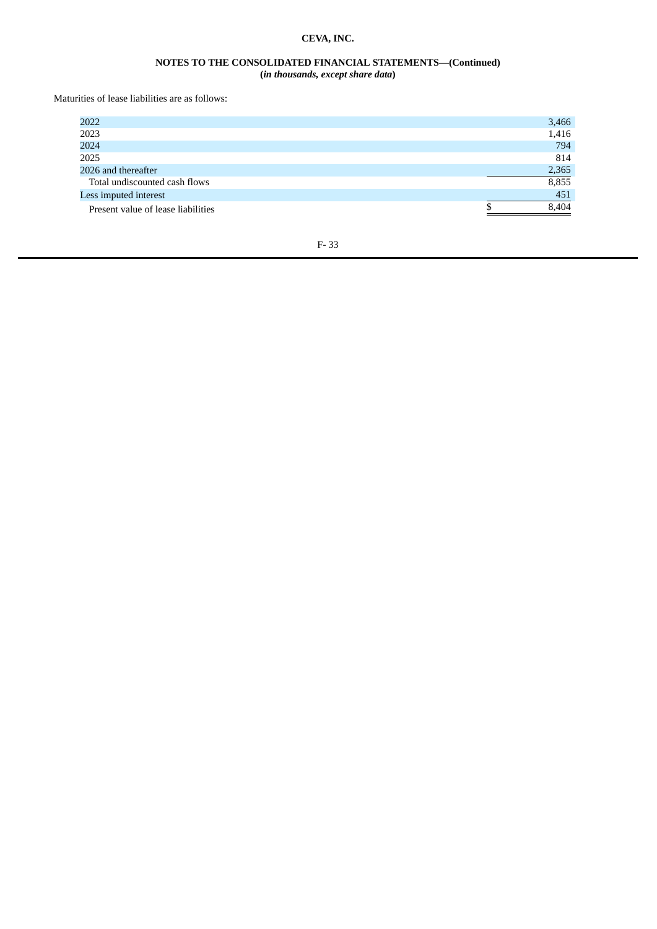## **NOTES TO THE CONSOLIDATED FINANCIAL STATEMENTS**—**(Continued) (***in thousands, except share data***)**

Maturities of lease liabilities are as follows:

| 2022                               | 3,466 |
|------------------------------------|-------|
| 2023                               | 1,416 |
| 2024                               | 794   |
| 2025                               | 814   |
| 2026 and thereafter                | 2,365 |
| Total undiscounted cash flows      | 8,855 |
| Less imputed interest              | 451   |
| Present value of lease liabilities | 8.404 |
|                                    |       |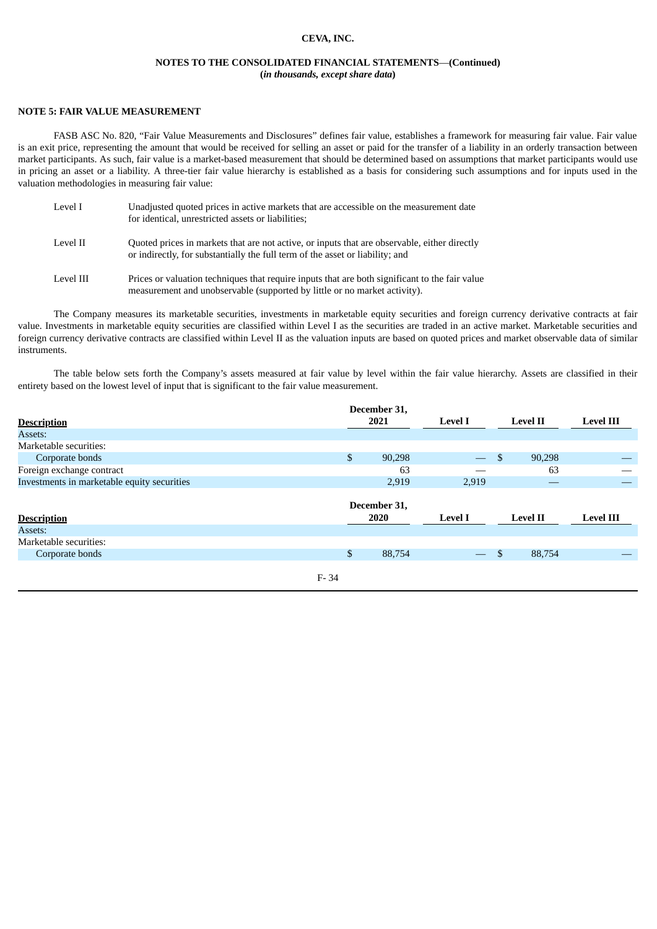# **NOTES TO THE CONSOLIDATED FINANCIAL STATEMENTS**—**(Continued) (***in thousands, except share data***)**

## **NOTE 5: FAIR VALUE MEASUREMENT**

FASB ASC No. 820, "Fair Value Measurements and Disclosures" defines fair value, establishes a framework for measuring fair value. Fair value is an exit price, representing the amount that would be received for selling an asset or paid for the transfer of a liability in an orderly transaction between market participants. As such, fair value is a market-based measurement that should be determined based on assumptions that market participants would use in pricing an asset or a liability. A three-tier fair value hierarchy is established as a basis for considering such assumptions and for inputs used in the valuation methodologies in measuring fair value:

| Level I   | Unadjusted quoted prices in active markets that are accessible on the measurement date<br>for identical, unrestricted assets or liabilities;                                  |
|-----------|-------------------------------------------------------------------------------------------------------------------------------------------------------------------------------|
| Level II  | Quoted prices in markets that are not active, or inputs that are observable, either directly<br>or indirectly, for substantially the full term of the asset or liability; and |
| Level III | Prices or valuation techniques that require inputs that are both significant to the fair value<br>measurement and unobservable (supported by little or no market activity).   |

The Company measures its marketable securities, investments in marketable equity securities and foreign currency derivative contracts at fair value. Investments in marketable equity securities are classified within Level I as the securities are traded in an active market. Marketable securities and foreign currency derivative contracts are classified within Level II as the valuation inputs are based on quoted prices and market observable data of similar instruments.

The table below sets forth the Company's assets measured at fair value by level within the fair value hierarchy. Assets are classified in their entirety based on the lowest level of input that is significant to the fair value measurement.

|                                             |          | December 31,         |                          |                 |                  |  |
|---------------------------------------------|----------|----------------------|--------------------------|-----------------|------------------|--|
| <b>Description</b>                          | 2021     |                      | <b>Level I</b>           | <b>Level II</b> | <b>Level III</b> |  |
| Assets:                                     |          |                      |                          |                 |                  |  |
| Marketable securities:                      |          |                      |                          |                 |                  |  |
| Corporate bonds                             | \$       | 90,298               | $\overline{\phantom{m}}$ | \$<br>90,298    |                  |  |
| Foreign exchange contract                   |          | 63                   |                          | 63              |                  |  |
| Investments in marketable equity securities |          | 2,919                | 2,919                    |                 |                  |  |
| <b>Description</b>                          |          | December 31,<br>2020 | <b>Level I</b>           | <b>Level II</b> | <b>Level III</b> |  |
| Assets:                                     |          |                      |                          |                 |                  |  |
| Marketable securities:                      |          |                      |                          |                 |                  |  |
| Corporate bonds                             | \$       | 88,754               | $-$                      | \$<br>88,754    |                  |  |
|                                             | $F - 34$ |                      |                          |                 |                  |  |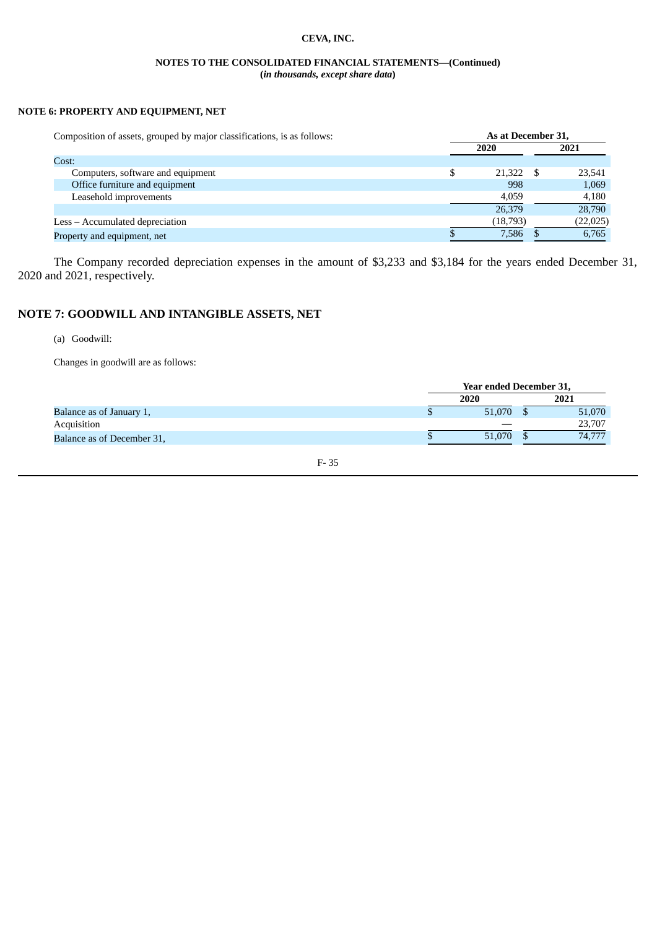# **NOTES TO THE CONSOLIDATED FINANCIAL STATEMENTS**—**(Continued) (***in thousands, except share data***)**

# **NOTE 6: PROPERTY AND EQUIPMENT, NET**

| Composition of assets, grouped by major classifications, is as follows: | As at December 31, |           |
|-------------------------------------------------------------------------|--------------------|-----------|
|                                                                         | 2020               | 2021      |
| Cost:                                                                   |                    |           |
| Computers, software and equipment                                       | 21,322 \$          | 23,541    |
| Office furniture and equipment                                          | 998                | 1,069     |
| Leasehold improvements                                                  | 4.059              | 4,180     |
|                                                                         | 26,379             | 28,790    |
| Less - Accumulated depreciation                                         | (18,793)           | (22, 025) |
| Property and equipment, net                                             | 7,586              | 6,765     |

The Company recorded depreciation expenses in the amount of \$3,233 and \$3,184 for the years ended December 31, 2020 and 2021, respectively.

# **NOTE 7: GOODWILL AND INTANGIBLE ASSETS, NET**

# (a) Goodwill:

Changes in goodwill are as follows:

|                            |      | Year ended December 31, |        |  |  |  |
|----------------------------|------|-------------------------|--------|--|--|--|
|                            | 2020 |                         | 2021   |  |  |  |
| Balance as of January 1,   |      | 51,070                  | 51,070 |  |  |  |
| Acquisition                |      |                         | 23,707 |  |  |  |
| Balance as of December 31, |      | 51,070                  | 74.777 |  |  |  |
|                            |      |                         |        |  |  |  |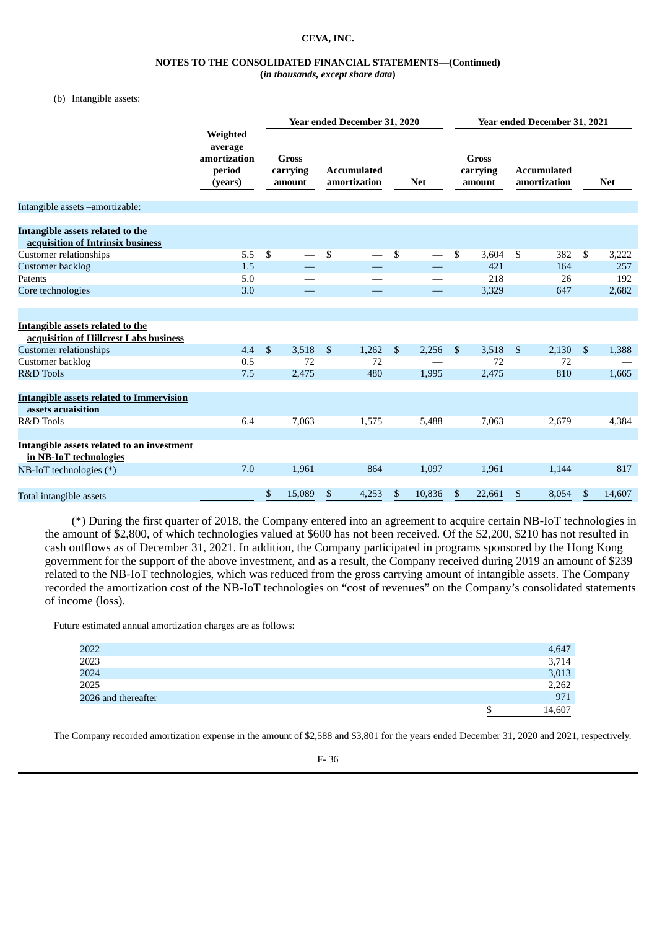# **NOTES TO THE CONSOLIDATED FINANCIAL STATEMENTS**—**(Continued) (***in thousands, except share data***)**

(b) Intangible assets:

|                                                                              |                                                          |              |                                    |                    | Year ended December 31, 2020       |    |                                 |                                                                          | Year ended December 31, 2021 |       |    |            |  |
|------------------------------------------------------------------------------|----------------------------------------------------------|--------------|------------------------------------|--------------------|------------------------------------|----|---------------------------------|--------------------------------------------------------------------------|------------------------------|-------|----|------------|--|
|                                                                              | Weighted<br>average<br>amortization<br>period<br>(years) |              | <b>Gross</b><br>carrying<br>amount |                    | <b>Accumulated</b><br>amortization |    | <b>Net</b>                      | <b>Gross</b><br><b>Accumulated</b><br>carrying<br>amortization<br>amount |                              |       |    | <b>Net</b> |  |
| Intangible assets -amortizable:                                              |                                                          |              |                                    |                    |                                    |    |                                 |                                                                          |                              |       |    |            |  |
| <b>Intangible assets related to the</b><br>acquisition of Intrinsix business |                                                          |              |                                    |                    |                                    |    |                                 |                                                                          |                              |       |    |            |  |
| Customer relationships                                                       | 5.5                                                      | \$           |                                    | \$                 |                                    | \$ |                                 | \$<br>3,604                                                              | \$                           | 382   | \$ | 3,222      |  |
| Customer backlog                                                             | 1.5                                                      |              |                                    |                    |                                    |    |                                 | 421                                                                      |                              | 164   |    | 257        |  |
| Patents                                                                      | 5.0                                                      |              |                                    |                    |                                    |    | $\overline{\phantom{0}}$        | 218                                                                      |                              | 26    |    | 192        |  |
| Core technologies                                                            | 3.0                                                      |              |                                    |                    |                                    |    | $\hspace{0.1mm}-\hspace{0.1mm}$ | 3,329                                                                    |                              | 647   |    | 2,682      |  |
|                                                                              |                                                          |              |                                    |                    |                                    |    |                                 |                                                                          |                              |       |    |            |  |
| Intangible assets related to the<br>acquisition of Hillcrest Labs business   |                                                          |              |                                    |                    |                                    |    |                                 |                                                                          |                              |       |    |            |  |
| <b>Customer relationships</b>                                                | 4.4                                                      | $\mathbb{S}$ | 3,518                              | $\mathbf{\hat{s}}$ | 1,262                              | \$ | 2,256                           | \$<br>3,518                                                              | \$                           | 2,130 | \$ | 1,388      |  |
| Customer backlog                                                             | 0.5                                                      |              | 72                                 |                    | 72                                 |    |                                 | 72                                                                       |                              | 72    |    |            |  |
| <b>R&amp;D</b> Tools                                                         | 7.5                                                      |              | 2,475                              |                    | 480                                |    | 1,995                           | 2,475                                                                    |                              | 810   |    | 1,665      |  |
| <b>Intangible assets related to Immervision</b><br>assets acuaisition        |                                                          |              |                                    |                    |                                    |    |                                 |                                                                          |                              |       |    |            |  |
| R&D Tools                                                                    | 6.4                                                      |              | 7,063                              |                    | 1,575                              |    | 5,488                           | 7,063                                                                    |                              | 2,679 |    | 4,384      |  |
| <b>Intangible assets related to an investment</b><br>in NB-IoT technologies  |                                                          |              |                                    |                    |                                    |    |                                 |                                                                          |                              |       |    |            |  |
| NB-IoT technologies (*)                                                      | 7.0                                                      |              | 1,961                              |                    | 864                                |    | 1,097                           | 1,961                                                                    |                              | 1,144 |    | 817        |  |
| Total intangible assets                                                      |                                                          | \$           | 15,089                             | \$                 | 4,253                              | S  | 10,836                          | \$<br>22,661                                                             | \$                           | 8,054 | \$ | 14,607     |  |

(\*) During the first quarter of 2018, the Company entered into an agreement to acquire certain NB-IoT technologies in the amount of \$2,800, of which technologies valued at \$600 has not been received. Of the \$2,200, \$210 has not resulted in cash outflows as of December 31, 2021. In addition, the Company participated in programs sponsored by the Hong Kong government for the support of the above investment, and as a result, the Company received during 2019 an amount of \$239 related to the NB-IoT technologies, which was reduced from the gross carrying amount of intangible assets. The Company recorded the amortization cost of the NB-IoT technologies on "cost of revenues" on the Company's consolidated statements of income (loss).

Future estimated annual amortization charges are as follows:

| 2022                | 4,647  |
|---------------------|--------|
| 2023                | 3,714  |
| 2024                | 3,013  |
| 2025                | 2,262  |
| 2026 and thereafter | 971    |
|                     | 14.607 |

The Company recorded amortization expense in the amount of \$2,588 and \$3,801 for the years ended December 31, 2020 and 2021, respectively.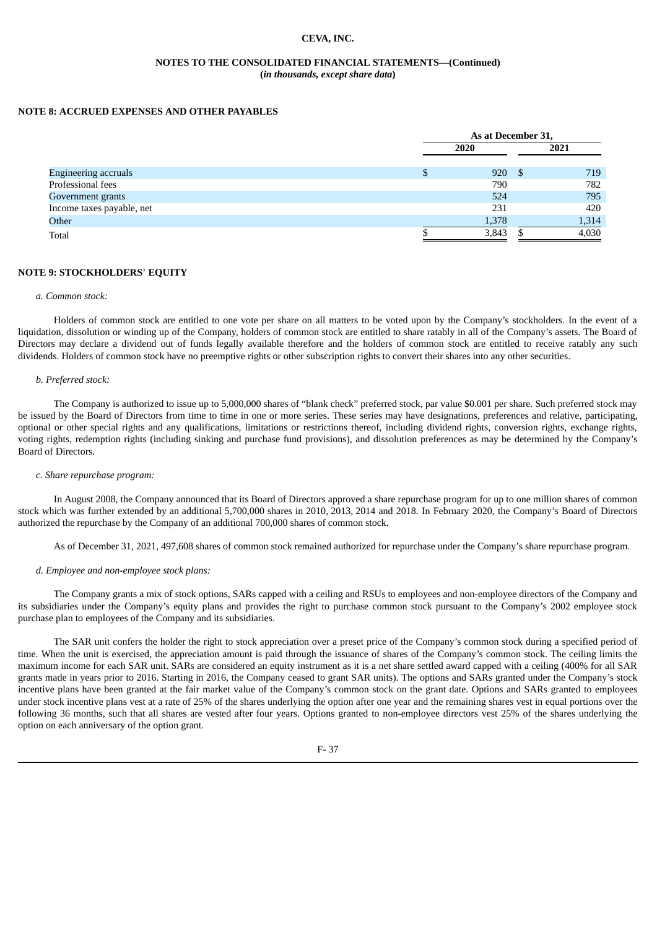# **NOTES TO THE CONSOLIDATED FINANCIAL STATEMENTS**—**(Continued) (***in thousands, except share data***)**

## **NOTE 8: ACCRUED EXPENSES AND OTHER PAYABLES**

|                             | As at December 31, |       |  |       |  |
|-----------------------------|--------------------|-------|--|-------|--|
|                             | 2020               |       |  | 2021  |  |
| <b>Engineering accruals</b> |                    | 920   |  | 719   |  |
| Professional fees           |                    | 790   |  | 782   |  |
| Government grants           |                    | 524   |  | 795   |  |
| Income taxes payable, net   |                    | 231   |  | 420   |  |
| Other                       |                    | 1,378 |  | 1,314 |  |
| Total                       |                    | 3,843 |  | 4,030 |  |

### **NOTE 9: STOCKHOLDERS**' **EQUITY**

#### *a. Common stock:*

Holders of common stock are entitled to one vote per share on all matters to be voted upon by the Company's stockholders. In the event of a liquidation, dissolution or winding up of the Company, holders of common stock are entitled to share ratably in all of the Company's assets. The Board of Directors may declare a dividend out of funds legally available therefore and the holders of common stock are entitled to receive ratably any such dividends. Holders of common stock have no preemptive rights or other subscription rights to convert their shares into any other securities.

### *b. Preferred stock:*

The Company is authorized to issue up to 5,000,000 shares of "blank check" preferred stock, par value \$0.001 per share. Such preferred stock may be issued by the Board of Directors from time to time in one or more series. These series may have designations, preferences and relative, participating, optional or other special rights and any qualifications, limitations or restrictions thereof, including dividend rights, conversion rights, exchange rights, voting rights, redemption rights (including sinking and purchase fund provisions), and dissolution preferences as may be determined by the Company's Board of Directors.

## *c. Share repurchase program:*

In August 2008, the Company announced that its Board of Directors approved a share repurchase program for up to one million shares of common stock which was further extended by an additional 5,700,000 shares in 2010, 2013, 2014 and 2018. In February 2020, the Company's Board of Directors authorized the repurchase by the Company of an additional 700,000 shares of common stock.

As of December 31, 2021, 497,608 shares of common stock remained authorized for repurchase under the Company's share repurchase program.

### *d. Employee and non-employee stock plans:*

The Company grants a mix of stock options, SARs capped with a ceiling and RSUs to employees and non-employee directors of the Company and its subsidiaries under the Company's equity plans and provides the right to purchase common stock pursuant to the Company's 2002 employee stock purchase plan to employees of the Company and its subsidiaries.

The SAR unit confers the holder the right to stock appreciation over a preset price of the Company's common stock during a specified period of time. When the unit is exercised, the appreciation amount is paid through the issuance of shares of the Company's common stock. The ceiling limits the maximum income for each SAR unit. SARs are considered an equity instrument as it is a net share settled award capped with a ceiling (400% for all SAR grants made in years prior to 2016. Starting in 2016, the Company ceased to grant SAR units). The options and SARs granted under the Company's stock incentive plans have been granted at the fair market value of the Company's common stock on the grant date. Options and SARs granted to employees under stock incentive plans vest at a rate of 25% of the shares underlying the option after one year and the remaining shares vest in equal portions over the following 36 months, such that all shares are vested after four years. Options granted to non-employee directors vest 25% of the shares underlying the option on each anniversary of the option grant.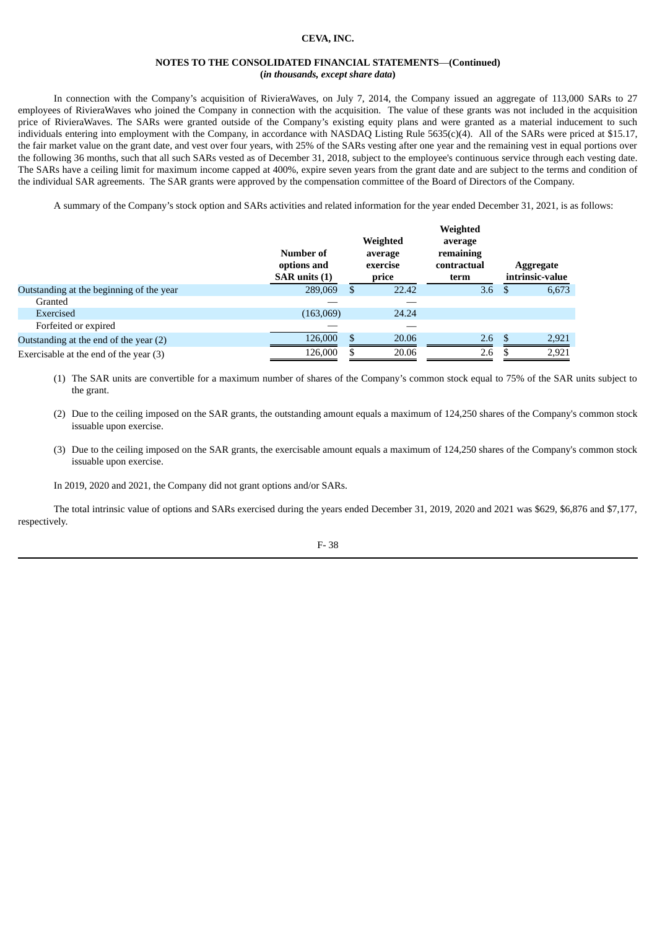# **NOTES TO THE CONSOLIDATED FINANCIAL STATEMENTS**—**(Continued) (***in thousands, except share data***)**

In connection with the Company's acquisition of RivieraWaves, on July 7, 2014, the Company issued an aggregate of 113,000 SARs to 27 employees of RivieraWaves who joined the Company in connection with the acquisition. The value of these grants was not included in the acquisition price of RivieraWaves. The SARs were granted outside of the Company's existing equity plans and were granted as a material inducement to such individuals entering into employment with the Company, in accordance with NASDAQ Listing Rule 5635(c)(4). All of the SARs were priced at \$15.17, the fair market value on the grant date, and vest over four years, with 25% of the SARs vesting after one year and the remaining vest in equal portions over the following 36 months, such that all such SARs vested as of December 31, 2018, subject to the employee's continuous service through each vesting date. The SARs have a ceiling limit for maximum income capped at 400%, expire seven years from the grant date and are subject to the terms and condition of the individual SAR agreements. The SAR grants were approved by the compensation committee of the Board of Directors of the Company.

A summary of the Company's stock option and SARs activities and related information for the year ended December 31, 2021, is as follows:

|                                          | Number of<br>options and<br>SAR units (1) | Weighted<br>average<br>exercise<br>price | Weighted<br>average<br>remaining<br>contractual<br>term |     | Aggregate<br>intrinsic-value |
|------------------------------------------|-------------------------------------------|------------------------------------------|---------------------------------------------------------|-----|------------------------------|
| Outstanding at the beginning of the year | 289,069                                   | \$<br>22.42                              | 3.6                                                     | -\$ | 6,673                        |
| Granted                                  |                                           |                                          |                                                         |     |                              |
| Exercised                                | (163,069)                                 | 24.24                                    |                                                         |     |                              |
| Forfeited or expired                     |                                           |                                          |                                                         |     |                              |
| Outstanding at the end of the year (2)   | 126,000                                   | 20.06                                    | 2.6                                                     | -\$ | 2,921                        |
| Exercisable at the end of the year (3)   | 126,000                                   | 20.06                                    | 2.6                                                     |     | 2,921                        |

(1) The SAR units are convertible for a maximum number of shares of the Company's common stock equal to 75% of the SAR units subject to the grant.

- (2) Due to the ceiling imposed on the SAR grants, the outstanding amount equals a maximum of 124,250 shares of the Company's common stock issuable upon exercise.
- (3) Due to the ceiling imposed on the SAR grants, the exercisable amount equals a maximum of 124,250 shares of the Company's common stock issuable upon exercise.

In 2019, 2020 and 2021, the Company did not grant options and/or SARs.

The total intrinsic value of options and SARs exercised during the years ended December 31, 2019, 2020 and 2021 was \$629, \$6,876 and \$7,177, respectively.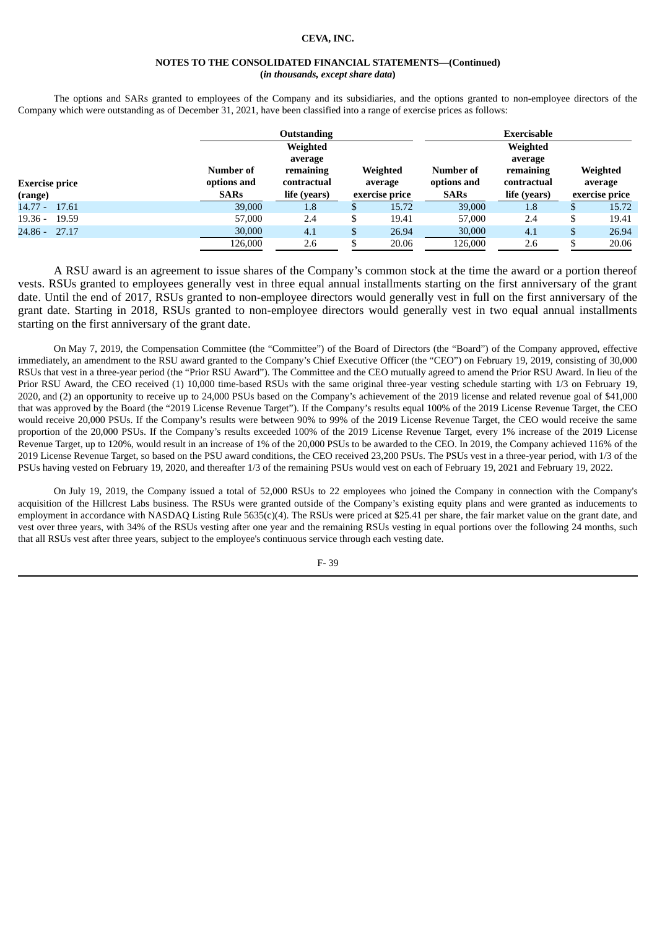# **NOTES TO THE CONSOLIDATED FINANCIAL STATEMENTS**—**(Continued) (***in thousands, except share data***)**

The options and SARs granted to employees of the Company and its subsidiaries, and the options granted to non-employee directors of the Company which were outstanding as of December 31, 2021, have been classified into a range of exercise prices as follows:

|                       |             | <b>Outstanding</b> |         | Exercisable    |             |              |          |                |  |  |  |
|-----------------------|-------------|--------------------|---------|----------------|-------------|--------------|----------|----------------|--|--|--|
|                       |             | Weighted           |         |                |             |              |          |                |  |  |  |
|                       |             | average            |         |                |             | average      |          |                |  |  |  |
|                       | Number of   | remaining          |         | Weighted       | Number of   | remaining    | Weighted |                |  |  |  |
| <b>Exercise price</b> | options and | contractual        | average |                | options and | contractual  | average  |                |  |  |  |
| (range)               | <b>SARs</b> | life (years)       |         | exercise price | <b>SARs</b> | life (years) |          | exercise price |  |  |  |
| 14.77 -<br>17.61      | 39,000      | 1.8                | D       | 15.72          | 39,000      | 1.8          | .D       | 15.72          |  |  |  |
| $19.36 -$<br>19.59    | 57,000      | 2.4                | S       | 19.41          | 57,000      | 2.4          |          | 19.41          |  |  |  |
| 24.86 -<br>27.17      | 30,000      | 4.1                | \$      | 26.94          | 30,000      | 4.1          | \$       | 26.94          |  |  |  |
|                       | 126,000     | 2.6                |         | 20.06          | 126,000     | 2.6          |          | 20.06          |  |  |  |

A RSU award is an agreement to issue shares of the Company's common stock at the time the award or a portion thereof vests. RSUs granted to employees generally vest in three equal annual installments starting on the first anniversary of the grant date. Until the end of 2017, RSUs granted to non-employee directors would generally vest in full on the first anniversary of the grant date. Starting in 2018, RSUs granted to non-employee directors would generally vest in two equal annual installments starting on the first anniversary of the grant date.

On May 7, 2019, the Compensation Committee (the "Committee") of the Board of Directors (the "Board") of the Company approved, effective immediately, an amendment to the RSU award granted to the Company's Chief Executive Officer (the "CEO") on February 19, 2019, consisting of 30,000 RSUs that vest in a three-year period (the "Prior RSU Award"). The Committee and the CEO mutually agreed to amend the Prior RSU Award. In lieu of the Prior RSU Award, the CEO received (1) 10,000 time-based RSUs with the same original three-year vesting schedule starting with 1/3 on February 19, 2020, and (2) an opportunity to receive up to 24,000 PSUs based on the Company's achievement of the 2019 license and related revenue goal of \$41,000 that was approved by the Board (the "2019 License Revenue Target"). If the Company's results equal 100% of the 2019 License Revenue Target, the CEO would receive 20,000 PSUs. If the Company's results were between 90% to 99% of the 2019 License Revenue Target, the CEO would receive the same proportion of the 20,000 PSUs. If the Company's results exceeded 100% of the 2019 License Revenue Target, every 1% increase of the 2019 License Revenue Target, up to 120%, would result in an increase of 1% of the 20,000 PSUs to be awarded to the CEO. In 2019, the Company achieved 116% of the 2019 License Revenue Target, so based on the PSU award conditions, the CEO received 23,200 PSUs. The PSUs vest in a three-year period, with 1/3 of the PSUs having vested on February 19, 2020, and thereafter 1/3 of the remaining PSUs would vest on each of February 19, 2021 and February 19, 2022.

On July 19, 2019, the Company issued a total of 52,000 RSUs to 22 employees who joined the Company in connection with the Company's acquisition of the Hillcrest Labs business. The RSUs were granted outside of the Company's existing equity plans and were granted as inducements to employment in accordance with NASDAQ Listing Rule 5635(c)(4). The RSUs were priced at \$25.41 per share, the fair market value on the grant date, and vest over three years, with 34% of the RSUs vesting after one year and the remaining RSUs vesting in equal portions over the following 24 months, such that all RSUs vest after three years, subject to the employee's continuous service through each vesting date.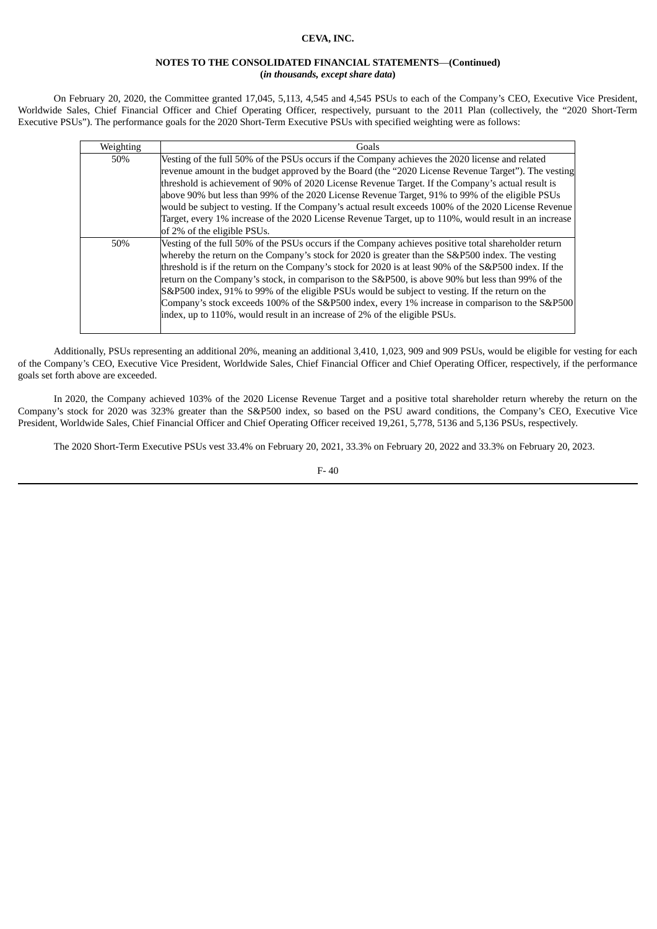# **NOTES TO THE CONSOLIDATED FINANCIAL STATEMENTS**—**(Continued) (***in thousands, except share data***)**

On February 20, 2020, the Committee granted 17,045, 5,113, 4,545 and 4,545 PSUs to each of the Company's CEO, Executive Vice President, Worldwide Sales, Chief Financial Officer and Chief Operating Officer, respectively, pursuant to the 2011 Plan (collectively, the "2020 Short-Term Executive PSUs"). The performance goals for the 2020 Short-Term Executive PSUs with specified weighting were as follows:

| Weighting | Goals                                                                                                  |
|-----------|--------------------------------------------------------------------------------------------------------|
| 50%       | Vesting of the full 50% of the PSUs occurs if the Company achieves the 2020 license and related        |
|           | revenue amount in the budget approved by the Board (the "2020 License Revenue Target"). The vesting    |
|           | threshold is achievement of 90% of 2020 License Revenue Target. If the Company's actual result is      |
|           | above 90% but less than 99% of the 2020 License Revenue Target, 91% to 99% of the eligible PSUs        |
|           | would be subject to vesting. If the Company's actual result exceeds 100% of the 2020 License Revenue   |
|           | Target, every 1% increase of the 2020 License Revenue Target, up to 110%, would result in an increase  |
|           | of 2% of the eligible PSUs.                                                                            |
| 50%       | Vesting of the full 50% of the PSUs occurs if the Company achieves positive total shareholder return   |
|           | whereby the return on the Company's stock for 2020 is greater than the S&P500 index. The vesting       |
|           | threshold is if the return on the Company's stock for 2020 is at least 90% of the S&P500 index. If the |
|           | return on the Company's stock, in comparison to the S&P500, is above 90% but less than 99% of the      |
|           | S&P500 index, 91% to 99% of the eligible PSUs would be subject to vesting. If the return on the        |
|           | Company's stock exceeds 100% of the S&P500 index, every 1% increase in comparison to the S&P500        |
|           | lindex, up to 110%, would result in an increase of 2% of the eligible PSUs.                            |
|           |                                                                                                        |

Additionally, PSUs representing an additional 20%, meaning an additional 3,410, 1,023, 909 and 909 PSUs, would be eligible for vesting for each of the Company's CEO, Executive Vice President, Worldwide Sales, Chief Financial Officer and Chief Operating Officer, respectively, if the performance goals set forth above are exceeded.

In 2020, the Company achieved 103% of the 2020 License Revenue Target and a positive total shareholder return whereby the return on the Company's stock for 2020 was 323% greater than the S&P500 index, so based on the PSU award conditions, the Company's CEO, Executive Vice President, Worldwide Sales, Chief Financial Officer and Chief Operating Officer received 19,261, 5,778, 5136 and 5,136 PSUs, respectively.

The 2020 Short-Term Executive PSUs vest 33.4% on February 20, 2021, 33.3% on February 20, 2022 and 33.3% on February 20, 2023.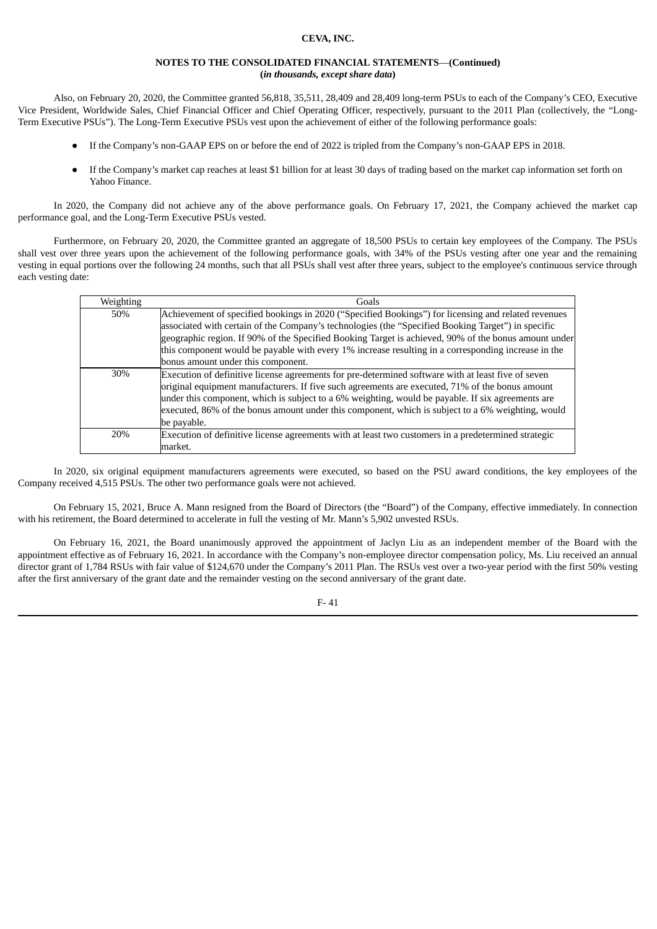## **NOTES TO THE CONSOLIDATED FINANCIAL STATEMENTS**—**(Continued) (***in thousands, except share data***)**

Also, on February 20, 2020, the Committee granted 56,818, 35,511, 28,409 and 28,409 long-term PSUs to each of the Company's CEO, Executive Vice President, Worldwide Sales, Chief Financial Officer and Chief Operating Officer, respectively, pursuant to the 2011 Plan (collectively, the "Long-Term Executive PSUs"). The Long-Term Executive PSUs vest upon the achievement of either of the following performance goals:

- If the Company's non-GAAP EPS on or before the end of 2022 is tripled from the Company's non-GAAP EPS in 2018.
- If the Company's market cap reaches at least \$1 billion for at least 30 days of trading based on the market cap information set forth on Yahoo Finance.

In 2020, the Company did not achieve any of the above performance goals. On February 17, 2021, the Company achieved the market cap performance goal, and the Long-Term Executive PSUs vested.

Furthermore, on February 20, 2020, the Committee granted an aggregate of 18,500 PSUs to certain key employees of the Company. The PSUs shall vest over three years upon the achievement of the following performance goals, with 34% of the PSUs vesting after one year and the remaining vesting in equal portions over the following 24 months, such that all PSUs shall vest after three years, subject to the employee's continuous service through each vesting date:

| Weighting | Goals                                                                                                |
|-----------|------------------------------------------------------------------------------------------------------|
| 50%       | Achievement of specified bookings in 2020 ("Specified Bookings") for licensing and related revenues  |
|           | associated with certain of the Company's technologies (the "Specified Booking Target") in specific   |
|           | geographic region. If 90% of the Specified Booking Target is achieved, 90% of the bonus amount under |
|           | this component would be payable with every 1% increase resulting in a corresponding increase in the  |
|           | bonus amount under this component.                                                                   |
| 30%       | Execution of definitive license agreements for pre-determined software with at least five of seven   |
|           | original equipment manufacturers. If five such agreements are executed, 71% of the bonus amount      |
|           | under this component, which is subject to a 6% weighting, would be payable. If six agreements are    |
|           | executed, 86% of the bonus amount under this component, which is subject to a 6% weighting, would    |
|           | be payable.                                                                                          |
| 20%       | Execution of definitive license agreements with at least two customers in a predetermined strategic  |
|           | market.                                                                                              |

In 2020, six original equipment manufacturers agreements were executed, so based on the PSU award conditions, the key employees of the Company received 4,515 PSUs. The other two performance goals were not achieved.

On February 15, 2021, Bruce A. Mann resigned from the Board of Directors (the "Board") of the Company, effective immediately. In connection with his retirement, the Board determined to accelerate in full the vesting of Mr. Mann's 5,902 unvested RSUs.

On February 16, 2021, the Board unanimously approved the appointment of Jaclyn Liu as an independent member of the Board with the appointment effective as of February 16, 2021. In accordance with the Company's non-employee director compensation policy, Ms. Liu received an annual director grant of 1,784 RSUs with fair value of \$124,670 under the Company's 2011 Plan. The RSUs vest over a two-year period with the first 50% vesting after the first anniversary of the grant date and the remainder vesting on the second anniversary of the grant date.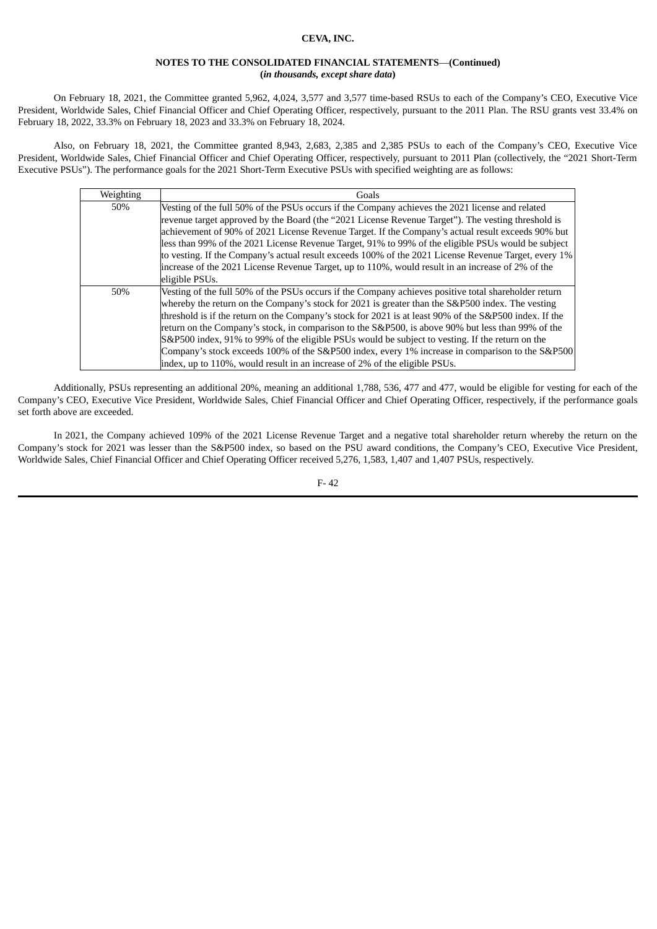# **NOTES TO THE CONSOLIDATED FINANCIAL STATEMENTS**—**(Continued) (***in thousands, except share data***)**

On February 18, 2021, the Committee granted 5,962, 4,024, 3,577 and 3,577 time-based RSUs to each of the Company's CEO, Executive Vice President, Worldwide Sales, Chief Financial Officer and Chief Operating Officer, respectively, pursuant to the 2011 Plan. The RSU grants vest 33.4% on February 18, 2022, 33.3% on February 18, 2023 and 33.3% on February 18, 2024.

Also, on February 18, 2021, the Committee granted 8,943, 2,683, 2,385 and 2,385 PSUs to each of the Company's CEO, Executive Vice President, Worldwide Sales, Chief Financial Officer and Chief Operating Officer, respectively, pursuant to 2011 Plan (collectively, the "2021 Short-Term Executive PSUs"). The performance goals for the 2021 Short-Term Executive PSUs with specified weighting are as follows:

| Weighting | Goals                                                                                                   |
|-----------|---------------------------------------------------------------------------------------------------------|
| 50%       | Vesting of the full 50% of the PSUs occurs if the Company achieves the 2021 license and related         |
|           | revenue target approved by the Board (the "2021 License Revenue Target"). The vesting threshold is      |
|           | achievement of 90% of 2021 License Revenue Target. If the Company's actual result exceeds 90% but       |
|           | less than 99% of the 2021 License Revenue Target, 91% to 99% of the eligible PSUs would be subject      |
|           | to vesting. If the Company's actual result exceeds 100% of the 2021 License Revenue Target, every $1\%$ |
|           | increase of the 2021 License Revenue Target, up to 110%, would result in an increase of 2% of the       |
|           | eligible PSUs.                                                                                          |
| 50%       | Vesting of the full 50% of the PSUs occurs if the Company achieves positive total shareholder return    |
|           | whereby the return on the Company's stock for 2021 is greater than the S&P500 index. The vesting        |
|           | threshold is if the return on the Company's stock for 2021 is at least 90% of the S&P500 index. If the  |
|           | return on the Company's stock, in comparison to the S&P500, is above 90% but less than 99% of the       |
|           | S&P500 index, 91% to 99% of the eligible PSUs would be subject to vesting. If the return on the         |
|           | Company's stock exceeds 100% of the S&P500 index, every 1% increase in comparison to the S&P500         |
|           | lindex, up to 110%, would result in an increase of 2% of the eligible PSUs.                             |

Additionally, PSUs representing an additional 20%, meaning an additional 1,788, 536, 477 and 477, would be eligible for vesting for each of the Company's CEO, Executive Vice President, Worldwide Sales, Chief Financial Officer and Chief Operating Officer, respectively, if the performance goals set forth above are exceeded.

In 2021, the Company achieved 109% of the 2021 License Revenue Target and a negative total shareholder return whereby the return on the Company's stock for 2021 was lesser than the S&P500 index, so based on the PSU award conditions, the Company's CEO, Executive Vice President, Worldwide Sales, Chief Financial Officer and Chief Operating Officer received 5,276, 1,583, 1,407 and 1,407 PSUs, respectively.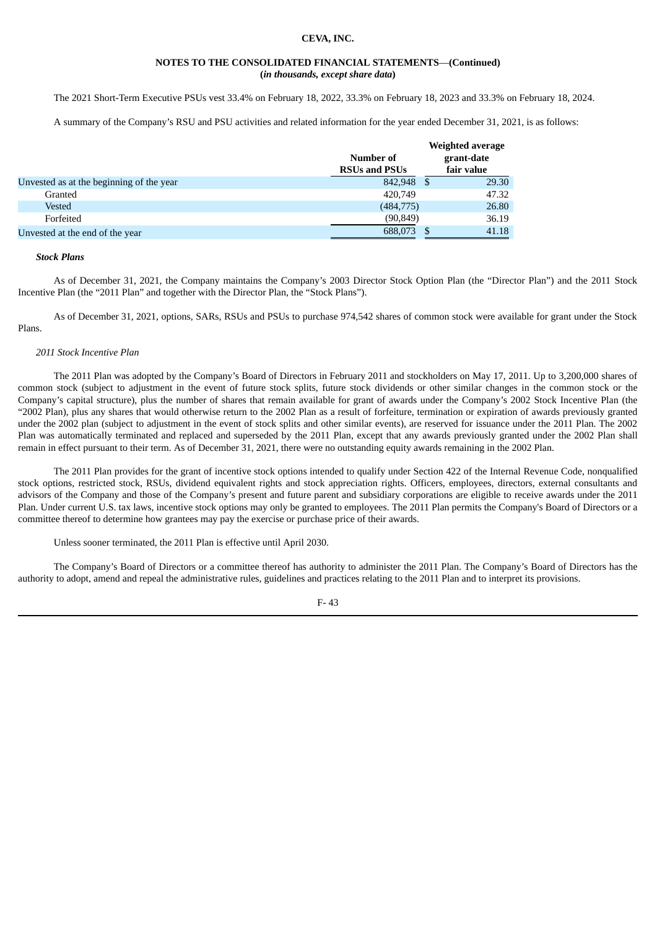# **NOTES TO THE CONSOLIDATED FINANCIAL STATEMENTS**—**(Continued) (***in thousands, except share data***)**

The 2021 Short-Term Executive PSUs vest 33.4% on February 18, 2022, 33.3% on February 18, 2023 and 33.3% on February 18, 2024.

A summary of the Company's RSU and PSU activities and related information for the year ended December 31, 2021, is as follows:

|                                          | Number of<br><b>RSUs and PSUs</b> | <b>Weighted average</b><br>grant-date<br>fair value |
|------------------------------------------|-----------------------------------|-----------------------------------------------------|
| Unvested as at the beginning of the year | 842,948 \$                        | 29.30                                               |
| Granted                                  | 420,749                           | 47.32                                               |
| Vested                                   | (484, 775)                        | 26.80                                               |
| Forfeited                                | (90, 849)                         | 36.19                                               |
| Unvested at the end of the year          | 688,073                           | 41.18                                               |

### *Stock Plans*

As of December 31, 2021, the Company maintains the Company's 2003 Director Stock Option Plan (the "Director Plan") and the 2011 Stock Incentive Plan (the "2011 Plan" and together with the Director Plan, the "Stock Plans").

As of December 31, 2021, options, SARs, RSUs and PSUs to purchase 974,542 shares of common stock were available for grant under the Stock Plans.

#### *2011 Stock Incentive Plan*

The 2011 Plan was adopted by the Company's Board of Directors in February 2011 and stockholders on May 17, 2011. Up to 3,200,000 shares of common stock (subject to adjustment in the event of future stock splits, future stock dividends or other similar changes in the common stock or the Company's capital structure), plus the number of shares that remain available for grant of awards under the Company's 2002 Stock Incentive Plan (the "2002 Plan), plus any shares that would otherwise return to the 2002 Plan as a result of forfeiture, termination or expiration of awards previously granted under the 2002 plan (subject to adjustment in the event of stock splits and other similar events), are reserved for issuance under the 2011 Plan. The 2002 Plan was automatically terminated and replaced and superseded by the 2011 Plan, except that any awards previously granted under the 2002 Plan shall remain in effect pursuant to their term. As of December 31, 2021, there were no outstanding equity awards remaining in the 2002 Plan.

The 2011 Plan provides for the grant of incentive stock options intended to qualify under Section 422 of the Internal Revenue Code, nonqualified stock options, restricted stock, RSUs, dividend equivalent rights and stock appreciation rights. Officers, employees, directors, external consultants and advisors of the Company and those of the Company's present and future parent and subsidiary corporations are eligible to receive awards under the 2011 Plan. Under current U.S. tax laws, incentive stock options may only be granted to employees. The 2011 Plan permits the Company's Board of Directors or a committee thereof to determine how grantees may pay the exercise or purchase price of their awards.

Unless sooner terminated, the 2011 Plan is effective until April 2030.

The Company's Board of Directors or a committee thereof has authority to administer the 2011 Plan. The Company's Board of Directors has the authority to adopt, amend and repeal the administrative rules, guidelines and practices relating to the 2011 Plan and to interpret its provisions.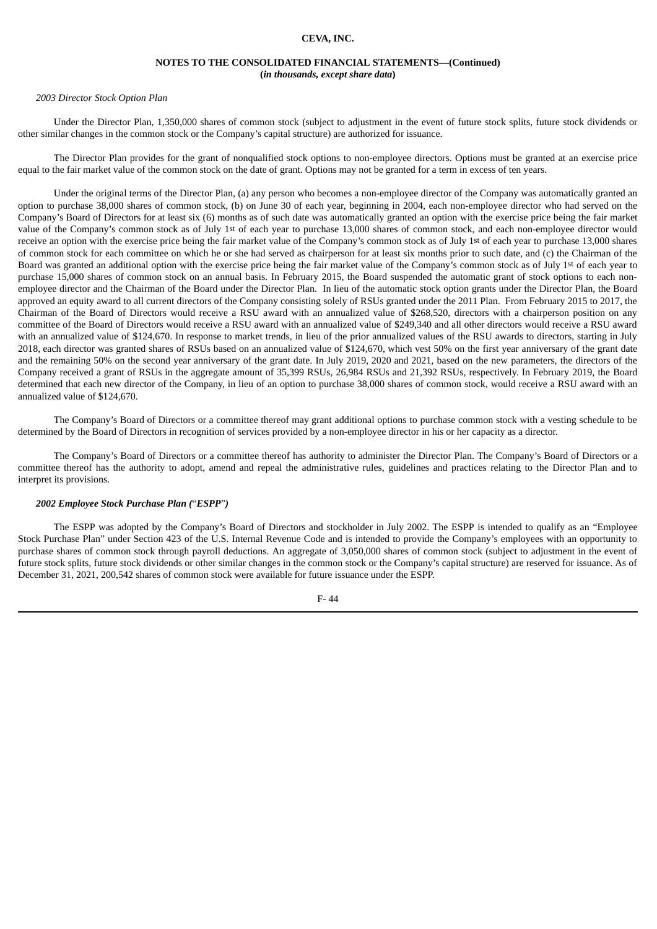# **NOTES TO THE CONSOLIDATED FINANCIAL STATEMENTS**—**(Continued) (***in thousands, except share data***)**

#### *2003 Director Stock Option Plan*

Under the Director Plan, 1,350,000 shares of common stock (subject to adjustment in the event of future stock splits, future stock dividends or other similar changes in the common stock or the Company's capital structure) are authorized for issuance.

The Director Plan provides for the grant of nonqualified stock options to non-employee directors. Options must be granted at an exercise price equal to the fair market value of the common stock on the date of grant. Options may not be granted for a term in excess of ten years.

Under the original terms of the Director Plan, (a) any person who becomes a non-employee director of the Company was automatically granted an option to purchase 38,000 shares of common stock, (b) on June 30 of each year, beginning in 2004, each non-employee director who had served on the Company's Board of Directors for at least six (6) months as of such date was automatically granted an option with the exercise price being the fair market value of the Company's common stock as of July 1st of each year to purchase 13,000 shares of common stock, and each non-employee director would receive an option with the exercise price being the fair market value of the Company's common stock as of July 1st of each year to purchase 13,000 shares of common stock for each committee on which he or she had served as chairperson for at least six months prior to such date, and (c) the Chairman of the Board was granted an additional option with the exercise price being the fair market value of the Company's common stock as of July 1st of each year to purchase 15,000 shares of common stock on an annual basis. In February 2015, the Board suspended the automatic grant of stock options to each nonemployee director and the Chairman of the Board under the Director Plan. In lieu of the automatic stock option grants under the Director Plan, the Board approved an equity award to all current directors of the Company consisting solely of RSUs granted under the 2011 Plan. From February 2015 to 2017, the Chairman of the Board of Directors would receive a RSU award with an annualized value of \$268,520, directors with a chairperson position on any committee of the Board of Directors would receive a RSU award with an annualized value of \$249,340 and all other directors would receive a RSU award with an annualized value of \$124,670. In response to market trends, in lieu of the prior annualized values of the RSU awards to directors, starting in July 2018, each director was granted shares of RSUs based on an annualized value of \$124,670, which vest 50% on the first year anniversary of the grant date and the remaining 50% on the second year anniversary of the grant date. In July 2019, 2020 and 2021, based on the new parameters, the directors of the Company received a grant of RSUs in the aggregate amount of 35,399 RSUs, 26,984 RSUs and 21,392 RSUs, respectively. In February 2019, the Board determined that each new director of the Company, in lieu of an option to purchase 38,000 shares of common stock, would receive a RSU award with an annualized value of \$124,670.

The Company's Board of Directors or a committee thereof may grant additional options to purchase common stock with a vesting schedule to be determined by the Board of Directors in recognition of services provided by a non-employee director in his or her capacity as a director.

The Company's Board of Directors or a committee thereof has authority to administer the Director Plan. The Company's Board of Directors or a committee thereof has the authority to adopt, amend and repeal the administrative rules, guidelines and practices relating to the Director Plan and to interpret its provisions.

### *2002 Employee Stock Purchase Plan (*"*ESPP*"*)*

The ESPP was adopted by the Company's Board of Directors and stockholder in July 2002. The ESPP is intended to qualify as an "Employee Stock Purchase Plan" under Section 423 of the U.S. Internal Revenue Code and is intended to provide the Company's employees with an opportunity to purchase shares of common stock through payroll deductions. An aggregate of 3,050,000 shares of common stock (subject to adjustment in the event of future stock splits, future stock dividends or other similar changes in the common stock or the Company's capital structure) are reserved for issuance. As of December 31, 2021, 200,542 shares of common stock were available for future issuance under the ESPP.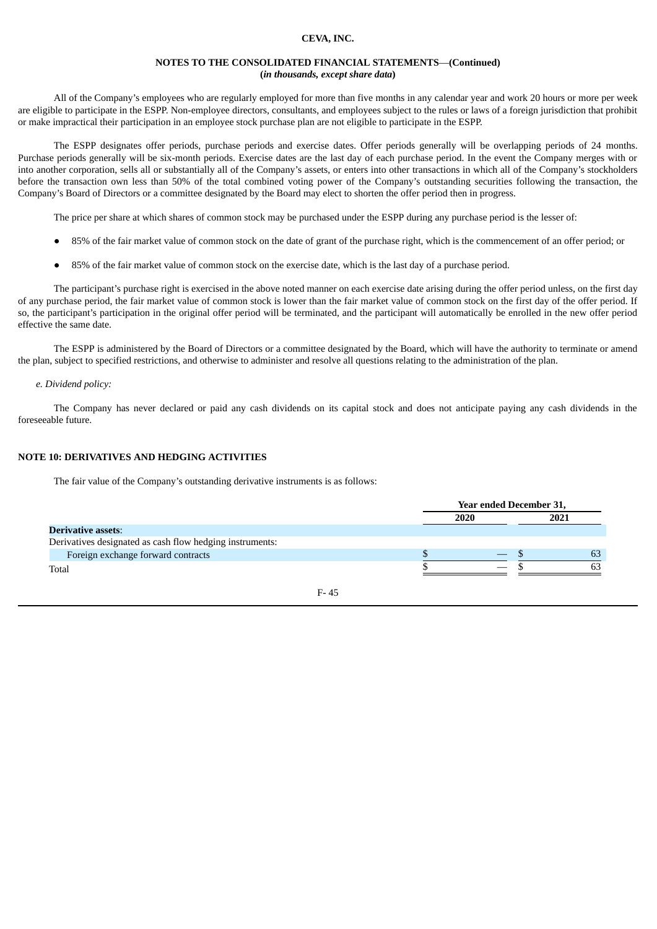# **NOTES TO THE CONSOLIDATED FINANCIAL STATEMENTS**—**(Continued) (***in thousands, except share data***)**

All of the Company's employees who are regularly employed for more than five months in any calendar year and work 20 hours or more per week are eligible to participate in the ESPP. Non-employee directors, consultants, and employees subject to the rules or laws of a foreign jurisdiction that prohibit or make impractical their participation in an employee stock purchase plan are not eligible to participate in the ESPP.

The ESPP designates offer periods, purchase periods and exercise dates. Offer periods generally will be overlapping periods of 24 months. Purchase periods generally will be six-month periods. Exercise dates are the last day of each purchase period. In the event the Company merges with or into another corporation, sells all or substantially all of the Company's assets, or enters into other transactions in which all of the Company's stockholders before the transaction own less than 50% of the total combined voting power of the Company's outstanding securities following the transaction, the Company's Board of Directors or a committee designated by the Board may elect to shorten the offer period then in progress.

The price per share at which shares of common stock may be purchased under the ESPP during any purchase period is the lesser of:

- 85% of the fair market value of common stock on the date of grant of the purchase right, which is the commencement of an offer period; or
- 85% of the fair market value of common stock on the exercise date, which is the last day of a purchase period.

The participant's purchase right is exercised in the above noted manner on each exercise date arising during the offer period unless, on the first day of any purchase period, the fair market value of common stock is lower than the fair market value of common stock on the first day of the offer period. If so, the participant's participation in the original offer period will be terminated, and the participant will automatically be enrolled in the new offer period effective the same date.

The ESPP is administered by the Board of Directors or a committee designated by the Board, which will have the authority to terminate or amend the plan, subject to specified restrictions, and otherwise to administer and resolve all questions relating to the administration of the plan.

# *e. Dividend policy:*

The Company has never declared or paid any cash dividends on its capital stock and does not anticipate paying any cash dividends in the foreseeable future.

# **NOTE 10: DERIVATIVES AND HEDGING ACTIVITIES**

The fair value of the Company's outstanding derivative instruments is as follows:

|                                                          |       | Year ended December 31, |  |      |    |  |
|----------------------------------------------------------|-------|-------------------------|--|------|----|--|
|                                                          |       | 2020                    |  | 2021 |    |  |
| <b>Derivative assets:</b>                                |       |                         |  |      |    |  |
| Derivatives designated as cash flow hedging instruments: |       |                         |  |      |    |  |
| Foreign exchange forward contracts                       |       |                         |  |      |    |  |
| Total                                                    |       |                         |  |      | 63 |  |
|                                                          |       |                         |  |      |    |  |
|                                                          | F- 45 |                         |  |      |    |  |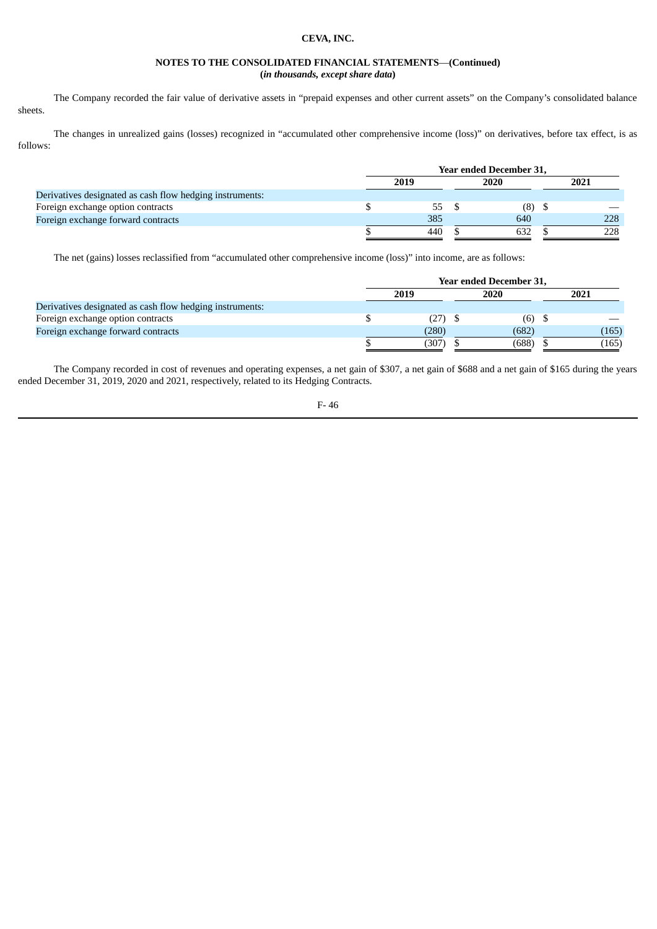# **NOTES TO THE CONSOLIDATED FINANCIAL STATEMENTS**—**(Continued) (***in thousands, except share data***)**

The Company recorded the fair value of derivative assets in "prepaid expenses and other current assets" on the Company's consolidated balance sheets.

The changes in unrealized gains (losses) recognized in "accumulated other comprehensive income (loss)" on derivatives, before tax effect, is as follows:

|                                                          | Year ended December 31, |  |      |  |      |  |  |  |
|----------------------------------------------------------|-------------------------|--|------|--|------|--|--|--|
|                                                          | 2019                    |  | 2020 |  | 2021 |  |  |  |
| Derivatives designated as cash flow hedging instruments: |                         |  |      |  |      |  |  |  |
| Foreign exchange option contracts                        | 55.                     |  | (8)  |  |      |  |  |  |
| Foreign exchange forward contracts                       | 385                     |  | 640  |  | 228  |  |  |  |
|                                                          | 440                     |  | 632  |  | 228  |  |  |  |

The net (gains) losses reclassified from "accumulated other comprehensive income (loss)" into income, are as follows:

|                                                          | Year ended December 31, |       |  |          |  |       |  |  |
|----------------------------------------------------------|-------------------------|-------|--|----------|--|-------|--|--|
|                                                          |                         | 2019  |  | 2020     |  | 2021  |  |  |
| Derivatives designated as cash flow hedging instruments: |                         |       |  |          |  |       |  |  |
| Foreign exchange option contracts                        |                         | (27)  |  | $(6)$ \$ |  |       |  |  |
| Foreign exchange forward contracts                       |                         | (280) |  | (682)    |  | (165) |  |  |
|                                                          |                         | 307   |  | (688)    |  | (165) |  |  |

The Company recorded in cost of revenues and operating expenses, a net gain of \$307, a net gain of \$688 and a net gain of \$165 during the years ended December 31, 2019, 2020 and 2021, respectively, related to its Hedging Contracts.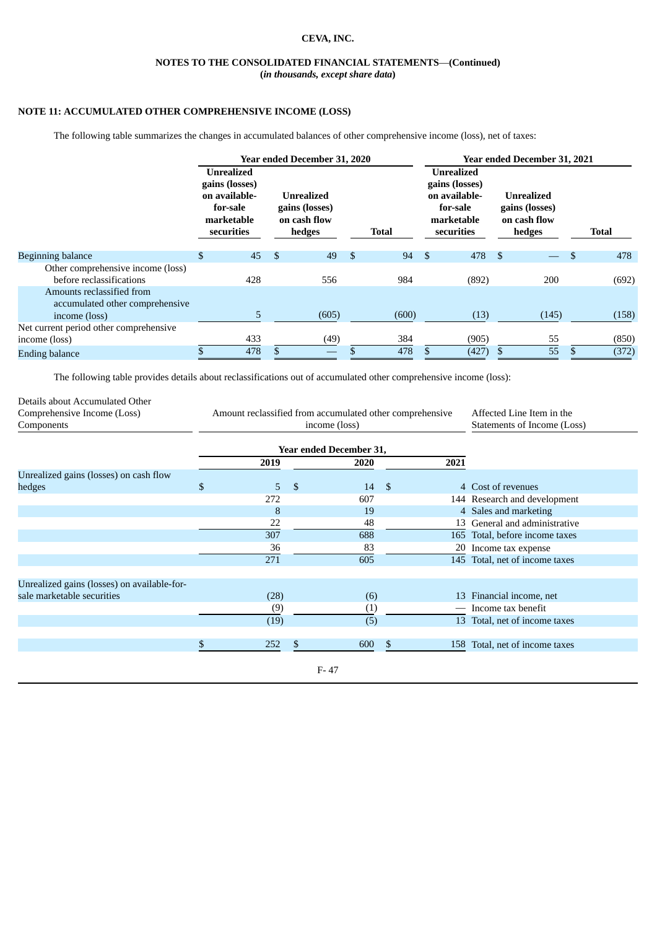# **NOTES TO THE CONSOLIDATED FINANCIAL STATEMENTS**—**(Continued) (***in thousands, except share data***)**

# **NOTE 11: ACCUMULATED OTHER COMPREHENSIVE INCOME (LOSS)**

The following table summarizes the changes in accumulated balances of other comprehensive income (loss), net of taxes:

|                                                                               | Year ended December 31, 2020                                                                 |     |               |                                                        |    |              |    | Year ended December 31, 2021                                                                 |              |                                                        |  |              |  |  |
|-------------------------------------------------------------------------------|----------------------------------------------------------------------------------------------|-----|---------------|--------------------------------------------------------|----|--------------|----|----------------------------------------------------------------------------------------------|--------------|--------------------------------------------------------|--|--------------|--|--|
|                                                                               | <b>Unrealized</b><br>gains (losses)<br>on available-<br>for-sale<br>marketable<br>securities |     |               | Unrealized<br>gains (losses)<br>on cash flow<br>hedges |    | <b>Total</b> |    | <b>Unrealized</b><br>gains (losses)<br>on available-<br>for-sale<br>marketable<br>securities |              | Unrealized<br>gains (losses)<br>on cash flow<br>hedges |  | <b>Total</b> |  |  |
| Beginning balance                                                             | \$                                                                                           | 45  | <sup>\$</sup> | 49                                                     | \$ | 94           | \$ | 478                                                                                          | $\mathbf{s}$ |                                                        |  | 478          |  |  |
| Other comprehensive income (loss)<br>before reclassifications                 |                                                                                              | 428 |               | 556                                                    |    | 984          |    | (892)                                                                                        |              | 200                                                    |  | (692)        |  |  |
| Amounts reclassified from<br>accumulated other comprehensive<br>income (loss) |                                                                                              | 5   |               | (605)                                                  |    | (600)        |    | (13)                                                                                         |              | (145)                                                  |  | (158)        |  |  |
| Net current period other comprehensive                                        |                                                                                              |     |               |                                                        |    |              |    |                                                                                              |              |                                                        |  |              |  |  |
| income (loss)                                                                 |                                                                                              | 433 |               | (49)                                                   |    | 384          |    | (905)                                                                                        |              | 55                                                     |  | (850)        |  |  |
| <b>Ending balance</b>                                                         |                                                                                              | 478 |               |                                                        |    | 478          |    | (427)                                                                                        | \$           | 55                                                     |  | (372)        |  |  |

The following table provides details about reclassifications out of accumulated other comprehensive income (loss):

| Details about Accumulated Other<br>Comprehensive Income (Loss)<br>Components | Amount reclassified from accumulated other comprehensive | Affected Line Item in the<br>Statements of Income (Loss) |                         |      |      |                                |
|------------------------------------------------------------------------------|----------------------------------------------------------|----------------------------------------------------------|-------------------------|------|------|--------------------------------|
|                                                                              |                                                          |                                                          | Year ended December 31, |      |      |                                |
|                                                                              | 2019                                                     |                                                          | 2020                    |      | 2021 |                                |
| Unrealized gains (losses) on cash flow                                       |                                                          |                                                          |                         |      |      |                                |
| hedges                                                                       | \$<br>5                                                  | -\$                                                      | 14                      | - \$ |      | 4 Cost of revenues             |
|                                                                              | 272                                                      |                                                          | 607                     |      |      | 144 Research and development   |
|                                                                              | 8                                                        |                                                          | 19                      |      |      | 4 Sales and marketing          |
|                                                                              | 22                                                       |                                                          | 48                      |      |      | 13 General and administrative  |
|                                                                              | 307                                                      |                                                          | 688                     |      |      | 165 Total, before income taxes |
|                                                                              | 36                                                       |                                                          | 83                      |      |      | 20 Income tax expense          |
|                                                                              | 271                                                      |                                                          | 605                     |      |      | 145 Total, net of income taxes |
|                                                                              |                                                          |                                                          |                         |      |      |                                |
| Unrealized gains (losses) on available-for-                                  |                                                          |                                                          |                         |      |      |                                |
| sale marketable securities                                                   | (28)                                                     |                                                          | (6)                     |      |      | 13 Financial income, net       |
|                                                                              | (9)                                                      |                                                          | (1)                     |      |      | $-$ Income tax benefit         |
|                                                                              | (19)                                                     |                                                          | (5)                     |      |      | 13 Total, net of income taxes  |
|                                                                              |                                                          |                                                          |                         |      |      |                                |
|                                                                              | \$<br>252                                                | \$                                                       | 600                     | \$   |      | 158 Total, net of income taxes |
|                                                                              |                                                          |                                                          | $F - 47$                |      |      |                                |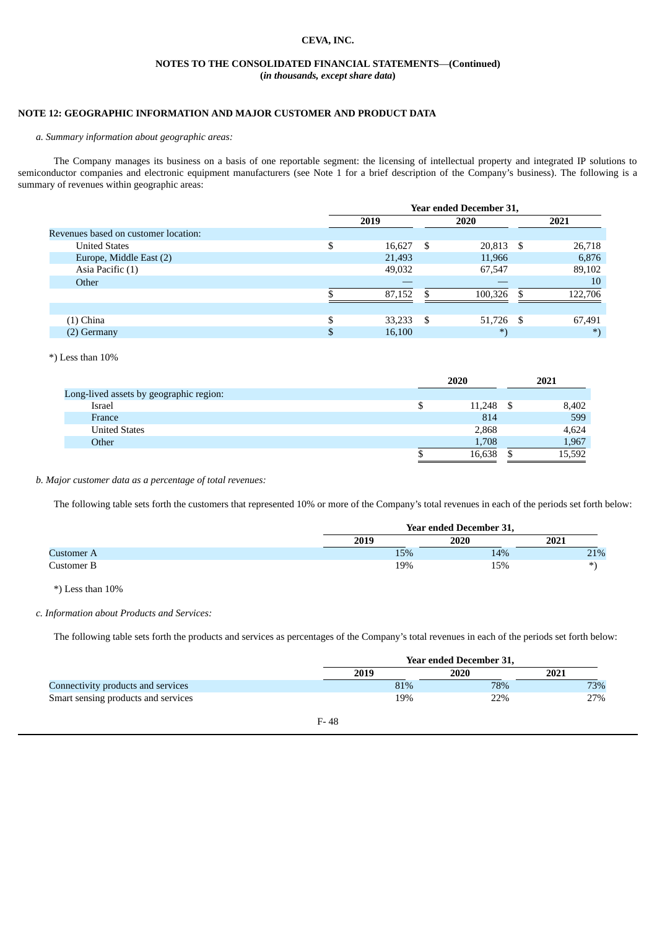# **NOTES TO THE CONSOLIDATED FINANCIAL STATEMENTS**—**(Continued) (***in thousands, except share data***)**

# **NOTE 12: GEOGRAPHIC INFORMATION AND MAJOR CUSTOMER AND PRODUCT DATA**

# *a. Summary information about geographic areas:*

The Company manages its business on a basis of one reportable segment: the licensing of intellectual property and integrated IP solutions to semiconductor companies and electronic equipment manufacturers (see Note 1 for a brief description of the Company's business). The following is a summary of revenues within geographic areas:

|                                      |    | Year ended December 31, |      |         |      |         |  |  |  |  |
|--------------------------------------|----|-------------------------|------|---------|------|---------|--|--|--|--|
|                                      |    | 2019                    |      | 2020    |      | 2021    |  |  |  |  |
| Revenues based on customer location: |    |                         |      |         |      |         |  |  |  |  |
| <b>United States</b>                 | \$ | 16,627                  | S    | 20,813  | - \$ | 26,718  |  |  |  |  |
| Europe, Middle East (2)              |    | 21,493                  |      | 11,966  |      | 6,876   |  |  |  |  |
| Asia Pacific (1)                     |    | 49,032                  |      | 67,547  |      | 89,102  |  |  |  |  |
| Other                                |    |                         |      |         |      | 10      |  |  |  |  |
|                                      |    | 87,152                  |      | 100.326 |      | 122,706 |  |  |  |  |
|                                      |    |                         |      |         |      |         |  |  |  |  |
| $(1)$ China                          | \$ | 33,233                  | - \$ | 51,726  | - \$ | 67,491  |  |  |  |  |
| (2) Germany                          |    | 16,100                  |      | $^{*}$  |      | $*$     |  |  |  |  |

# \*) Less than 10%

|                                         |   | 2020   | 2021   |  |
|-----------------------------------------|---|--------|--------|--|
| Long-lived assets by geographic region: |   |        |        |  |
| Israel                                  | ω | 11,248 | 8,402  |  |
| France                                  |   | 814    | 599    |  |
| <b>United States</b>                    |   | 2,868  | 4,624  |  |
| Other                                   |   | 1,708  | 1,967  |  |
|                                         |   | 16,638 | 15,592 |  |

# *b. Major customer data as a percentage of total revenues:*

The following table sets forth the customers that represented 10% or more of the Company's total revenues in each of the periods set forth below:

|                   | <b>Year ended December 31,</b> |      |      |  |  |
|-------------------|--------------------------------|------|------|--|--|
|                   | 2019                           | 2020 | 2021 |  |  |
| <b>Customer A</b> | 15%                            | 14%  | 21%  |  |  |
| Customer B        | 19%                            | 15%  | *`   |  |  |

# \*) Less than 10%

### *c. Information about Products and Services:*

The following table sets forth the products and services as percentages of the Company's total revenues in each of the periods set forth below:

|                                     |          | Year ended December 31, |      |  |  |
|-------------------------------------|----------|-------------------------|------|--|--|
|                                     | 2019     | 2020                    | 2021 |  |  |
| Connectivity products and services  | 81%      | 78%                     | 73%  |  |  |
| Smart sensing products and services | 19%      | 22%                     | 27%  |  |  |
|                                     | $F - 48$ |                         |      |  |  |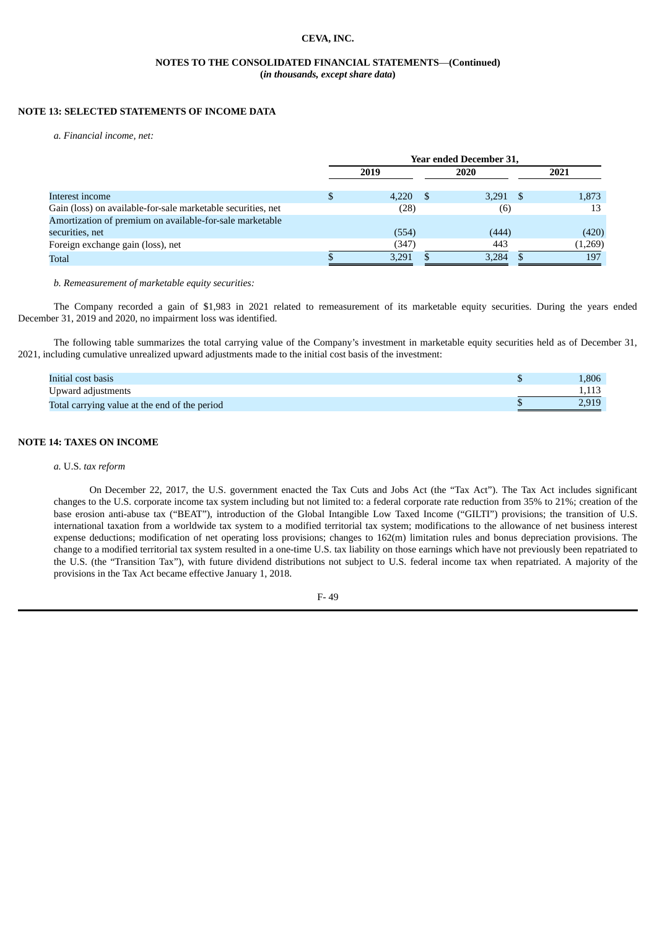# **NOTES TO THE CONSOLIDATED FINANCIAL STATEMENTS**—**(Continued) (***in thousands, except share data***)**

## **NOTE 13: SELECTED STATEMENTS OF INCOME DATA**

*a. Financial income, net:*

|                                                              | Year ended December 31, |       |  |       |  |         |  |
|--------------------------------------------------------------|-------------------------|-------|--|-------|--|---------|--|
|                                                              | 2019                    |       |  | 2020  |  | 2021    |  |
| Interest income                                              |                         | 4,220 |  | 3,291 |  | 1,873   |  |
| Gain (loss) on available-for-sale marketable securities, net |                         | (28)  |  | (6)   |  | 13      |  |
| Amortization of premium on available-for-sale marketable     |                         |       |  |       |  |         |  |
| securities, net                                              |                         | (554) |  | (444) |  | (420)   |  |
| Foreign exchange gain (loss), net                            |                         | (347) |  | 443   |  | (1,269) |  |
| Total                                                        |                         | 3,291 |  | 3,284 |  | 197     |  |

# *b. Remeasurement of marketable equity securities:*

The Company recorded a gain of \$1,983 in 2021 related to remeasurement of its marketable equity securities. During the years ended December 31, 2019 and 2020, no impairment loss was identified.

The following table summarizes the total carrying value of the Company's investment in marketable equity securities held as of December 31, 2021, including cumulative unrealized upward adjustments made to the initial cost basis of the investment:

| Initial cost basis                            | .806  |
|-----------------------------------------------|-------|
| Upward adjustments                            |       |
| Total carrying value at the end of the period | 2,919 |

## **NOTE 14: TAXES ON INCOME**

### *a.* U.S. *tax reform*

On December 22, 2017, the U.S. government enacted the Tax Cuts and Jobs Act (the "Tax Act"). The Tax Act includes significant changes to the U.S. corporate income tax system including but not limited to: a federal corporate rate reduction from 35% to 21%; creation of the base erosion anti-abuse tax ("BEAT"), introduction of the Global Intangible Low Taxed Income ("GILTI") provisions; the transition of U.S. international taxation from a worldwide tax system to a modified territorial tax system; modifications to the allowance of net business interest expense deductions; modification of net operating loss provisions; changes to 162(m) limitation rules and bonus depreciation provisions. The change to a modified territorial tax system resulted in a one-time U.S. tax liability on those earnings which have not previously been repatriated to the U.S. (the "Transition Tax"), with future dividend distributions not subject to U.S. federal income tax when repatriated. A majority of the provisions in the Tax Act became effective January 1, 2018.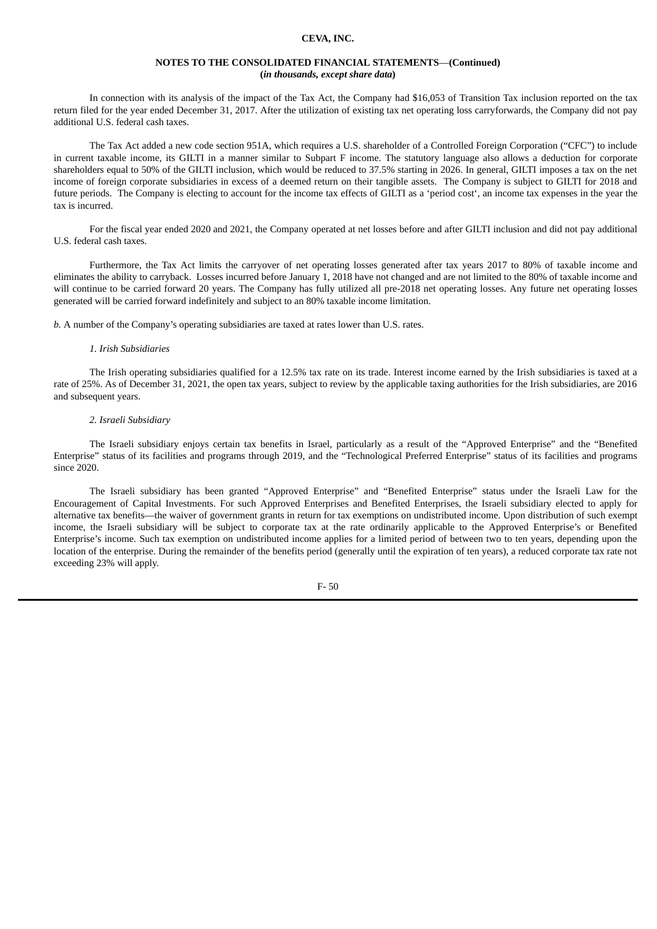# **NOTES TO THE CONSOLIDATED FINANCIAL STATEMENTS**—**(Continued) (***in thousands, except share data***)**

In connection with its analysis of the impact of the Tax Act, the Company had \$16,053 of Transition Tax inclusion reported on the tax return filed for the year ended December 31, 2017. After the utilization of existing tax net operating loss carryforwards, the Company did not pay additional U.S. federal cash taxes.

The Tax Act added a new code section 951A, which requires a U.S. shareholder of a Controlled Foreign Corporation ("CFC") to include in current taxable income, its GILTI in a manner similar to Subpart F income. The statutory language also allows a deduction for corporate shareholders equal to 50% of the GILTI inclusion, which would be reduced to 37.5% starting in 2026. In general, GILTI imposes a tax on the net income of foreign corporate subsidiaries in excess of a deemed return on their tangible assets. The Company is subject to GILTI for 2018 and future periods. The Company is electing to account for the income tax effects of GILTI as a 'period cost', an income tax expenses in the year the tax is incurred.

For the fiscal year ended 2020 and 2021, the Company operated at net losses before and after GILTI inclusion and did not pay additional U.S. federal cash taxes.

Furthermore, the Tax Act limits the carryover of net operating losses generated after tax years 2017 to 80% of taxable income and eliminates the ability to carryback. Losses incurred before January 1, 2018 have not changed and are not limited to the 80% of taxable income and will continue to be carried forward 20 years. The Company has fully utilized all pre-2018 net operating losses. Any future net operating losses generated will be carried forward indefinitely and subject to an 80% taxable income limitation.

*b.* A number of the Company's operating subsidiaries are taxed at rates lower than U.S. rates.

### *1. Irish Subsidiaries*

The Irish operating subsidiaries qualified for a 12.5% tax rate on its trade. Interest income earned by the Irish subsidiaries is taxed at a rate of 25%. As of December 31, 2021, the open tax years, subject to review by the applicable taxing authorities for the Irish subsidiaries, are 2016 and subsequent years.

#### *2. Israeli Subsidiary*

The Israeli subsidiary enjoys certain tax benefits in Israel, particularly as a result of the "Approved Enterprise" and the "Benefited Enterprise" status of its facilities and programs through 2019, and the "Technological Preferred Enterprise" status of its facilities and programs since 2020.

The Israeli subsidiary has been granted "Approved Enterprise" and "Benefited Enterprise" status under the Israeli Law for the Encouragement of Capital Investments. For such Approved Enterprises and Benefited Enterprises, the Israeli subsidiary elected to apply for alternative tax benefits—the waiver of government grants in return for tax exemptions on undistributed income. Upon distribution of such exempt income, the Israeli subsidiary will be subject to corporate tax at the rate ordinarily applicable to the Approved Enterprise's or Benefited Enterprise's income. Such tax exemption on undistributed income applies for a limited period of between two to ten years, depending upon the location of the enterprise. During the remainder of the benefits period (generally until the expiration of ten years), a reduced corporate tax rate not exceeding 23% will apply.

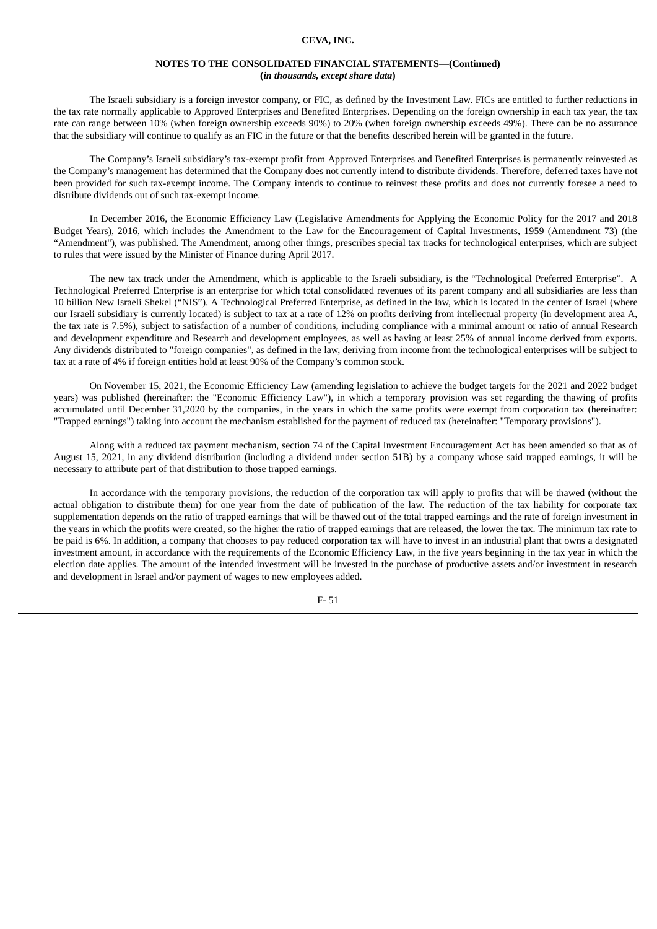# **NOTES TO THE CONSOLIDATED FINANCIAL STATEMENTS**—**(Continued) (***in thousands, except share data***)**

The Israeli subsidiary is a foreign investor company, or FIC, as defined by the Investment Law. FICs are entitled to further reductions in the tax rate normally applicable to Approved Enterprises and Benefited Enterprises. Depending on the foreign ownership in each tax year, the tax rate can range between 10% (when foreign ownership exceeds 90%) to 20% (when foreign ownership exceeds 49%). There can be no assurance that the subsidiary will continue to qualify as an FIC in the future or that the benefits described herein will be granted in the future.

The Company's Israeli subsidiary's tax-exempt profit from Approved Enterprises and Benefited Enterprises is permanently reinvested as the Company's management has determined that the Company does not currently intend to distribute dividends. Therefore, deferred taxes have not been provided for such tax-exempt income. The Company intends to continue to reinvest these profits and does not currently foresee a need to distribute dividends out of such tax-exempt income.

In December 2016, the Economic Efficiency Law (Legislative Amendments for Applying the Economic Policy for the 2017 and 2018 Budget Years), 2016, which includes the Amendment to the Law for the Encouragement of Capital Investments, 1959 (Amendment 73) (the "Amendment"), was published. The Amendment, among other things, prescribes special tax tracks for technological enterprises, which are subject to rules that were issued by the Minister of Finance during April 2017.

The new tax track under the Amendment, which is applicable to the Israeli subsidiary, is the "Technological Preferred Enterprise". A Technological Preferred Enterprise is an enterprise for which total consolidated revenues of its parent company and all subsidiaries are less than 10 billion New Israeli Shekel ("NIS"). A Technological Preferred Enterprise, as defined in the law, which is located in the center of Israel (where our Israeli subsidiary is currently located) is subject to tax at a rate of 12% on profits deriving from intellectual property (in development area A, the tax rate is 7.5%), subject to satisfaction of a number of conditions, including compliance with a minimal amount or ratio of annual Research and development expenditure and Research and development employees, as well as having at least 25% of annual income derived from exports. Any dividends distributed to "foreign companies", as defined in the law, deriving from income from the technological enterprises will be subject to tax at a rate of 4% if foreign entities hold at least 90% of the Company's common stock.

On November 15, 2021, the Economic Efficiency Law (amending legislation to achieve the budget targets for the 2021 and 2022 budget years) was published (hereinafter: the "Economic Efficiency Law"), in which a temporary provision was set regarding the thawing of profits accumulated until December 31,2020 by the companies, in the years in which the same profits were exempt from corporation tax (hereinafter: "Trapped earnings") taking into account the mechanism established for the payment of reduced tax (hereinafter: "Temporary provisions").

Along with a reduced tax payment mechanism, section 74 of the Capital Investment Encouragement Act has been amended so that as of August 15, 2021, in any dividend distribution (including a dividend under section 51B) by a company whose said trapped earnings, it will be necessary to attribute part of that distribution to those trapped earnings.

In accordance with the temporary provisions, the reduction of the corporation tax will apply to profits that will be thawed (without the actual obligation to distribute them) for one year from the date of publication of the law. The reduction of the tax liability for corporate tax supplementation depends on the ratio of trapped earnings that will be thawed out of the total trapped earnings and the rate of foreign investment in the years in which the profits were created, so the higher the ratio of trapped earnings that are released, the lower the tax. The minimum tax rate to be paid is 6%. In addition, a company that chooses to pay reduced corporation tax will have to invest in an industrial plant that owns a designated investment amount, in accordance with the requirements of the Economic Efficiency Law, in the five years beginning in the tax year in which the election date applies. The amount of the intended investment will be invested in the purchase of productive assets and/or investment in research and development in Israel and/or payment of wages to new employees added.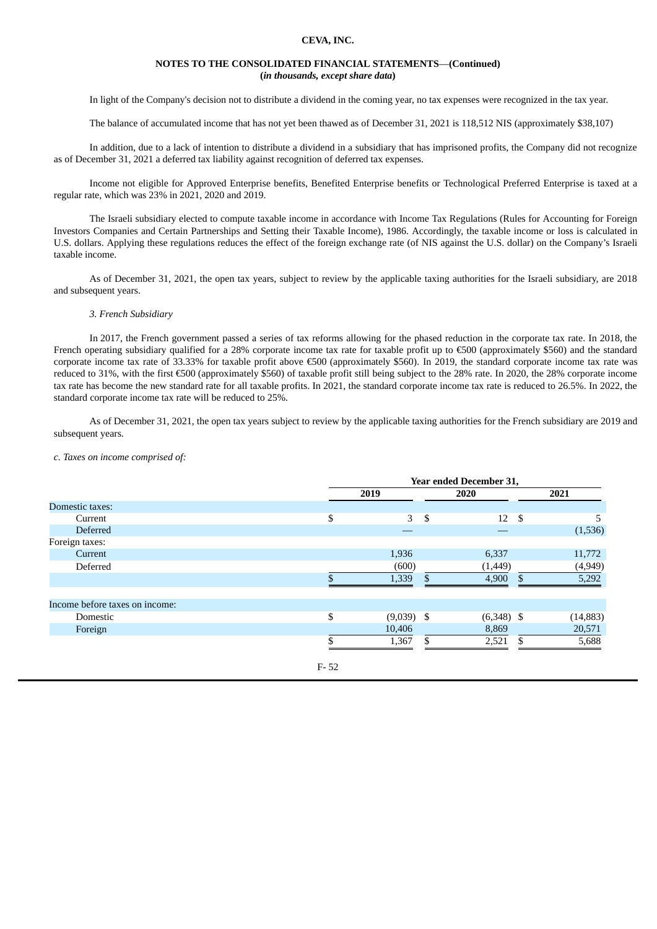## **NOTES TO THE CONSOLIDATED FINANCIAL STATEMENTS**—**(Continued) (***in thousands, except share data***)**

In light of the Company's decision not to distribute a dividend in the coming year, no tax expenses were recognized in the tax year.

The balance of accumulated income that has not yet been thawed as of December 31, 2021 is 118,512 NIS (approximately \$38,107)

In addition, due to a lack of intention to distribute a dividend in a subsidiary that has imprisoned profits, the Company did not recognize as of December 31, 2021 a deferred tax liability against recognition of deferred tax expenses.

Income not eligible for Approved Enterprise benefits, Benefited Enterprise benefits or Technological Preferred Enterprise is taxed at a regular rate, which was 23% in 2021, 2020 and 2019.

The Israeli subsidiary elected to compute taxable income in accordance with Income Tax Regulations (Rules for Accounting for Foreign Investors Companies and Certain Partnerships and Setting their Taxable Income), 1986. Accordingly, the taxable income or loss is calculated in U.S. dollars. Applying these regulations reduces the effect of the foreign exchange rate (of NIS against the U.S. dollar) on the Company's Israeli taxable income.

As of December 31, 2021, the open tax years, subject to review by the applicable taxing authorities for the Israeli subsidiary, are 2018 and subsequent years.

#### *3. French Subsidiary*

In 2017, the French government passed a series of tax reforms allowing for the phased reduction in the corporate tax rate. In 2018, the French operating subsidiary qualified for a 28% corporate income tax rate for taxable profit up to €500 (approximately \$560) and the standard corporate income tax rate of 33.33% for taxable profit above €500 (approximately \$560). In 2019, the standard corporate income tax rate was reduced to 31%, with the first €500 (approximately \$560) of taxable profit still being subject to the 28% rate. In 2020, the 28% corporate income tax rate has become the new standard rate for all taxable profits. In 2021, the standard corporate income tax rate is reduced to 26.5%. In 2022, the standard corporate income tax rate will be reduced to 25%.

As of December 31, 2021, the open tax years subject to review by the applicable taxing authorities for the French subsidiary are 2019 and subsequent years.

*c. Taxes on income comprised of:*

|                                |          | Year ended December 31, |    |              |      |           |
|--------------------------------|----------|-------------------------|----|--------------|------|-----------|
|                                |          | 2019                    |    | 2020         |      | 2021      |
| Domestic taxes:                |          |                         |    |              |      |           |
| Current                        | \$       | 3                       | \$ | 12           | - \$ | 5         |
| Deferred                       |          |                         |    |              |      | (1,536)   |
| Foreign taxes:                 |          |                         |    |              |      |           |
| Current                        |          | 1,936                   |    | 6,337        |      | 11,772    |
| Deferred                       |          | (600)                   |    | (1, 449)     |      | (4,949)   |
|                                |          | 1,339                   |    | 4,900        |      | 5,292     |
| Income before taxes on income: |          |                         |    |              |      |           |
| Domestic                       | \$       | $(9,039)$ \$            |    | $(6,348)$ \$ |      | (14, 883) |
| Foreign                        |          | 10,406                  |    | 8,869        |      | 20,571    |
|                                |          | 1,367                   |    | 2,521        | \$   | 5,688     |
|                                | $F - 52$ |                         |    |              |      |           |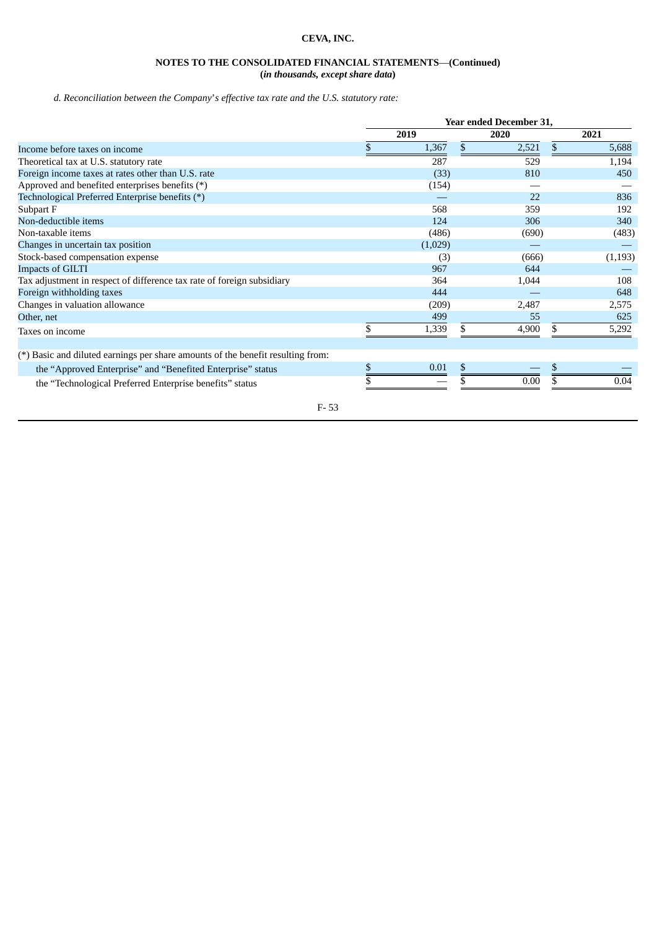## **NOTES TO THE CONSOLIDATED FINANCIAL STATEMENTS**—**(Continued) (***in thousands, except share data***)**

*d. Reconciliation between the Company*'*s effective tax rate and the U.S. statutory rate:*

|                                                                                 | <b>Year ended December 31,</b> |         |    |       |    |          |
|---------------------------------------------------------------------------------|--------------------------------|---------|----|-------|----|----------|
|                                                                                 |                                | 2019    |    | 2020  |    | 2021     |
| Income before taxes on income                                                   |                                | 1,367   | \$ | 2,521 | \$ | 5,688    |
| Theoretical tax at U.S. statutory rate                                          |                                | 287     |    | 529   |    | 1,194    |
| Foreign income taxes at rates other than U.S. rate                              |                                | (33)    |    | 810   |    | 450      |
| Approved and benefited enterprises benefits (*)                                 |                                | (154)   |    |       |    |          |
| Technological Preferred Enterprise benefits (*)                                 |                                |         |    | 22    |    | 836      |
| Subpart F                                                                       |                                | 568     |    | 359   |    | 192      |
| Non-deductible items                                                            |                                | 124     |    | 306   |    | 340      |
| Non-taxable items                                                               |                                | (486)   |    | (690) |    | (483)    |
| Changes in uncertain tax position                                               |                                | (1,029) |    |       |    |          |
| Stock-based compensation expense                                                |                                | (3)     |    | (666) |    | (1, 193) |
| Impacts of GILTI                                                                |                                | 967     |    | 644   |    |          |
| Tax adjustment in respect of difference tax rate of foreign subsidiary          |                                | 364     |    | 1,044 |    | 108      |
| Foreign withholding taxes                                                       |                                | 444     |    |       |    | 648      |
| Changes in valuation allowance                                                  |                                | (209)   |    | 2,487 |    | 2,575    |
| Other, net                                                                      |                                | 499     |    | 55    |    | 625      |
| Taxes on income                                                                 |                                | 1,339   |    | 4,900 |    | 5,292    |
|                                                                                 |                                |         |    |       |    |          |
| (*) Basic and diluted earnings per share amounts of the benefit resulting from: |                                |         |    |       |    |          |
| the "Approved Enterprise" and "Benefited Enterprise" status                     | \$                             | 0.01    |    |       |    |          |
| the "Technological Preferred Enterprise benefits" status                        |                                |         |    | 0.00  |    | 0.04     |
|                                                                                 |                                |         |    |       |    |          |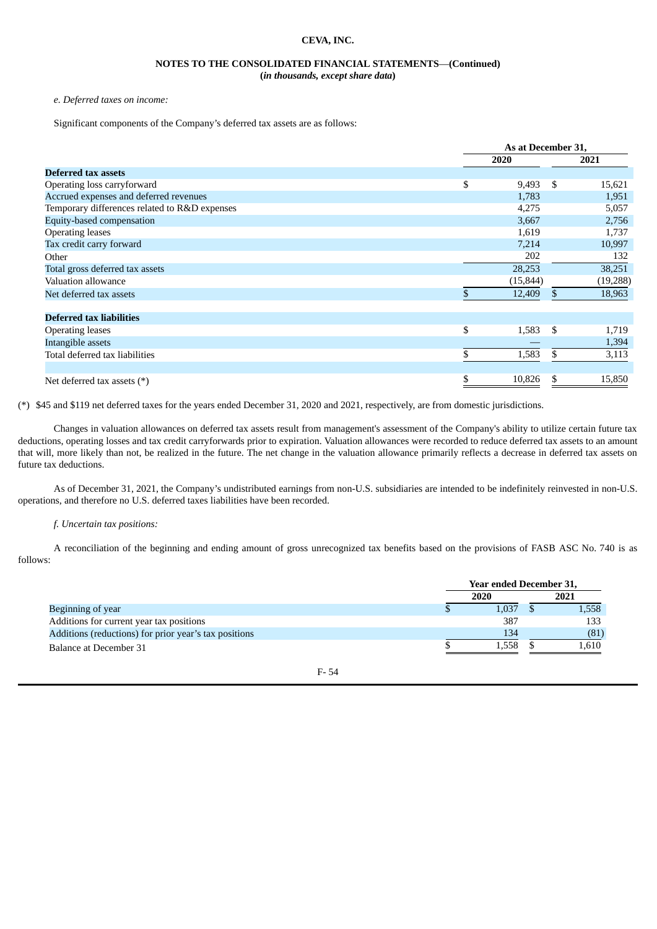## **NOTES TO THE CONSOLIDATED FINANCIAL STATEMENTS**—**(Continued) (***in thousands, except share data***)**

*e. Deferred taxes on income:*

Significant components of the Company's deferred tax assets are as follows:

|                                               | As at December 31, |     |           |  |
|-----------------------------------------------|--------------------|-----|-----------|--|
|                                               | 2020               |     | 2021      |  |
| <b>Deferred tax assets</b>                    |                    |     |           |  |
| Operating loss carryforward                   | \$<br>9,493        | -S  | 15,621    |  |
| Accrued expenses and deferred revenues        | 1,783              |     | 1,951     |  |
| Temporary differences related to R&D expenses | 4,275              |     | 5,057     |  |
| Equity-based compensation                     | 3,667              |     | 2,756     |  |
| <b>Operating leases</b>                       | 1,619              |     | 1,737     |  |
| Tax credit carry forward                      | 7,214              |     | 10,997    |  |
| Other                                         | 202                |     | 132       |  |
| Total gross deferred tax assets               | 28,253             |     | 38,251    |  |
| Valuation allowance                           | (15, 844)          |     | (19, 288) |  |
| Net deferred tax assets                       | \$<br>12,409       | \$  | 18,963    |  |
|                                               |                    |     |           |  |
| <b>Deferred tax liabilities</b>               |                    |     |           |  |
| <b>Operating leases</b>                       | \$<br>1,583        | \$. | 1,719     |  |
| Intangible assets                             |                    |     | 1,394     |  |
| Total deferred tax liabilities                | \$<br>1,583        | \$  | 3,113     |  |
|                                               |                    |     |           |  |
| Net deferred tax assets $(*)$                 | 10,826             | S.  | 15,850    |  |

(\*) \$45 and \$119 net deferred taxes for the years ended December 31, 2020 and 2021, respectively, are from domestic jurisdictions.

Changes in valuation allowances on deferred tax assets result from management's assessment of the Company's ability to utilize certain future tax deductions, operating losses and tax credit carryforwards prior to expiration. Valuation allowances were recorded to reduce deferred tax assets to an amount that will, more likely than not, be realized in the future. The net change in the valuation allowance primarily reflects a decrease in deferred tax assets on future tax deductions.

As of December 31, 2021, the Company's undistributed earnings from non-U.S. subsidiaries are intended to be indefinitely reinvested in non-U.S. operations, and therefore no U.S. deferred taxes liabilities have been recorded.

## *f. Uncertain tax positions:*

A reconciliation of the beginning and ending amount of gross unrecognized tax benefits based on the provisions of FASB ASC No. 740 is as follows:

|                                                       | Year ended December 31, |       |  |  |
|-------------------------------------------------------|-------------------------|-------|--|--|
|                                                       | 2020                    | 2021  |  |  |
| Beginning of year                                     | 1.037                   | 1,558 |  |  |
| Additions for current year tax positions              | 387                     | 133   |  |  |
| Additions (reductions) for prior year's tax positions | 134                     | (81)  |  |  |
| Balance at December 31                                | 1.558                   | 1.610 |  |  |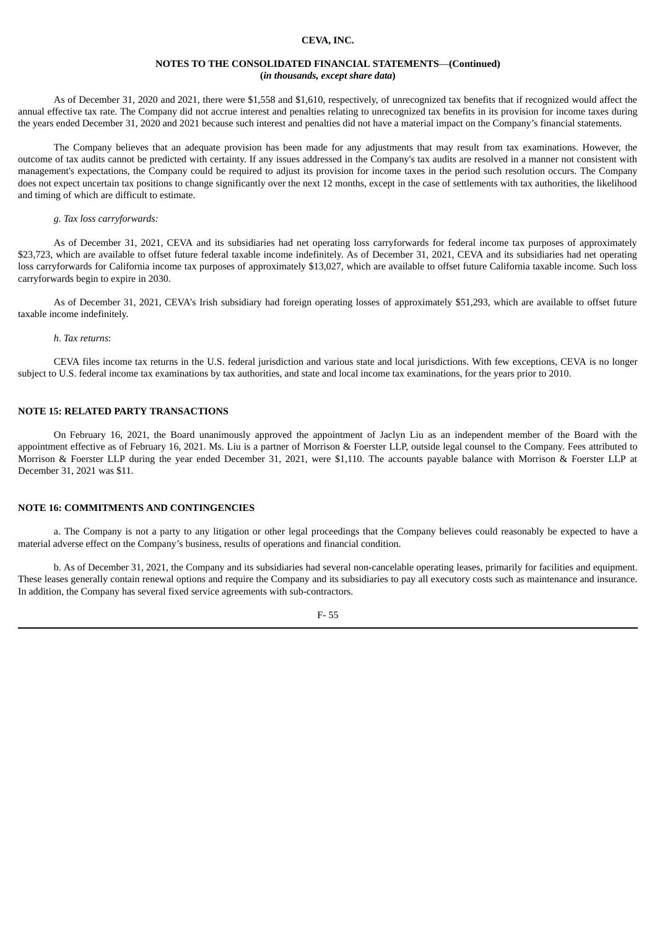## **NOTES TO THE CONSOLIDATED FINANCIAL STATEMENTS**—**(Continued) (***in thousands, except share data***)**

As of December 31, 2020 and 2021, there were \$1,558 and \$1,610, respectively, of unrecognized tax benefits that if recognized would affect the annual effective tax rate. The Company did not accrue interest and penalties relating to unrecognized tax benefits in its provision for income taxes during the years ended December 31, 2020 and 2021 because such interest and penalties did not have a material impact on the Company's financial statements.

The Company believes that an adequate provision has been made for any adjustments that may result from tax examinations. However, the outcome of tax audits cannot be predicted with certainty. If any issues addressed in the Company's tax audits are resolved in a manner not consistent with management's expectations, the Company could be required to adjust its provision for income taxes in the period such resolution occurs. The Company does not expect uncertain tax positions to change significantly over the next 12 months, except in the case of settlements with tax authorities, the likelihood and timing of which are difficult to estimate.

#### *g. Tax loss carryforwards:*

As of December 31, 2021, CEVA and its subsidiaries had net operating loss carryforwards for federal income tax purposes of approximately \$23,723, which are available to offset future federal taxable income indefinitely. As of December 31, 2021, CEVA and its subsidiaries had net operating loss carryforwards for California income tax purposes of approximately \$13,027, which are available to offset future California taxable income. Such loss carryforwards begin to expire in 2030.

As of December 31, 2021, CEVA's Irish subsidiary had foreign operating losses of approximately \$51,293, which are available to offset future taxable income indefinitely.

*h*. *Tax returns*:

CEVA files income tax returns in the U.S. federal jurisdiction and various state and local jurisdictions. With few exceptions, CEVA is no longer subject to U.S. federal income tax examinations by tax authorities, and state and local income tax examinations, for the years prior to 2010.

## **NOTE 15: RELATED PARTY TRANSACTIONS**

On February 16, 2021, the Board unanimously approved the appointment of Jaclyn Liu as an independent member of the Board with the appointment effective as of February 16, 2021. Ms. Liu is a partner of Morrison & Foerster LLP, outside legal counsel to the Company. Fees attributed to Morrison & Foerster LLP during the year ended December 31, 2021, were \$1,110. The accounts payable balance with Morrison & Foerster LLP at December 31, 2021 was \$11.

### **NOTE 16: COMMITMENTS AND CONTINGENCIES**

a. The Company is not a party to any litigation or other legal proceedings that the Company believes could reasonably be expected to have a material adverse effect on the Company's business, results of operations and financial condition.

b. As of December 31, 2021, the Company and its subsidiaries had several non-cancelable operating leases, primarily for facilities and equipment. These leases generally contain renewal options and require the Company and its subsidiaries to pay all executory costs such as maintenance and insurance. In addition, the Company has several fixed service agreements with sub-contractors.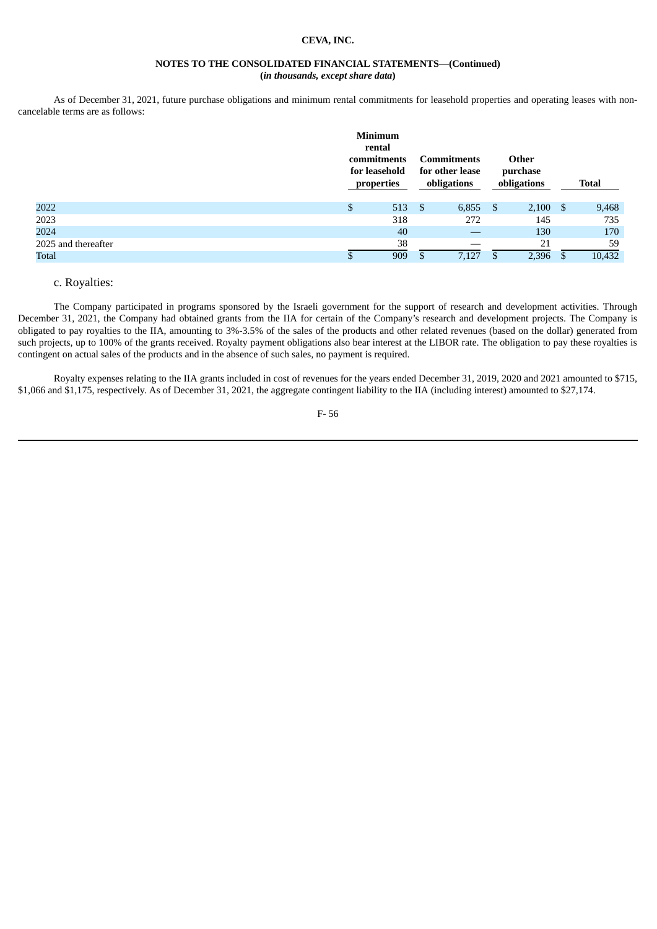## **NOTES TO THE CONSOLIDATED FINANCIAL STATEMENTS**—**(Continued) (***in thousands, except share data***)**

As of December 31, 2021, future purchase obligations and minimum rental commitments for leasehold properties and operating leases with noncancelable terms are as follows:

|                     | <b>Minimum</b><br>rental<br><b>commitments</b><br>for leasehold<br>properties |      | <b>Commitments</b><br>for other lease<br>obligations |      | Other<br>purchase<br>obligations |               | <b>Total</b> |
|---------------------|-------------------------------------------------------------------------------|------|------------------------------------------------------|------|----------------------------------|---------------|--------------|
| 2022                | \$<br>513                                                                     | - \$ | 6,855                                                | - \$ | 2,100                            | <sup>\$</sup> | 9,468        |
| 2023                | 318                                                                           |      | 272                                                  |      | 145                              |               | 735          |
| 2024                | 40                                                                            |      |                                                      |      | 130                              |               | 170          |
| 2025 and thereafter | 38                                                                            |      |                                                      |      | 21                               |               | 59           |
| Total               | \$<br>909                                                                     |      | 7,127                                                |      | 2,396                            |               | 10,432       |

## c. Royalties:

The Company participated in programs sponsored by the Israeli government for the support of research and development activities. Through December 31, 2021, the Company had obtained grants from the IIA for certain of the Company's research and development projects. The Company is obligated to pay royalties to the IIA, amounting to 3%-3.5% of the sales of the products and other related revenues (based on the dollar) generated from such projects, up to 100% of the grants received. Royalty payment obligations also bear interest at the LIBOR rate. The obligation to pay these royalties is contingent on actual sales of the products and in the absence of such sales, no payment is required.

Royalty expenses relating to the IIA grants included in cost of revenues for the years ended December 31, 2019, 2020 and 2021 amounted to \$715, \$1,066 and \$1,175, respectively. As of December 31, 2021, the aggregate contingent liability to the IIA (including interest) amounted to \$27,174.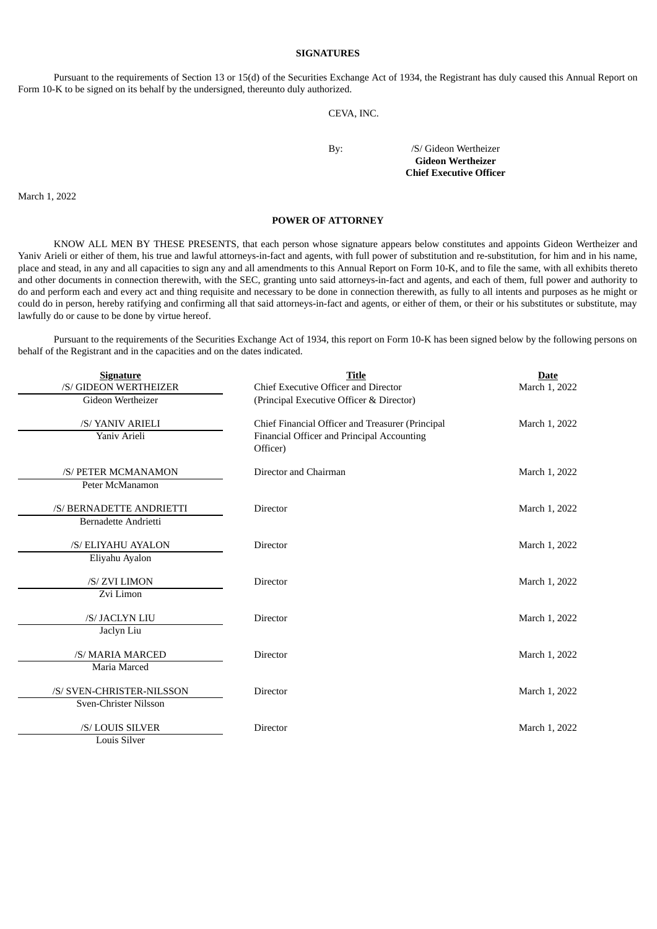#### **SIGNATURES**

Pursuant to the requirements of Section 13 or 15(d) of the Securities Exchange Act of 1934, the Registrant has duly caused this Annual Report on Form 10-K to be signed on its behalf by the undersigned, thereunto duly authorized.

CEVA, INC.

**Gideon Wertheizer Chief Executive Officer**

By: /S/ Gideon Wertheizer

March 1, 2022

## **POWER OF ATTORNEY**

KNOW ALL MEN BY THESE PRESENTS, that each person whose signature appears below constitutes and appoints Gideon Wertheizer and Yaniv Arieli or either of them, his true and lawful attorneys-in-fact and agents, with full power of substitution and re-substitution, for him and in his name, place and stead, in any and all capacities to sign any and all amendments to this Annual Report on Form 10‑K, and to file the same, with all exhibits thereto and other documents in connection therewith, with the SEC, granting unto said attorneys-in-fact and agents, and each of them, full power and authority to do and perform each and every act and thing requisite and necessary to be done in connection therewith, as fully to all intents and purposes as he might or could do in person, hereby ratifying and confirming all that said attorneys-in-fact and agents, or either of them, or their or his substitutes or substitute, may lawfully do or cause to be done by virtue hereof.

Pursuant to the requirements of the Securities Exchange Act of 1934, this report on Form 10-K has been signed below by the following persons on behalf of the Registrant and in the capacities and on the dates indicated.

| <b>Signature</b><br>/S/ GIDEON WERTHEIZER<br>Gideon Wertheizer | <b>Title</b><br>Chief Executive Officer and Director<br>(Principal Executive Officer & Director)           | <b>Date</b><br>March 1, 2022 |
|----------------------------------------------------------------|------------------------------------------------------------------------------------------------------------|------------------------------|
| /S/YANIV ARIELI<br>Yaniv Arieli                                | Chief Financial Officer and Treasurer (Principal<br>Financial Officer and Principal Accounting<br>Officer) | March 1, 2022                |
| /S/ PETER MCMANAMON<br>Peter McManamon                         | Director and Chairman                                                                                      | March 1, 2022                |
| /S/ BERNADETTE ANDRIETTI<br>Bernadette Andrietti               | <b>Director</b>                                                                                            | March 1, 2022                |
| /S/ ELIYAHU AYALON<br>Eliyahu Ayalon                           | <b>Director</b>                                                                                            | March 1, 2022                |
| /S/ ZVI LIMON<br>Zvi Limon                                     | Director                                                                                                   | March 1, 2022                |
| /S/ JACLYN LIU<br>Jaclyn Liu                                   | <b>Director</b>                                                                                            | March 1, 2022                |
| /S/ MARIA MARCED<br>Maria Marced                               | <b>Director</b>                                                                                            | March 1, 2022                |
| /S/ SVEN-CHRISTER-NILSSON<br>Sven-Christer Nilsson             | <b>Director</b>                                                                                            | March 1, 2022                |
| /S/LOUIS SILVER<br>Louis Silver                                | <b>Director</b>                                                                                            | March 1, 2022                |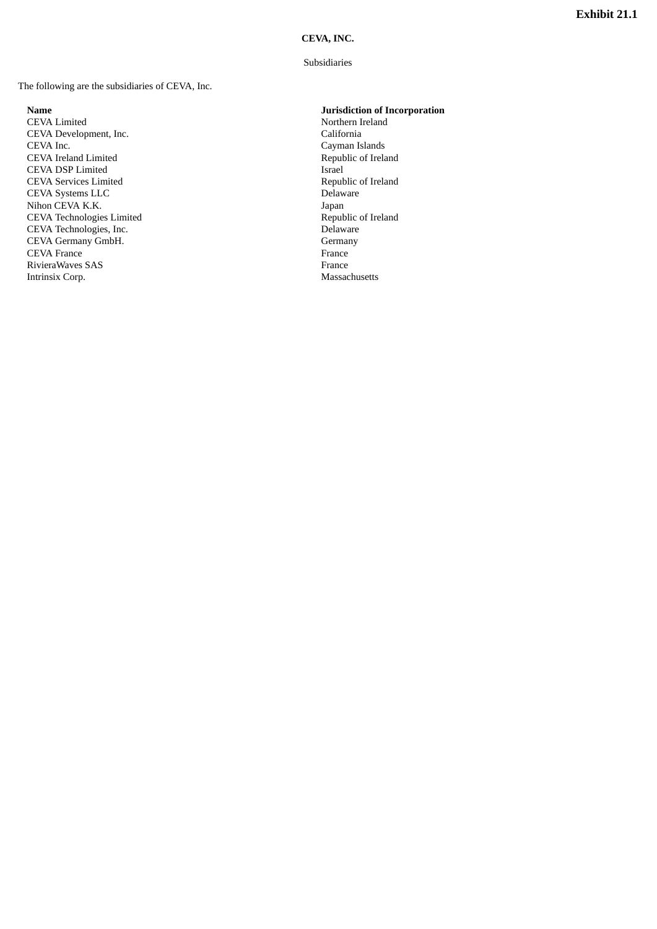Subsidiaries

The following are the subsidiaries of CEVA, Inc.

**Name Jurisdiction of Incorporation**<br>CEVA Limited **Note Apple 2014 Note Apple 2014 Note Apple 2014 Note Apple 2014 Note Apple 2014 Note Apple 2014 Note Apple 2014 Note Apple 2014 Note Apple 2014 Note Ap** CEVA Development, Inc. CEVA Inc. Cayman Islands CEVA Ireland Limited Republic of Ireland CEVA DSP Limited Republic of Ireland Republic of Ireland Republic of Ireland Republic of Ireland Republic of Ireland Republic of Ireland Republic of Ireland Republic of Ireland Repu CEVA DSP Limited GEVA Services Limited CEVA Services Limited CEVA Services Limited CEVA Services Limited CEVA Services Limited CEVA Services Limited CEVA Services Limited CEVA Services Limited CEVA Services Limited CEVA Se CEVA Services Limited Republic of Irelands and Republic of Irelands and Irelands and Republic of Irelands and Irelands and Irelands and Irelands and Irelands and Republic of Irelands and Irelands and Irelands and Irelands CEVA Systems LLC Delaware Delaware Delaware Delaware Delaware Delaware Delaware Delaware Delaware Delaware Delaware Delaware Delaware Delaware Delaware Delaware Delaware Delaware Delaware Delaware Delaware Delaware Delawar Nihon CEVA K.K. Japan Japan CEVA Technologies Limited CEVA Technologies Limited CEVA Technologies Limited CEVA Technologies Limited CEVA Technologies Limited CEVA Technologies Limited CEVA Technologies Limited CEVA Technol CEVA Technologies Limited and Republic of Irelands and Republic of Irelands and Republic of Irelands and Republic of Irelands and Republic of Irelands and Republic of Irelands and Republic of Irelands and Republic of Irela CEVA Technologies, Inc. CEVA Germany GmbH. Germany GmbH. Germany CEVA France CEVA France **France France France France France France France France France France** RivieraWaves SAS France France France France France Massachusetts Massachusetts Intrinsix Corp.

Northern Ireland<br>California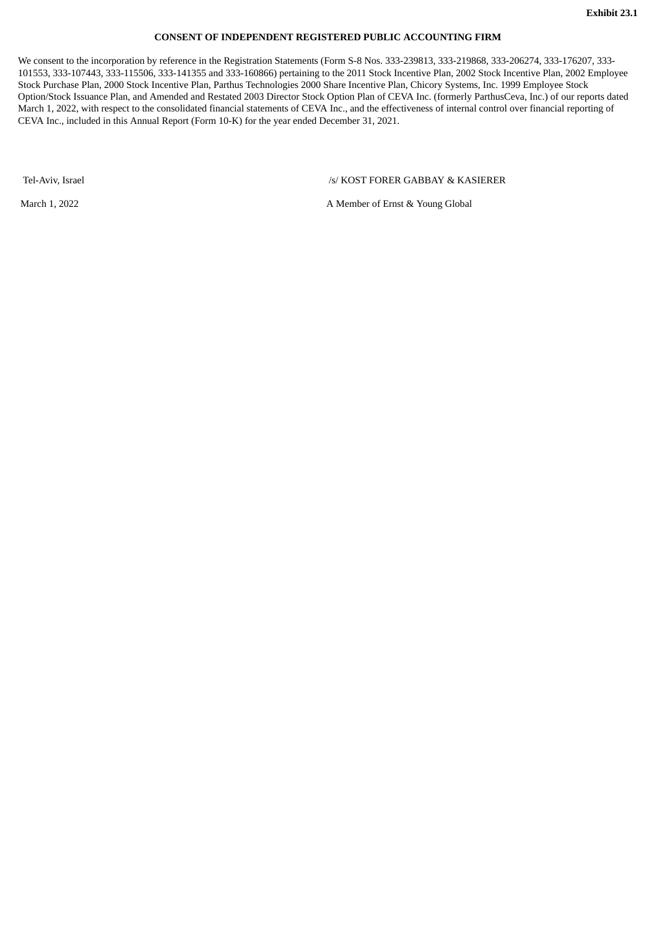## **CONSENT OF INDEPENDENT REGISTERED PUBLIC ACCOUNTING FIRM**

We consent to the incorporation by reference in the Registration Statements (Form S-8 Nos. 333-239813, 333-219868, 333-206274, 333-176207, 333- 101553, 333-107443, 333-115506, 333-141355 and 333-160866) pertaining to the 2011 Stock Incentive Plan, 2002 Stock Incentive Plan, 2002 Employee Stock Purchase Plan, 2000 Stock Incentive Plan, Parthus Technologies 2000 Share Incentive Plan, Chicory Systems, Inc. 1999 Employee Stock Option/Stock Issuance Plan, and Amended and Restated 2003 Director Stock Option Plan of CEVA Inc. (formerly ParthusCeva, Inc.) of our reports dated March 1, 2022, with respect to the consolidated financial statements of CEVA Inc., and the effectiveness of internal control over financial reporting of CEVA Inc., included in this Annual Report (Form 10-K) for the year ended December 31, 2021.

Tel-Aviv. Israel **Fig. 2.1 (1998)** *IS/ KOST FORER GABBAY & KASIERER* 

March 1, 2022 A Member of Ernst & Young Global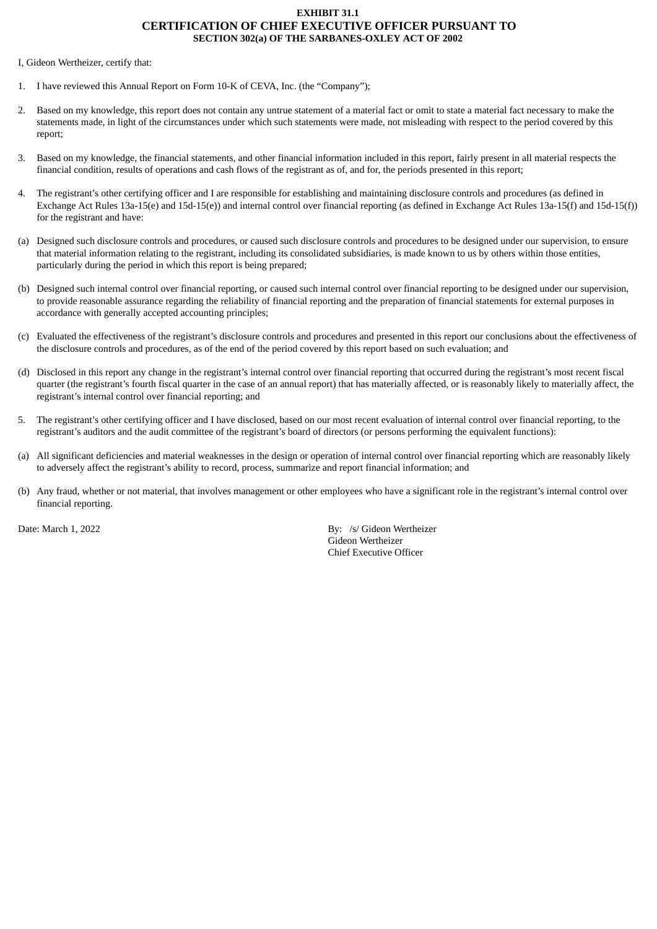## **EXHIBIT 31.1 CERTIFICATION OF CHIEF EXECUTIVE OFFICER PURSUANT TO SECTION 302(a) OF THE SARBANES-OXLEY ACT OF 2002**

I, Gideon Wertheizer, certify that:

- 1. I have reviewed this Annual Report on Form 10-K of CEVA, Inc. (the "Company");
- 2. Based on my knowledge, this report does not contain any untrue statement of a material fact or omit to state a material fact necessary to make the statements made, in light of the circumstances under which such statements were made, not misleading with respect to the period covered by this report;
- 3. Based on my knowledge, the financial statements, and other financial information included in this report, fairly present in all material respects the financial condition, results of operations and cash flows of the registrant as of, and for, the periods presented in this report;
- 4. The registrant's other certifying officer and I are responsible for establishing and maintaining disclosure controls and procedures (as defined in Exchange Act Rules 13a-15(e) and 15d-15(e)) and internal control over financial reporting (as defined in Exchange Act Rules 13a-15(f) and 15d-15(f)) for the registrant and have:
- (a) Designed such disclosure controls and procedures, or caused such disclosure controls and procedures to be designed under our supervision, to ensure that material information relating to the registrant, including its consolidated subsidiaries, is made known to us by others within those entities, particularly during the period in which this report is being prepared;
- (b) Designed such internal control over financial reporting, or caused such internal control over financial reporting to be designed under our supervision, to provide reasonable assurance regarding the reliability of financial reporting and the preparation of financial statements for external purposes in accordance with generally accepted accounting principles;
- (c) Evaluated the effectiveness of the registrant's disclosure controls and procedures and presented in this report our conclusions about the effectiveness of the disclosure controls and procedures, as of the end of the period covered by this report based on such evaluation; and
- (d) Disclosed in this report any change in the registrant's internal control over financial reporting that occurred during the registrant's most recent fiscal quarter (the registrant's fourth fiscal quarter in the case of an annual report) that has materially affected, or is reasonably likely to materially affect, the registrant's internal control over financial reporting; and
- 5. The registrant's other certifying officer and I have disclosed, based on our most recent evaluation of internal control over financial reporting, to the registrant's auditors and the audit committee of the registrant's board of directors (or persons performing the equivalent functions):
- (a) All significant deficiencies and material weaknesses in the design or operation of internal control over financial reporting which are reasonably likely to adversely affect the registrant's ability to record, process, summarize and report financial information; and
- (b) Any fraud, whether or not material, that involves management or other employees who have a significant role in the registrant's internal control over financial reporting.

Date: March 1, 2022 **By: /s/ Gideon Wertheizer** Gideon Wertheizer Chief Executive Officer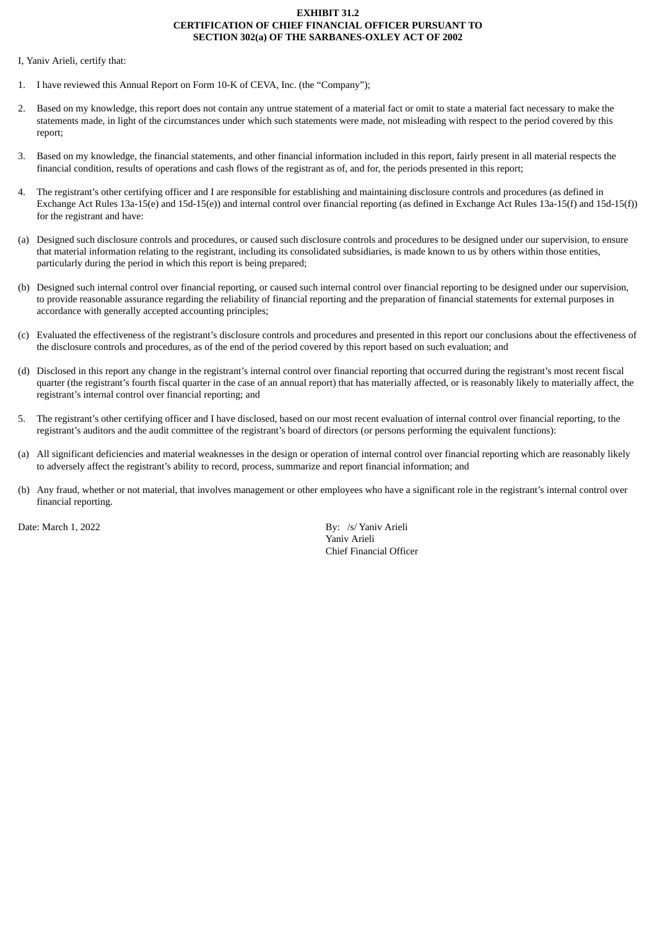## **EXHIBIT 31.2 CERTIFICATION OF CHIEF FINANCIAL OFFICER PURSUANT TO SECTION 302(a) OF THE SARBANES-OXLEY ACT OF 2002**

I, Yaniv Arieli, certify that:

- 1. I have reviewed this Annual Report on Form 10-K of CEVA, Inc. (the "Company");
- 2. Based on my knowledge, this report does not contain any untrue statement of a material fact or omit to state a material fact necessary to make the statements made, in light of the circumstances under which such statements were made, not misleading with respect to the period covered by this report;
- 3. Based on my knowledge, the financial statements, and other financial information included in this report, fairly present in all material respects the financial condition, results of operations and cash flows of the registrant as of, and for, the periods presented in this report;
- 4. The registrant's other certifying officer and I are responsible for establishing and maintaining disclosure controls and procedures (as defined in Exchange Act Rules 13a-15(e) and 15d-15(e)) and internal control over financial reporting (as defined in Exchange Act Rules 13a-15(f) and 15d-15(f)) for the registrant and have:
- (a) Designed such disclosure controls and procedures, or caused such disclosure controls and procedures to be designed under our supervision, to ensure that material information relating to the registrant, including its consolidated subsidiaries, is made known to us by others within those entities, particularly during the period in which this report is being prepared;
- (b) Designed such internal control over financial reporting, or caused such internal control over financial reporting to be designed under our supervision, to provide reasonable assurance regarding the reliability of financial reporting and the preparation of financial statements for external purposes in accordance with generally accepted accounting principles;
- (c) Evaluated the effectiveness of the registrant's disclosure controls and procedures and presented in this report our conclusions about the effectiveness of the disclosure controls and procedures, as of the end of the period covered by this report based on such evaluation; and
- (d) Disclosed in this report any change in the registrant's internal control over financial reporting that occurred during the registrant's most recent fiscal quarter (the registrant's fourth fiscal quarter in the case of an annual report) that has materially affected, or is reasonably likely to materially affect, the registrant's internal control over financial reporting; and
- 5. The registrant's other certifying officer and I have disclosed, based on our most recent evaluation of internal control over financial reporting, to the registrant's auditors and the audit committee of the registrant's board of directors (or persons performing the equivalent functions):
- (a) All significant deficiencies and material weaknesses in the design or operation of internal control over financial reporting which are reasonably likely to adversely affect the registrant's ability to record, process, summarize and report financial information; and
- (b) Any fraud, whether or not material, that involves management or other employees who have a significant role in the registrant's internal control over financial reporting.

Date: March 1, 2022 By: /s/ Yaniv Arieli Yaniv Arieli Chief Financial Officer